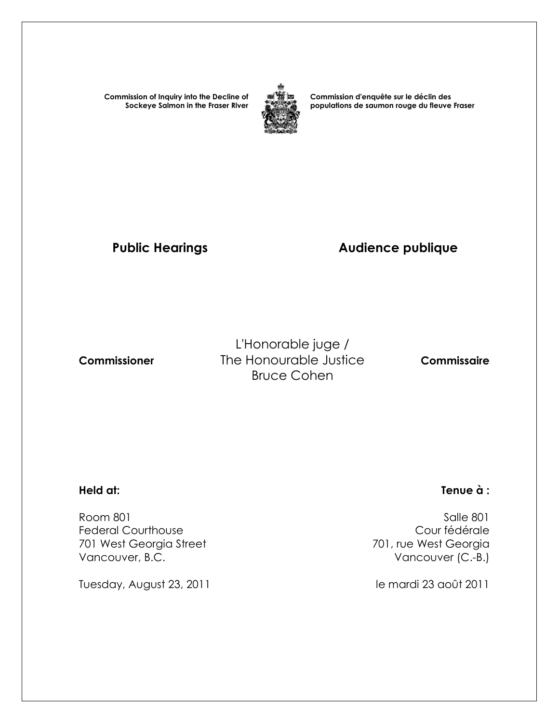**Commission of Inquiry into the Decline of Sockeye Salmon in the Fraser River**



**Commission d'enquête sur le déclin des populations de saumon rouge du fleuve Fraser** 

# Public Hearings **Audience publique**

L'Honorable juge /  **Commissioner** The Honourable Justice **Commissaire** Bruce Cohen

 Room 801 Salle 801 Federal Courthouse<br>
701 west Georgia Street<br>
701 west Georgia Street<br>
201 west Georgia 701 West Georgia Street Vancouver, B.C. **Vancouver (C.-B.)** 

Tuesday, August 23, 2011 and the mardi 23 août 2011

#### **Held at: Tenue à :**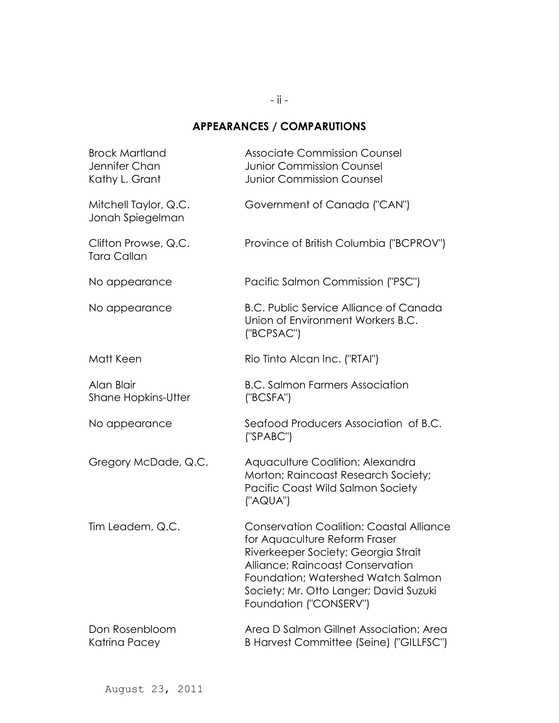### **APPEARANCES / COMPARUTIONS**

| <b>Brock Martland</b><br>Jennifer Chan<br>Kathy L. Grant | <b>Associate Commission Counsel</b><br><b>Junior Commission Counsel</b><br><b>Junior Commission Counsel</b>                                                                                                                                                           |
|----------------------------------------------------------|-----------------------------------------------------------------------------------------------------------------------------------------------------------------------------------------------------------------------------------------------------------------------|
| Mitchell Taylor, Q.C.<br>Jonah Spiegelman                | Government of Canada ("CAN")                                                                                                                                                                                                                                          |
| Clifton Prowse, Q.C.<br><b>Tara Callan</b>               | Province of British Columbia ("BCPROV")                                                                                                                                                                                                                               |
| No appearance                                            | Pacific Salmon Commission ("PSC")                                                                                                                                                                                                                                     |
| No appearance                                            | <b>B.C. Public Service Alliance of Canada</b><br>Union of Environment Workers B.C.<br>('BCPSAC')                                                                                                                                                                      |
| Matt Keen                                                | Rio Tinto Alcan Inc. ("RTAI")                                                                                                                                                                                                                                         |
| Alan Blair<br><b>Shane Hopkins-Utter</b>                 | <b>B.C. Salmon Farmers Association</b><br>('BCSFA")                                                                                                                                                                                                                   |
| No appearance                                            | Seafood Producers Association of B.C.<br>('SPABC")                                                                                                                                                                                                                    |
| Gregory McDade, Q.C.                                     | Aquaculture Coalition: Alexandra<br>Morton; Raincoast Research Society;<br>Pacific Coast Wild Salmon Society<br>("AQUA")                                                                                                                                              |
| Tim Leadem, Q.C.                                         | <b>Conservation Coalition: Coastal Alliance</b><br>for Aquaculture Reform Fraser<br>Riverkeeper Society; Georgia Strait<br>Alliance; Raincoast Conservation<br>Foundation; Watershed Watch Salmon<br>Society; Mr. Otto Langer; David Suzuki<br>Foundation ("CONSERV") |
| Don Rosenbloom<br>Katrina Pacey                          | Area D Salmon Gillnet Association; Area<br>B Harvest Committee (Seine) ("GILLFSC")                                                                                                                                                                                    |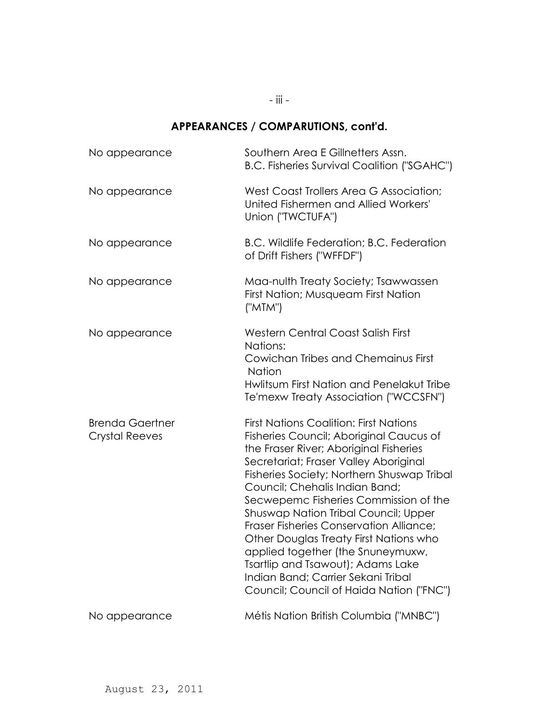- iii -

### **APPEARANCES / COMPARUTIONS, cont'd.**

| No appearance                                   | Southern Area E Gillnetters Assn.<br><b>B.C. Fisheries Survival Coalition ("SGAHC")</b>                                                                                                                                                                                                                                                                                                                                                                                                                                                                                                              |
|-------------------------------------------------|------------------------------------------------------------------------------------------------------------------------------------------------------------------------------------------------------------------------------------------------------------------------------------------------------------------------------------------------------------------------------------------------------------------------------------------------------------------------------------------------------------------------------------------------------------------------------------------------------|
| No appearance                                   | West Coast Trollers Area G Association;<br>United Fishermen and Allied Workers'<br>Union ("TWCTUFA")                                                                                                                                                                                                                                                                                                                                                                                                                                                                                                 |
| No appearance                                   | B.C. Wildlife Federation; B.C. Federation<br>of Drift Fishers ("WFFDF")                                                                                                                                                                                                                                                                                                                                                                                                                                                                                                                              |
| No appearance                                   | Maa-nulth Treaty Society; Tsawwassen<br>First Nation; Musqueam First Nation<br>("MTM")                                                                                                                                                                                                                                                                                                                                                                                                                                                                                                               |
| No appearance                                   | <b>Western Central Coast Salish First</b><br>Nations:<br>Cowichan Tribes and Chemainus First<br><b>Nation</b><br>Hwlitsum First Nation and Penelakut Tribe<br>Te'mexw Treaty Association ("WCCSFN")                                                                                                                                                                                                                                                                                                                                                                                                  |
| <b>Brenda Gaertner</b><br><b>Crystal Reeves</b> | <b>First Nations Coalition: First Nations</b><br>Fisheries Council; Aboriginal Caucus of<br>the Fraser River; Aboriginal Fisheries<br>Secretariat; Fraser Valley Aboriginal<br>Fisheries Society; Northern Shuswap Tribal<br>Council; Chehalis Indian Band;<br>Secwepemc Fisheries Commission of the<br>Shuswap Nation Tribal Council; Upper<br><b>Fraser Fisheries Conservation Alliance:</b><br>Other Douglas Treaty First Nations who<br>applied together (the Snuneymuxw,<br>Tsartlip and Tsawout); Adams Lake<br>Indian Band; Carrier Sekani Tribal<br>Council; Council of Haida Nation ("FNC") |
| No appearance                                   | Métis Nation British Columbia ("MNBC")                                                                                                                                                                                                                                                                                                                                                                                                                                                                                                                                                               |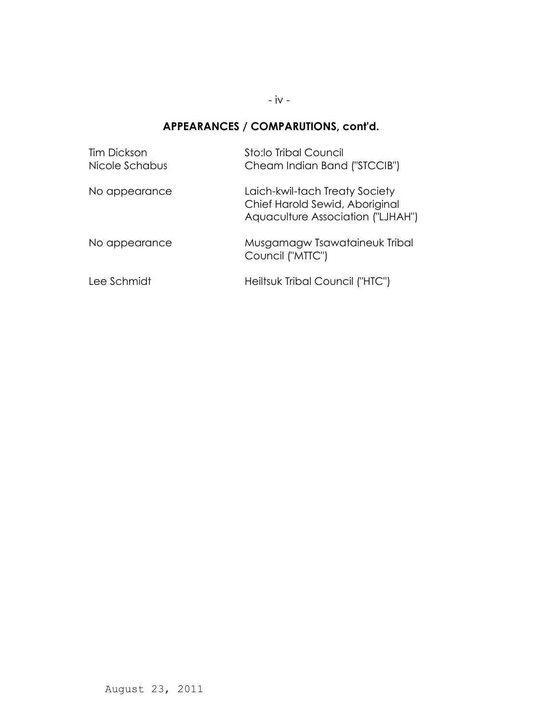- iv -

### **APPEARANCES / COMPARUTIONS, cont'd.**

| <b>Tim Dickson</b><br>Nicole Schabus | Sto:lo Tribal Council<br>Cheam Indian Band ("STCCIB")                                                 |
|--------------------------------------|-------------------------------------------------------------------------------------------------------|
| No appearance                        | Laich-kwil-tach Treaty Society<br>Chief Harold Sewid, Aboriginal<br>Aquaculture Association ("LJHAH") |
| No appearance                        | Musgamagw Tsawataineuk Tribal<br>Council ("MTTC")                                                     |
| Lee Schmidt                          | Heiltsuk Tribal Council ("HTC")                                                                       |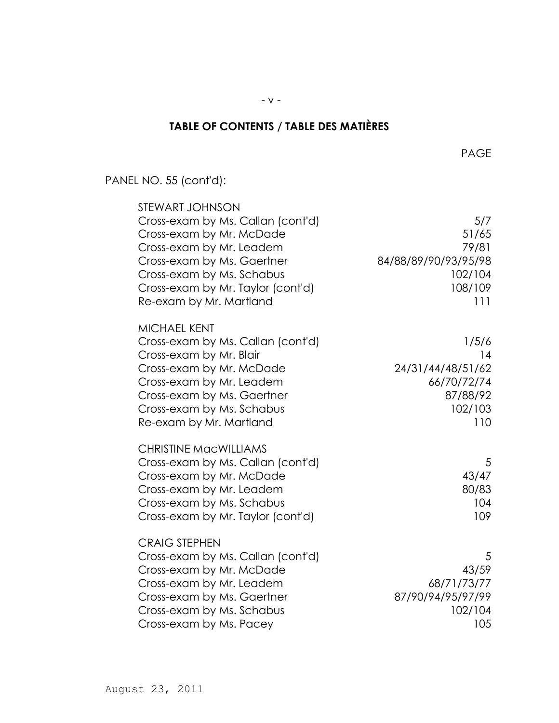# **TABLE OF CONTENTS / TABLE DES MATIÈRES**

PANEL NO. 55 (cont'd):

| STEWART JOHNSON<br>Cross-exam by Ms. Callan (cont'd)<br>Cross-exam by Mr. McDade<br>Cross-exam by Mr. Leadem<br>Cross-exam by Ms. Gaertner<br>Cross-exam by Ms. Schabus<br>Cross-exam by Mr. Taylor (cont'd)<br>Re-exam by Mr. Martland | 5/7<br>51/65<br>79/81<br>84/88/89/90/93/95/98<br>102/104<br>108/109<br>111    |
|-----------------------------------------------------------------------------------------------------------------------------------------------------------------------------------------------------------------------------------------|-------------------------------------------------------------------------------|
| <b>MICHAEL KENT</b><br>Cross-exam by Ms. Callan (cont'd)<br>Cross-exam by Mr. Blair<br>Cross-exam by Mr. McDade<br>Cross-exam by Mr. Leadem<br>Cross-exam by Ms. Gaertner<br>Cross-exam by Ms. Schabus<br>Re-exam by Mr. Martland       | 1/5/6<br>14<br>24/31/44/48/51/62<br>66/70/72/74<br>87/88/92<br>102/103<br>110 |
| <b>CHRISTINE MacWILLIAMS</b><br>Cross-exam by Ms. Callan (cont'd)<br>Cross-exam by Mr. McDade<br>Cross-exam by Mr. Leadem<br>Cross-exam by Ms. Schabus<br>Cross-exam by Mr. Taylor (cont'd)                                             | 5<br>43/47<br>80/83<br>104<br>109                                             |
| <b>CRAIG STEPHEN</b><br>Cross-exam by Ms. Callan (cont'd)<br>Cross-exam by Mr. McDade<br>Cross-exam by Mr. Leadem<br>Cross-exam by Ms. Gaertner<br>Cross-exam by Ms. Schabus<br>Cross-exam by Ms. Pacey                                 | 5<br>43/59<br>68/71/73/77<br>87/90/94/95/97/99<br>102/104<br>105              |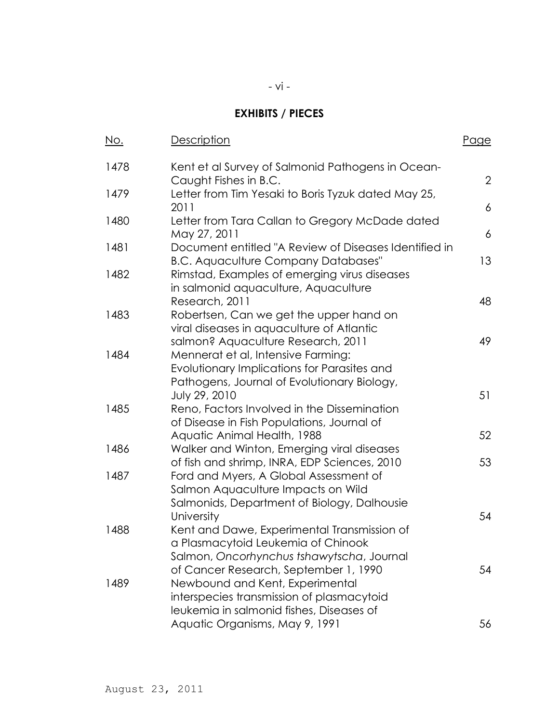### **EXHIBITS / PIECES**

| <u>No.</u> | <b>Description</b>                                                                                                               | <u>Page</u>    |
|------------|----------------------------------------------------------------------------------------------------------------------------------|----------------|
| 1478       | Kent et al Survey of Salmonid Pathogens in Ocean-<br>Caught Fishes in B.C.                                                       | $\overline{2}$ |
| 1479       | Letter from Tim Yesaki to Boris Tyzuk dated May 25,<br>2011                                                                      | 6              |
| 1480       | Letter from Tara Callan to Gregory McDade dated<br>May 27, 2011                                                                  | 6              |
| 1481       | Document entitled "A Review of Diseases Identified in<br><b>B.C. Aquaculture Company Databases"</b>                              | 13             |
| 1482       | Rimstad, Examples of emerging virus diseases<br>in salmonid aquaculture, Aquaculture                                             |                |
| 1483       | Research, 2011<br>Robertsen, Can we get the upper hand on                                                                        | 48             |
|            | viral diseases in aquaculture of Atlantic<br>salmon? Aquaculture Research, 2011                                                  | 49             |
| 1484       | Mennerat et al, Intensive Farming:<br>Evolutionary Implications for Parasites and<br>Pathogens, Journal of Evolutionary Biology, |                |
| 1485       | July 29, 2010<br>Reno, Factors Involved in the Dissemination<br>of Disease in Fish Populations, Journal of                       | 51             |
|            | Aquatic Animal Health, 1988                                                                                                      | 52             |
| 1486       | Walker and Winton, Emerging viral diseases<br>of fish and shrimp, INRA, EDP Sciences, 2010                                       | 53             |
| 1487       | Ford and Myers, A Global Assessment of<br>Salmon Aquaculture Impacts on Wild<br>Salmonids, Department of Biology, Dalhousie      |                |
|            | University                                                                                                                       | 54             |
| 1488       | Kent and Dawe, Experimental Transmission of<br>a Plasmacytoid Leukemia of Chinook<br>Salmon, Oncorhynchus tshawytscha, Journal   |                |
| 1489       | of Cancer Research, September 1, 1990<br>Newbound and Kent, Experimental<br>interspecies transmission of plasmacytoid            | 54             |
|            | leukemia in salmonid fishes, Diseases of<br>Aquatic Organisms, May 9, 1991                                                       | 56             |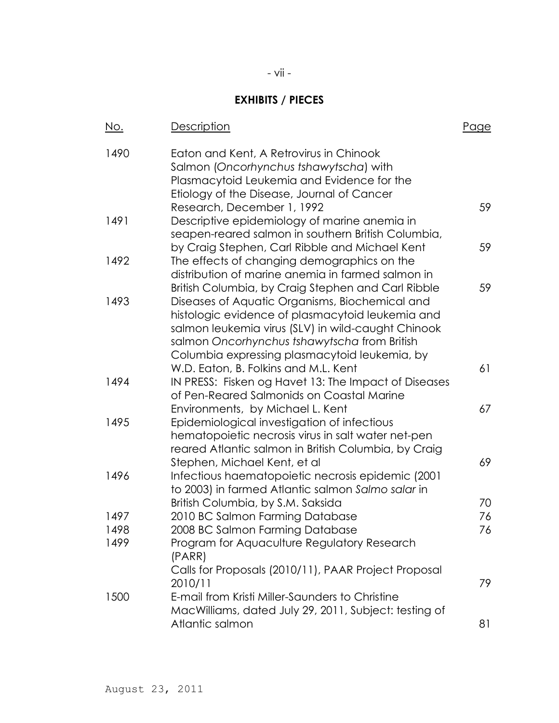### **EXHIBITS / PIECES**

| <u>No.</u> | Description                                                                                       | Page |
|------------|---------------------------------------------------------------------------------------------------|------|
| 1490       | Eaton and Kent, A Retrovirus in Chinook<br>Salmon (Oncorhynchus tshawytscha) with                 |      |
|            | Plasmacytoid Leukemia and Evidence for the<br>Etiology of the Disease, Journal of Cancer          |      |
|            | Research, December 1, 1992                                                                        | 59   |
| 1491       | Descriptive epidemiology of marine anemia in                                                      |      |
|            | seapen-reared salmon in southern British Columbia,                                                |      |
|            | by Craig Stephen, Carl Ribble and Michael Kent                                                    | 59   |
| 1492       | The effects of changing demographics on the                                                       |      |
|            | distribution of marine anemia in farmed salmon in                                                 |      |
|            | British Columbia, by Craig Stephen and Carl Ribble                                                | 59   |
| 1493       | Diseases of Aquatic Organisms, Biochemical and                                                    |      |
|            | histologic evidence of plasmacytoid leukemia and                                                  |      |
|            | salmon leukemia virus (SLV) in wild-caught Chinook                                                |      |
|            | salmon Oncorhynchus tshawytscha from British                                                      |      |
|            | Columbia expressing plasmacytoid leukemia, by                                                     |      |
|            | W.D. Eaton, B. Folkins and M.L. Kent                                                              | 61   |
| 1494       | IN PRESS: Fisken og Havet 13: The Impact of Diseases                                              |      |
|            | of Pen-Reared Salmonids on Coastal Marine                                                         |      |
| 1495       | Environments, by Michael L. Kent                                                                  | 67   |
|            | Epidemiological investigation of infectious<br>hematopoietic necrosis virus in salt water net-pen |      |
|            | reared Atlantic salmon in British Columbia, by Craig                                              |      |
|            | Stephen, Michael Kent, et al                                                                      | 69   |
| 1496       | Infectious haematopoietic necrosis epidemic (2001)                                                |      |
|            | to 2003) in farmed Atlantic salmon Salmo salar in                                                 |      |
|            | British Columbia, by S.M. Saksida                                                                 | 70   |
| 1497       | 2010 BC Salmon Farming Database                                                                   | 76   |
| 1498       | 2008 BC Salmon Farming Database                                                                   | 76   |
| 1499       | Program for Aquaculture Regulatory Research                                                       |      |
|            | (PARR)                                                                                            |      |
|            | Calls for Proposals (2010/11), PAAR Project Proposal                                              |      |
|            | 2010/11                                                                                           | 79   |
| 1500       | E-mail from Kristi Miller-Saunders to Christine                                                   |      |
|            | MacWilliams, dated July 29, 2011, Subject: testing of                                             |      |
|            | Atlantic salmon                                                                                   | 81   |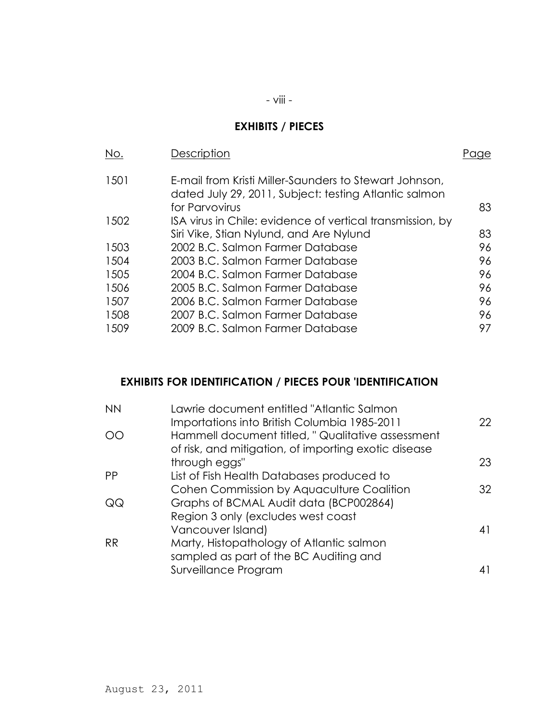# **EXHIBITS / PIECES**

| No.  | Description                                                                                                                       |    |
|------|-----------------------------------------------------------------------------------------------------------------------------------|----|
| 1501 | E-mail from Kristi Miller-Saunders to Stewart Johnson,<br>dated July 29, 2011, Subject: testing Atlantic salmon<br>for Parvovirus | 83 |
| 1502 | ISA virus in Chile: evidence of vertical transmission, by<br>Siri Vike, Stian Nylund, and Are Nylund                              | 83 |
| 1503 | 2002 B.C. Salmon Farmer Database                                                                                                  | 96 |
| 1504 | 2003 B.C. Salmon Farmer Database                                                                                                  | 96 |
| 1505 | 2004 B.C. Salmon Farmer Database                                                                                                  | 96 |
| 1506 | 2005 B.C. Salmon Farmer Database                                                                                                  | 96 |
| 1507 | 2006 B.C. Salmon Farmer Database                                                                                                  | 96 |
| 1508 | 2007 B.C. Salmon Farmer Database                                                                                                  | 96 |
| 1509 | 2009 B.C. Salmon Farmer Database                                                                                                  | 97 |

#### **EXHIBITS FOR IDENTIFICATION / PIECES POUR 'IDENTIFICATION**

| Lawrie document entitled "Atlantic Salmon            |    |
|------------------------------------------------------|----|
| Importations into British Columbia 1985-2011         | 22 |
| Hammell document titled, " Qualitative assessment    |    |
| of risk, and mitigation, of importing exotic disease |    |
| through eggs"                                        | 23 |
| List of Fish Health Databases produced to            |    |
| Cohen Commission by Aquaculture Coalition            | 32 |
| Graphs of BCMAL Audit data (BCP002864)               |    |
| Region 3 only (excludes west coast                   |    |
| Vancouver Island)                                    | 41 |
| Marty, Histopathology of Atlantic salmon             |    |
| sampled as part of the BC Auditing and               |    |
| Surveillance Program                                 |    |
|                                                      |    |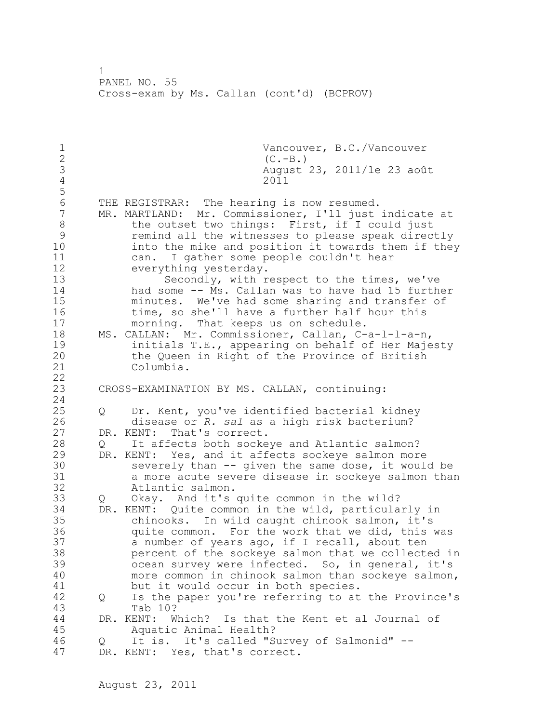1 Vancouver, B.C./Vancouver<br>2 (C.-B.) 2 (C.-B.)<br>3 August 3 August 23, 2011/le 23 août 4 2011 5 6 THE REGISTRAR: The hearing is now resumed.<br>7 MR. MARTLAND: Mr. Commissioner, I'll just MR. MARTLAND: Mr. Commissioner, I'll just indicate at 8 the outset two things: First, if I could just 9 remind all the witnesses to please speak directly<br>10 into the mike and position it towards them if the into the mike and position it towards them if they 11 can. I gather some people couldn't hear 12 everything yesterday. 13 Secondly, with respect to the times, we've 14 had some -- Ms. Callan was to have had 15 further 15 minutes. We've had some sharing and transfer of 16 time, so she'll have a further half hour this 17 morning. That keeps us on schedule. 18 MS. CALLAN: Mr. Commissioner, Callan, C-a-l-l-a-n, 19 19 initials T.E., appearing on behalf of Her Majesty<br>20 the Oueen in Right of the Province of British the Queen in Right of the Province of British 21 Columbia. 22 23 CROSS-EXAMINATION BY MS. CALLAN, continuing: 24 25 Q Dr. Kent, you've identified bacterial kidney 26 disease or *R. sal* as a high risk bacterium? DR. KENT: That's correct. 28 Q It affects both sockeye and Atlantic salmon? 29 DR. KENT: Yes, and it affects sockeye salmon more 30 severely than -- given the same dose, it would be<br>31 a more acute severe disease in sockeve salmon than 31 a more acute severe disease in sockeye salmon than Atlantic salmon. 33 Q Okay. And it's quite common in the wild? 34 DR. KENT: Quite common in the wild, particularly in 35 chinooks. In wild caught chinook salmon, it's 36 quite common. For the work that we did, this was 37 a number of years ago, if I recall, about ten 38 percent of the sockeye salmon that we collected in 39 ocean survey were infected. So, in general, it's 40 more common in chinook salmon than sockeye salmon, 41 but it would occur in both species.<br>42 O Is the paper you're referring to at 42 Q Is the paper you're referring to at the Province's 43 Tab 10? 44 DR. KENT: Which? Is that the Kent et al Journal of 45 Aquatic Animal Health? 46 Q It is. It's called "Survey of Salmonid" -- 47 DR. KENT: Yes, that's correct.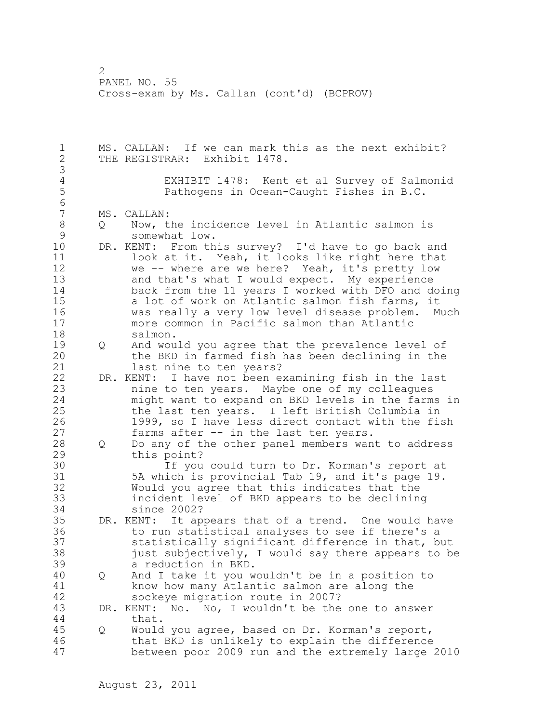1 MS. CALLAN: If we can mark this as the next exhibit? 2 THE REGISTRAR: Exhibit 1478. 3 4 EXHIBIT 1478: Kent et al Survey of Salmonid<br>5 Pathogens in Ocean-Caught Fishes in B.C. 5 Pathogens in Ocean-Caught Fishes in B.C. 6 MS. CALLAN: 8 Q Now, the incidence level in Atlantic salmon is<br>9 somewhat low. 9 somewhat low.<br>10 DR. KENT: From th DR. KENT: From this survey? I'd have to go back and 11 look at it. Yeah, it looks like right here that 12 we -- where are we here? Yeah, it's pretty low 13 and that's what I would expect. My experience 14 back from the 11 years I worked with DFO and doing 15 a lot of work on Atlantic salmon fish farms, it 16 was really a very low level disease problem. Much 17 more common in Pacific salmon than Atlantic 18 salmon. 19 Q And would you agree that the prevalence level of<br>20 the BKD in farmed fish has been declining in the the BKD in farmed fish has been declining in the 21 last nine to ten years? 22 DR. KENT: I have not been examining fish in the last 23 nine to ten years. Maybe one of my colleagues 24 might want to expand on BKD levels in the farms in 25 the last ten years. I left British Columbia in 26 1999, so I have less direct contact with the fish<br>27 farms after -- in the last ten years. farms after  $--$  in the last ten years. 28 Q Do any of the other panel members want to address 29 this point? 30 If you could turn to Dr. Korman's report at<br>31 5A which is provincial Tab 19. and it's page 19. 5A which is provincial Tab 19, and it's page 19. 32 Would you agree that this indicates that the 33 incident level of BKD appears to be declining 34 since 2002? 35 DR. KENT: It appears that of a trend. One would have 36 to run statistical analyses to see if there's a 37 statistically significant difference in that, but 38 just subjectively, I would say there appears to be 39 a reduction in BKD. 40 Q And I take it you wouldn't be in a position to 41 know how many Atlantic salmon are along the<br>42 sockeve migration route in 2007? sockeye migration route in 2007? 43 DR. KENT: No. No, I wouldn't be the one to answer 44 that. 45 Q Would you agree, based on Dr. Korman's report, 46 that BKD is unlikely to explain the difference 47 between poor 2009 run and the extremely large 2010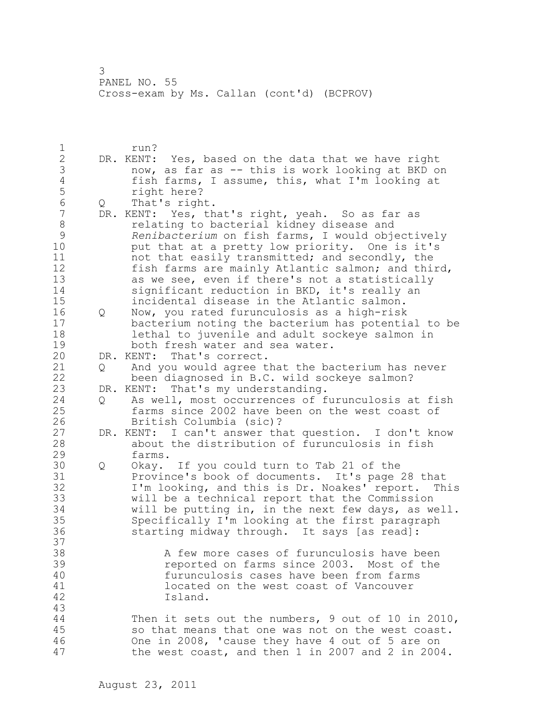1 run? 2 DR. KENT: Yes, based on the data that we have right 3 now, as far as -- this is work looking at BKD on<br>4 fish farms, I assume, this, what I'm looking at 4 fish farms, I assume, this, what I'm looking at<br>5 fight here? 5 right here?<br>6 0 That's righ 6 Q That's right. DR. KENT: Yes, that's right, yeah. So as far as 8 relating to bacterial kidney disease and<br>9 Renibacterium on fish farms, I would obje 9 **Renibacterium** on fish farms, I would objectively<br>10 but that at a pretty low priority. One is it's put that at a pretty low priority. One is it's 11 11 not that easily transmitted; and secondly, the 12 fish farms are mainly Atlantic salmon; and third, 13 as we see, even if there's not a statistically 14 significant reduction in BKD, it's really an 15 incidental disease in the Atlantic salmon. 16 Q Now, you rated furunculosis as a high-risk 17 bacterium noting the bacterium has potential to be 18 lethal to juvenile and adult sockeye salmon in 19 both fresh water and sea water.<br>20 DR. KENT: That's correct. DR. KENT: That's correct. 21 Q And you would agree that the bacterium has never 22 been diagnosed in B.C. wild sockeye salmon? 23 DR. KENT: That's my understanding. 24 Q As well, most occurrences of furunculosis at fish 25 farms since 2002 have been on the west coast of 26 British Columbia (sic)?<br>27 DR. KENT: I can't answer th DR. KENT: I can't answer that question. I don't know 28 about the distribution of furunculosis in fish 29 farms. 30 Q Okay. If you could turn to Tab 21 of the 31 Province's book of documents. It's page 28 that<br>32 I'm looking, and this is Dr. Noakes' report. Th I'm looking, and this is Dr. Noakes' report. This 33 will be a technical report that the Commission 34 will be putting in, in the next few days, as well. 35 Specifically I'm looking at the first paragraph 36 starting midway through. It says [as read]: 37<br>38 A few more cases of furunculosis have been 39 reported on farms since 2003. Most of the 40 furunculosis cases have been from farms 41 located on the west coast of Vancouver<br>42 located. Island. 43 44 Then it sets out the numbers, 9 out of 10 in 2010, 45 so that means that one was not on the west coast. 46 One in 2008, 'cause they have 4 out of 5 are on 47 the west coast, and then 1 in 2007 and 2 in 2004.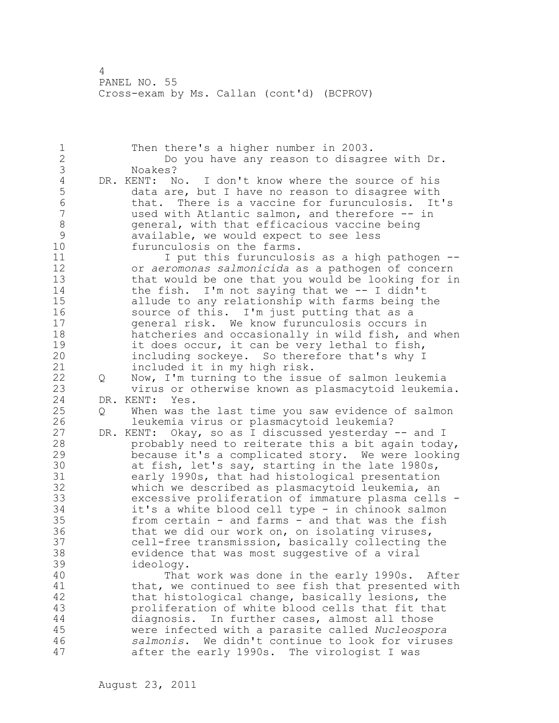1 Then there's a higher number in 2003. 2 Do you have any reason to disagree with Dr. 3 Noakes?<br>4 DR.KENT: N 4 DR. KENT: No. I don't know where the source of his<br>5 data are, but I have no reason to disagree with 5 data are, but I have no reason to disagree with 6 that. There is a vaccine for furunculosis. It's<br>7 used with Atlantic salmon, and therefore -- in used with Atlantic salmon, and therefore -- in 8 general, with that efficacious vaccine being<br>9 available, we would expect to see less 9 available, we would expect to see less<br>10 furunculosis on the farms. furunculosis on the farms. 11 I put this furunculosis as a high pathogen --12 or *aeromonas salmonicida* as a pathogen of concern 13 that would be one that you would be looking for in 14 the fish. I'm not saying that we -- I didn't 15 allude to any relationship with farms being the 16 source of this. I'm just putting that as a 17 general risk. We know furunculosis occurs in 18 hatcheries and occasionally in wild fish, and when 19 it does occur, it can be very lethal to fish,<br>20 including sockeye. So therefore that's why I including sockeye. So therefore that's why I 21 included it in my high risk. 22 Q Now, I'm turning to the issue of salmon leukemia 23 virus or otherwise known as plasmacytoid leukemia. 24 DR. KENT: Yes. 25 Q When was the last time you saw evidence of salmon 26 leukemia virus or plasmacytoid leukemia?<br>27 DR. KENT: Okay, so as I discussed yesterday DR. KENT: Okay, so as I discussed yesterday -- and I 28 probably need to reiterate this a bit again today, 29 because it's a complicated story. We were looking 30 at fish, let's say, starting in the late 1980s,<br>31 early 1990s, that had histological presentation 31 early 1990s, that had histological presentation<br>32 which we described as plasmacytoid leukemia, an which we described as plasmacytoid leukemia, an 33 excessive proliferation of immature plasma cells - 34 it's a white blood cell type - in chinook salmon 35 from certain - and farms - and that was the fish 36 that we did our work on, on isolating viruses, 37 cell-free transmission, basically collecting the 38 evidence that was most suggestive of a viral 39 ideology. 40 That work was done in the early 1990s. After 41 that, we continued to see fish that presented with<br>42 that histological change, basically lesions, the that histological change, basically lesions, the 43 proliferation of white blood cells that fit that 44 diagnosis. In further cases, almost all those 45 were infected with a parasite called *Nucleospora*  46 *salmonis*. We didn't continue to look for viruses 47 after the early 1990s. The virologist I was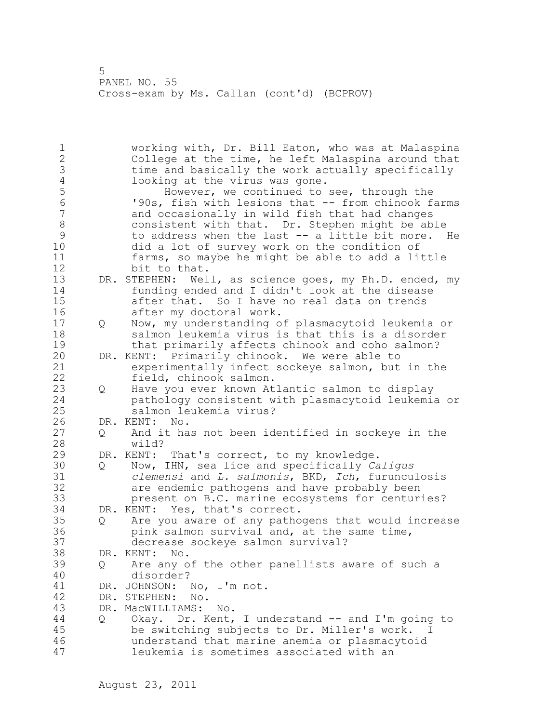1 working with, Dr. Bill Eaton, who was at Malaspina 2 College at the time, he left Malaspina around that 3 time and basically the work actually specifically<br>4 looking at the virus was gone. 4 looking at the virus was gone.<br>5 However, we continued to 5 However, we continued to see, through the<br>6 190s, fish with lesions that -- from chinook f 6 '90s, fish with lesions that -- from chinook farms and occasionally in wild fish that had changes 8 consistent with that. Dr. Stephen might be able<br>9 to address when the last -- a little bit more. 9 to address when the last -- a little bit more. He<br>10 did a lot of survey work on the condition of did a lot of survey work on the condition of 11 farms, so maybe he might be able to add a little 12 bit to that. 13 DR. STEPHEN: Well, as science goes, my Ph.D. ended, my 14 funding ended and I didn't look at the disease 15 after that. So I have no real data on trends 16 after my doctoral work. 17 Q Now, my understanding of plasmacytoid leukemia or 18 salmon leukemia virus is that this is a disorder 19 that primarily affects chinook and coho salmon?<br>20 DR. KENT: Primarily chinook. We were able to DR. KENT: Primarily chinook. We were able to 21 experimentally infect sockeye salmon, but in the 22 field, chinook salmon. 23 Q Have you ever known Atlantic salmon to display 24 pathology consistent with plasmacytoid leukemia or 25 salmon leukemia virus? 26 DR. KENT: No.<br>27 0 And it ha 27 Q And it has not been identified in sockeye in the wild? 29 DR. KENT: That's correct, to my knowledge. 30 Q Now, IHN, sea lice and specifically *Caligus*  31 *clemensi* and *L. salmonis*, BKD, *Ich*, furunculosis are endemic pathogens and have probably been 33 present on B.C. marine ecosystems for centuries? 34 DR. KENT: Yes, that's correct. 35 Q Are you aware of any pathogens that would increase 36 pink salmon survival and, at the same time, 37 decrease sockeye salmon survival? 38 DR. KENT: No. 39 Q Are any of the other panellists aware of such a 40 disorder? 41 DR. JOHNSON: No, I'm not.<br>42 DR. STEPHEN: No. DR. STEPHEN: No. 43 DR. MacWILLIAMS: No. 44 Q Okay. Dr. Kent, I understand -- and I'm going to 45 be switching subjects to Dr. Miller's work. I 46 understand that marine anemia or plasmacytoid 47 leukemia is sometimes associated with an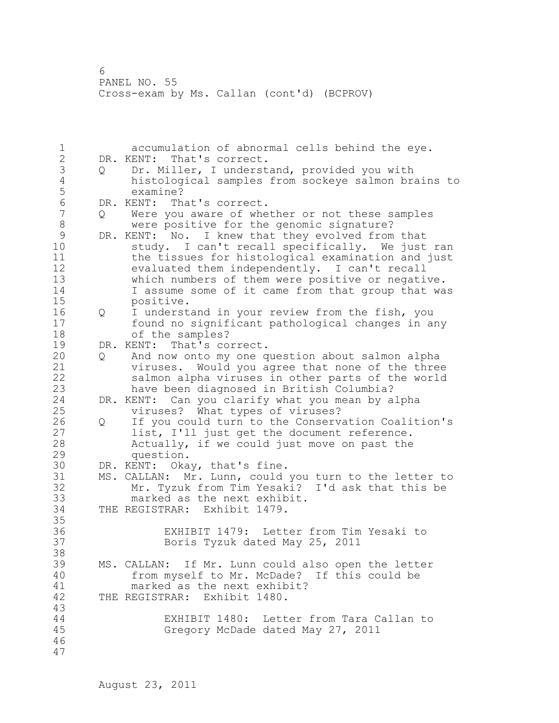1 accumulation of abnormal cells behind the eye. 2 DR. KENT: That's correct. 3 Q Dr. Miller, I understand, provided you with 4 histological samples from sockeye salmon brains to 5 examine?<br>6 DR.KENT: Th 6 DR. KENT: That's correct. Were you aware of whether or not these samples 8 were positive for the genomic signature?<br>9 DR. KENT: No. I knew that they evolved from 9 DR. KENT: No. I knew that they evolved from that<br>10 study. I can't recall specifically. We just study. I can't recall specifically. We just ran 11 the tissues for histological examination and just 12 evaluated them independently. I can't recall 13 which numbers of them were positive or negative. 14 I assume some of it came from that group that was 15 positive. 16 Q I understand in your review from the fish, you 17 found no significant pathological changes in any 18 of the samples? 19 DR. KENT: That's correct.<br>20 0 And now onto my one q 20 Q And now onto my one question about salmon alpha 21 viruses. Would you agree that none of the three 22 salmon alpha viruses in other parts of the world 23 have been diagnosed in British Columbia? 24 DR. KENT: Can you clarify what you mean by alpha 25 viruses? What types of viruses? 26 Q If you could turn to the Conservation Coalition's<br>27 list, I'll just get the document reference. list, I'll just get the document reference. 28 Actually, if we could just move on past the 29 question. 30 DR. KENT: Okay, that's fine. MS. CALLAN: Mr. Lunn, could you turn to the letter to 32 Mr. Tyzuk from Tim Yesaki? I'd ask that this be 33 marked as the next exhibit. 34 THE REGISTRAR: Exhibit 1479. 35 36 EXHIBIT 1479: Letter from Tim Yesaki to 37 Boris Tyzuk dated May 25, 2011 38 39 MS. CALLAN: If Mr. Lunn could also open the letter 40 from myself to Mr. McDade? If this could be 41 marked as the next exhibit?<br>42 THE REGISTRAR: Exhibit 1480. THE REGISTRAR: Exhibit 1480. 43 44 EXHIBIT 1480: Letter from Tara Callan to 45 Gregory McDade dated May 27, 2011 46 47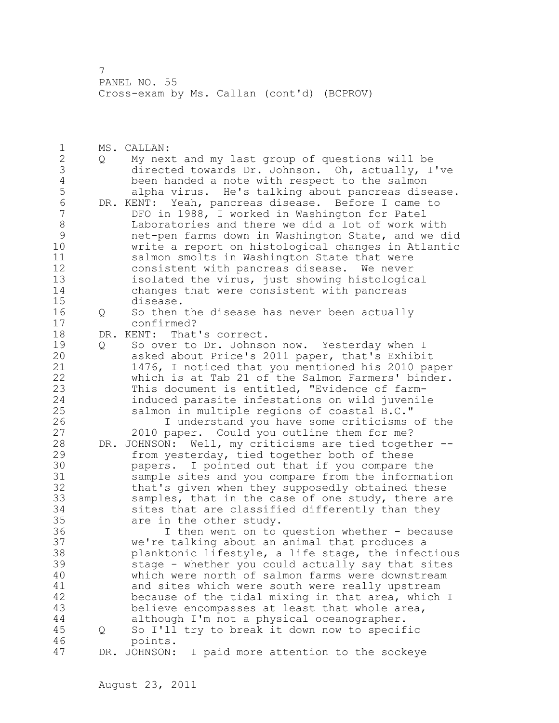1 MS. CALLAN: 2 Q My next and my last group of questions will be 3 directed towards Dr. Johnson. Oh, actually, I've 4 been handed a note with respect to the salmon<br>5 alpha virus. He's talking about pancreas dise 5 alpha virus. He's talking about pancreas disease.<br>6 DR. KENT: Yeah, pancreas disease. Before I came to 6 DR. KENT: Yeah, pancreas disease. Before I came to DFO in 1988, I worked in Washington for Patel 8 Laboratories and there we did a lot of work with 9 net-pen farms down in Washington State, and we did write a report on histological changes in Atlantic 11 salmon smolts in Washington State that were 12 consistent with pancreas disease. We never 13 isolated the virus, just showing histological 14 changes that were consistent with pancreas 15 disease. 16 Q So then the disease has never been actually 17 confirmed? 18 DR. KENT: That's correct. 19 Q So over to Dr. Johnson now. Yesterday when I<br>20 asked about Price's 2011 paper, that's Exhibi asked about Price's 2011 paper, that's Exhibit 21 1476, I noticed that you mentioned his 2010 paper 22 which is at Tab 21 of the Salmon Farmers' binder. 23 This document is entitled, "Evidence of farm-24 induced parasite infestations on wild juvenile 25 salmon in multiple regions of coastal B.C." 26 I understand you have some criticisms of the<br>27 2010 paper. Could you outline them for me? 2010 paper. Could you outline them for me? 28 DR. JOHNSON: Well, my criticisms are tied together -- 29 from yesterday, tied together both of these 30 papers. I pointed out that if you compare the sample sites and you compare from the information 32 that's given when they supposedly obtained these 33 samples, that in the case of one study, there are 34 sites that are classified differently than they 35 are in the other study. 36 I then went on to question whether - because 37 we're talking about an animal that produces a 38 planktonic lifestyle, a life stage, the infectious 39 stage - whether you could actually say that sites 40 which were north of salmon farms were downstream 41 and sites which were south were really upstream<br>42 because of the tidal mixing in that area, which because of the tidal mixing in that area, which I 43 believe encompasses at least that whole area, 44 although I'm not a physical oceanographer. 45 Q So I'll try to break it down now to specific 46 points. 47 DR. JOHNSON: I paid more attention to the sockeye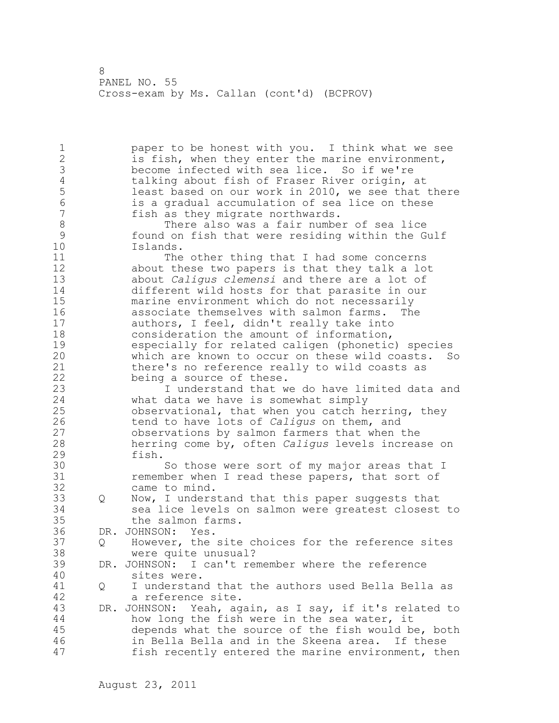1 paper to be honest with you. I think what we see 2 is fish, when they enter the marine environment, 3 become infected with sea lice. So if we're 4 talking about fish of Fraser River origin, at<br>5 least based on our work in 2010, we see that 5 1east based on our work in 2010, we see that there<br>6 3. Sis a gradual accumulation of sea lice on these 6 is a gradual accumulation of sea lice on these fish as they migrate northwards. 8 There also was a fair number of sea lice<br>9 found on fish that were residing within the G 9 found on fish that were residing within the Gulf Islands. 11 The other thing that I had some concerns 12 about these two papers is that they talk a lot 13 about *Caligus clemensi* and there are a lot of 14 different wild hosts for that parasite in our 15 marine environment which do not necessarily 16 associate themselves with salmon farms. The 17 authors, I feel, didn't really take into 18 consideration the amount of information, 19 especially for related caligen (phonetic) species<br>20 which are known to occur on these wild coasts. So which are known to occur on these wild coasts. So 21 there's no reference really to wild coasts as 22 being a source of these. 23 I understand that we do have limited data and 24 what data we have is somewhat simply 25 observational, that when you catch herring, they 26 tend to have lots of *Caligus* on them, and observations by salmon farmers that when the 28 herring come by, often *Caligus* levels increase on 29 fish. 30 So those were sort of my major areas that I<br>31 So then I read these papers, that sort of remember when I read these papers, that sort of 32 came to mind. 33 Q Now, I understand that this paper suggests that 34 sea lice levels on salmon were greatest closest to 35 the salmon farms. 36 DR. JOHNSON: Yes. 37 Q However, the site choices for the reference sites 38 were quite unusual? 39 DR. JOHNSON: I can't remember where the reference 40 sites were. 41 Q I understand that the authors used Bella Bella as<br>42 a reference site. a reference site. 43 DR. JOHNSON: Yeah, again, as I say, if it's related to 44 how long the fish were in the sea water, it 45 depends what the source of the fish would be, both 46 in Bella Bella and in the Skeena area. If these 47 fish recently entered the marine environment, then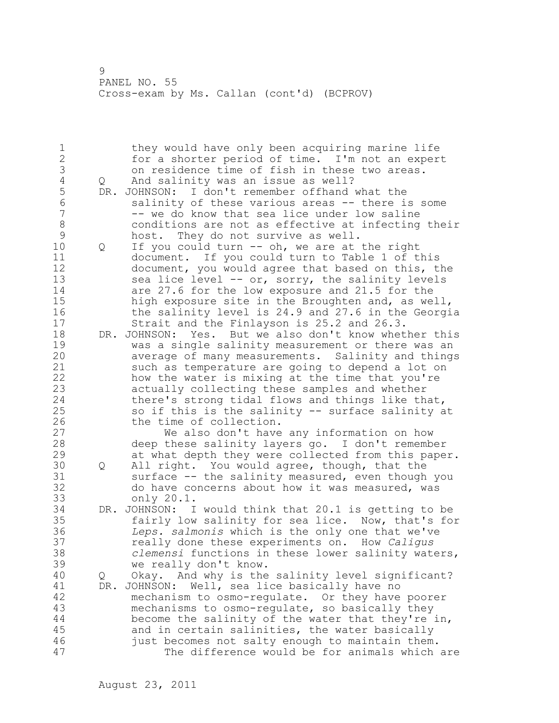1 they would have only been acquiring marine life 2 for a shorter period of time. I'm not an expert 3 on residence time of fish in these two areas.<br>4 Q And salinity was an issue as well? 4 Q And salinity was an issue as well?<br>5 DR. JOHNSON: I don't remember offhand 5 DR. JOHNSON: I don't remember offhand what the<br>6 salinity of these various areas -- there i 6 salinity of these various areas -- there is some<br>7 -- we do know that sea lice under low saline -- we do know that sea lice under low saline 8 conditions are not as effective at infecting their 9 host. They do not survive as well.<br>10 0 If you could turn -- oh, we are at Q If you could turn -- oh, we are at the right 11 document. If you could turn to Table 1 of this 12 document, you would agree that based on this, the 13 sea lice level -- or, sorry, the salinity levels 14 are 27.6 for the low exposure and 21.5 for the 15 high exposure site in the Broughten and, as well, 16 the salinity level is 24.9 and 27.6 in the Georgia 17 Strait and the Finlayson is 25.2 and 26.3. 18 DR. JOHNSON: Yes. But we also don't know whether this 19 was a single salinity measurement or there was an<br>20 average of many measurements. Salinity and thing average of many measurements. Salinity and things 21 such as temperature are going to depend a lot on 22 how the water is mixing at the time that you're 23 actually collecting these samples and whether 24 there's strong tidal flows and things like that, 25 so if this is the salinity -- surface salinity at 26 the time of collection.<br>27 We also don't have We also don't have any information on how 28 deep these salinity layers go. I don't remember 29 at what depth they were collected from this paper. 30 Q All right. You would agree, though, that the<br>31 surface -- the salinity measured, even though 31 surface -- the salinity measured, even though you<br>32 do have concerns about how it was measured, was do have concerns about how it was measured, was 33 only 20.1. 34 DR. JOHNSON: I would think that 20.1 is getting to be 35 fairly low salinity for sea lice. Now, that's for 36 *Leps. salmonis* which is the only one that we've 37 really done these experiments on. How *Caligus*  38 *clemensi* functions in these lower salinity waters, 39 we really don't know. 40 Q Okay. And why is the salinity level significant? 41 DR. JOHNSON: Well, sea lice basically have no<br>42 mechanism to osmo-regulate. Or they have mechanism to osmo-regulate. Or they have poorer 43 mechanisms to osmo-regulate, so basically they 44 become the salinity of the water that they're in, 45 and in certain salinities, the water basically 46 just becomes not salty enough to maintain them. 47 The difference would be for animals which are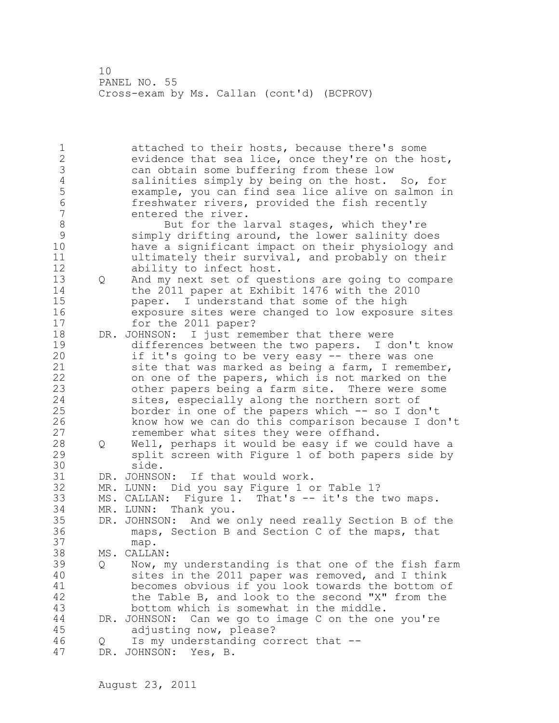1 attached to their hosts, because there's some 2 evidence that sea lice, once they're on the host, 3 can obtain some buffering from these low 4 salinities simply by being on the host. So, for 5 example, you can find sea lice alive on salmon in 6 freshwater rivers, provided the fish recently entered the river. 8 But for the larval stages, which they're<br>9 simply drifting around, the lower salinity do 9 simply drifting around, the lower salinity does<br>10 have a significant impact on their physiology a have a significant impact on their physiology and 11 ultimately their survival, and probably on their 12 ability to infect host. 13 Q And my next set of questions are going to compare<br>14 the 2011 paper at Exhibit 1476 with the 2010 the 2011 paper at Exhibit 1476 with the 2010 15 paper. I understand that some of the high 16 exposure sites were changed to low exposure sites 17 for the 2011 paper? 18 DR. JOHNSON: I just remember that there were 19 differences between the two papers. I don't know<br>20 if it's going to be very easy -- there was one if it's going to be very easy -- there was one 21 site that was marked as being a farm, I remember, 22 on one of the papers, which is not marked on the 23 other papers being a farm site. There were some 24 sites, especially along the northern sort of 25 border in one of the papers which -- so I don't 26 know how we can do this comparison because I don't<br>27 memember what sites they were offhand. remember what sites they were offhand. 28 Q Well, perhaps it would be easy if we could have a 29 split screen with Figure 1 of both papers side by 30 side.<br>31 DR. JOHNSO DR. JOHNSON: If that would work. 32 MR. LUNN: Did you say Figure 1 or Table 1? 33 MS. CALLAN: Figure 1. That's -- it's the two maps.<br>34 MR. LUNN: Thank you. 34 MR. LUNN: Thank you. 35 DR. JOHNSON: And we only need really Section B of the 36 maps, Section B and Section C of the maps, that 37 map. 38 MS. CALLAN: 39 Q Now, my understanding is that one of the fish farm 40 sites in the 2011 paper was removed, and I think 41 becomes obvious if you look towards the bottom of 42 the Table B, and look to the second "X" from the the Table B, and look to the second "X" from the 43 bottom which is somewhat in the middle. 44 DR. JOHNSON: Can we go to image C on the one you're 45 adjusting now, please? 46 Q Is my understanding correct that -- 47 DR. JOHNSON: Yes, B.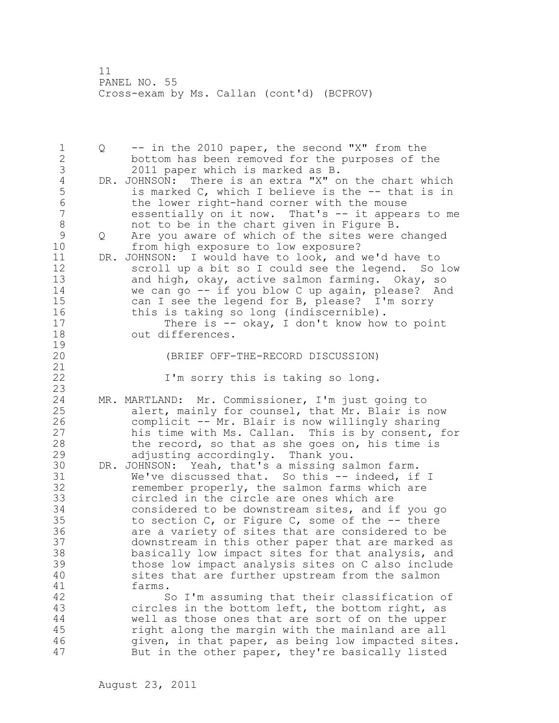1 Q -- in the 2010 paper, the second "X" from the 2 bottom has been removed for the purposes of the 3 2011 paper which is marked as B.<br>4 DR. JOHNSON: There is an extra "X" o 4 DR. JOHNSON: There is an extra "X" on the chart which<br>5 is marked C, which I believe is the -- that is in 5 is marked C, which I believe is the -- that is in<br>6 the lower right-hand corner with the mouse 6 the lower right-hand corner with the mouse<br>7 essentially on it now. That's -- it appea essentially on it now. That's  $-$  it appears to me 8 not to be in the chart given in Figure B. 9 Q Are you aware of which of the sites were changed<br>10 from high exposure to low exposure? from high exposure to low exposure? 11 DR. JOHNSON: I would have to look, and we'd have to 12 scroll up a bit so I could see the legend. So low 13 and high, okay, active salmon farming. Okay, so 14 we can go -- if you blow C up again, please? And 15 can I see the legend for B, please? I'm sorry 16 this is taking so long (indiscernible). 17 There is -- okay, I don't know how to point 18 out differences.  $\begin{array}{c} 19 \\ 20 \end{array}$ (BRIEF OFF-THE-RECORD DISCUSSION) 21 22 I'm sorry this is taking so long. 23 24 MR. MARTLAND: Mr. Commissioner, I'm just going to 25 alert, mainly for counsel, that Mr. Blair is now 26 complicit -- Mr. Blair is now willingly sharing<br>27 his time with Ms. Callan. This is by consent, : his time with Ms. Callan. This is by consent, for 28 the record, so that as she goes on, his time is 29 adjusting accordingly. Thank you. 30 DR. JOHNSON: Yeah, that's a missing salmon farm. 31 We've discussed that. So this -- indeed, if I<br>32 memember properly, the salmon farms which are remember properly, the salmon farms which are 33 circled in the circle are ones which are 34 considered to be downstream sites, and if you go 35 to section C, or Figure C, some of the -- there 36 are a variety of sites that are considered to be 37 downstream in this other paper that are marked as 38 basically low impact sites for that analysis, and 39 those low impact analysis sites on C also include 40 sites that are further upstream from the salmon 41 farms.<br>42 S So I'm assuming that their classification of 43 circles in the bottom left, the bottom right, as 44 well as those ones that are sort of on the upper 45 right along the margin with the mainland are all 46 given, in that paper, as being low impacted sites. 47 But in the other paper, they're basically listed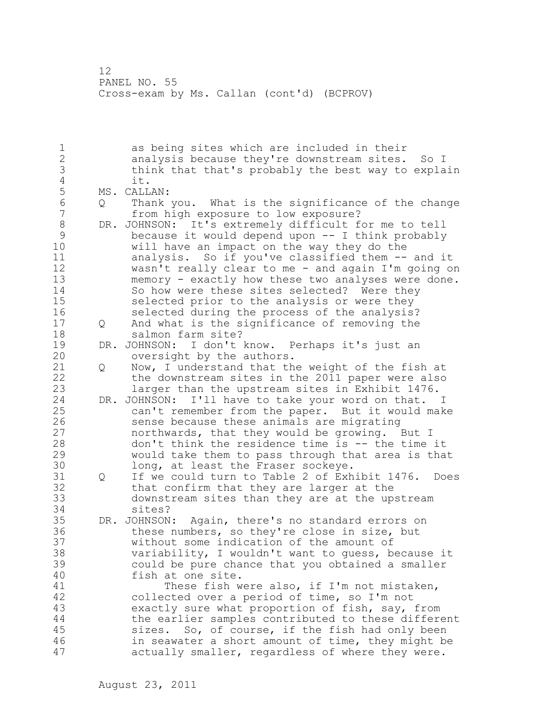1 as being sites which are included in their 2 analysis because they're downstream sites. So I 3 think that that's probably the best way to explain 4 it.<br>5 MS. CALL 5 MS. CALLAN:<br>6 0 Thank 6 Q Thank you. What is the significance of the change from high exposure to low exposure? 8 DR. JOHNSON: It's extremely difficult for me to tell<br>9 because it would depend upon -- I think probably 9 because it would depend upon -- I think probably<br>10 will have an impact on the way they do the will have an impact on the way they do the 11 analysis. So if you've classified them -- and it 12 wasn't really clear to me - and again I'm going on 13 memory - exactly how these two analyses were done. 14 So how were these sites selected? Were they 15 selected prior to the analysis or were they 16 selected during the process of the analysis? 17 Q And what is the significance of removing the 18 salmon farm site? 19 DR. JOHNSON: I don't know. Perhaps it's just an<br>20 oversight by the authors. oversight by the authors. 21 Q Now, I understand that the weight of the fish at 22 the downstream sites in the 2011 paper were also 23 larger than the upstream sites in Exhibit 1476. 24 DR. JOHNSON: I'll have to take your word on that. I 25 can't remember from the paper. But it would make 26 sense because these animals are migrating<br>27 morthwards, that they would be growing. northwards, that they would be growing. But I 28 don't think the residence time is -- the time it 29 would take them to pass through that area is that 30 long, at least the Fraser sockeye.<br>31 0 If we could turn to Table 2 of Exh Q If we could turn to Table 2 of Exhibit 1476. Does 32 that confirm that they are larger at the 33 downstream sites than they are at the upstream 34 sites? 35 DR. JOHNSON: Again, there's no standard errors on 36 these numbers, so they're close in size, but 37 without some indication of the amount of 38 variability, I wouldn't want to guess, because it 39 could be pure chance that you obtained a smaller 40 fish at one site. 41 These fish were also, if I'm not mistaken,<br>42 collected over a period of time, so I'm not collected over a period of time, so I'm not 43 exactly sure what proportion of fish, say, from 44 the earlier samples contributed to these different 45 sizes. So, of course, if the fish had only been 46 in seawater a short amount of time, they might be 47 actually smaller, regardless of where they were.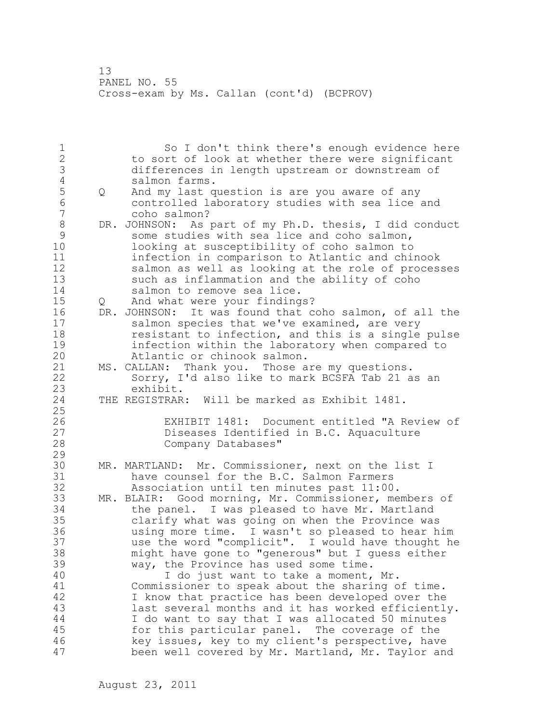1 So I don't think there's enough evidence here 2 to sort of look at whether there were significant 3 differences in length upstream or downstream of 4 salmon farms.<br>5 Q And my last q 5 Q And my last question is are you aware of any 6 controlled laboratory studies with sea lice and 7 coho salmon? 8 DR. JOHNSON: As part of my Ph.D. thesis, I did conduct<br>9 some studies with sea lice and coho salmon, 9 some studies with sea lice and coho salmon,<br>10 100king at susceptibility of coho salmon to 10 looking at susceptibility of coho salmon to 11 infection in comparison to Atlantic and chinook 12 salmon as well as looking at the role of processes 13 such as inflammation and the ability of coho 14 salmon to remove sea lice. 15 Q And what were your findings? 16 DR. JOHNSON: It was found that coho salmon, of all the 17 salmon species that we've examined, are very 18 resistant to infection, and this is a single pulse 19 19 infection within the laboratory when compared to<br>20 11 Atlantic or chinook salmon. Atlantic or chinook salmon. 21 MS. CALLAN: Thank you. Those are my questions. 22 Sorry, I'd also like to mark BCSFA Tab 21 as an 23 exhibit.<br>24 THE REGISTRAR THE REGISTRAR: Will be marked as Exhibit 1481. 25 26 EXHIBIT 1481: Document entitled "A Review of<br>27 Diseases Identified in B.C. Aquaculture 27 Diseases Identified in B.C. Aquaculture<br>28 Company Databases" Company Databases" 29 30 MR. MARTLAND: Mr. Commissioner, next on the list I 31 have counsel for the B.C. Salmon Farmers<br>32 Association until ten minutes past 11:00 Association until ten minutes past 11:00. 33 MR. BLAIR: Good morning, Mr. Commissioner, members of 34 the panel. I was pleased to have Mr. Martland 35 clarify what was going on when the Province was 36 using more time. I wasn't so pleased to hear him 37 use the word "complicit". I would have thought he 38 might have gone to "generous" but I guess either 39 way, the Province has used some time. 40 I do just want to take a moment, Mr. 41 Commissioner to speak about the sharing of time.<br>42 I know that practice has been developed over the I know that practice has been developed over the 43 last several months and it has worked efficiently. 44 I do want to say that I was allocated 50 minutes 45 for this particular panel. The coverage of the 46 key issues, key to my client's perspective, have 47 been well covered by Mr. Martland, Mr. Taylor and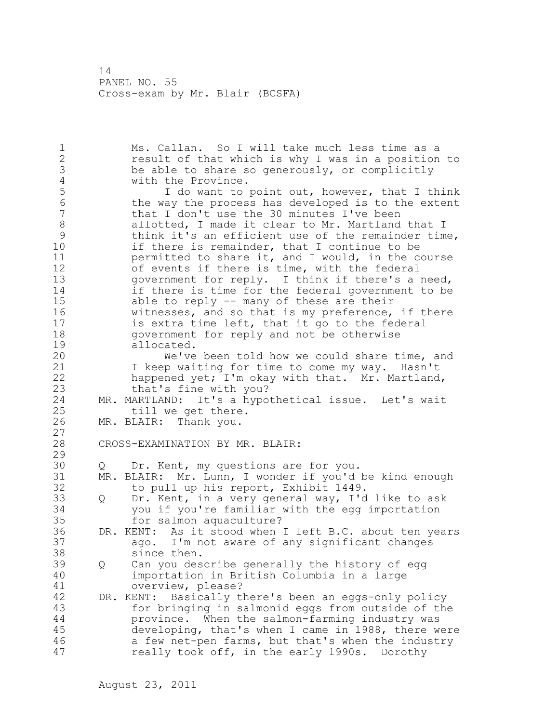1 Ms. Callan. So I will take much less time as a 2 result of that which is why I was in a position to 3 be able to share so generously, or complicitly<br>4 with the Province. 4 with the Province.<br>5 1 do want to 5 I do want to point out, however, that I think<br>6 the way the process has developed is to the extent 6 the way the process has developed is to the extent<br>7 that I don't use the 30 minutes I've been that I don't use the 30 minutes I've been 8 allotted, I made it clear to Mr. Martland that I<br>9 think it's an efficient use of the remainder time 9 think it's an efficient use of the remainder time,<br>10 if there is remainder, that I continue to be if there is remainder, that I continue to be 11 permitted to share it, and I would, in the course 12 of events if there is time, with the federal 13 government for reply. I think if there's a need, 14 if there is time for the federal government to be 15 able to reply -- many of these are their 16 witnesses, and so that is my preference, if there 17 is extra time left, that it go to the federal 18 government for reply and not be otherwise 19 allocated.<br>20 We've We've been told how we could share time, and 21 I keep waiting for time to come my way. Hasn't 22 happened yet; I'm okay with that. Mr. Martland, 23 that's fine with you? 24 MR. MARTLAND: It's a hypothetical issue. Let's wait 25 till we get there. 26 MR. BLAIR: Thank you.  $\frac{27}{28}$ CROSS-EXAMINATION BY MR. BLAIR: 29 30 Q Dr. Kent, my questions are for you.<br>31 MR. BLAIR: Mr. Lunn, I wonder if you'd 31 MR. BLAIR: Mr. Lunn, I wonder if you'd be kind enough<br>32 to pull up his report, Exhibit 1449. to pull up his report, Exhibit 1449. 33 Q Dr. Kent, in a very general way, I'd like to ask 34 you if you're familiar with the egg importation 35 for salmon aquaculture? 36 DR. KENT: As it stood when I left B.C. about ten years 37 ago. I'm not aware of any significant changes 38 since then. 39 Q Can you describe generally the history of egg 40 importation in British Columbia in a large 41 overview, please?<br>42 DR. KENT: Basically the DR. KENT: Basically there's been an eggs-only policy 43 for bringing in salmonid eggs from outside of the 44 province. When the salmon-farming industry was 45 developing, that's when I came in 1988, there were 46 a few net-pen farms, but that's when the industry 47 really took off, in the early 1990s. Dorothy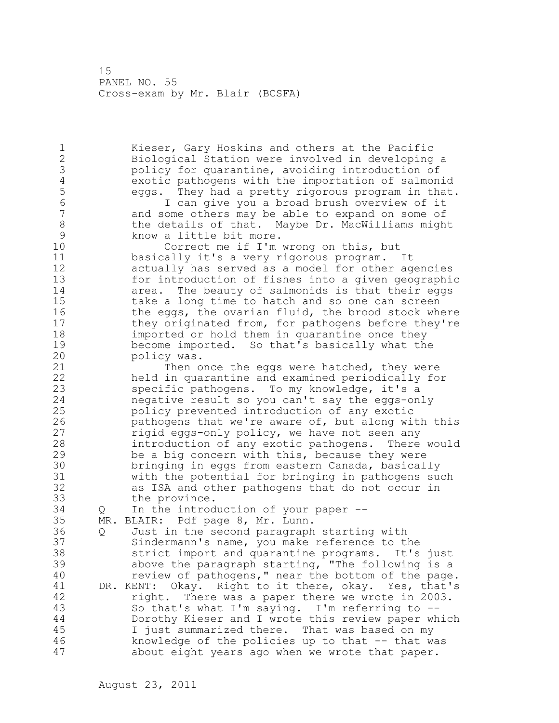1 Kieser, Gary Hoskins and others at the Pacific 2 Biological Station were involved in developing a 3 bolicy for quarantine, avoiding introduction of<br>4 exotic pathogens with the importation of salmon. 4 exotic pathogens with the importation of salmonid 5 eggs. They had a pretty rigorous program in that.<br>6 T can give you a broad brush overview of it 6 I can give you a broad brush overview of it and some others may be able to expand on some of 8 the details of that. Maybe Dr. MacWilliams might<br>9 know a little bit more. 9 know a little bit more.<br>10 Correct me if I'm Correct me if I'm wrong on this, but 11 basically it's a very rigorous program. It 12 actually has served as a model for other agencies 13 for introduction of fishes into a given geographic 14 area. The beauty of salmonids is that their eggs 15 take a long time to hatch and so one can screen 16 the eggs, the ovarian fluid, the brood stock where 17 they originated from, for pathogens before they're 18 imported or hold them in quarantine once they 19 become imported. So that's basically what the<br>20 policy was. policy was. 21 Then once the eggs were hatched, they were 22 held in quarantine and examined periodically for 23 specific pathogens. To my knowledge, it's a 24 negative result so you can't say the eggs-only 25 policy prevented introduction of any exotic 26 pathogens that we're aware of, but along with this<br>27 figid eqgs-only policy, we have not seen any rigid eggs-only policy, we have not seen any 28 introduction of any exotic pathogens. There would 29 be a big concern with this, because they were 30 bringing in eggs from eastern Canada, basically<br>31 with the potential for bringing in pathogens su with the potential for bringing in pathogens such 32 as ISA and other pathogens that do not occur in 33 the province. 34 Q In the introduction of your paper -- 35 MR. BLAIR: Pdf page 8, Mr. Lunn. 36 Q Just in the second paragraph starting with 37 Sindermann's name, you make reference to the 38 strict import and quarantine programs. It's just 39 above the paragraph starting, "The following is a 40 review of pathogens," near the bottom of the page. 41 DR. KENT: Okay. Right to it there, okay. Yes, that's right. There was a paper there we wrote in 2003. 43 So that's what I'm saying. I'm referring to -- 44 Dorothy Kieser and I wrote this review paper which 45 I just summarized there. That was based on my 46 knowledge of the policies up to that -- that was 47 about eight years ago when we wrote that paper.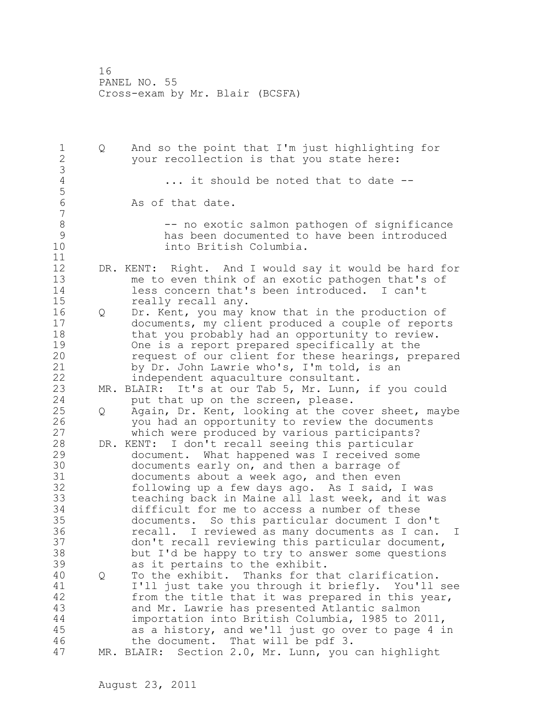| 1<br>$\overline{2}$<br>3                                 | Q | And so the point that I'm just highlighting for<br>your recollection is that you state here:                                                                                                                                                                                                                                                                                                                                                                                                                     |
|----------------------------------------------------------|---|------------------------------------------------------------------------------------------------------------------------------------------------------------------------------------------------------------------------------------------------------------------------------------------------------------------------------------------------------------------------------------------------------------------------------------------------------------------------------------------------------------------|
| $\sqrt{4}$<br>5                                          |   | it should be noted that to date --                                                                                                                                                                                                                                                                                                                                                                                                                                                                               |
| $\sqrt{6}$<br>$\overline{7}$                             |   | As of that date.                                                                                                                                                                                                                                                                                                                                                                                                                                                                                                 |
| $\,8\,$<br>$\mathcal{G}$<br>10<br>11                     |   | -- no exotic salmon pathogen of significance<br>has been documented to have been introduced<br>into British Columbia.                                                                                                                                                                                                                                                                                                                                                                                            |
| 12<br>13<br>14<br>15                                     |   | DR. KENT: Right. And I would say it would be hard for<br>me to even think of an exotic pathogen that's of<br>less concern that's been introduced. I can't<br>really recall any.                                                                                                                                                                                                                                                                                                                                  |
| 16<br>17<br>18<br>19<br>20<br>21<br>22                   | Q | Dr. Kent, you may know that in the production of<br>documents, my client produced a couple of reports<br>that you probably had an opportunity to review.<br>One is a report prepared specifically at the<br>request of our client for these hearings, prepared<br>by Dr. John Lawrie who's, I'm told, is an<br>independent aquaculture consultant.                                                                                                                                                               |
| 23<br>24                                                 |   | MR. BLAIR: It's at our Tab 5, Mr. Lunn, if you could<br>put that up on the screen, please.                                                                                                                                                                                                                                                                                                                                                                                                                       |
| 25<br>26<br>27                                           | Q | Again, Dr. Kent, looking at the cover sheet, maybe<br>you had an opportunity to review the documents<br>which were produced by various participants?                                                                                                                                                                                                                                                                                                                                                             |
| 28<br>29<br>30<br>31<br>32<br>33<br>34<br>35<br>36<br>37 |   | I don't recall seeing this particular<br>DR. KENT:<br>document. What happened was I received some<br>documents early on, and then a barrage of<br>documents about a week ago, and then even<br>following up a few days ago. As I said, I was<br>teaching back in Maine all last week, and it was<br>difficult for me to access a number of these<br>documents. So this particular document I don't<br>I reviewed as many documents as I can.<br>recall.<br>T<br>don't recall reviewing this particular document, |
| 38<br>39                                                 |   | but I'd be happy to try to answer some questions<br>as it pertains to the exhibit.                                                                                                                                                                                                                                                                                                                                                                                                                               |
| 40<br>41<br>42<br>43<br>44<br>45                         | Q | To the exhibit. Thanks for that clarification.<br>I'll just take you through it briefly. You'll see<br>from the title that it was prepared in this year,<br>and Mr. Lawrie has presented Atlantic salmon<br>importation into British Columbia, 1985 to 2011,<br>as a history, and we'll just go over to page 4 in                                                                                                                                                                                                |
| 46<br>47                                                 |   | the document. That will be pdf 3.<br>Section 2.0, Mr. Lunn, you can highlight<br>MR. BLAIR:                                                                                                                                                                                                                                                                                                                                                                                                                      |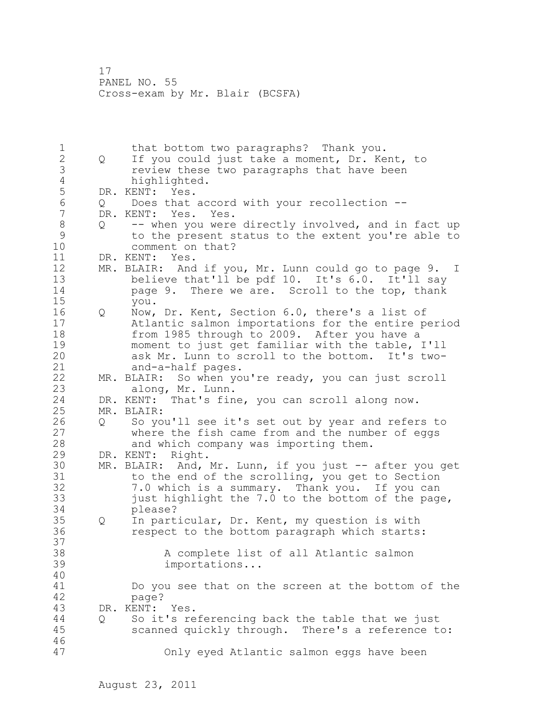1 that bottom two paragraphs? Thank you.<br>2 0 If you could just take a moment, Dr. Ke 2 Q If you could just take a moment, Dr. Kent, to 3 review these two paragraphs that have been<br>4 highlighted. 4 highlighted.<br>5 DR. KENT: Yes. 5 DR. KENT: Yes.<br>6 0 Does that 6 Q Does that accord with your recollection -- DR. KENT: Yes. Yes. 8 Q -- when you were directly involved, and in fact up<br>9 to the present status to the extent you're able to 9 to the present status to the extent you're able to comment on that? 11 DR. KENT: Yes. 12 MR. BLAIR: And if you, Mr. Lunn could go to page 9. I 13 believe that'll be pdf 10. It's 6.0. It'll say 14 page 9. There we are. Scroll to the top, thank 15 you. 16 Q Now, Dr. Kent, Section 6.0, there's a list of 17 Atlantic salmon importations for the entire period 18 from 1985 through to 2009. After you have a 19 moment to just get familiar with the table, I'll<br>20 ask Mr. Lunn to scroll to the bottom. It's twoask Mr. Lunn to scroll to the bottom. It's two-21 and-a-half pages. 22 MR. BLAIR: So when you're ready, you can just scroll 23 along, Mr. Lunn. 24 DR. KENT: That's fine, you can scroll along now. 25 MR. BLAIR: 26 Q So you'll see it's set out by year and refers to<br>27 where the fish came from and the number of eqqs where the fish came from and the number of eggs 28 and which company was importing them. 29 DR. KENT: Right. 30 MR. BLAIR: And, Mr. Lunn, if you just -- after you get<br>31 to the end of the scrolling, you get to Section 31 to the end of the scrolling, you get to Section<br>32 32 32 3.0 which is a summarv. Thank you. If you can 7.0 which is a summary. Thank you. If you can 33 just highlight the 7.0 to the bottom of the page, 34 please? 35 Q In particular, Dr. Kent, my question is with 36 respect to the bottom paragraph which starts: 37 38 A complete list of all Atlantic salmon 39 importations... 40 41 Do you see that on the screen at the bottom of the page? 43 DR. KENT: Yes. 44 Q So it's referencing back the table that we just 45 scanned quickly through. There's a reference to: 46 47 Only eyed Atlantic salmon eggs have been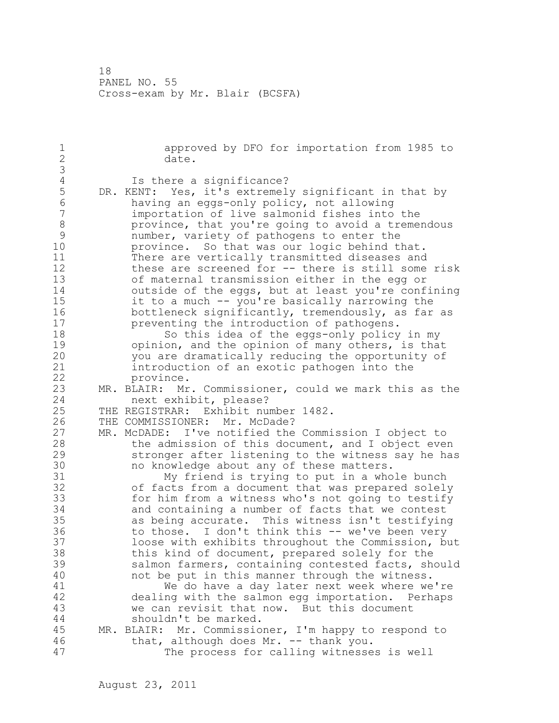1 approved by DFO for importation from 1985 to<br>2 date. date. 3 4 Is there a significance?<br>5 DR. KENT: Yes, it's extremel 5 DR. KENT: Yes, it's extremely significant in that by<br>6 having an eggs-only policy, not allowing 6 having an eggs-only policy, not allowing importation of live salmonid fishes into the 8 province, that you're going to avoid a tremendous<br>9 mumber, variety of pathogens to enter the 9 mumber, variety of pathogens to enter the<br>10 province. So that was our logic behind the province. So that was our logic behind that. 11 There are vertically transmitted diseases and 12 these are screened for -- there is still some risk 13 of maternal transmission either in the egg or 14 outside of the eggs, but at least you're confining 15 it to a much -- you're basically narrowing the 16 bottleneck significantly, tremendously, as far as 17 preventing the introduction of pathogens. 18 So this idea of the eggs-only policy in my 19 opinion, and the opinion of many others, is that<br>20 you are dramatically reducing the opportunity of you are dramatically reducing the opportunity of 21 introduction of an exotic pathogen into the 22 province. 23 MR. BLAIR: Mr. Commissioner, could we mark this as the 24 next exhibit, please? 25 THE REGISTRAR: Exhibit number 1482. 26 THE COMMISSIONER: Mr. McDade?<br>27 MR. McDADE: I've notified the MR. McDADE: I've notified the Commission I object to 28 the admission of this document, and I object even 29 stronger after listening to the witness say he has 30 no knowledge about any of these matters.<br>31 My friend is trying to put in a who 31 My friend is trying to put in a whole bunch<br>32 of facts from a document that was prepared solel of facts from a document that was prepared solely 33 for him from a witness who's not going to testify 34 and containing a number of facts that we contest 35 as being accurate. This witness isn't testifying 36 to those. I don't think this -- we've been very 37 loose with exhibits throughout the Commission, but 38 this kind of document, prepared solely for the 39 salmon farmers, containing contested facts, should 40 not be put in this manner through the witness. 41 We do have a day later next week where we're<br>42 dealing with the salmon egg importation. Perhaps dealing with the salmon egg importation. Perhaps 43 we can revisit that now. But this document 44 shouldn't be marked. 45 MR. BLAIR: Mr. Commissioner, I'm happy to respond to 46 that, although does Mr. -- thank you. 47 The process for calling witnesses is well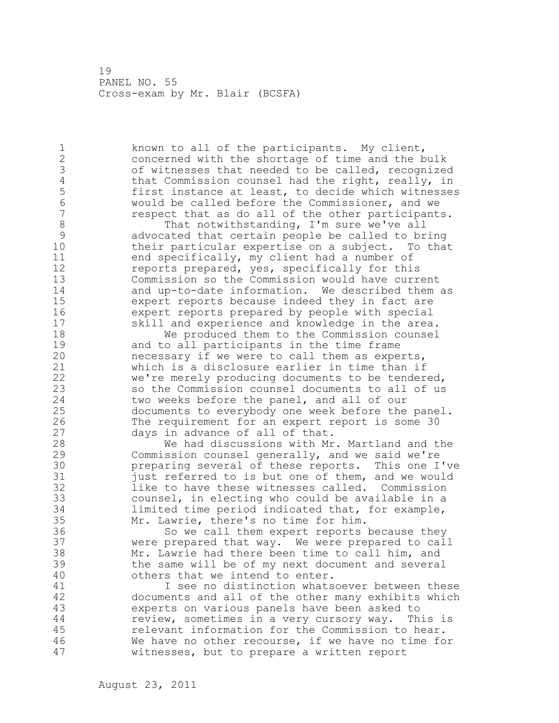1 known to all of the participants. My client, 2 concerned with the shortage of time and the bulk 3 of witnesses that needed to be called, recognized<br>4 that Commission counsel had the right, really, in 4 that Commission counsel had the right, really, in<br>5 first instance at least, to decide which witnesse 5 first instance at least, to decide which witnesses<br>6 would be called before the Commissioner, and we 6 would be called before the Commissioner, and we respect that as do all of the other participants. 8 That notwithstanding, I'm sure we've all<br>9 advocated that certain people be called to br 9 advocated that certain people be called to bring their particular expertise on a subject. To that 11 end specifically, my client had a number of 12 reports prepared, yes, specifically for this 13 Commission so the Commission would have current 14 and up-to-date information. We described them as 15 expert reports because indeed they in fact are 16 expert reports prepared by people with special<br>17 skill and experience and knowledge in the area skill and experience and knowledge in the area. 18 We produced them to the Commission counsel 19 and to all participants in the time frame<br>20 mecessary if we were to call them as expe necessary if we were to call them as experts, 21 which is a disclosure earlier in time than if 22 we're merely producing documents to be tendered, 23 so the Commission counsel documents to all of us 24 two weeks before the panel, and all of our 25 documents to everybody one week before the panel. 26 The requirement for an expert report is some 30<br>27 days in advance of all of that. 27 days in advance of all of that.<br>28 We had discussions with Mr We had discussions with Mr. Martland and the 29 Commission counsel generally, and we said we're 30 **preparing several of these reports.** This one I've 31 31 just referred to is but one of them, and we would<br>32 like to have these witnesses called. Commission like to have these witnesses called. Commission 33 counsel, in electing who could be available in a 34 limited time period indicated that, for example, 35 Mr. Lawrie, there's no time for him. 36 So we call them expert reports because they 37 were prepared that way. We were prepared to call 38 Mr. Lawrie had there been time to call him, and 39 the same will be of my next document and several 40 others that we intend to enter. 41 I see no distinction whatsoever between these<br>42 documents and all of the other many exhibits which documents and all of the other many exhibits which 43 experts on various panels have been asked to 44 review, sometimes in a very cursory way. This is 45 relevant information for the Commission to hear. 46 We have no other recourse, if we have no time for 47 witnesses, but to prepare a written report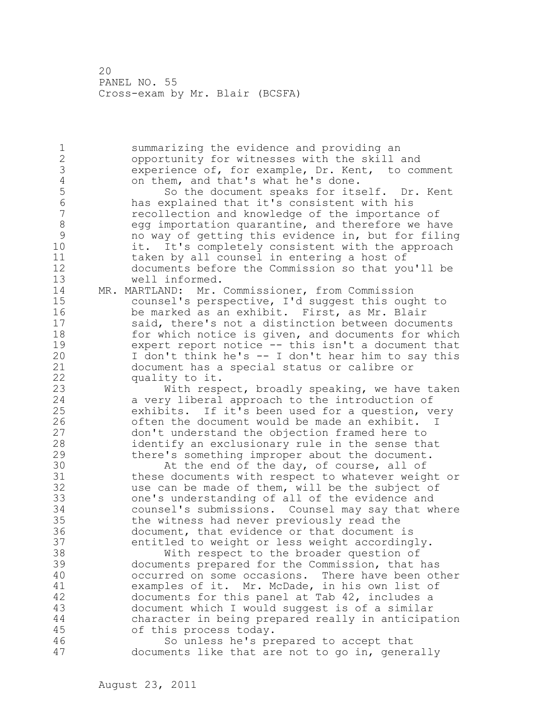1 summarizing the evidence and providing an 2 opportunity for witnesses with the skill and 3 experience of, for example, Dr. Kent, to comment<br>4 on them, and that's what he's done. 4 on them, and that's what he's done.<br>5 So the document speaks for its 5 So the document speaks for itself. Dr. Kent<br>6 has explained that it's consistent with his 6 has explained that it's consistent with his recollection and knowledge of the importance of 8 egg importation quarantine, and therefore we have<br>9 howay of getting this evidence in, but for filing 9 no way of getting this evidence in, but for filing it. It's completely consistent with the approach 11 taken by all counsel in entering a host of 12 documents before the Commission so that you'll be 13 well informed. 14 MR. MARTLAND: Mr. Commissioner, from Commission 15 counsel's perspective, I'd suggest this ought to 16 be marked as an exhibit. First, as Mr. Blair 17 said, there's not a distinction between documents 18 for which notice is given, and documents for which 19 expert report notice -- this isn't a document that<br>20 1 don't think he's -- I don't hear him to say this I don't think he's -- I don't hear him to say this 21 document has a special status or calibre or 22 quality to it. 23 With respect, broadly speaking, we have taken 24 a very liberal approach to the introduction of 25 exhibits. If it's been used for a question, very 26 often the document would be made an exhibit. I<br>27 don't understand the objection framed here to 27 don't understand the objection framed here to 28 identify an exclusionary rule in the sense that 29 there's something improper about the document. 30 At the end of the day, of course, all of 31 cheese documents with respect to whatever weight these documents with respect to whatever weight or 32 use can be made of them, will be the subject of 33 one's understanding of all of the evidence and 34 counsel's submissions. Counsel may say that where 35 the witness had never previously read the 36 document, that evidence or that document is 37 entitled to weight or less weight accordingly. 38 With respect to the broader question of 39 documents prepared for the Commission, that has 40 occurred on some occasions. There have been other 41 examples of it. Mr. McDade, in his own list of<br>42 documents for this panel at Tab 42, includes a documents for this panel at Tab 42, includes a 43 document which I would suggest is of a similar 44 character in being prepared really in anticipation 45 of this process today. 46 So unless he's prepared to accept that 47 documents like that are not to go in, generally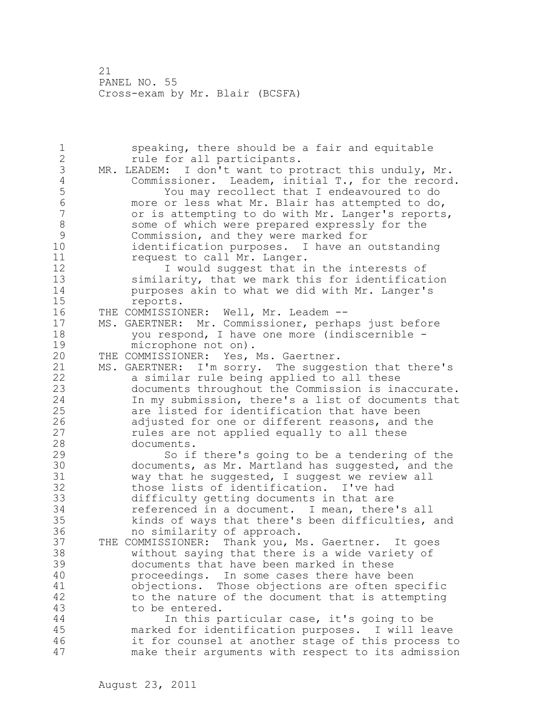1 speaking, there should be a fair and equitable 2 rule for all participants. 3 MR. LEADEM: I don't want to protract this unduly, Mr.<br>4 Commissioner. Leadem, initial T., for the record 4 Commissioner. Leadem, initial T., for the record.<br>5 Tou may recollect that I endeavoured to do 5 You may recollect that I endeavoured to do<br>6 more or less what Mr. Blair has attempted to do 6 more or less what Mr. Blair has attempted to do, or is attempting to do with Mr. Langer's reports, 8 some of which were prepared expressly for the 9 Commission, and they were marked for<br>10 identification purposes. I have an identification purposes. I have an outstanding 11 request to call Mr. Langer. 12 I would suggest that in the interests of 13 similarity, that we mark this for identification 14 purposes akin to what we did with Mr. Langer's 15 reports. 16 THE COMMISSIONER: Well, Mr. Leadem -- 17 MS. GAERTNER: Mr. Commissioner, perhaps just before 18 you respond, I have one more (indiscernible - 19 microphone not on).<br>20 THE COMMISSIONER: Yes, THE COMMISSIONER: Yes, Ms. Gaertner. 21 MS. GAERTNER: I'm sorry. The suggestion that there's 22 a similar rule being applied to all these 23 documents throughout the Commission is inaccurate. 24 In my submission, there's a list of documents that 25 are listed for identification that have been 26 adjusted for one or different reasons, and the<br>27 mules are not applied equally to all these rules are not applied equally to all these 28 documents. 29 So if there's going to be a tendering of the 30 documents, as Mr. Martland has suggested, and the 31 vay that he suggested, I suggested, and the 31 way that he suggested, I suggest we review all<br>32 those lists of identification. I've had those lists of identification. I've had 33 difficulty getting documents in that are 34 referenced in a document. I mean, there's all 35 kinds of ways that there's been difficulties, and 36 no similarity of approach. 37 THE COMMISSIONER: Thank you, Ms. Gaertner. It goes 38 without saying that there is a wide variety of 39 documents that have been marked in these 40 proceedings. In some cases there have been 41 objections. Those objections are often specific<br>42 to the nature of the document that is attempting to the nature of the document that is attempting 43 to be entered. 44 In this particular case, it's going to be 45 marked for identification purposes. I will leave 46 it for counsel at another stage of this process to 47 make their arguments with respect to its admission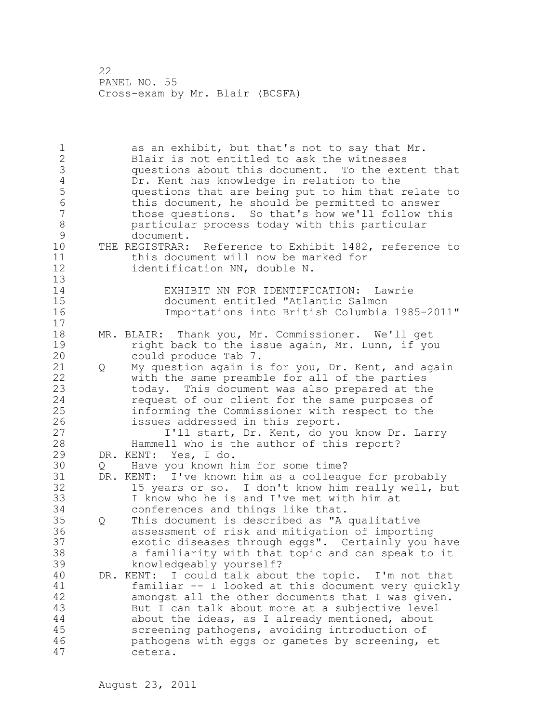1 as an exhibit, but that's not to say that Mr. 2 Blair is not entitled to ask the witnesses 3 questions about this document. To the extent that 4 Dr. Kent has knowledge in relation to the<br>5 questions that are being put to him that : 5 questions that are being put to him that relate to 6 this document, he should be permitted to answer those questions. So that's how we'll follow this 8 particular process today with this particular 9 document.<br>10 THE REGISTRAR: THE REGISTRAR: Reference to Exhibit 1482, reference to 11 this document will now be marked for 12 identification NN, double N. 13 14 EXHIBIT NN FOR IDENTIFICATION: Lawrie 15 document entitled "Atlantic Salmon<br>16 16 mportations into British Columbia 16 Importations into British Columbia 1985-2011" 17 18 MR. BLAIR: Thank you, Mr. Commissioner. We'll get 19 19 right back to the issue again, Mr. Lunn, if you<br>20 could produce Tab 7. could produce Tab 7. 21 Q My question again is for you, Dr. Kent, and again 22 with the same preamble for all of the parties 23 today. This document was also prepared at the 24 request of our client for the same purposes of 25 informing the Commissioner with respect to the 26 issues addressed in this report.<br>27 1'll start, Dr. Kent, do yo I'll start, Dr. Kent, do you know Dr. Larry 28 Hammell who is the author of this report? 29 DR. KENT: Yes, I do. 30 Q Have you known him for some time?<br>31 DR. KENT: I've known him as a colleag DR. KENT: I've known him as a colleague for probably 32 15 years or so. I don't know him really well, but 33 I know who he is and I've met with him at 34 conferences and things like that. 35 Q This document is described as "A qualitative 36 assessment of risk and mitigation of importing 37 exotic diseases through eggs". Certainly you have 38 a familiarity with that topic and can speak to it 39 knowledgeably yourself? 40 DR. KENT: I could talk about the topic. I'm not that 41 familiar -- I looked at this document very quickly amongst all the other documents that I was given. 43 But I can talk about more at a subjective level 44 about the ideas, as I already mentioned, about 45 screening pathogens, avoiding introduction of 46 pathogens with eggs or gametes by screening, et 47 cetera.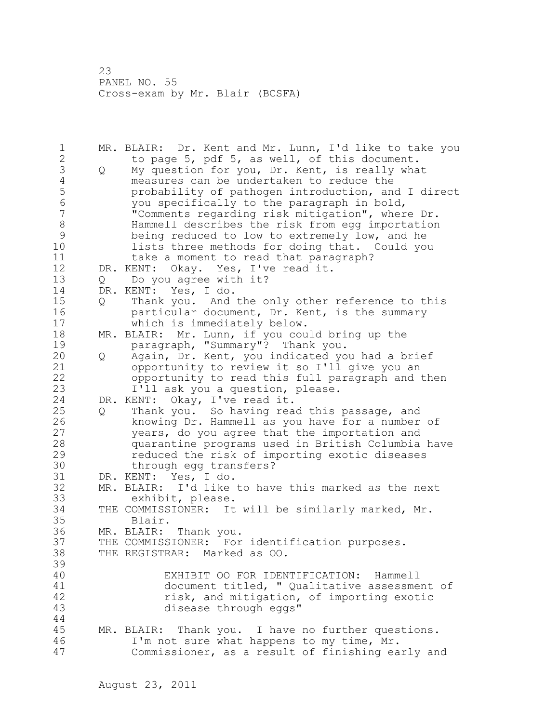1 MR. BLAIR: Dr. Kent and Mr. Lunn, I'd like to take you 2 to page 5, pdf 5, as well, of this document. 3 Q My question for you, Dr. Kent, is really what<br>4 measures can be undertaken to reduce the 4 measures can be undertaken to reduce the<br>5 brobability of pathogen introduction, and 5 probability of pathogen introduction, and I direct 6 you specifically to the paragraph in bold, "Comments regarding risk mitigation", where Dr. 8 Hammell describes the risk from egg importation<br>9 being reduced to low to extremely low, and he 9 being reduced to low to extremely low, and he<br>10 lists three methods for doing that. Could vo lists three methods for doing that. Could you 11 take a moment to read that paragraph? 12 DR. KENT: Okay. Yes, I've read it. 13 Q Do you agree with it? 14 DR. KENT: Yes, I do. 15 Q Thank you. And the only other reference to this 16 particular document, Dr. Kent, is the summary 17 which is immediately below. 18 MR. BLAIR: Mr. Lunn, if you could bring up the 19 paragraph, "Summary"? Thank you.<br>20 0 Again, Dr. Kent, you indicated yo 20 Q Again, Dr. Kent, you indicated you had a brief 21 opportunity to review it so I'll give you an 22 opportunity to read this full paragraph and then 23 I'll ask you a question, please. 24 DR. KENT: Okay, I've read it. 25 Q Thank you. So having read this passage, and 26 knowing Dr. Hammell as you have for a number of<br>27 vears, do you agree that the importation and years, do you agree that the importation and 28 quarantine programs used in British Columbia have 29 reduced the risk of importing exotic diseases 30 through egg transfers?<br>31 DR. KENT: Yes, I do. DR. KENT: Yes, I do. 32 MR. BLAIR: I'd like to have this marked as the next 33 exhibit, please. 34 THE COMMISSIONER: It will be similarly marked, Mr. 35 Blair. 36 MR. BLAIR: Thank you. 37 THE COMMISSIONER: For identification purposes. 38 THE REGISTRAR: Marked as OO. 39 40 EXHIBIT OO FOR IDENTIFICATION: Hammell 41 document titled, " Qualitative assessment of<br>42 fisk, and mitigation, of importing exotic 42 risk, and mitigation, of importing exotic<br>43 disease through eqgs" disease through eggs" 44 45 MR. BLAIR: Thank you. I have no further questions. 46 I'm not sure what happens to my time, Mr. 47 Commissioner, as a result of finishing early and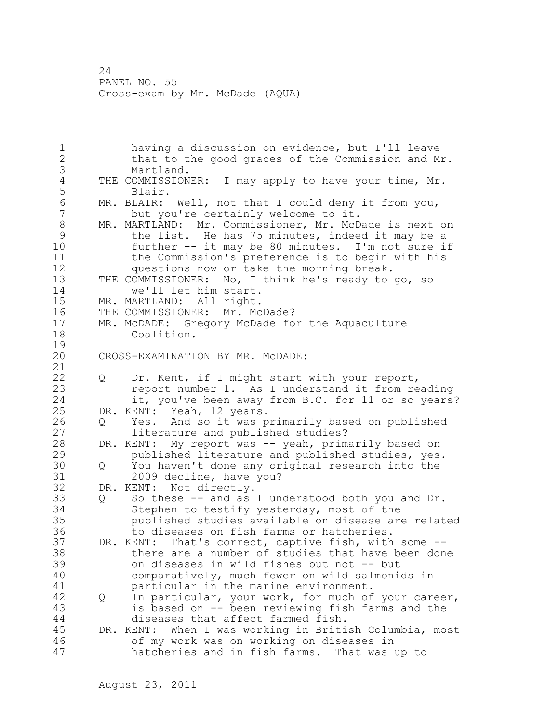1 having a discussion on evidence, but I'll leave 2 that to the good graces of the Commission and Mr. 3 Martland.<br>4 THE COMMISSION 4 THE COMMISSIONER: I may apply to have your time, Mr.<br>5 Blair. 5 Blair.<br>6 MR.BLAIR: 6 MR. BLAIR: Well, not that I could deny it from you, but you're certainly welcome to it. 8 MR. MARTLAND: Mr. Commissioner, Mr. McDade is next on<br>9 the list. He has 75 minutes, indeed it may be a 9 the list. He has 75 minutes, indeed it may be a<br>10 further -- it may be 80 minutes. I'm not sure if further  $--$  it may be 80 minutes. I'm not sure if 11 the Commission's preference is to begin with his 12 questions now or take the morning break. 13 THE COMMISSIONER: No, I think he's ready to go, so 14 we'll let him start. 15 MR. MARTLAND: All right. 16 THE COMMISSIONER: Mr. McDade? 17 MR. McDADE: Gregory McDade for the Aquaculture 18 Coalition.  $\frac{19}{20}$ CROSS-EXAMINATION BY MR. MCDADE: 21 22 Q Dr. Kent, if I might start with your report, 23 report number 1. As I understand it from reading 24 it, you've been away from B.C. for 11 or so years? 25 DR. KENT: Yeah, 12 years. 26 Q Yes. And so it was primarily based on published<br>27 literature and published studies? literature and published studies? 28 DR. KENT: My report was -- yeah, primarily based on 29 published literature and published studies, yes. 30 Q You haven't done any original research into the 31 2009 decline, have you?<br>32 DR. KENT: Not directly. Not directly. 33 Q So these -- and as I understood both you and Dr. 34 Stephen to testify yesterday, most of the 35 published studies available on disease are related 36 to diseases on fish farms or hatcheries. 37 DR. KENT: That's correct, captive fish, with some -- 38 there are a number of studies that have been done 39 on diseases in wild fishes but not -- but 40 comparatively, much fewer on wild salmonids in 41 **particular in the marine environment.**<br>42 0 In particular, your work, for much of 42 Q In particular, your work, for much of your career, 43 is based on -- been reviewing fish farms and the 44 diseases that affect farmed fish. 45 DR. KENT: When I was working in British Columbia, most 46 of my work was on working on diseases in 47 hatcheries and in fish farms. That was up to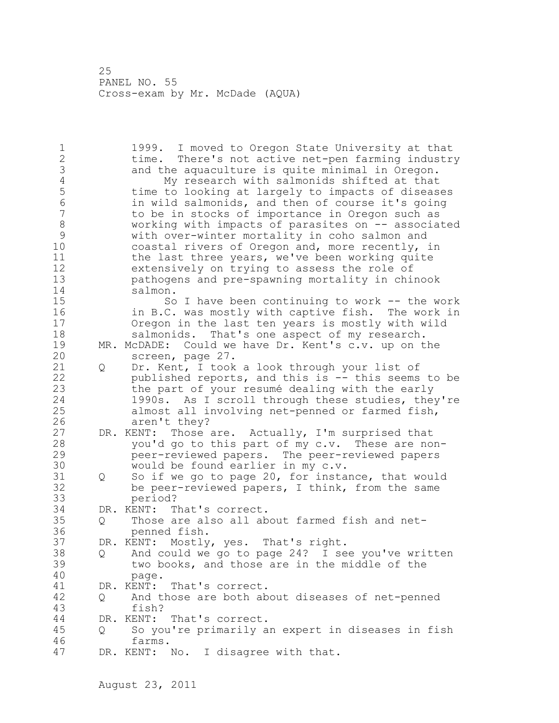1 1999. I moved to Oregon State University at that 2 time. There's not active net-pen farming industry 3 and the aquaculture is quite minimal in Oregon.<br>4 My research with salmonids shifted at that 4 My research with salmonids shifted at that<br>5 time to looking at largely to impacts of diseas 5 time to looking at largely to impacts of diseases 6 in wild salmonids, and then of course it's going to be in stocks of importance in Oregon such as 8 working with impacts of parasites on -- associated<br>9 with over-winter mortality in coho salmon and 9 with over-winter mortality in coho salmon and<br>10 coastal rivers of Oregon and, more recently, : coastal rivers of Oregon and, more recently, in 11 the last three years, we've been working quite 12 extensively on trying to assess the role of 13 pathogens and pre-spawning mortality in chinook 14 salmon. 15 So I have been continuing to work -- the work 16 in B.C. was mostly with captive fish. The work in 17 Oregon in the last ten years is mostly with wild 18 salmonids. That's one aspect of my research. 19 MR. McDADE: Could we have Dr. Kent's c.v. up on the screen, page 27. screen, page 27. 21 Q Dr. Kent, I took a look through your list of 22 published reports, and this is -- this seems to be 23 the part of your resumé dealing with the early 24 1990s. As I scroll through these studies, they're 25 almost all involving net-penned or farmed fish, 26 aren't they?<br>27 DR. KENT: Those Those are. Actually, I'm surprised that 28 you'd go to this part of my c.v. These are non-29 peer-reviewed papers. The peer-reviewed papers 30 would be found earlier in my c.v.<br>31 0 So if we go to page 20, for insta Q So if we go to page 20, for instance, that would 32 be peer-reviewed papers, I think, from the same 33 period? 34 DR. KENT: That's correct. 35 Q Those are also all about farmed fish and net-36 penned fish. 37 DR. KENT: Mostly, yes. That's right. 38 Q And could we go to page 24? I see you've written 39 two books, and those are in the middle of the 40 page. 41 DR. KENT: That's correct.<br>42 0 And those are both ab 42 Q And those are both about diseases of net-penned 43 fish? 44 DR. KENT: That's correct. 45 Q So you're primarily an expert in diseases in fish 46 farms. 47 DR. KENT: No. I disagree with that.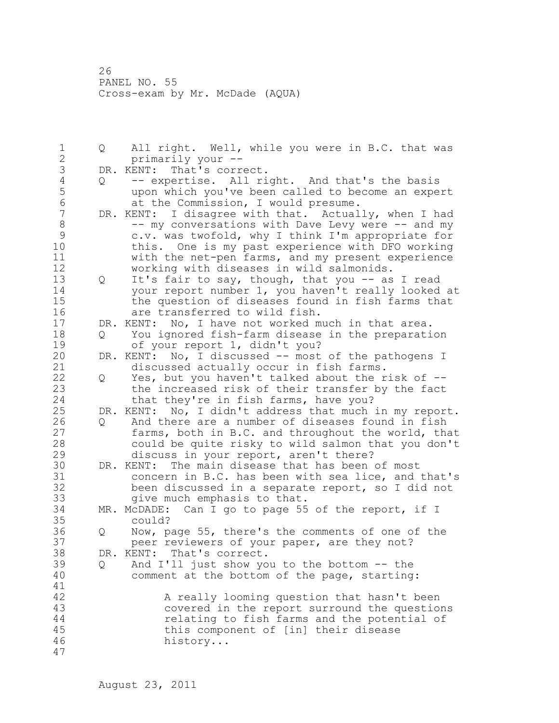1 Q All right. Well, while you were in B.C. that was 2 primarily your -- 3 DR. KENT: That's correct.<br>4 0 -- expertise. All ri 4 Q -- expertise. All right. And that's the basis<br>5 wpon which you've been called to become an expe 5 upon which you've been called to become an expert 6 at the Commission, I would presume.<br>7 DR. KENT: I disagree with that. Actual DR. KENT: I disagree with that. Actually, when I had 8 -- my conversations with Dave Levy were -- and my 9 c.v. was twofold, why I think I'm appropriate for<br>10 this. One is my past experience with DFO working this. One is my past experience with DFO working 11 with the net-pen farms, and my present experience 12 working with diseases in wild salmonids. 13 Q It's fair to say, though, that you -- as I read 14 your report number 1, you haven't really looked at 15 the question of diseases found in fish farms that 16 are transferred to wild fish. 17 DR. KENT: No, I have not worked much in that area. 18 Q You ignored fish-farm disease in the preparation 19 of your report 1, didn't you?<br>20 DR. KENT: No, I discussed -- most DR. KENT: No, I discussed -- most of the pathogens I 21 discussed actually occur in fish farms. 22 Q Yes, but you haven't talked about the risk of -- 23 the increased risk of their transfer by the fact 24 that they're in fish farms, have you? 25 DR. KENT: No, I didn't address that much in my report. 26 Q And there are a number of diseases found in fish<br>27 farms, both in B.C. and throughout the world, tha farms, both in B.C. and throughout the world, that 28 could be quite risky to wild salmon that you don't 29 discuss in your report, aren't there? 30 DR. KENT: The main disease that has been of most<br>31 concern in B.C. has been with sea lice, and 31 concern in B.C. has been with sea lice, and that's<br>32 been discussed in a separate report, so I did not been discussed in a separate report, so I did not 33 give much emphasis to that. 34 MR. McDADE: Can I go to page 55 of the report, if I 35 could? 36 Q Now, page 55, there's the comments of one of the 37 peer reviewers of your paper, are they not? 38 DR. KENT: That's correct. 39 Q And I'll just show you to the bottom -- the 40 comment at the bottom of the page, starting: 41<br>42 A really looming question that hasn't been 43 covered in the report surround the questions 44 relating to fish farms and the potential of 45 this component of [in] their disease 46 history... 47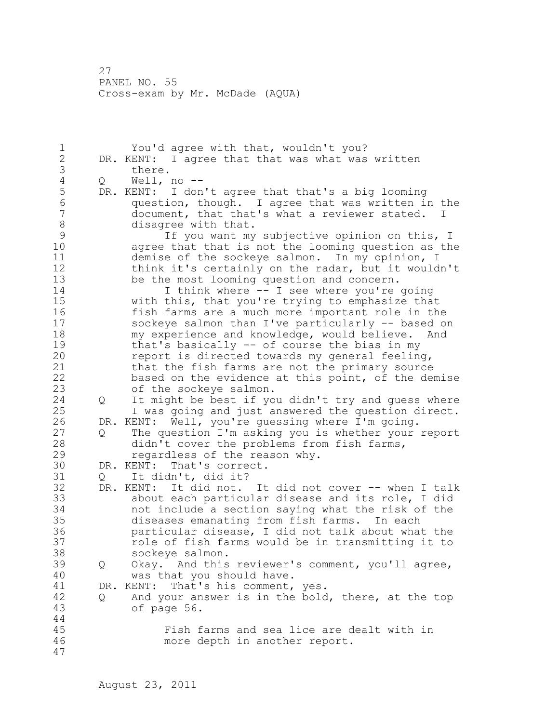1 You'd agree with that, wouldn't you? 2 DR. KENT: I agree that that was what was written 3 there.<br>4 Q Well, 4 Q Well, no --<br>5 DR. KENT: I don 5 DR. KENT: I don't agree that that's a big looming 6 question, though. I agree that was written in the document, that that's what a reviewer stated. I 8 disagree with that.<br>9 1f you want my 9 1f you want my subjective opinion on this, I<br>10 agree that that is not the looming question as the agree that that is not the looming question as the 11 demise of the sockeye salmon. In my opinion, I 12 think it's certainly on the radar, but it wouldn't 13 be the most looming question and concern. 14 I think where -- I see where you're going 15 with this, that you're trying to emphasize that 16 fish farms are a much more important role in the 17 sockeye salmon than I've particularly -- based on 18 my experience and knowledge, would believe. And 19 that's basically -- of course the bias in my<br>20 meport is directed towards my general feeling report is directed towards my general feeling, 21 that the fish farms are not the primary source 22 based on the evidence at this point, of the demise 23 of the sockeye salmon. 24 Q It might be best if you didn't try and guess where 25 I was going and just answered the question direct. 26 DR. KENT: Well, you're guessing where I'm going.<br>27 0 The question I'm asking you is whether your 27 Q The question I'm asking you is whether your report<br>28 didn't cover the problems from fish farms. didn't cover the problems from fish farms, 29 regardless of the reason why. 30 DR. KENT: That's correct.<br>31 0 It didn't, did it? Q It didn't, did it? 32 DR. KENT: It did not. It did not cover -- when I talk 33 about each particular disease and its role, I did 34 not include a section saying what the risk of the 35 diseases emanating from fish farms. In each 36 particular disease, I did not talk about what the 37 role of fish farms would be in transmitting it to 38 sockeye salmon. 39 Q Okay. And this reviewer's comment, you'll agree, 40 was that you should have. 41 DR. KENT: That's his comment, yes.<br>42 0 And your answer is in the bold 42 Q And your answer is in the bold, there, at the top 43 of page 56. 44 45 Fish farms and sea lice are dealt with in 46 more depth in another report. 47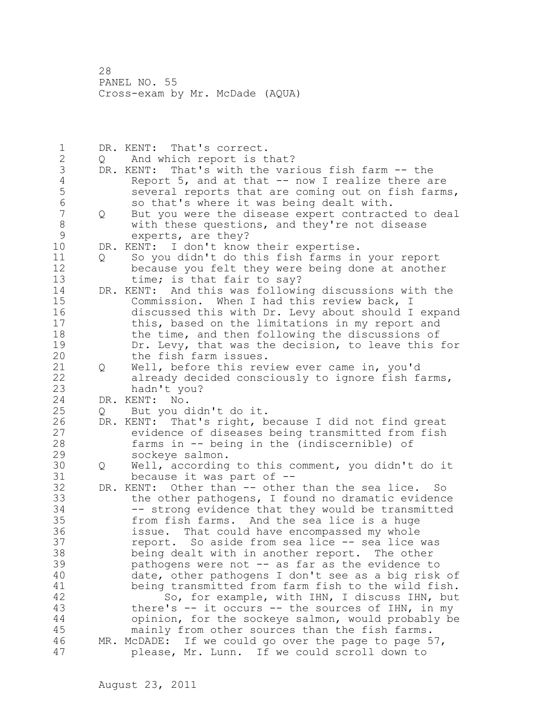1 DR. KENT: That's correct. 2 Q And which report is that? 3 DR. KENT: That's with the various fish farm -- the<br>4 Report 5, and at that -- now I realize there a 4 Report 5, and at that -- now I realize there are<br>5 several reports that are coming out on fish farm 5 several reports that are coming out on fish farms,<br>6 so that's where it was being dealt with. 6 so that's where it was being dealt with.<br>7 0 But you were the disease expert contract 7 Q But you were the disease expert contracted to deal 8 with these questions, and they're not disease<br>9 experts, are they? 9 experts, are they?<br>10 DR. KENT: I don't know DR. KENT: I don't know their expertise. 11 Q So you didn't do this fish farms in your report 12 because you felt they were being done at another 13 time; is that fair to say? 14 DR. KENT: And this was following discussions with the 15 Commission. When I had this review back, I 16 discussed this with Dr. Levy about should I expand 17 this, based on the limitations in my report and 18 the time, and then following the discussions of 19 Dr. Levy, that was the decision, to leave this for<br>20 the fish farm issues. the fish farm issues. 21 Q Well, before this review ever came in, you'd 22 already decided consciously to ignore fish farms, 23 hadn't you? 24 DR. KENT: No. 25 Q But you didn't do it. 26 DR. KENT: That's right, because I did not find great<br>27 evidence of diseases being transmitted from fish 27 evidence of diseases being transmitted from fish<br>28 farms in -- being in the (indiscernible) of farms in  $-$  being in the (indiscernible) of 29 sockeye salmon. 30 Q Well, according to this comment, you didn't do it because it was part of  $-$ -32 DR. KENT: Other than -- other than the sea lice. So 33 the other pathogens, I found no dramatic evidence 34 -- strong evidence that they would be transmitted 35 from fish farms. And the sea lice is a huge 36 issue. That could have encompassed my whole 37 report. So aside from sea lice -- sea lice was 38 being dealt with in another report. The other 39 pathogens were not -- as far as the evidence to 40 date, other pathogens I don't see as a big risk of 41 being transmitted from farm fish to the wild fish.<br>42 So, for example, with IHN, I discuss IHN, but So, for example, with IHN, I discuss IHN, but 43 there's -- it occurs -- the sources of IHN, in my 44 opinion, for the sockeye salmon, would probably be 45 mainly from other sources than the fish farms. 46 MR. McDADE: If we could go over the page to page 57, 47 please, Mr. Lunn. If we could scroll down to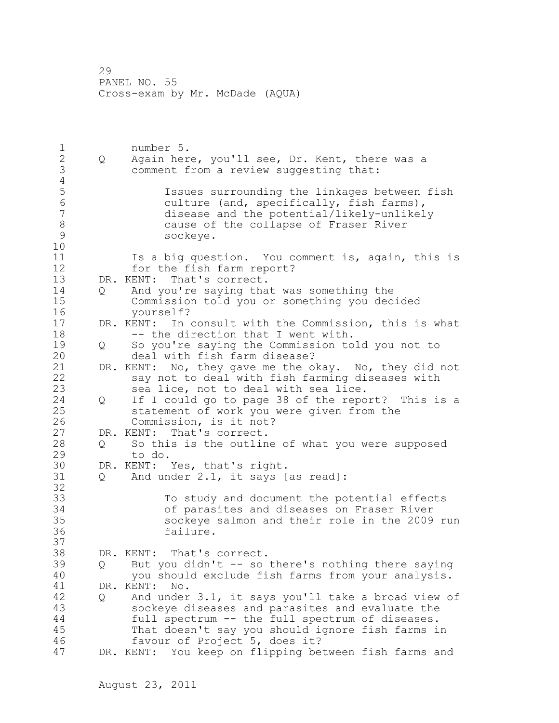1 number 5.<br>2 0 Again her 2 Q Again here, you'll see, Dr. Kent, there was a 3 comment from a review suggesting that:  $\frac{4}{5}$ 5 Issues surrounding the linkages between fish<br>6 culture (and, specifically, fish farms), 6 culture (and, specifically, fish farms),<br>7 disease and the potential/likely-unlikel disease and the potential/likely-unlikely 8 cause of the collapse of Fraser River<br>9 sockeye. sockeye. 10 11 Is a big question. You comment is, again, this is 12 for the fish farm report? 13 DR. KENT: That's correct. 14 Q And you're saying that was something the 15 Commission told you or something you decided 16 yourself? 17 DR. KENT: In consult with the Commission, this is what 18 -- the direction that I went with. 19 Q So you're saying the Commission told you not to deal with fish farm disease? 21 DR. KENT: No, they gave me the okay. No, they did not 22 say not to deal with fish farming diseases with 23 sea lice, not to deal with sea lice. 24 Q If I could go to page 38 of the report? This is a 25 statement of work you were given from the 26 Commission, is it not?<br>27 DR. KENT: That's correct. DR. KENT: That's correct. 28 Q So this is the outline of what you were supposed 29 to do. 30 DR. KENT: Yes, that's right.<br>31 0 And under 2.1, it savs [ Q And under 2.1, it says [as read]: 32 33 To study and document the potential effects 34 of parasites and diseases on Fraser River 35 sockeye salmon and their role in the 2009 run 36 failure. 37 38 DR. KENT: That's correct. 39 Q But you didn't -- so there's nothing there saying 40 you should exclude fish farms from your analysis. 41 DR. KENT: No.<br>42 0 And under 42 Q And under 3.1, it says you'll take a broad view of 43 sockeye diseases and parasites and evaluate the 44 full spectrum -- the full spectrum of diseases. 45 That doesn't say you should ignore fish farms in 46 favour of Project 5, does it? 47 DR. KENT: You keep on flipping between fish farms and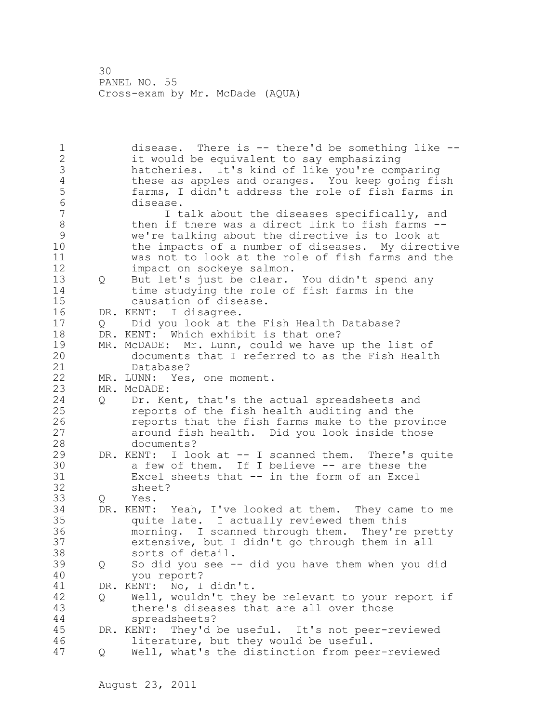1 disease. There is -- there'd be something like -- 2 it would be equivalent to say emphasizing 3 hatcheries. It's kind of like you're comparing 4 these as apples and oranges. You keep going fish<br>5 farms, I didn't address the role of fish farms in 5 farms, I didn't address the role of fish farms in 6 disease.<br>7 I t I talk about the diseases specifically, and 8 then if there was a direct link to fish farms --9 we're talking about the directive is to look at the impacts of a number of diseases. My directive 11 was not to look at the role of fish farms and the 12 impact on sockeye salmon. 13 Q But let's just be clear. You didn't spend any 14 time studying the role of fish farms in the 15 causation of disease. 16 DR. KENT: I disagree. 17 Q Did you look at the Fish Health Database? 18 DR. KENT: Which exhibit is that one? 19 MR. McDADE: Mr. Lunn, could we have up the list of<br>20 documents that I referred to as the Fish Healt documents that I referred to as the Fish Health 21 Database? 22 MR. LUNN: Yes, one moment. 23 MR. McDADE: 24 Q Dr. Kent, that's the actual spreadsheets and 25 reports of the fish health auditing and the 26 reports that the fish farms make to the province<br>27 around fish health. Did you look inside those around fish health. Did you look inside those 28 documents? 29 DR. KENT: I look at -- I scanned them. There's quite 30 a few of them. If I believe -- are these the<br>31 Excel sheets that -- in the form of an Excel 31 Excel sheets that -- in the form of an Excel sheet? 33 Q Yes. 34 DR. KENT: Yeah, I've looked at them. They came to me 35 quite late. I actually reviewed them this 36 morning. I scanned through them. They're pretty 37 extensive, but I didn't go through them in all 38 sorts of detail. 39 Q So did you see -- did you have them when you did 40 you report? 41 DR. KENT: No, I didn't.<br>42 0 Well, wouldn't thev 42 Q Well, wouldn't they be relevant to your report if 43 there's diseases that are all over those 44 spreadsheets? 45 DR. KENT: They'd be useful. It's not peer-reviewed 46 literature, but they would be useful. 47 Q Well, what's the distinction from peer-reviewed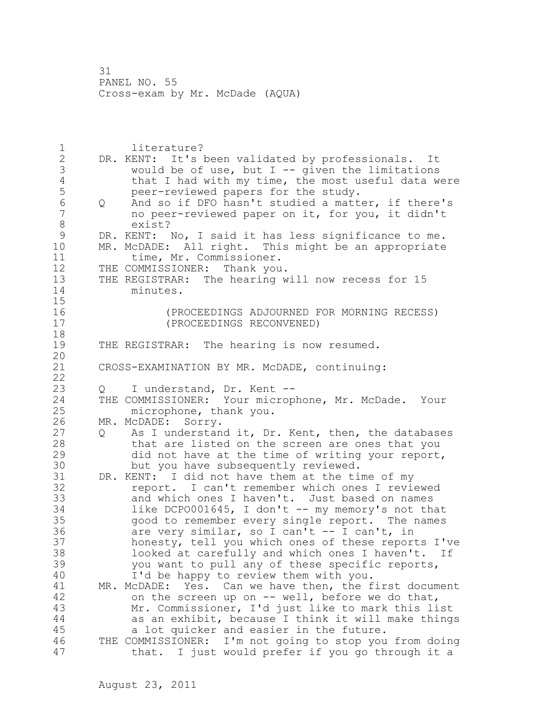1 literature? 2 DR. KENT: It's been validated by professionals. It 3 would be of use, but I -- given the limitations<br>4 that I had with my time, the most useful data w 4 that I had with my time, the most useful data were<br>5 beer-reviewed papers for the study. 5 peer-reviewed papers for the study.<br>6 0 And so if DFO hasn't studied a matt 6 Q And so if DFO hasn't studied a matter, if there's no peer-reviewed paper on it, for you, it didn't 8 exist?<br>9 DR. KENT: 9 DR. KENT: No, I said it has less significance to me.<br>10 MR. McDADE: All right. This might be an appropriate MR. McDADE: All right. This might be an appropriate 11 time, Mr. Commissioner. 12 THE COMMISSIONER: Thank you. 13 THE REGISTRAR: The hearing will now recess for 15 14 minutes. 15 16 (PROCEEDINGS ADJOURNED FOR MORNING RECESS) 17 (PROCEEDINGS RECONVENED) 18 19 THE REGISTRAR: The hearing is now resumed. 20 21 CROSS-EXAMINATION BY MR. McDADE, continuing: 22 23 Q I understand, Dr. Kent -- 24 THE COMMISSIONER: Your microphone, Mr. McDade. Your 25 microphone, thank you. 26 MR. McDADE: Sorry.<br>27 0 As I understan 27 Q As I understand it, Dr. Kent, then, the databases<br>28 that are listed on the screen are ones that you that are listed on the screen are ones that you 29 did not have at the time of writing your report, 30 but you have subsequently reviewed.<br>31 DR. KENT: I did not have them at the ti 31 DR. KENT: I did not have them at the time of my<br>32 feport. I can't remember which ones I revireport. I can't remember which ones I reviewed 33 and which ones I haven't. Just based on names 34 like DCPO001645, I don't -- my memory's not that 35 good to remember every single report. The names 36 are very similar, so I can't -- I can't, in 37 honesty, tell you which ones of these reports I've 38 looked at carefully and which ones I haven't. If 39 you want to pull any of these specific reports, 40 I'd be happy to review them with you. 41 MR. McDADE: Yes. Can we have then, the first document<br>42 on the screen up on -- well, before we do that, on the screen up on  $--$  well, before we do that, 43 Mr. Commissioner, I'd just like to mark this list 44 as an exhibit, because I think it will make things 45 a lot quicker and easier in the future. 46 THE COMMISSIONER: I'm not going to stop you from doing 47 that. I just would prefer if you go through it a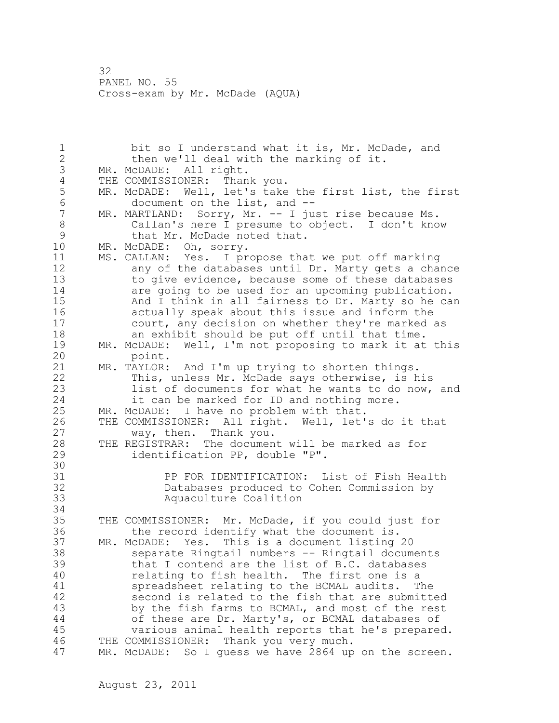1 bit so I understand what it is, Mr. McDade, and 2 then we'll deal with the marking of it. 3 MR. McDADE: All right. 4 THE COMMISSIONER: Thank you.<br>5 MR. McDADE: Well, let's take 5 MR. McDADE: Well, let's take the first list, the first<br>6 document on the list, and --6 document on the list, and --<br>7 MR. MARTLAND: Sorry, Mr. -- I ju MR. MARTLAND: Sorry, Mr. -- I just rise because Ms. 8 Callan's here I presume to object. I don't know 9 that Mr. McDade noted that.<br>10 MR. McDADE: Oh, sorry. MR. McDADE: Oh, sorry. 11 MS. CALLAN: Yes. I propose that we put off marking 12 any of the databases until Dr. Marty gets a chance 13 to give evidence, because some of these databases 14 are going to be used for an upcoming publication. 15 And I think in all fairness to Dr. Marty so he can 16 actually speak about this issue and inform the 17 court, any decision on whether they're marked as 18 an exhibit should be put off until that time. 19 MR. McDADE: Well, I'm not proposing to mark it at this<br>20 point. point. 21 MR. TAYLOR: And I'm up trying to shorten things. 22 This, unless Mr. McDade says otherwise, is his 23 list of documents for what he wants to do now, and 24 it can be marked for ID and nothing more. 25 MR. McDADE: I have no problem with that. 26 THE COMMISSIONER: All right. Well, let's do it that<br>27 way, then. Thank you. way, then. Thank you. 28 THE REGISTRAR: The document will be marked as for 29 identification PP, double "P". 30<br>31 31 PP FOR IDENTIFICATION: List of Fish Health Databases produced to Cohen Commission by 33 Aquaculture Coalition 34 35 THE COMMISSIONER: Mr. McDade, if you could just for 36 the record identify what the document is. 37 MR. McDADE: Yes. This is a document listing 20 38 separate Ringtail numbers -- Ringtail documents 39 that I contend are the list of B.C. databases 40 relating to fish health. The first one is a 41 spreadsheet relating to the BCMAL audits. The<br>42 second is related to the fish that are submitt second is related to the fish that are submitted 43 by the fish farms to BCMAL, and most of the rest 44 of these are Dr. Marty's, or BCMAL databases of 45 various animal health reports that he's prepared. 46 THE COMMISSIONER: Thank you very much. 47 MR. McDADE: So I guess we have 2864 up on the screen.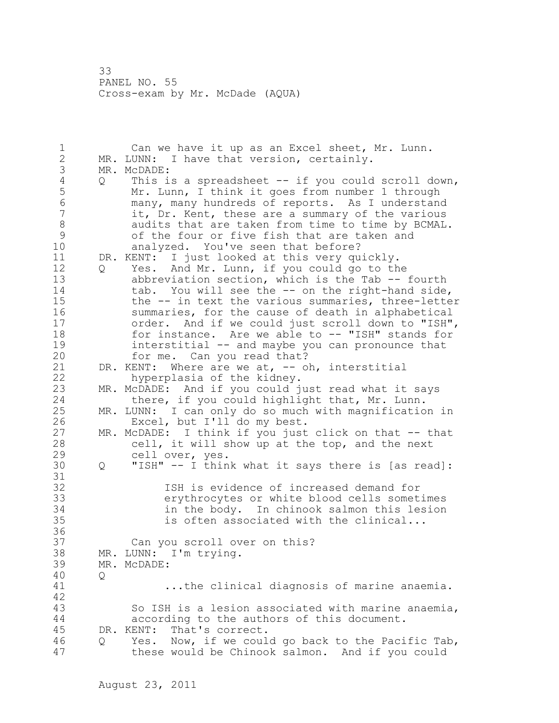1 Can we have it up as an Excel sheet, Mr. Lunn. 2 MR. LUNN: I have that version, certainly. 3 MR. McDADE:<br>4 Q This i 4 Q This is a spreadsheet -- if you could scroll down,<br>5 Mr. Lunn, I think it goes from number 1 through 5 Mr. Lunn, I think it goes from number 1 through 6 many, many hundreds of reports. As I understand it, Dr. Kent, these are a summary of the various 8 audits that are taken from time to time by BCMAL.<br>9 6 of the four or five fish that are taken and 9 of the four or five fish that are taken and<br>10 analyzed. You've seen that before? analyzed. You've seen that before? 11 DR. KENT: I just looked at this very quickly. 12 Q Yes. And Mr. Lunn, if you could go to the 13 abbreviation section, which is the Tab -- fourth 14 tab. You will see the -- on the right-hand side, 15 the -- in text the various summaries, three-letter 16 summaries, for the cause of death in alphabetical 17 order. And if we could just scroll down to "ISH", 18 for instance. Are we able to -- "ISH" stands for 19 interstitial -- and maybe you can pronounce that<br>20 for me. Can you read that? for me. Can you read that? 21 DR. KENT: Where are we at, -- oh, interstitial 22 hyperplasia of the kidney. 23 MR. McDADE: And if you could just read what it says 24 there, if you could highlight that, Mr. Lunn. 25 MR. LUNN: I can only do so much with magnification in 26 Excel, but I'll do my best.<br>27 MR. McDADE: I think if you just 27 MR. McDADE: I think if you just click on that -- that<br>28 cell, it will show up at the top, and the next cell, it will show up at the top, and the next 29 cell over, yes. 30 Q "ISH" -- I think what it says there is [as read]: 31<br>32 ISH is evidence of increased demand for 33 erythrocytes or white blood cells sometimes 34 in the body. In chinook salmon this lesion 35 is often associated with the clinical... 36 37 Can you scroll over on this? 38 MR. LUNN: I'm trying. 39 MR. McDADE: 40 Q 41 ...the clinical diagnosis of marine anaemia. 42 43 So ISH is a lesion associated with marine anaemia, 44 according to the authors of this document. 45 DR. KENT: That's correct. 46 Q Yes. Now, if we could go back to the Pacific Tab, 47 these would be Chinook salmon. And if you could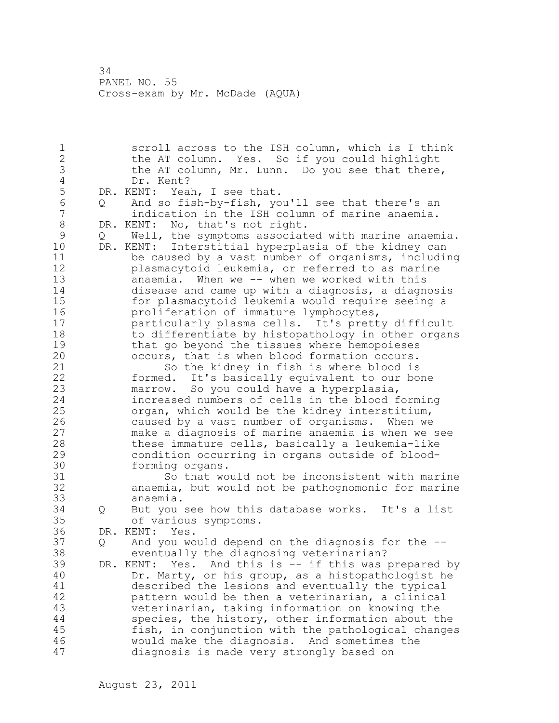1 scroll across to the ISH column, which is I think 2 the AT column. Yes. So if you could highlight 3 the AT column, Mr. Lunn. Do you see that there,<br>4 Dr. Kent? 4 Dr. Kent?<br>5 DR. KENT: Yea 5 DR. KENT: Yeah, I see that.<br>6 0 And so fish-by-fish, yo 6 Q And so fish-by-fish, you'll see that there's an indication in the ISH column of marine anaemia. 8 DR. KENT: No, that's not right.<br>9 0 Well, the symptoms associat 9 Q Well, the symptoms associated with marine anaemia.<br>10 DR. KENT: Interstitial hyperplasia of the kidnev can DR. KENT: Interstitial hyperplasia of the kidney can 11 be caused by a vast number of organisms, including 12 plasmacytoid leukemia, or referred to as marine 13 anaemia. When we -- when we worked with this 14 disease and came up with a diagnosis, a diagnosis 15 for plasmacytoid leukemia would require seeing a<br>16 for proliferation of immature lymphocytes, 16 **proliferation of immature lymphocytes,**<br>17 **particularly plasma cells.** It's prett particularly plasma cells. It's pretty difficult 18 to differentiate by histopathology in other organs 19 that go beyond the tissues where hemopoieses<br>20 occurs, that is when blood formation occurs. occurs, that is when blood formation occurs. 21 So the kidney in fish is where blood is 22 formed. It's basically equivalent to our bone 23 marrow. So you could have a hyperplasia, 24 increased numbers of cells in the blood forming 25 organ, which would be the kidney interstitium, 26 caused by a vast number of organisms. When we<br>27 make a diagnosis of marine anaemia is when we 27 make a diagnosis of marine anaemia is when we see these immature cells, basically a leukemia-like 29 condition occurring in organs outside of blood-30 forming organs.<br>31 So that wo 31 So that would not be inconsistent with marine<br>32 anaemia, but would not be pathognomonic for marine anaemia, but would not be pathognomonic for marine 33 anaemia. 34 Q But you see how this database works. It's a list 35 of various symptoms. 36 DR. KENT: Yes. 37 Q And you would depend on the diagnosis for the -- 38 eventually the diagnosing veterinarian? 39 DR. KENT: Yes. And this is -- if this was prepared by 40 Dr. Marty, or his group, as a histopathologist he 41 described the lesions and eventually the typical<br>42 battern would be then a veterinarian, a clinical pattern would be then a veterinarian, a clinical 43 veterinarian, taking information on knowing the 44 species, the history, other information about the 45 fish, in conjunction with the pathological changes 46 would make the diagnosis. And sometimes the 47 diagnosis is made very strongly based on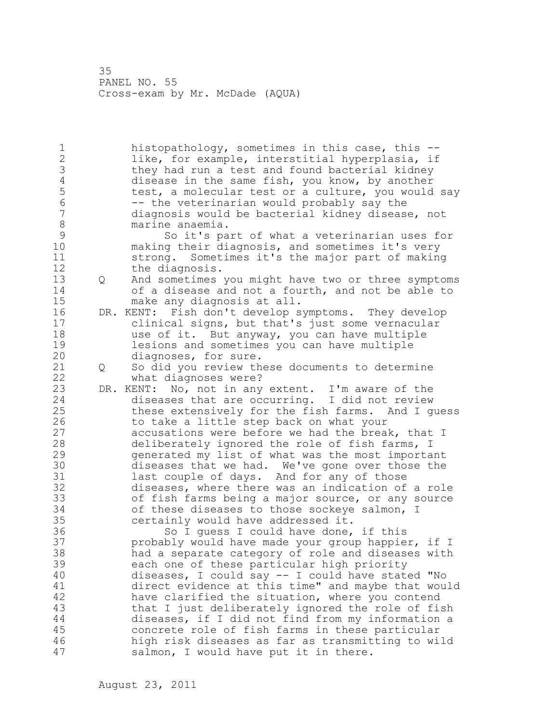1 histopathology, sometimes in this case, this -- 2 like, for example, interstitial hyperplasia, if 3 they had run a test and found bacterial kidney<br>4 disease in the same fish, you know, by another 4 disease in the same fish, you know, by another<br>5 test, a molecular test or a culture, you would 5 test, a molecular test or a culture, you would say<br>6 -- the veterinarian would probably say the 6 -- the veterinarian would probably say the<br>7 diagnosis would be bacterial kidnev diseas diagnosis would be bacterial kidney disease, not 8 marine anaemia.<br>9 So it's pa 9 So it's part of what a veterinarian uses for<br>10 making their diagnosis, and sometimes it's very making their diagnosis, and sometimes it's very 11 strong. Sometimes it's the major part of making 12 the diagnosis. 13 Q And sometimes you might have two or three symptoms 14 of a disease and not a fourth, and not be able to 15 make any diagnosis at all.<br>16 DR. KENT: Fish don't develop s 16 DR. KENT: Fish don't develop symptoms. They develop 17 clinical signs, but that's just some vernacular 18 use of it. But anyway, you can have multiple 19 lesions and sometimes you can have multiple<br>20 diagnoses, for sure. diagnoses, for sure. 21 Q So did you review these documents to determine 22 what diagnoses were? 23 DR. KENT: No, not in any extent. I'm aware of the 24 diseases that are occurring. I did not review 25 these extensively for the fish farms. And I guess 26 to take a little step back on what your<br>27 accusations were before we had the brea accusations were before we had the break, that I 28 deliberately ignored the role of fish farms, I 29 generated my list of what was the most important 30 diseases that we had. We've gone over those the<br>31 last couple of days. And for any of those last couple of days. And for any of those 32 diseases, where there was an indication of a role 33 of fish farms being a major source, or any source 34 of these diseases to those sockeye salmon, I 35 certainly would have addressed it. 36 So I guess I could have done, if this 37 probably would have made your group happier, if I 38 had a separate category of role and diseases with 39 each one of these particular high priority 40 diseases, I could say -- I could have stated "No 41 direct evidence at this time" and maybe that would 42 have clarified the situation, where you contend 43 that I just deliberately ignored the role of fish 44 diseases, if I did not find from my information a 45 concrete role of fish farms in these particular 46 high risk diseases as far as transmitting to wild 47 salmon, I would have put it in there.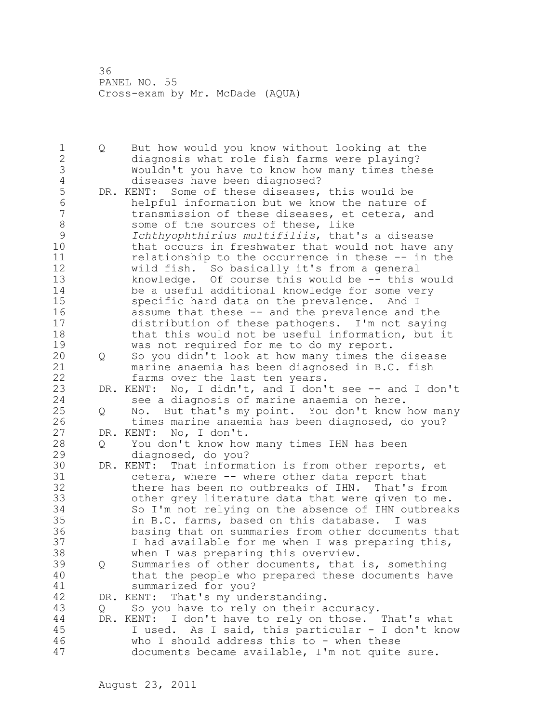1 Q But how would you know without looking at the 2 diagnosis what role fish farms were playing? 3 Wouldn't you have to know how many times these 4 diseases have been diagnosed?<br>5 DR. KENT: Some of these diseases, 5 DR. KENT: Some of these diseases, this would be<br>6 helpful information but we know the nature 6 helpful information but we know the nature of<br>7 transmission of these diseases, et cetera, and transmission of these diseases, et cetera, and 8 some of the sources of these, like<br>9 fchthyophthirius multifiliis, that 9 *Ichthyophthirius multifiliis*, that's a disease that occurs in freshwater that would not have any 11 relationship to the occurrence in these -- in the 12 wild fish. So basically it's from a general 13 knowledge. Of course this would be -- this would 14 be a useful additional knowledge for some very 15 specific hard data on the prevalence. And I 16 assume that these -- and the prevalence and the 17 distribution of these pathogens. I'm not saying 18 that this would not be useful information, but it 19 was not required for me to do my report.<br>20 0 So you didn't look at how many times the 20 Q So you didn't look at how many times the disease 21 marine anaemia has been diagnosed in B.C. fish 22 farms over the last ten years. 23 DR. KENT: No, I didn't, and I don't see -- and I don't 24 see a diagnosis of marine anaemia on here. 25 Q No. But that's my point. You don't know how many 26 times marine anaemia has been diagnosed, do you?<br>27 DR. KENT: No, I don't. DR. KENT: No, I don't. 28 Q You don't know how many times IHN has been 29 diagnosed, do you? 30 DR. KENT: That information is from other reports, et<br>31 cetera, where -- where other data report that 31 cetera, where -- where other data report that<br>32 there has been no outbreaks of IHN. That's f there has been no outbreaks of IHN. That's from 33 other grey literature data that were given to me. 34 So I'm not relying on the absence of IHN outbreaks 35 in B.C. farms, based on this database. I was 36 basing that on summaries from other documents that 37 I had available for me when I was preparing this, 38 when I was preparing this overview. 39 Q Summaries of other documents, that is, something 40 that the people who prepared these documents have 41 summarized for you?<br>42 DR. KENT: That's my under DR. KENT: That's my understanding. 43 Q So you have to rely on their accuracy. 44 DR. KENT: I don't have to rely on those. That's what 45 I used. As I said, this particular - I don't know 46 who I should address this to - when these 47 documents became available, I'm not quite sure.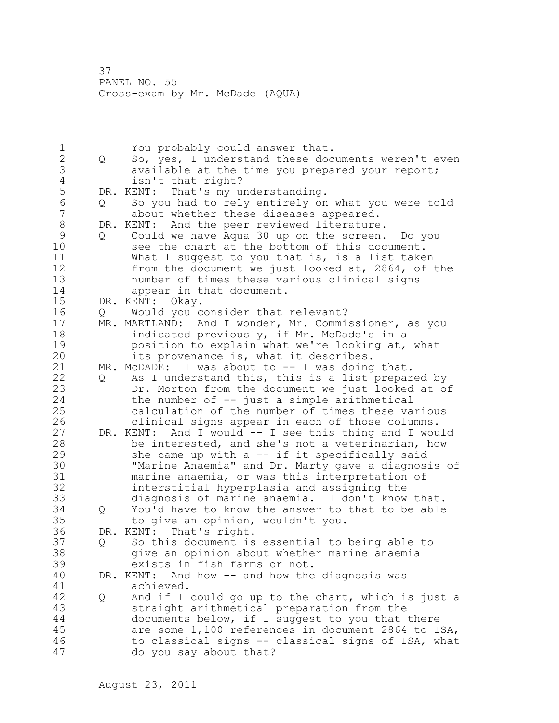1 The You probably could answer that.<br>2 O So, yes, I understand these doc 2 Q So, yes, I understand these documents weren't even 3 available at the time you prepared your report;<br>4 and isn't that right? 4 isn't that right?<br>5 DR. KENT: That's my u 5 DR. KENT: That's my understanding.<br>6 0 So you had to rely entirely on 6 Q So you had to rely entirely on what you were told about whether these diseases appeared. 8 DR. KENT: And the peer reviewed literature.<br>9 0 Could we have Aqua 30 up on the screen. 9 Q Could we have Aqua 30 up on the screen. Do you<br>10 see the chart at the bottom of this document. see the chart at the bottom of this document. 11 What I suggest to you that is, is a list taken 12 from the document we just looked at, 2864, of the 13 number of times these various clinical signs 14 appear in that document. 15 DR. KENT: Okay. 16 Q Would you consider that relevant? 17 MR. MARTLAND: And I wonder, Mr. Commissioner, as you 18 indicated previously, if Mr. McDade's in a 19 position to explain what we're looking at, what<br>20 its provenance is, what it describes. its provenance is, what it describes. 21 MR. McDADE: I was about to -- I was doing that. 22 Q As I understand this, this is a list prepared by 23 Dr. Morton from the document we just looked at of 24 the number of -- just a simple arithmetical 25 calculation of the number of times these various 26 clinical signs appear in each of those columns.<br>27 DR. KENT: And I would -- I see this thing and I wou DR. KENT: And I would -- I see this thing and I would 28 be interested, and she's not a veterinarian, how 29 she came up with a -- if it specifically said 30 "Marine Anaemia" and Dr. Marty gave a diagnosis of marine anaemia, or was this interpretation of 32 interstitial hyperplasia and assigning the 33 diagnosis of marine anaemia. I don't know that. 34 Q You'd have to know the answer to that to be able 35 to give an opinion, wouldn't you. 36 DR. KENT: That's right. 37 Q So this document is essential to being able to 38 give an opinion about whether marine anaemia 39 exists in fish farms or not. 40 DR. KENT: And how -- and how the diagnosis was 41 achieved.<br>42 0 And if I Q And if I could go up to the chart, which is just a 43 straight arithmetical preparation from the 44 documents below, if I suggest to you that there 45 are some 1,100 references in document 2864 to ISA, 46 to classical signs -- classical signs of ISA, what 47 do you say about that?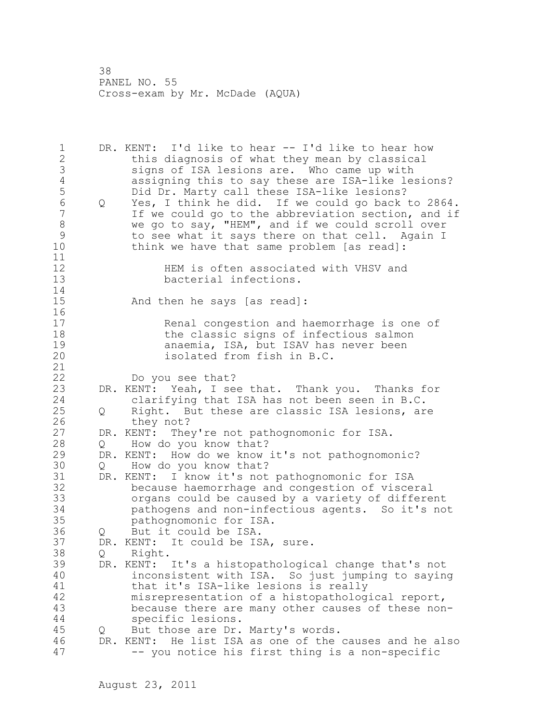1 DR. KENT: I'd like to hear -- I'd like to hear how 2 this diagnosis of what they mean by classical 3 signs of ISA lesions are. Who came up with 4 assigning this to say these are ISA-like lesions?<br>5 Did Dr. Marty call these ISA-like lesions? 5 Did Dr. Marty call these ISA-like lesions?<br>6 0 Yes. I think he did. If we could go back 6 Q Yes, I think he did. If we could go back to 2864. If we could go to the abbreviation section, and if 8 we go to say, "HEM", and if we could scroll over<br>9 to see what it says there on that cell. Again I 9 to see what it says there on that cell. Again I<br>10 think we have that same problem [as read]: think we have that same problem [as read]: 11 12 **HEM** is often associated with VHSV and<br>13 bacterial infections. bacterial infections. 14 15 And then he says [as read]: 16<br>17 Renal congestion and haemorrhage is one of 18 the classic signs of infectious salmon 19 **anaemia, ISA, but ISAV has never been**<br>20 **isolated from fish in B.C.** isolated from fish in B.C. 21 22 Do you see that? 23 DR. KENT: Yeah, I see that. Thank you. Thanks for 24 clarifying that ISA has not been seen in B.C. 25 Q Right. But these are classic ISA lesions, are 26 they not?<br>27 DR. KENT: The DR. KENT: They're not pathognomonic for ISA. 28 Q How do you know that? 29 DR. KENT: How do we know it's not pathognomonic? 30 Q How do you know that?<br>31 DR. KENT: I know it's not 31 DR. KENT: I know it's not pathognomonic for ISA<br>32 because haemorrhage and congestion of visce because haemorrhage and congestion of visceral 33 organs could be caused by a variety of different 34 pathogens and non-infectious agents. So it's not 35 pathognomonic for ISA. 36 Q But it could be ISA. 37 DR. KENT: It could be ISA, sure. 38 Q Right. 39 DR. KENT: It's a histopathological change that's not 40 inconsistent with ISA. So just jumping to saying 41 that it's ISA-like lesions is really<br>42 misrepresentation of a histopatholog misrepresentation of a histopathological report, 43 because there are many other causes of these non-44 specific lesions. 45 Q But those are Dr. Marty's words. 46 DR. KENT: He list ISA as one of the causes and he also 47 -- you notice his first thing is a non-specific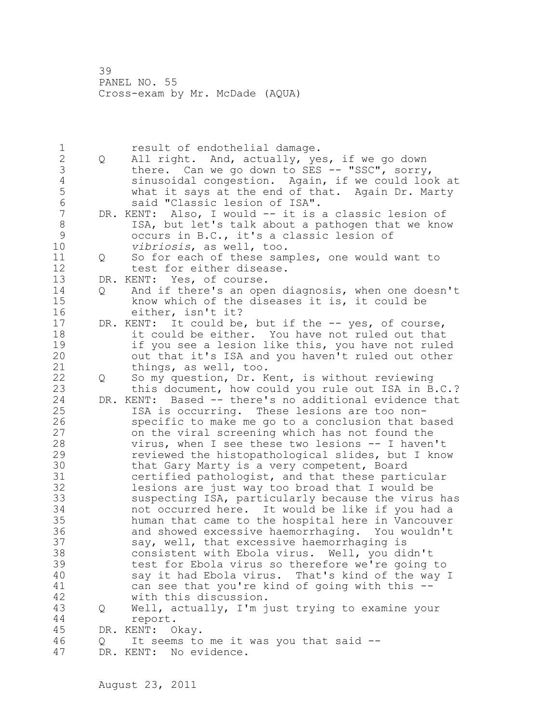1 result of endothelial damage.<br>2 0 All right. And, actually, ye 2 Q All right. And, actually, yes, if we go down 3 there. Can we go down to SES -- "SSC", sorry,<br>4 sinusoidal congestion. Again, if we could loo 4 sinusoidal congestion. Again, if we could look at<br>5 what it says at the end of that. Again Dr. Marty 5 what it says at the end of that. Again Dr. Marty<br>6 said "Classic lesion of ISA". 6 said "Classic lesion of ISA". DR. KENT: Also, I would -- it is a classic lesion of 8 ISA, but let's talk about a pathogen that we know<br>9 occurs in B.C., it's a classic lesion of 9 occurs in B.C., it's a classic lesion of<br>10 *vibriosis*, as well, too. vibriosis, as well, too. 11 Q So for each of these samples, one would want to 12 test for either disease. 13 DR. KENT: Yes, of course. 14 Q And if there's an open diagnosis, when one doesn't 15 know which of the diseases it is, it could be 16 either, isn't it? 17 DR. KENT: It could be, but if the -- yes, of course, 18 it could be either. You have not ruled out that 19 if you see a lesion like this, you have not ruled<br>20 out that it's ISA and you haven't ruled out other out that it's ISA and you haven't ruled out other 21 things, as well, too. 22 Q So my question, Dr. Kent, is without reviewing 23 this document, how could you rule out ISA in B.C.? 24 DR. KENT: Based -- there's no additional evidence that 25 ISA is occurring. These lesions are too non-26 specific to make me go to a conclusion that based<br>27 on the viral screening which has not found the on the viral screening which has not found the 28 virus, when I see these two lesions -- I haven't 29 reviewed the histopathological slides, but I know 30 that Gary Marty is a very competent, Board<br>31 certified pathologist, and that these part 31 certified pathologist, and that these particular<br>32 lesions are just way too broad that I would be lesions are just way too broad that I would be 33 suspecting ISA, particularly because the virus has 34 not occurred here. It would be like if you had a 35 human that came to the hospital here in Vancouver 36 and showed excessive haemorrhaging. You wouldn't 37 say, well, that excessive haemorrhaging is 38 consistent with Ebola virus. Well, you didn't 39 test for Ebola virus so therefore we're going to 40 say it had Ebola virus. That's kind of the way I 41 can see that you're kind of going with this --<br>42 with this discussion. with this discussion. 43 Q Well, actually, I'm just trying to examine your 44 report. 45 DR. KENT: Okay. 46 Q It seems to me it was you that said -- 47 DR. KENT: No evidence.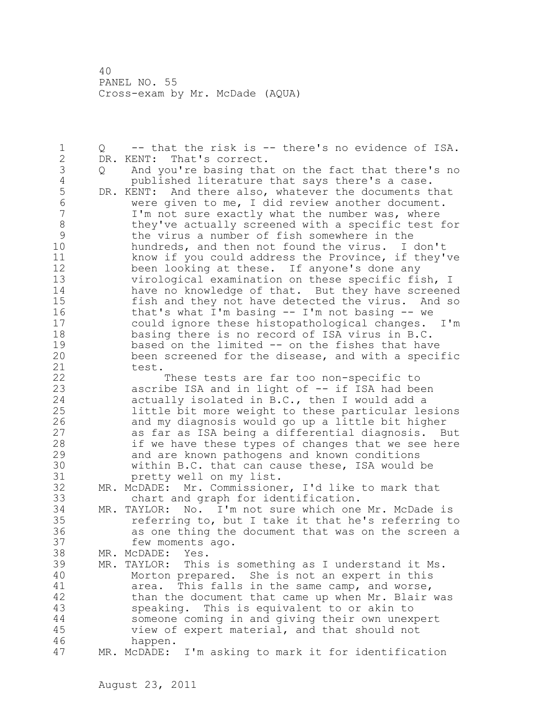1 Q -- that the risk is -- there's no evidence of ISA. 2 DR. KENT: That's correct. 3 Q And you're basing that on the fact that there's no 4 published literature that says there's a case.<br>5 DR. KENT: And there also, whatever the documents t 5 DR. KENT: And there also, whatever the documents that<br>6 were given to me, I did review another document. 6 were given to me, I did review another document.<br>7 I'm not sure exactly what the number was, where I'm not sure exactly what the number was, where 8 they've actually screened with a specific test for<br>9 the virus a number of fish somewhere in the 9 the virus a number of fish somewhere in the<br>10 hundreds, and then not found the virus. I hundreds, and then not found the virus. I don't 11 know if you could address the Province, if they've 12 been looking at these. If anyone's done any 13 virological examination on these specific fish, I 14 have no knowledge of that. But they have screened 15 fish and they not have detected the virus. And so 16 that's what I'm basing -- I'm not basing -- we 17 could ignore these histopathological changes. I'm 18 basing there is no record of ISA virus in B.C. 19 based on the limited -- on the fishes that have<br>20 been screened for the disease, and with a speci been screened for the disease, and with a specific 21 test. 22 These tests are far too non-specific to 23 ascribe ISA and in light of -- if ISA had been 24 actually isolated in B.C., then I would add a 25 little bit more weight to these particular lesions 26 and my diagnosis would go up a little bit higher<br>27 as far as ISA being a differential diagnosis. B as far as ISA being a differential diagnosis. But 28 if we have these types of changes that we see here 29 and are known pathogens and known conditions 30 within B.C. that can cause these, ISA would be pretty well on my list. pretty well on my list. 32 MR. McDADE: Mr. Commissioner, I'd like to mark that 33 chart and graph for identification. 34 MR. TAYLOR: No. I'm not sure which one Mr. McDade is 35 referring to, but I take it that he's referring to 36 as one thing the document that was on the screen a 37 few moments ago. 38 MR. McDADE: Yes. 39 MR. TAYLOR: This is something as I understand it Ms. 40 Morton prepared. She is not an expert in this 41 area. This falls in the same camp, and worse,<br>42 than the document that came up when Mr. Blair than the document that came up when Mr. Blair was 43 speaking. This is equivalent to or akin to 44 someone coming in and giving their own unexpert 45 view of expert material, and that should not 46 happen. 47 MR. McDADE: I'm asking to mark it for identification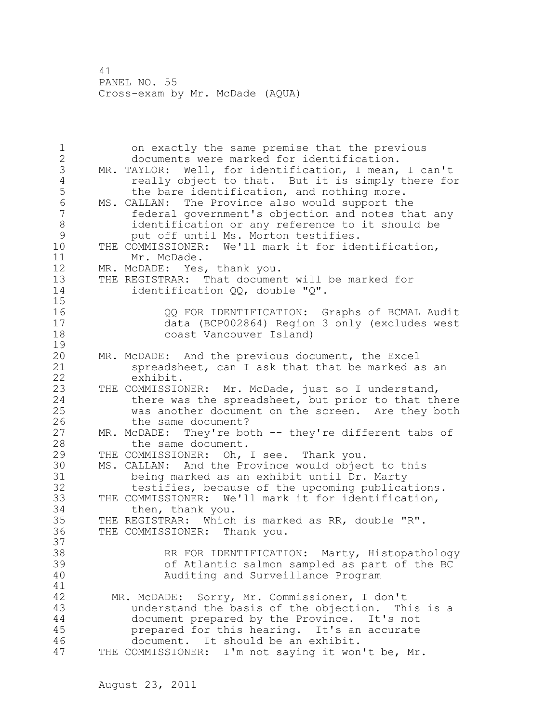1 on exactly the same premise that the previous 2 documents were marked for identification. 3 MR. TAYLOR: Well, for identification, I mean, I can't 4 really object to that. But it is simply there for<br>5 the bare identification, and nothing more. 5 the bare identification, and nothing more.<br>6 MS. CALLAN: The Province also would support the 6 MS. CALLAN: The Province also would support the federal government's objection and notes that any 8 identification or any reference to it should be<br>9 but off until Ms. Morton testifies. 9 put off until Ms. Morton testifies.<br>10 THE COMMISSIONER: We'll mark it for ide THE COMMISSIONER: We'll mark it for identification, 11 Mr. McDade. 12 MR. McDADE: Yes, thank you. 13 THE REGISTRAR: That document will be marked for 14 identification QQ, double "Q". 15 16 QQ FOR IDENTIFICATION: Graphs of BCMAL Audit 17 data (BCP002864) Region 3 only (excludes west 18 coast Vancouver Island)  $\frac{19}{20}$ MR. McDADE: And the previous document, the Excel 21 spreadsheet, can I ask that that be marked as an 22 exhibit. 23 THE COMMISSIONER: Mr. McDade, just so I understand, 24 **there was the spreadsheet, but prior to that there** 25 was another document on the screen. Are they both 26 the same document?<br>27 MR. McDADE: They're bo  $MR.$  McDADE: They're both  $--$  they're different tabs of 28 the same document. 29 THE COMMISSIONER: Oh, I see. Thank you. 30 MS. CALLAN: And the Province would object to this 31 being marked as an exhibit until Dr. Marty testifies, because of the upcoming publications. 33 THE COMMISSIONER: We'll mark it for identification, 34 then, thank you. 35 THE REGISTRAR: Which is marked as RR, double "R". 36 THE COMMISSIONER: Thank you. 37 38 RR FOR IDENTIFICATION: Marty, Histopathology 39 of Atlantic salmon sampled as part of the BC 40 Auditing and Surveillance Program 41<br>42 MR. McDADE: Sorry, Mr. Commissioner, I don't 43 understand the basis of the objection. This is a 44 document prepared by the Province. It's not 45 prepared for this hearing. It's an accurate 46 document. It should be an exhibit. 47 THE COMMISSIONER: I'm not saying it won't be, Mr.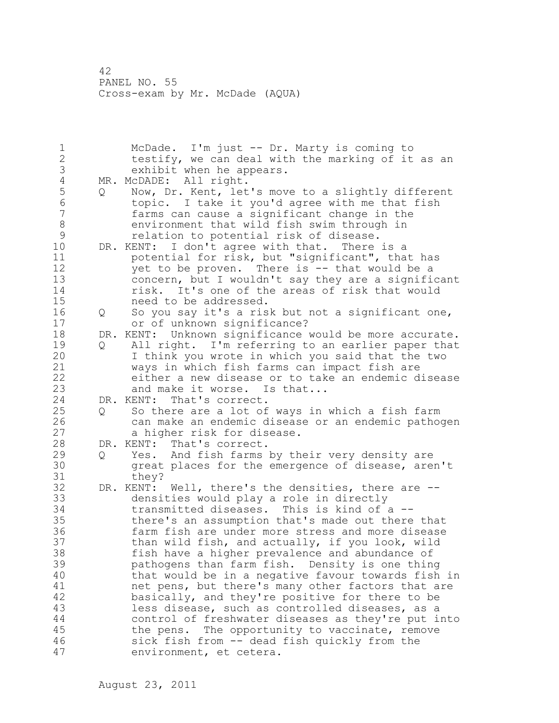1 McDade. I'm just -- Dr. Marty is coming to 2 testify, we can deal with the marking of it as an 3 exhibit when he appears.<br>4 MR. McDADE: All right. 4 MR. McDADE: All right.<br>5 0 Now, Dr. Kent, let 5 Q Now, Dr. Kent, let's move to a slightly different<br>6 topic. I take it you'd agree with me that fish 6 topic. I take it you'd agree with me that fish farms can cause a significant change in the 8 environment that wild fish swim through in<br>9 elation to potential risk of disease. 9 relation to potential risk of disease.<br>10 DR. KENT: I don't agree with that. There DR. KENT: I don't agree with that. There is a 11 potential for risk, but "significant", that has 12 yet to be proven. There is -- that would be a 13 concern, but I wouldn't say they are a significant 14 risk. It's one of the areas of risk that would 15 need to be addressed. 16 Q So you say it's a risk but not a significant one, 17 or of unknown significance? 18 DR. KENT: Unknown significance would be more accurate. 19 Q All right. I'm referring to an earlier paper that<br>20 I think you wrote in which you said that the two I think you wrote in which you said that the two 21 ways in which fish farms can impact fish are 22 either a new disease or to take an endemic disease 23 and make it worse. Is that... 24 DR. KENT: That's correct. 25 Q So there are a lot of ways in which a fish farm 26 can make an endemic disease or an endemic pathogen<br>27 a higher risk for disease. a higher risk for disease. 28 DR. KENT: That's correct. 29 Q Yes. And fish farms by their very density are 30 great places for the emergence of disease, aren't they? 32 DR. KENT: Well, there's the densities, there are -- 33 densities would play a role in directly 34 transmitted diseases. This is kind of a -- 35 there's an assumption that's made out there that 36 farm fish are under more stress and more disease 37 than wild fish, and actually, if you look, wild 38 fish have a higher prevalence and abundance of 39 pathogens than farm fish. Density is one thing 40 that would be in a negative favour towards fish in 41 net pens, but there's many other factors that are<br>42 basically, and they're positive for there to be basically, and they're positive for there to be 43 less disease, such as controlled diseases, as a 44 control of freshwater diseases as they're put into 45 the pens. The opportunity to vaccinate, remove 46 sick fish from -- dead fish quickly from the 47 environment, et cetera.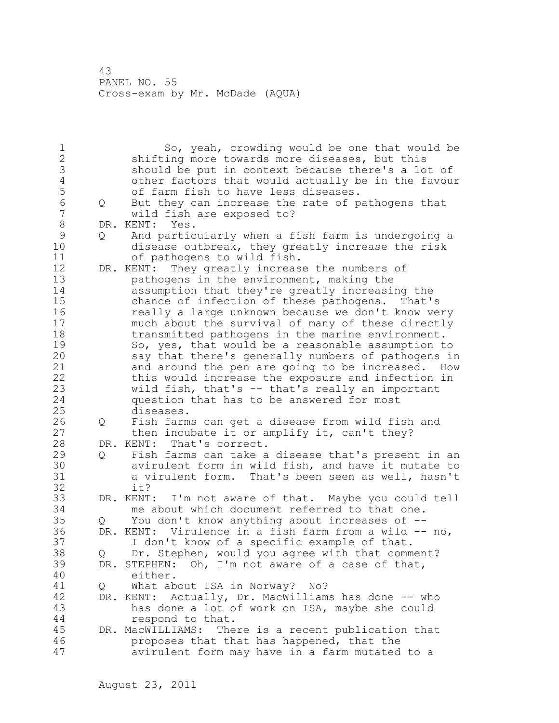1 So, yeah, crowding would be one that would be 2 shifting more towards more diseases, but this 3 should be put in context because there's a lot of<br>4 other factors that would actually be in the favour 4 other factors that would actually be in the favour 5 of farm fish to have less diseases.<br>6 0 But they can increase the rate of p 6 Q But they can increase the rate of pathogens that wild fish are exposed to? 8 DR. KENT: Yes.<br>9 0 And partic 9 Q And particularly when a fish farm is undergoing a<br>10 disease outbreak, they greatly increase the risk disease outbreak, they greatly increase the risk 11 of pathogens to wild fish. 12 DR. KENT: They greatly increase the numbers of 13 pathogens in the environment, making the 14 assumption that they're greatly increasing the 15 chance of infection of these pathogens. That's 16 **really a large unknown because we don't know very** 17 much about the survival of many of these directly 18 transmitted pathogens in the marine environment. 19 So, yes, that would be a reasonable assumption to<br>20 say that there's generally numbers of pathogens in say that there's generally numbers of pathogens in 21 and around the pen are going to be increased. How 22 this would increase the exposure and infection in 23 wild fish, that's -- that's really an important 24 question that has to be answered for most 25 diseases. 26 Q Fish farms can get a disease from wild fish and<br>27 then incubate it or amplify it, can't they? then incubate it or amplify it, can't they? 28 DR. KENT: That's correct. 29 Q Fish farms can take a disease that's present in an 30 avirulent form in wild fish, and have it mutate to 31 a virulent form. That's been seen as well, hasn't it? 33 DR. KENT: I'm not aware of that. Maybe you could tell 34 me about which document referred to that one. 35 Q You don't know anything about increases of -- 36 DR. KENT: Virulence in a fish farm from a wild -- no, 37 I don't know of a specific example of that. 38 Q Dr. Stephen, would you agree with that comment? 39 DR. STEPHEN: Oh, I'm not aware of a case of that, 40 either. 41 Q What about ISA in Norway? No?<br>42 DR. KENT: Actually, Dr. MacWilliam DR. KENT: Actually, Dr. MacWilliams has done -- who 43 has done a lot of work on ISA, maybe she could 44 respond to that. 45 DR. MacWILLIAMS: There is a recent publication that 46 proposes that that has happened, that the 47 avirulent form may have in a farm mutated to a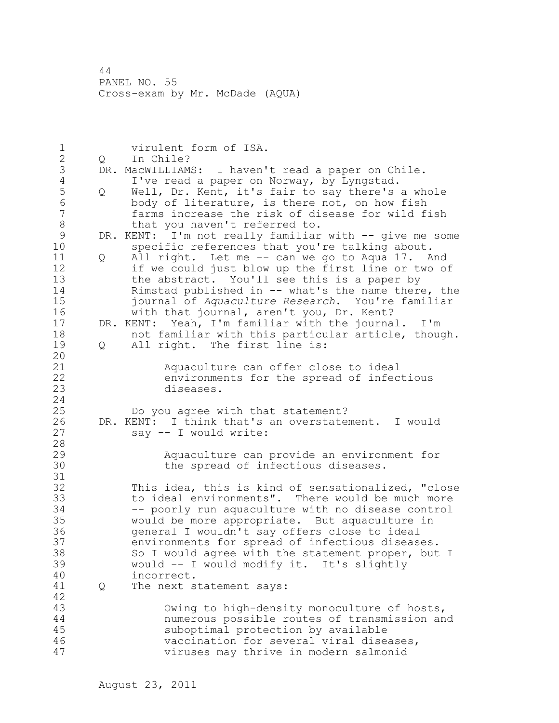1 virulent form of ISA. 2 Q In Chile? 3 DR. MacWILLIAMS: I haven't read a paper on Chile.<br>4 I've read a paper on Norway, by Lyngstad. 4 I've read a paper on Norway, by Lyngstad.<br>5 0 Well, Dr. Kent, it's fair to say there's 5 Q Well, Dr. Kent, it's fair to say there's a whole<br>6 body of literature, is there not, on how fish 6 body of literature, is there not, on how fish farms increase the risk of disease for wild fish 8 that you haven't referred to.<br>9 DR. KENT: I'm not really familiar 9 DR. KENT: I'm not really familiar with -- give me some<br>10 specific references that you're talking about. specific references that you're talking about. 11 Q All right. Let me -- can we go to Aqua 17. And 12 if we could just blow up the first line or two of 13 the abstract. You'll see this is a paper by 14 Rimstad published in -- what's the name there, the 15 journal of *Aquaculture Research*. You're familiar 16 with that journal, aren't you, Dr. Kent? 17 DR. KENT: Yeah, I'm familiar with the journal. I'm 18 not familiar with this particular article, though. 19 Q All right. The first line is: 20 21 Aquaculture can offer close to ideal 22 environments for the spread of infectious 23 diseases. 24 25 Do you agree with that statement? 26 DR. KENT: I think that's an overstatement. I would<br>27 say -- I would write: say -- I would write: 28 29 Aquaculture can provide an environment for 30 the spread of infectious diseases. 31<br>32 This idea, this is kind of sensationalized, "close 33 to ideal environments". There would be much more 34 -- poorly run aquaculture with no disease control 35 would be more appropriate. But aquaculture in 36 general I wouldn't say offers close to ideal 37 environments for spread of infectious diseases. 38 So I would agree with the statement proper, but I 39 would -- I would modify it. It's slightly 40 incorrect. 41 Q The next statement says: 42 43 Owing to high-density monoculture of hosts, 44 numerous possible routes of transmission and 45 suboptimal protection by available 46 vaccination for several viral diseases, 47 viruses may thrive in modern salmonid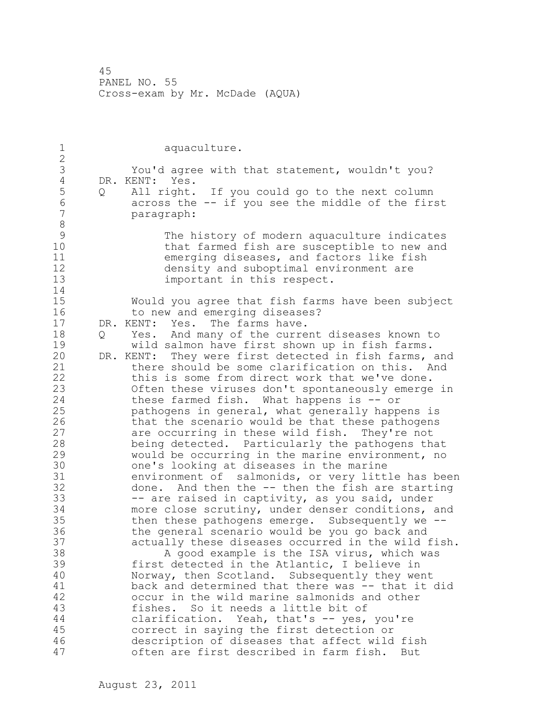| $\mathbf 1$                                                                                                                                       | aquaculture.                                                                                                                                                                                                                                                                                                                                                                                                                                                                                                                                                                                                                                                                                                                                                                                                                                                                                                                                                                                                                                                                                                                                                                       |
|---------------------------------------------------------------------------------------------------------------------------------------------------|------------------------------------------------------------------------------------------------------------------------------------------------------------------------------------------------------------------------------------------------------------------------------------------------------------------------------------------------------------------------------------------------------------------------------------------------------------------------------------------------------------------------------------------------------------------------------------------------------------------------------------------------------------------------------------------------------------------------------------------------------------------------------------------------------------------------------------------------------------------------------------------------------------------------------------------------------------------------------------------------------------------------------------------------------------------------------------------------------------------------------------------------------------------------------------|
| $\overline{2}$<br>3<br>$\sqrt{4}$                                                                                                                 | You'd agree with that statement, wouldn't you?<br>DR. KENT: Yes.                                                                                                                                                                                                                                                                                                                                                                                                                                                                                                                                                                                                                                                                                                                                                                                                                                                                                                                                                                                                                                                                                                                   |
| 5<br>Q<br>$6\phantom{.}6$<br>$\overline{7}$<br>8                                                                                                  | All right. If you could go to the next column<br>across the -- if you see the middle of the first<br>paragraph:                                                                                                                                                                                                                                                                                                                                                                                                                                                                                                                                                                                                                                                                                                                                                                                                                                                                                                                                                                                                                                                                    |
| 9<br>10<br>11<br>12<br>13<br>14                                                                                                                   | The history of modern aquaculture indicates<br>that farmed fish are susceptible to new and<br>emerging diseases, and factors like fish<br>density and suboptimal environment are<br>important in this respect.                                                                                                                                                                                                                                                                                                                                                                                                                                                                                                                                                                                                                                                                                                                                                                                                                                                                                                                                                                     |
| 15<br>16                                                                                                                                          | Would you agree that fish farms have been subject<br>to new and emerging diseases?                                                                                                                                                                                                                                                                                                                                                                                                                                                                                                                                                                                                                                                                                                                                                                                                                                                                                                                                                                                                                                                                                                 |
| 17<br>18<br>Q<br>19<br>20<br>21<br>22<br>23<br>24<br>25<br>26<br>27<br>28<br>29<br>30<br>31<br>32<br>33<br>34<br>35<br>36<br>37<br>38<br>39<br>40 | DR. KENT: Yes. The farms have.<br>Yes. And many of the current diseases known to<br>wild salmon have first shown up in fish farms.<br>DR. KENT: They were first detected in fish farms, and<br>there should be some clarification on this. And<br>this is some from direct work that we've done.<br>Often these viruses don't spontaneously emerge in<br>these farmed fish. What happens is -- or<br>pathogens in general, what generally happens is<br>that the scenario would be that these pathogens<br>are occurring in these wild fish. They're not<br>being detected. Particularly the pathogens that<br>would be occurring in the marine environment, no<br>one's looking at diseases in the marine<br>environment of salmonids, or very little has been<br>done. And then the -- then the fish are starting<br>-- are raised in captivity, as you said, under<br>more close scrutiny, under denser conditions, and<br>then these pathogens emerge. Subsequently we --<br>the general scenario would be you go back and<br>actually these diseases occurred in the wild fish.<br>A good example is the ISA virus, which was<br>first detected in the Atlantic, I believe in |
| 41<br>42                                                                                                                                          | Norway, then Scotland. Subsequently they went<br>back and determined that there was -- that it did<br>occur in the wild marine salmonids and other                                                                                                                                                                                                                                                                                                                                                                                                                                                                                                                                                                                                                                                                                                                                                                                                                                                                                                                                                                                                                                 |
| 43<br>44                                                                                                                                          | fishes. So it needs a little bit of<br>clarification. Yeah, that's -- yes, you're                                                                                                                                                                                                                                                                                                                                                                                                                                                                                                                                                                                                                                                                                                                                                                                                                                                                                                                                                                                                                                                                                                  |
| 45<br>46<br>47                                                                                                                                    | correct in saying the first detection or<br>description of diseases that affect wild fish<br>often are first described in farm fish.<br>But                                                                                                                                                                                                                                                                                                                                                                                                                                                                                                                                                                                                                                                                                                                                                                                                                                                                                                                                                                                                                                        |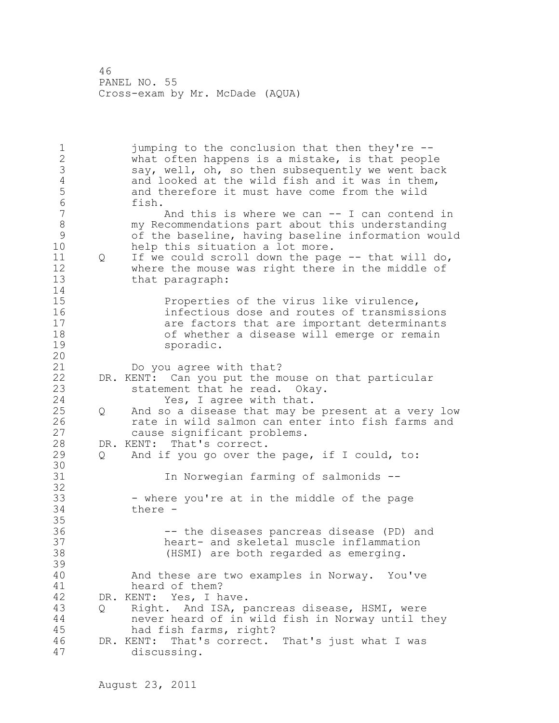1 jumping to the conclusion that then they're --2 what often happens is a mistake, is that people 3 say, well, oh, so then subsequently we went back<br>4 and looked at the wild fish and it was in them, 4 and looked at the wild fish and it was in them,<br>5 and therefore it must have come from the wild 5 and therefore it must have come from the wild<br>6 fish. 6 fish. And this is where we can  $--$  I can contend in 8 my Recommendations part about this understanding 9 of the baseline, having baseline information would help this situation a lot more. 11 Q If we could scroll down the page -- that will do, 12 where the mouse was right there in the middle of 13 that paragraph: 14 15 Properties of the virus like virulence, 16 infectious dose and routes of transmissions 17 are factors that are important determinants 18 of whether a disease will emerge or remain 19 sporadic. 20 21 Do you agree with that? 22 DR. KENT: Can you put the mouse on that particular 23 statement that he read. Okay. 24 Yes, I agree with that. 25 Q And so a disease that may be present at a very low 26 rate in wild salmon can enter into fish farms and<br>27 cause significant problems. cause significant problems. 28 DR. KENT: That's correct. 29 Q And if you go over the page, if I could, to: 30<br>31 In Norwegian farming of salmonids --32 33 - where you're at in the middle of the page 34 there - 35 36 -- the diseases pancreas disease (PD) and 37 heart- and skeletal muscle inflammation 38 (HSMI) are both regarded as emerging. 39 40 And these are two examples in Norway. You've 41 heard of them?<br>42 DR. KENT: Yes, I h. DR. KENT: Yes, I have. 43 Q Right. And ISA, pancreas disease, HSMI, were 44 never heard of in wild fish in Norway until they 45 had fish farms, right? 46 DR. KENT: That's correct. That's just what I was 47 discussing.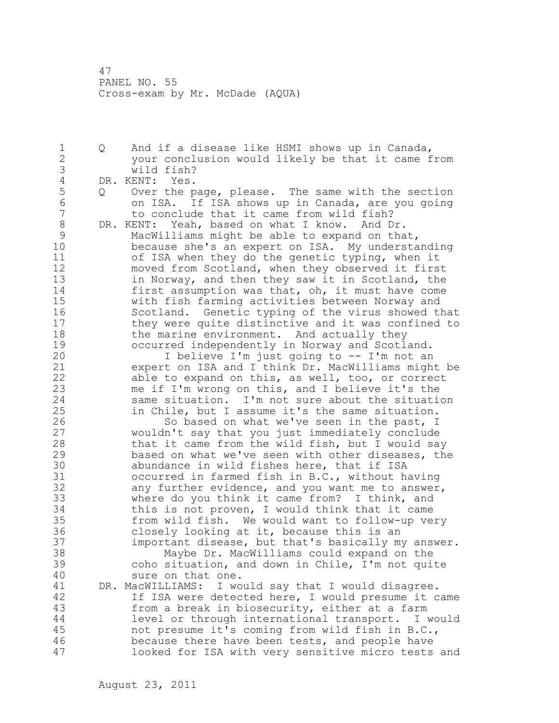1 Q And if a disease like HSMI shows up in Canada, 2 your conclusion would likely be that it came from 3 wild fish?<br>4 DR. KENT: Yes. 4 DR. KENT: Yes.<br>5 0 Over the p 5 Q Over the page, please. The same with the section<br>6 0 0 0 0 0 1 SA. If ISA shows up in Canada, are you going 6 on ISA. If ISA shows up in Canada, are you going to conclude that it came from wild fish? 8 DR. KENT: Yeah, based on what I know. And Dr.<br>9 MacWilliams might be able to expand on tha 9 MacWilliams might be able to expand on that,<br>10 because she's an expert on ISA. My understa because she's an expert on ISA. My understanding 11 of ISA when they do the genetic typing, when it 12 moved from Scotland, when they observed it first 13 in Norway, and then they saw it in Scotland, the 14 first assumption was that, oh, it must have come 15 with fish farming activities between Norway and 16 Scotland. Genetic typing of the virus showed that 17 they were quite distinctive and it was confined to 18 the marine environment. And actually they 19 occurred independently in Norway and Scotland.<br>20 1 believe I'm just going to -- I'm not an I believe I'm just going to  $-$ - I'm not an 21 expert on ISA and I think Dr. MacWilliams might be 22 able to expand on this, as well, too, or correct 23 me if I'm wrong on this, and I believe it's the 24 same situation. I'm not sure about the situation 25 in Chile, but I assume it's the same situation. 26 So based on what we've seen in the past, I<br>27 wouldn't say that you just immediately conclude wouldn't say that you just immediately conclude 28 that it came from the wild fish, but I would say 29 based on what we've seen with other diseases, the 30 abundance in wild fishes here, that if ISA<br>31 occurred in farmed fish in B.C., without h occurred in farmed fish in B.C., without having 32 any further evidence, and you want me to answer, 33 where do you think it came from? I think, and 34 this is not proven, I would think that it came 35 from wild fish. We would want to follow-up very 36 closely looking at it, because this is an 37 important disease, but that's basically my answer. 38 Maybe Dr. MacWilliams could expand on the 39 coho situation, and down in Chile, I'm not quite 40 sure on that one. 41 DR. MacWILLIAMS: I would say that I would disagree.<br>42 If ISA were detected here, I would presume it c If ISA were detected here, I would presume it came 43 from a break in biosecurity, either at a farm 44 level or through international transport. I would 45 not presume it's coming from wild fish in B.C., 46 because there have been tests, and people have 47 looked for ISA with very sensitive micro tests and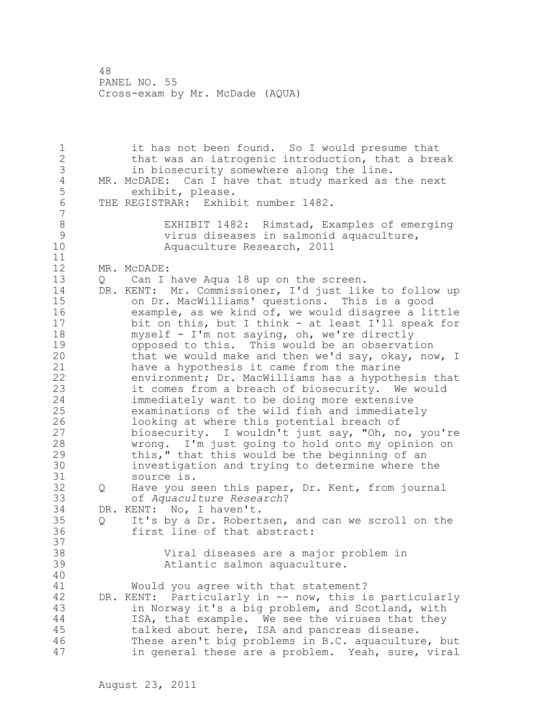1 it has not been found. So I would presume that 2 that was an iatrogenic introduction, that a break 3 in biosecurity somewhere along the line.<br>4 MR. McDADE: Can I have that study marked as 4 MR. McDADE: Can I have that study marked as the next<br>5 exhibit, please. 5 exhibit, please.<br>6 THE REGISTRAR: Exhib THE REGISTRAR: Exhibit number 1482. 7 8 EXHIBIT 1482: Rimstad, Examples of emerging<br>9 virus diseases in salmonid aquaculture, 9 virus diseases in salmonid aquaculture, Aquaculture Research, 2011 11 12 MR. McDADE: 13 Q Can I have Aqua 18 up on the screen. 14 DR. KENT: Mr. Commissioner, I'd just like to follow up 15 on Dr. MacWilliams' questions. This is a good 16 example, as we kind of, we would disagree a little 17 bit on this, but I think - at least I'll speak for 18 myself - I'm not saying, oh, we're directly 19 opposed to this. This would be an observation<br>20 that we would make and then we'd say, okay, no that we would make and then we'd say, okay, now, I 21 have a hypothesis it came from the marine 22 environment; Dr. MacWilliams has a hypothesis that 23 it comes from a breach of biosecurity. We would 24 immediately want to be doing more extensive 25 examinations of the wild fish and immediately 26 looking at where this potential breach of<br>27 biosecurity. I wouldn't just say, "Oh, n biosecurity. I wouldn't just say, "Oh, no, you're 28 wrong. I'm just going to hold onto my opinion on 29 this," that this would be the beginning of an 30 investigation and trying to determine where the source is. 32 Q Have you seen this paper, Dr. Kent, from journal 33 of *Aquaculture Research*? 34 DR. KENT: No, I haven't. 35 Q It's by a Dr. Robertsen, and can we scroll on the 36 first line of that abstract: 37 38 Viral diseases are a major problem in 39 Atlantic salmon aquaculture. 40 41 Would you agree with that statement?<br>42 DR. KENT: Particularly in -- now, this i DR. KENT: Particularly in -- now, this is particularly 43 in Norway it's a big problem, and Scotland, with 44 ISA, that example. We see the viruses that they 45 talked about here, ISA and pancreas disease. 46 These aren't big problems in B.C. aquaculture, but 47 in general these are a problem. Yeah, sure, viral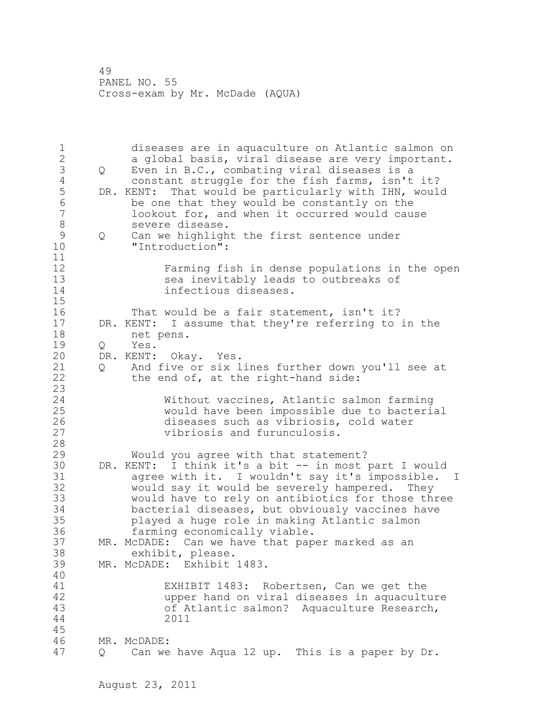1 diseases are in aquaculture on Atlantic salmon on 2 a global basis, viral disease are very important. 3 Q Even in B.C., combating viral diseases is a<br>4 constant struggle for the fish farms, isn't 4 constant struggle for the fish farms, isn't it?<br>5 DR. KENT: That would be particularly with IHN, woul 5 DR. KENT: That would be particularly with IHN, would<br>6 be one that they would be constantly on the 6 be one that they would be constantly on the lookout for, and when it occurred would cause 8 severe disease. 9 Q Can we highlight the first sentence under<br>10 Tintroduction": "Introduction": 11 12 Farming fish in dense populations in the open 13 sea inevitably leads to outbreaks of 14 infectious diseases. 15 16 That would be a fair statement, isn't it? 17 DR. KENT: I assume that they're referring to in the 18 net pens. 19 Q Yes.<br>20 DR. KENT: DR. KENT: Okay. Yes. 21 Q And five or six lines further down you'll see at 22 the end of, at the right-hand side: 23 24 Without vaccines, Atlantic salmon farming 25 would have been impossible due to bacterial 26 diseases such as vibriosis, cold water<br>27 vibriosis and furunculosis. vibriosis and furunculosis. 28 29 Would you agree with that statement? 30 DR. KENT: I think it's a bit -- in most part I would 31 agree with it. I wouldn't say it's impossible. I<br>32 would say it would be severely hampered. They would say it would be severely hampered. They 33 would have to rely on antibiotics for those three 34 bacterial diseases, but obviously vaccines have 35 played a huge role in making Atlantic salmon 36 farming economically viable. 37 MR. McDADE: Can we have that paper marked as an 38 exhibit, please. 39 MR. McDADE: Exhibit 1483. 40 41 EXHIBIT 1483: Robertsen, Can we get the upper hand on viral diseases in aquaculture 43 of Atlantic salmon? Aquaculture Research, 44 2011 45 46 MR. McDADE: 47 Q Can we have Aqua 12 up. This is a paper by Dr.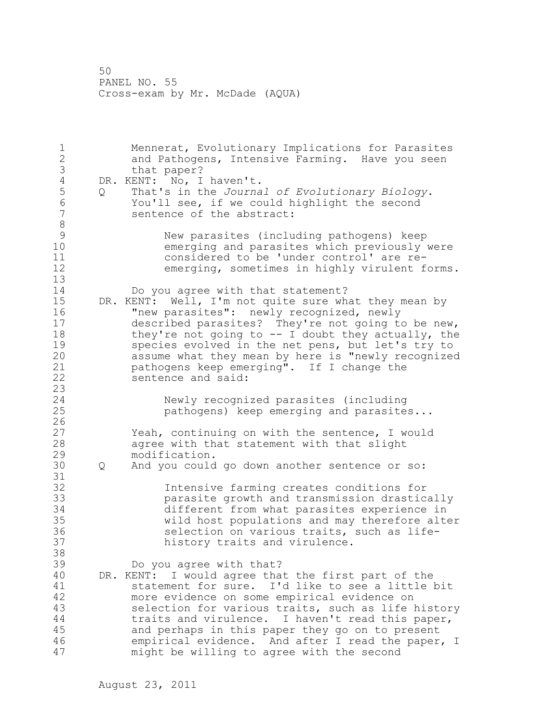1 Mennerat, Evolutionary Implications for Parasites 2 and Pathogens, Intensive Farming. Have you seen 3 that paper?<br>4 DR. KENT: No, I 4 DR. KENT: No, I haven't.<br>5 Q That's in the Journa 5 Q That's in the *Journal of Evolutionary Biology*. 6 You'll see, if we could highlight the second sentence of the abstract: 8 9 New parasites (including pathogens) keep emerging and parasites which previously were 11 considered to be 'under control' are re-12 emerging, sometimes in highly virulent forms. 13 14 Do you agree with that statement? 15 DR. KENT: Well, I'm not quite sure what they mean by 16 "new parasites": newly recognized, newly 17 described parasites? They're not going to be new, 18 they're not going to -- I doubt they actually, the 19 species evolved in the net pens, but let's try to<br>20 assume what they mean by here is "newly recognized assume what they mean by here is "newly recognized 21 pathogens keep emerging". If I change the 22 sentence and said: 23 24 Newly recognized parasites (including 25 pathogens) keep emerging and parasites...  $\frac{26}{27}$ Yeah, continuing on with the sentence, I would 28 agree with that statement with that slight 29 modification. 30 Q And you could go down another sentence or so: 31<br>32 Intensive farming creates conditions for 33 parasite growth and transmission drastically 34 different from what parasites experience in 35 wild host populations and may therefore alter 36 selection on various traits, such as life-37 history traits and virulence. 38 39 Do you agree with that? 40 DR. KENT: I would agree that the first part of the 41 statement for sure. I'd like to see a little bit<br>42 more evidence on some empirical evidence on more evidence on some empirical evidence on 43 selection for various traits, such as life history 44 traits and virulence. I haven't read this paper, 45 and perhaps in this paper they go on to present 46 empirical evidence. And after I read the paper, I 47 might be willing to agree with the second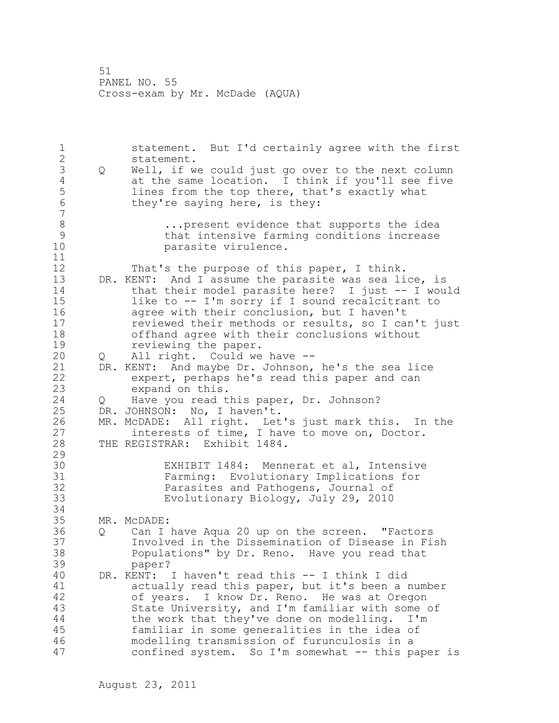1 statement. But I'd certainly agree with the first 2 statement. 3 Q Well, if we could just go over to the next column<br>4 at the same location. I think if you'll see five 4 at the same location. I think if you'll see five<br>5 lines from the top there, that's exactly what 5 lines from the top there, that's exactly what<br>6 they're saving here, is they: they're saying here, is they: 7 8 ...present evidence that supports the idea<br>9 ...that intensive farming conditions increase 9 that intensive farming conditions increase<br>10 sarasite virulence. parasite virulence. 11 12 That's the purpose of this paper, I think. 13 DR. KENT: And I assume the parasite was sea lice, is 14 that their model parasite here? I just -- I would 15 like to -- I'm sorry if I sound recalcitrant to 16 agree with their conclusion, but I haven't 17 reviewed their methods or results, so I can't just 18 offhand agree with their conclusions without 19 reviewing the paper.<br>20 0 All right. Could we 20 Q All right. Could we have -- 21 DR. KENT: And maybe Dr. Johnson, he's the sea lice 22 expert, perhaps he's read this paper and can 23 expand on this. 24 Q Have you read this paper, Dr. Johnson? 25 DR. JOHNSON: No, I haven't. 26 MR. McDADE: All right. Let's just mark this. In the<br>27 interests of time, I have to move on, Doctor. interests of time, I have to move on, Doctor. 28 THE REGISTRAR: Exhibit 1484. 29 30 EXHIBIT 1484: Mennerat et al, Intensive 31 Farming: Evolutionary Implications for Parasites and Pathogens, Journal of 33 Evolutionary Biology, July 29, 2010 34 35 MR. McDADE: 36 Q Can I have Aqua 20 up on the screen. "Factors 37 Involved in the Dissemination of Disease in Fish 38 Populations" by Dr. Reno. Have you read that 39 paper? 40 DR. KENT: I haven't read this -- I think I did 41 actually read this paper, but it's been a number<br>42 of vears. I know Dr. Reno. He was at Oregon of years. I know Dr. Reno. He was at Oregon 43 State University, and I'm familiar with some of 44 the work that they've done on modelling. I'm 45 familiar in some generalities in the idea of 46 modelling transmission of furunculosis in a 47 confined system. So I'm somewhat -- this paper is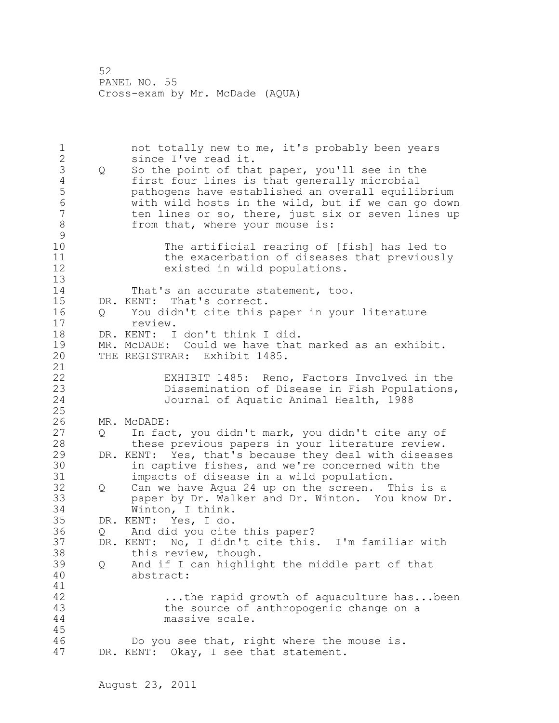1 not totally new to me, it's probably been years 2 since I've read it. 3 Q So the point of that paper, you'll see in the<br>4 first four lines is that generally microbial 4 first four lines is that generally microbial<br>5 bathogens have established an overall equili! 5 pathogens have established an overall equilibrium 6 with wild hosts in the wild, but if we can go down ten lines or so, there, just six or seven lines up 8 from that, where your mouse is:  $\begin{array}{c} 9 \\ 10 \end{array}$ The artificial rearing of [fish] has led to 11 the exacerbation of diseases that previously 12 existed in wild populations. 13 14 That's an accurate statement, too. 15 DR. KENT: That's correct. 16 Q You didn't cite this paper in your literature 17 review. 18 DR. KENT: I don't think I did. 19 MR. McDADE: Could we have that marked as an exhibit.<br>20 THE REGISTRAR: Exhibit 1485. THE REGISTRAR: Exhibit 1485. 21 22 EXHIBIT 1485: Reno, Factors Involved in the 23 Dissemination of Disease in Fish Populations,<br>24 Journal of Aquatic Animal Health, 1988 Journal of Aquatic Animal Health, 1988 25 26 MR. McDADE:<br>27 Q In fac In fact, you didn't mark, you didn't cite any of 28 these previous papers in your literature review. 29 DR. KENT: Yes, that's because they deal with diseases 30 in captive fishes, and we're concerned with the<br>31 impacts of disease in a wild population. 31 impacts of disease in a wild population.<br>32 0 Can we have Agua 24 up on the screen. T 32 Q Can we have Aqua 24 up on the screen. This is a 33 paper by Dr. Walker and Dr. Winton. You know Dr. 34 Winton, I think. 35 DR. KENT: Yes, I do. 36 Q And did you cite this paper? 37 DR. KENT: No, I didn't cite this. I'm familiar with 38 this review, though. 39 Q And if I can highlight the middle part of that 40 abstract: 41<br>42 ...the rapid growth of aquaculture has...been 43 the source of anthropogenic change on a 44 massive scale. 45 46 Do you see that, right where the mouse is. 47 DR. KENT: Okay, I see that statement.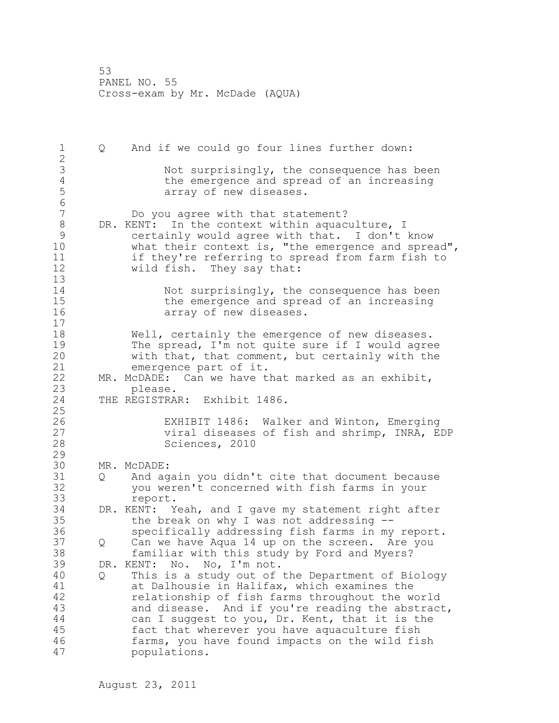1 Q And if we could go four lines further down: 2 3 Not surprisingly, the consequence has been<br>4 the emergence and spread of an increasing 4 the emergence and spread of an increasing<br>5 array of new diseases. array of new diseases. 6 Do you agree with that statement? 8 DR. KENT: In the context within aquaculture, I<br>9 certainly would agree with that. I don't 9 certainly would agree with that. I don't know what their context is, "the emergence and spread", 11 if they're referring to spread from farm fish to<br>12 wild fish. They say that: 12 wild fish. They say that: 13 14 Not surprisingly, the consequence has been 15 the emergence and spread of an increasing 16 array of new diseases. 17 18 Well, certainly the emergence of new diseases. 19 The spread, I'm not quite sure if I would agree<br>20 with that, that comment, but certainly with the with that, that comment, but certainly with the 21 emergence part of it. 22 MR. McDADE: Can we have that marked as an exhibit, 23 please. 24 THE REGISTRAR: Exhibit 1486. 25 26 EXHIBIT 1486: Walker and Winton, Emerging<br>27 biral diseases of fish and shrimp, INRA, E viral diseases of fish and shrimp, INRA, EDP 28 Sciences, 2010 29 30 MR. McDADE:<br>31 0 And ag Q And again you didn't cite that document because 32 you weren't concerned with fish farms in your 33 report. 34 DR. KENT: Yeah, and I gave my statement right after 35 the break on why I was not addressing -- 36 specifically addressing fish farms in my report. 37 Q Can we have Aqua 14 up on the screen. Are you 38 familiar with this study by Ford and Myers? 39 DR. KENT: No. No, I'm not. 40 Q This is a study out of the Department of Biology 41 at Dalhousie in Halifax, which examines the<br>42 and the relationship of fish farms throughout the w relationship of fish farms throughout the world 43 and disease. And if you're reading the abstract, 44 can I suggest to you, Dr. Kent, that it is the 45 fact that wherever you have aquaculture fish 46 farms, you have found impacts on the wild fish 47 populations.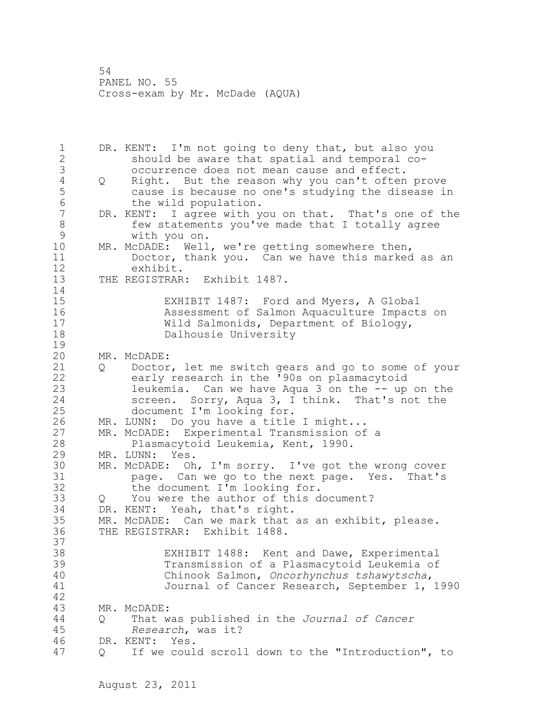1 DR. KENT: I'm not going to deny that, but also you 2 should be aware that spatial and temporal co-3 occurrence does not mean cause and effect.<br>4 0 Right. But the reason why you can't often 4 Q Right. But the reason why you can't often prove<br>5 cause is because no one's studying the disease in 5 cause is because no one's studying the disease in 6 the wild population.<br>7 DR. KENT: I agree with v DR. KENT: I agree with you on that. That's one of the 8 few statements you've made that I totally agree<br>9 with you on. 9 with you on.<br>10 MR. McDADE: Well MR. McDADE: Well, we're getting somewhere then, 11 Doctor, thank you. Can we have this marked as an 12 exhibit. 13 THE REGISTRAR: Exhibit 1487. 14 15 EXHIBIT 1487: Ford and Myers, A Global 16 Assessment of Salmon Aquaculture Impacts on 17 Wild Salmonids, Department of Biology, 18 Dalhousie University  $\frac{19}{20}$ MR. McDADE: 21 Q Doctor, let me switch gears and go to some of your 22 early research in the '90s on plasmacytoid 23 leukemia. Can we have Aqua 3 on the -- up on the 24 screen. Sorry, Aqua 3, I think. That's not the 25 document I'm looking for. 26 MR. LUNN: Do you have a title I might...<br>27 MR. McDADE: Experimental Transmission of MR. McDADE: Experimental Transmission of a 28 Plasmacytoid Leukemia, Kent, 1990. 29 MR. LUNN: Yes. 30 MR. McDADE: Oh, I'm sorry. I've got the wrong cover 31 page. Can we go to the next page. Yes. That's<br>32 the document I'm looking for. the document I'm looking for. 33 Q You were the author of this document? 34 DR. KENT: Yeah, that's right. 35 MR. McDADE: Can we mark that as an exhibit, please. 36 THE REGISTRAR: Exhibit 1488. 37 38 EXHIBIT 1488: Kent and Dawe, Experimental 39 Transmission of a Plasmacytoid Leukemia of 40 Chinook Salmon, *Oncorhynchus tshawytscha*, 41 Journal of Cancer Research, September 1, 1990 42 43 MR. McDADE: 44 Q That was published in the *Journal of Cancer*  45 *Research*, was it? 46 DR. KENT: Yes. 47 Q If we could scroll down to the "Introduction", to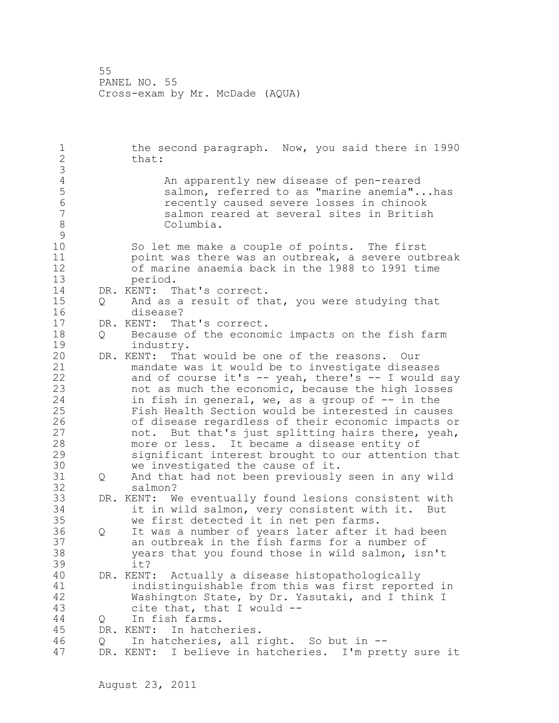1 the second paragraph. Now, you said there in 1990 2 that: 3 4 An apparently new disease of pen-reared<br>5 Salmon, referred to as "marine anemia". 5 salmon, referred to as "marine anemia"...has 6 recently caused severe losses in chinook salmon reared at several sites in British 8 Columbia.  $\begin{array}{c} 9 \\ 10 \end{array}$ So let me make a couple of points. The first 11 point was there was an outbreak, a severe outbreak 12 of marine anaemia back in the 1988 to 1991 time 13 period. 14 DR. KENT: That's correct. 15 Q And as a result of that, you were studying that 16 disease? 17 DR. KENT: That's correct. 18 Q Because of the economic impacts on the fish farm 19 industry.<br>20 DR. KENT: Tha DR. KENT: That would be one of the reasons. Our 21 mandate was it would be to investigate diseases 22 and of course it's -- yeah, there's -- I would say 23 not as much the economic, because the high losses 24 in fish in general, we, as a group of  $-$  in the 25 Fish Health Section would be interested in causes 26 of disease regardless of their economic impacts or<br>27 hot. But that's just splitting hairs there, yeah, not. But that's just splitting hairs there, yeah, 28 more or less. It became a disease entity of 29 significant interest brought to our attention that 30 we investigated the cause of it.<br>31 0 And that had not been previously Q and that had not been previously seen in any wild 32 salmon? 33 DR. KENT: We eventually found lesions consistent with 34 it in wild salmon, very consistent with it. But 35 we first detected it in net pen farms. 36 Q It was a number of years later after it had been 37 an outbreak in the fish farms for a number of 38 years that you found those in wild salmon, isn't 39 it? 40 DR. KENT: Actually a disease histopathologically 41 indistinguishable from this was first reported in<br>42 Washington State, by Dr. Yasutaki, and I think I Washington State, by Dr. Yasutaki, and I think I 43 cite that, that I would -- 44 Q In fish farms. 45 DR. KENT: In hatcheries. 46 Q In hatcheries, all right. So but in -- 47 DR. KENT: I believe in hatcheries. I'm pretty sure it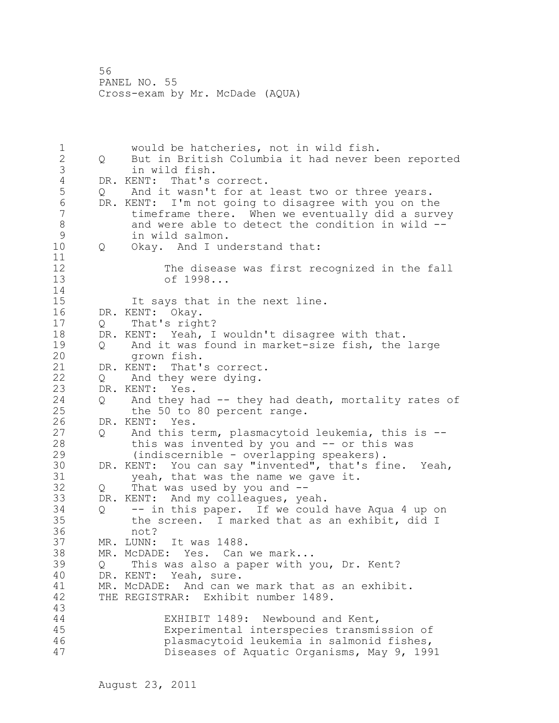1 would be hatcheries, not in wild fish. 2 Q But in British Columbia it had never been reported 3 in wild fish.<br>4 DR. KENT: That's 4 DR. KENT: That's correct.<br>5 Q And it wasn't for at 5 Q And it wasn't for at least two or three years.<br>6 DR. KENT: I'm not going to disagree with you on th 6 DR. KENT: I'm not going to disagree with you on the timeframe there. When we eventually did a survey 8 and were able to detect the condition in wild --<br>9 in wild salmon. 9 in wild salmon.<br>10 0 Okav. And I un 10 Q Okay. And I understand that: 11 12 The disease was first recognized in the fall<br>13 of 1998... of 1998... 14 15 It says that in the next line. 16 DR. KENT: Okay. 17 Q That's right? 18 DR. KENT: Yeah, I wouldn't disagree with that. 19 Q And it was found in market-size fish, the large<br>20 drown fish. grown fish. 21 DR. KENT: That's correct. 22 Q And they were dying. 23 DR. KENT: Yes. 24 Q And they had -- they had death, mortality rates of 25 the 50 to 80 percent range. 26 DR. KENT: Yes.<br>27 0 And this t 27 Q And this term, plasmacytoid leukemia, this is --<br>28 this was invented by you and -- or this was this was invented by you and  $-$  or this was 29 (indiscernible - overlapping speakers). 30 DR. KENT: You can say "invented", that's fine. Yeah,<br>31 veah, that was the name we gave it. 31 yeah, that was the name we gave it.<br> $32 \tQ$  That was used by you and  $-$ 32 Q That was used by you and -- 33 DR. KENT: And my colleagues, yeah. 34 Q -- in this paper. If we could have Aqua 4 up on 35 the screen. I marked that as an exhibit, did I 36 not? 37 MR. LUNN: It was 1488. 38 MR. McDADE: Yes. Can we mark... 39 Q This was also a paper with you, Dr. Kent? 40 DR. KENT: Yeah, sure. 41 MR. McDADE: And can we mark that as an exhibit.<br>42 THE REGISTRAR: Exhibit number 1489. THE REGISTRAR: Exhibit number 1489. 43 44 EXHIBIT 1489: Newbound and Kent, 45 Experimental interspecies transmission of 46 plasmacytoid leukemia in salmonid fishes, 47 Diseases of Aquatic Organisms, May 9, 1991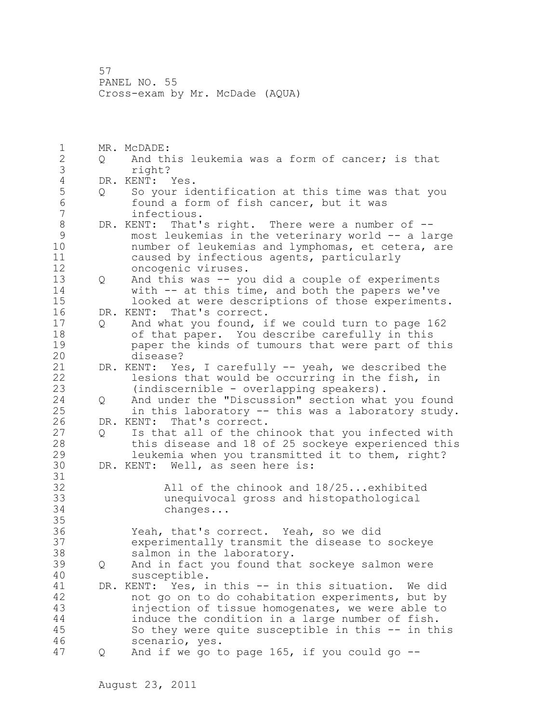1 MR. McDADE: 2 Q And this leukemia was a form of cancer; is that 3 right?<br>4 DR. KENT: 4 DR. KENT: Yes.<br>5 0 So your id 5 Q So your identification at this time was that you 6 found a form of fish cancer, but it was 7 infectious. 8 DR. KENT: That's right. There were a number of --9 most leukemias in the veterinary world -- a large<br>10 mumber of leukemias and lymphomas, et cetera, are number of leukemias and lymphomas, et cetera, are 11 caused by infectious agents, particularly 12 oncogenic viruses. 13 Q And this was -- you did a couple of experiments 14 with -- at this time, and both the papers we've 15 looked at were descriptions of those experiments. 16 DR. KENT: That's correct. 17 Q And what you found, if we could turn to page 162 18 of that paper. You describe carefully in this 19 **paper the kinds of tumours that were part of this**<br>20 disease? disease? 21 DR. KENT: Yes, I carefully -- yeah, we described the 22 lesions that would be occurring in the fish, in 23 (indiscernible - overlapping speakers). 24 Q And under the "Discussion" section what you found 25 in this laboratory -- this was a laboratory study. 26 DR. KENT: That's correct.<br>27 0 Is that all of the ch 27 Q Is that all of the chinook that you infected with 28 this disease and 18 of 25 sockeye experienced this 29 leukemia when you transmitted it to them, right? 30 DR. KENT: Well, as seen here is: 31<br>32 All of the chinook and 18/25...exhibited 33 unequivocal gross and histopathological 34 changes... 35 36 Yeah, that's correct. Yeah, so we did 37 experimentally transmit the disease to sockeye 38 salmon in the laboratory. 39 Q And in fact you found that sockeye salmon were 40 susceptible. 41 DR. KENT: Yes, in this -- in this situation. We did<br>42 hot go on to do cohabitation experiments, but by not go on to do cohabitation experiments, but by 43 injection of tissue homogenates, we were able to 44 induce the condition in a large number of fish. 45 So they were quite susceptible in this -- in this 46 scenario, yes. 47 Q And if we go to page 165, if you could go --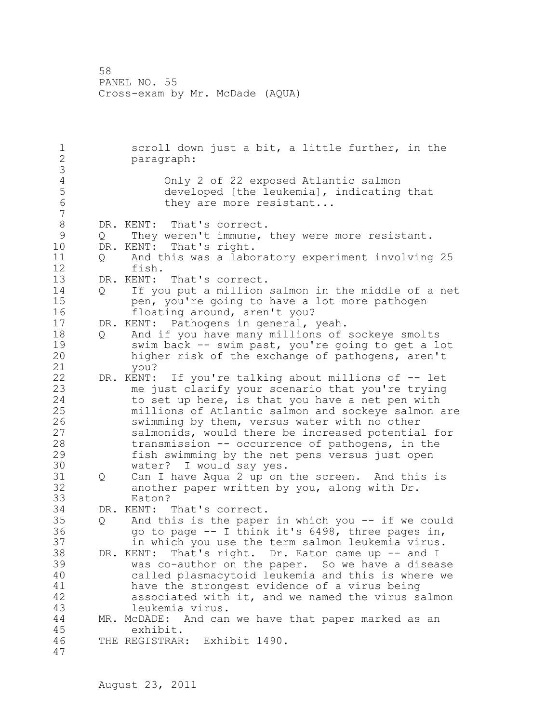1 scroll down just a bit, a little further, in the 2 paragraph: 3 4 Only 2 of 22 exposed Atlantic salmon<br>5 developed [the leukemia], indicating 5 developed [the leukemia], indicating that<br>6 they are more resistant... they are more resistant... 7 8 DR. KENT: That's correct.<br>9 0 They weren't immune, 9 Q They weren't immune, they were more resistant.<br>10 DR. KENT: That's right. DR. KENT: That's right. 11 Q And this was a laboratory experiment involving 25 12 fish. 13 DR. KENT: That's correct. 14 Q If you put a million salmon in the middle of a net 15 pen, you're going to have a lot more pathogen 16 floating around, aren't you? 17 DR. KENT: Pathogens in general, yeah. 18 Q And if you have many millions of sockeye smolts 19 swim back -- swim past, you're going to get a lot<br>20 higher risk of the exchange of pathogens, aren't higher risk of the exchange of pathogens, aren't 21 you? 22 DR. KENT: If you're talking about millions of -- let 23 me just clarify your scenario that you're trying 24 to set up here, is that you have a net pen with 25 millions of Atlantic salmon and sockeye salmon are 26 swimming by them, versus water with no other<br>27 salmonids, would there be increased potentia salmonids, would there be increased potential for 28 transmission -- occurrence of pathogens, in the 29 fish swimming by the net pens versus just open 30 water? I would say yes.<br>31 0 Can I have Aqua 2 up on 31 Q Can I have Aqua 2 up on the screen. And this is<br>32 another paper written by you, along with Dr. another paper written by you, along with Dr. 33 Eaton? 34 DR. KENT: That's correct. 35 Q And this is the paper in which you -- if we could 36 go to page -- I think it's 6498, three pages in, 37 in which you use the term salmon leukemia virus. 38 DR. KENT: That's right. Dr. Eaton came up -- and I 39 was co-author on the paper. So we have a disease 40 called plasmacytoid leukemia and this is where we 41 have the strongest evidence of a virus being<br>42 associated with it, and we named the virus s associated with it, and we named the virus salmon 43 leukemia virus. 44 MR. McDADE: And can we have that paper marked as an 45 exhibit. 46 THE REGISTRAR: Exhibit 1490. 47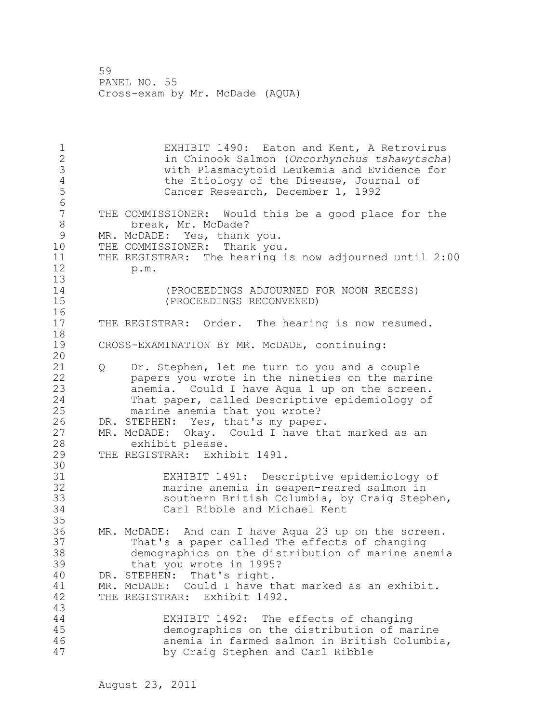1 EXHIBIT 1490: Eaton and Kent, A Retrovirus<br>2 1 in Chinook Salmon (Oncorhynchus tshawvtscha 2 in Chinook Salmon (*Oncorhynchus tshawytscha*) 3 with Plasmacytoid Leukemia and Evidence for 4 the Etiology of the Disease, Journal of<br>5 Cancer Research, December 1, 1992 Cancer Research, December 1, 1992 6<br>7 THE COMMISSIONER: Would this be a good place for the 8 break, Mr. McDade? 9 MR. McDADE: Yes, thank you.<br>10 THE COMMISSIONER: Thank you THE COMMISSIONER: Thank you. 11 THE REGISTRAR: The hearing is now adjourned until 2:00 12 p.m. 13 14 (PROCEEDINGS ADJOURNED FOR NOON RECESS) 15 (PROCEEDINGS RECONVENED)  $\frac{16}{17}$ THE REGISTRAR: Order. The hearing is now resumed. 18 19 CROSS-EXAMINATION BY MR. McDADE, continuing: 20 21 Q Dr. Stephen, let me turn to you and a couple 22 papers you wrote in the nineties on the marine 23 anemia. Could I have Aqua 1 up on the screen. 24 That paper, called Descriptive epidemiology of 25 marine anemia that you wrote? 26 DR. STEPHEN: Yes, that's my paper.<br>27 MR. McDADE: Okay. Could I have th 27 MR. McDADE: Okay. Could I have that marked as an exhibit please. exhibit please. 29 THE REGISTRAR: Exhibit 1491. 30<br>31 31 EXHIBIT 1491: Descriptive epidemiology of marine anemia in seapen-reared salmon in 33 southern British Columbia, by Craig Stephen, 34 Carl Ribble and Michael Kent 35 36 MR. McDADE: And can I have Aqua 23 up on the screen. 37 That's a paper called The effects of changing 38 demographics on the distribution of marine anemia 39 that you wrote in 1995? 40 DR. STEPHEN: That's right. 41 MR. McDADE: Could I have that marked as an exhibit.<br>42 THE REGISTRAR: Exhibit 1492. THE REGISTRAR: Exhibit 1492. 43 44 EXHIBIT 1492: The effects of changing 45 demographics on the distribution of marine 46 anemia in farmed salmon in British Columbia, 47 by Craig Stephen and Carl Ribble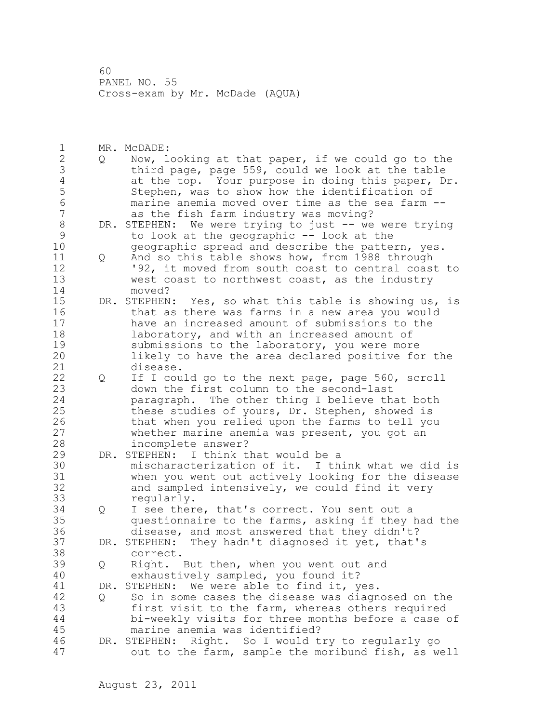1 MR. McDADE: 2 Q Now, looking at that paper, if we could go to the 3 third page, page 559, could we look at the table<br>4 at the top. Your purpose in doing this paper, D 4 at the top. Your purpose in doing this paper, Dr.<br>5 Stephen, was to show how the identification of 5 Stephen, was to show how the identification of 6 marine anemia moved over time as the sea farm - as the fish farm industry was moving? 8 DR. STEPHEN: We were trying to just -- we were trying<br>9 to look at the geographic -- look at the 9 to look at the geographic -- look at the geographic spread and describe the pattern, yes. 11 Q And so this table shows how, from 1988 through 12 '92, it moved from south coast to central coast to 13 west coast to northwest coast, as the industry 14 moved? 15 DR. STEPHEN: Yes, so what this table is showing us, is 16 that as there was farms in a new area you would 17 have an increased amount of submissions to the 18 **laboratory, and with an increased amount of** 19 submissions to the laboratory, you were more<br>20 1ikely to have the area declared positive fo likely to have the area declared positive for the 21 disease. 22 Q If I could go to the next page, page 560, scroll 23 down the first column to the second-last 24 paragraph. The other thing I believe that both 25 these studies of yours, Dr. Stephen, showed is 26 that when you relied upon the farms to tell you<br>27 whether marine anemia was present, you got an whether marine anemia was present, you got an 28 incomplete answer? 29 DR. STEPHEN: I think that would be a 30 mischaracterization of it. I think what we did is 31 when you went out actively looking for the disease<br>32 and sampled intensively, we could find it verv and sampled intensively, we could find it very 33 regularly. 34 Q I see there, that's correct. You sent out a 35 questionnaire to the farms, asking if they had the 36 disease, and most answered that they didn't? 37 DR. STEPHEN: They hadn't diagnosed it yet, that's 38 correct. 39 Q Right. But then, when you went out and 40 exhaustively sampled, you found it? 41 DR. STEPHEN: We were able to find it, yes.<br>42 O So in some cases the disease was diagn 42 Q So in some cases the disease was diagnosed on the 43 first visit to the farm, whereas others required 44 bi-weekly visits for three months before a case of 45 marine anemia was identified? 46 DR. STEPHEN: Right. So I would try to regularly go 47 out to the farm, sample the moribund fish, as well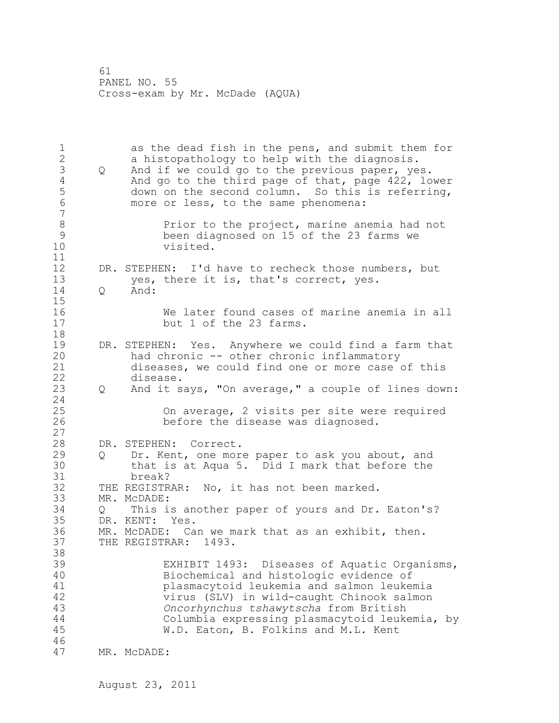1 as the dead fish in the pens, and submit them for 2 a histopathology to help with the diagnosis. 3 Q And if we could go to the previous paper, yes.<br>4 And go to the third page of that, page 422, lo 4 And go to the third page of that, page 422, lower<br>5 down on the second column. So this is referring, 5 down on the second column. So this is referring,<br>6 more or less, to the same phenomena: more or less, to the same phenomena: 7 8 Prior to the project, marine anemia had not<br>9 been diagnosed on 15 of the 23 farms we 9 been diagnosed on 15 of the 23 farms we visited. 11 12 DR. STEPHEN: I'd have to recheck those numbers, but 13 yes, there it is, that's correct, yes. 14 Q And: 15 16 We later found cases of marine anemia in all 17 but 1 of the 23 farms. 18 19 DR. STEPHEN: Yes. Anywhere we could find a farm that<br>20 had chronic -- other chronic inflammatory had chronic -- other chronic inflammatory 21 diseases, we could find one or more case of this 22 disease. 23 Q And it says, "On average," a couple of lines down: 24 25 On average, 2 visits per site were required 26 before the disease was diagnosed. 27 28 DR. STEPHEN: Correct. 29 Q Dr. Kent, one more paper to ask you about, and 30 that is at Aqua 5. Did I mark that before the 31 break? 32 THE REGISTRAR: No, it has not been marked. 33 MR. McDADE: 34 Q This is another paper of yours and Dr. Eaton's? 35 DR. KENT: Yes. 36 MR. McDADE: Can we mark that as an exhibit, then. 37 THE REGISTRAR: 1493. 38 39 EXHIBIT 1493: Diseases of Aquatic Organisms, 40 Biochemical and histologic evidence of 41 plasmacytoid leukemia and salmon leukemia virus (SLV) in wild-caught Chinook salmon 43 *Oncorhynchus tshawytscha* from British 44 Columbia expressing plasmacytoid leukemia, by 45 W.D. Eaton, B. Folkins and M.L. Kent 46 47 MR. McDADE: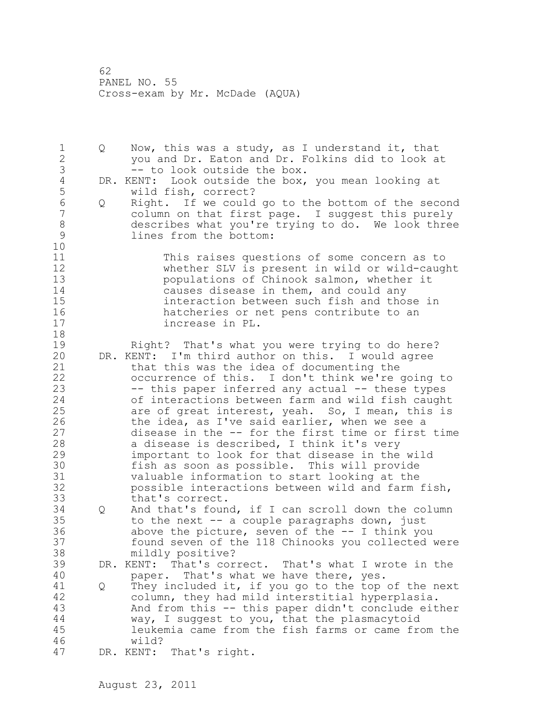1 Q Now, this was a study, as I understand it, that 2 you and Dr. Eaton and Dr. Folkins did to look at 3 -- to look outside the box.<br>4 DR. KENT: Look outside the box, 4 DR. KENT: Look outside the box, you mean looking at<br>5 wild fish, correct? 5 wild fish, correct?<br>6 0 Right. If we could 6 Q Right. If we could go to the bottom of the second column on that first page. I suggest this purely 8 describes what you're trying to do. We look three<br>9 lines from the bottom: lines from the bottom: 10 11 This raises questions of some concern as to 12 whether SLV is present in wild or wild-caught 13 populations of Chinook salmon, whether it 14 causes disease in them, and could any 15 interaction between such fish and those in<br>16 hatcheries or net pens contribute to an 16 hatcheries or net pens contribute to an increase in PL. increase in PL. 18 19 Right? That's what you were trying to do here?<br>20 DR. KENT: I'm third author on this. I would agree DR. KENT: I'm third author on this. I would agree 21 that this was the idea of documenting the 22 occurrence of this. I don't think we're going to 23 -- this paper inferred any actual -- these types 24 of interactions between farm and wild fish caught 25 are of great interest, yeah. So, I mean, this is 26 the idea, as I've said earlier, when we see a<br>27 disease in the -- for the first time or first disease in the -- for the first time or first time 28 a disease is described, I think it's very 29 important to look for that disease in the wild 30 fish as soon as possible. This will provide 31 valuable information to start looking at the possible interactions between wild and farm fish, 33 that's correct. 34 Q And that's found, if I can scroll down the column 35 to the next -- a couple paragraphs down, just 36 above the picture, seven of the -- I think you 37 found seven of the 118 Chinooks you collected were 38 mildly positive? 39 DR. KENT: That's correct. That's what I wrote in the 40 paper. That's what we have there, yes. 41 Q They included it, if you go to the top of the next<br>42 column, they had mild interstitial hyperplasia. column, they had mild interstitial hyperplasia. 43 And from this -- this paper didn't conclude either 44 way, I suggest to you, that the plasmacytoid 45 leukemia came from the fish farms or came from the 46 wild? 47 DR. KENT: That's right.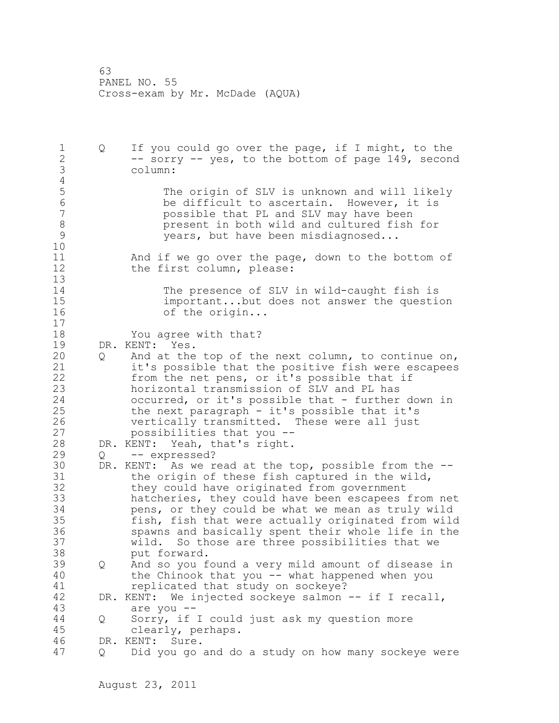1 Q If you could go over the page, if I might, to the 2 -- sorry -- yes, to the bottom of page 149, second 3 column:  $\frac{4}{5}$ 5 The origin of SLV is unknown and will likely<br>6 The difficult to ascertain. However, it is 6 be difficult to ascertain. However, it is<br>7 bossible that PL and SLV may have been 7 possible that PL and SLV may have been 8 betweent in both wild and cultured fish for an event in both wild and cultured fish for an event of  $\frac{9}{2}$ years, but have been misdiagnosed... 10 11 And if we go over the page, down to the bottom of 12 the first column, please: 13 14 The presence of SLV in wild-caught fish is 15 important...but does not answer the question 16 of the origin... 17 18 You agree with that? 19 DR. KENT: Yes. 20 Q And at the top of the next column, to continue on, 21 it's possible that the positive fish were escapees 22 from the net pens, or it's possible that if 23 horizontal transmission of SLV and PL has 24 occurred, or it's possible that - further down in 25 the next paragraph - it's possible that it's 26 vertically transmitted. These were all just<br>27 spossibilities that you -possibilities that you --28 DR. KENT: Yeah, that's right. 29 Q -- expressed? 30 DR. KENT: As we read at the top, possible from the --<br>31 the origin of these fish captured in the wild, the origin of these fish captured in the wild, 32 they could have originated from government 33 hatcheries, they could have been escapees from net 34 pens, or they could be what we mean as truly wild 35 fish, fish that were actually originated from wild 36 spawns and basically spent their whole life in the 37 wild. So those are three possibilities that we 38 put forward. 39 Q And so you found a very mild amount of disease in 40 the Chinook that you -- what happened when you 41 replicated that study on sockeye?<br>42 DR. KENT: We injected sockeve salmon DR. KENT: We injected sockeye salmon -- if I recall, 43 are you -- 44 Q Sorry, if I could just ask my question more 45 clearly, perhaps. 46 DR. KENT: Sure. 47 Q Did you go and do a study on how many sockeye were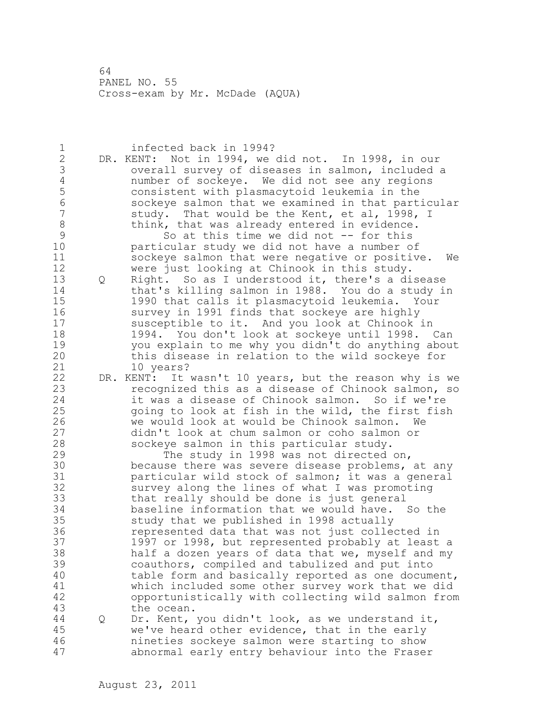| 1              |   | infected back in 1994?                                 |
|----------------|---|--------------------------------------------------------|
|                |   | DR. KENT: Not in 1994, we did not. In 1998, in our     |
| $\frac{2}{3}$  |   | overall survey of diseases in salmon, included a       |
| $\overline{4}$ |   | number of sockeye. We did not see any regions          |
| 5              |   | consistent with plasmacytoid leukemia in the           |
| 6              |   | sockeye salmon that we examined in that particular     |
| $\overline{7}$ |   |                                                        |
|                |   | study. That would be the Kent, et al, 1998, I          |
| 8              |   | think, that was already entered in evidence.           |
| $\mathcal{G}$  |   | So at this time we did not -- for this                 |
| 10             |   | particular study we did not have a number of           |
| 11             |   | sockeye salmon that were negative or positive.<br>We   |
| 12             |   | were just looking at Chinook in this study.            |
| 13             | Q | Right. So as I understood it, there's a disease        |
| 14             |   | that's killing salmon in 1988. You do a study in       |
| 15             |   | 1990 that calls it plasmacytoid leukemia. Your         |
| 16             |   | survey in 1991 finds that sockeye are highly           |
| 17             |   | susceptible to it. And you look at Chinook in          |
| 18             |   | 1994. You don't look at sockeye until 1998. Can        |
| 19             |   | you explain to me why you didn't do anything about     |
| 20             |   | this disease in relation to the wild sockeye for       |
| 21             |   | 10 years?                                              |
| 22             |   | DR. KENT: It wasn't 10 years, but the reason why is we |
| 23             |   | recognized this as a disease of Chinook salmon, so     |
| 24             |   |                                                        |
|                |   | it was a disease of Chinook salmon. So if we're        |
| 25             |   | going to look at fish in the wild, the first fish      |
| 26             |   | we would look at would be Chinook salmon.<br>We        |
| 27             |   | didn't look at chum salmon or coho salmon or           |
| 28             |   | sockeye salmon in this particular study.               |
| 29             |   | The study in 1998 was not directed on,                 |
| 30             |   | because there was severe disease problems, at any      |
| 31             |   | particular wild stock of salmon; it was a general      |
| 32             |   | survey along the lines of what I was promoting         |
| 33             |   | that really should be done is just general             |
| 34             |   | baseline information that we would have. So the        |
| 35             |   | study that we published in 1998 actually               |
| 36             |   | represented data that was not just collected in        |
| 37             |   | 1997 or 1998, but represented probably at least a      |
| 38             |   | half a dozen years of data that we, myself and my      |
| 39             |   | coauthors, compiled and tabulized and put into         |
| 40             |   | table form and basically reported as one document,     |
| 41             |   | which included some other survey work that we did      |
| 42             |   | opportunistically with collecting wild salmon from     |
| 43             |   | the ocean.                                             |
| 44             |   |                                                        |
|                | Q | Dr. Kent, you didn't look, as we understand it,        |
| 45             |   | we've heard other evidence, that in the early          |
| 46             |   | nineties sockeye salmon were starting to show          |
| 47             |   | abnormal early entry behaviour into the Fraser         |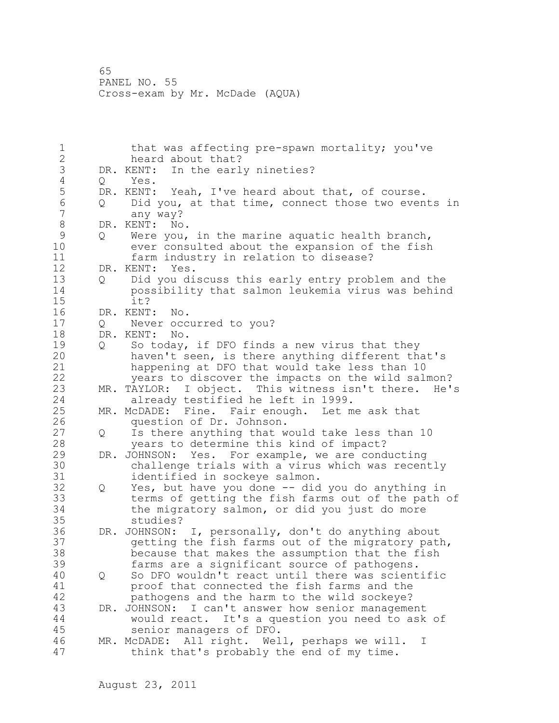65 PANEL NO. 55 Cross-exam by Mr. McDade (AQUA)

1 that was affecting pre-spawn mortality; you've 2 heard about that? 3 DR. KENT: In the early nineties?<br>4 0 Yes. 4 Q Yes.<br>5 DR.KENT: 5 DR. KENT: Yeah, I've heard about that, of course.<br>6 0 Did you, at that time, connect those two even 6  $Q$  Did you, at that time, connect those two events in  $\overline{Q}$ any way? 8 DR. KENT: No.<br>9 0 Were vou, 9 Q Were you, in the marine aquatic health branch,<br>10 ever consulted about the expansion of the fish ever consulted about the expansion of the fish 11 farm industry in relation to disease? 12 DR. KENT: Yes. 13 Q Did you discuss this early entry problem and the 14 possibility that salmon leukemia virus was behind 15 it? 16 DR. KENT: No. 17 Q Never occurred to you? 18 DR. KENT: No. 19 Q So today, if DFO finds a new virus that they<br>20 haven't seen, is there anything different the haven't seen, is there anything different that's 21 happening at DFO that would take less than 10 22 years to discover the impacts on the wild salmon? 23 MR. TAYLOR: I object. This witness isn't there. He's 24 already testified he left in 1999. 25 MR. McDADE: Fine. Fair enough. Let me ask that 26 question of Dr. Johnson.<br>27 Q Is there anything that w 27 Q Is there anything that would take less than 10 28 years to determine this kind of impact? 29 DR. JOHNSON: Yes. For example, we are conducting 30 challenge trials with a virus which was recently identified in sockeye salmon. 32 Q Yes, but have you done -- did you do anything in 33 terms of getting the fish farms out of the path of 34 the migratory salmon, or did you just do more 35 studies? 36 DR. JOHNSON: I, personally, don't do anything about 37 getting the fish farms out of the migratory path, 38 because that makes the assumption that the fish 39 farms are a significant source of pathogens. 40 Q So DFO wouldn't react until there was scientific 41 proof that connected the fish farms and the 42 pathogens and the harm to the wild sockeye? 43 DR. JOHNSON: I can't answer how senior management 44 would react. It's a question you need to ask of 45 senior managers of DFO. 46 MR. McDADE: All right. Well, perhaps we will. I 47 think that's probably the end of my time.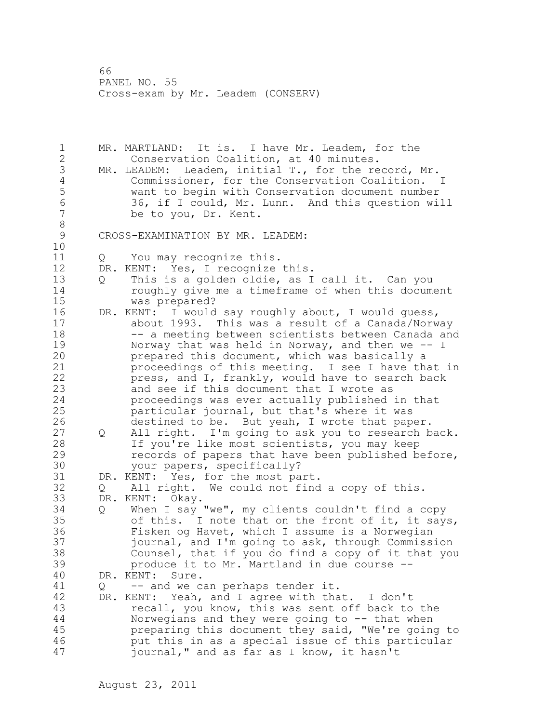1 MR. MARTLAND: It is. I have Mr. Leadem, for the 2 Conservation Coalition, at 40 minutes. 3 MR. LEADEM: Leadem, initial T., for the record, Mr.<br>4 Commissioner, for the Conservation Coalition. 4 Commissioner, for the Conservation Coalition. I<br>5 want to begin with Conservation document number 5 want to begin with Conservation document number 6 36, if I could, Mr. Lunn. And this question will be to you, Dr. Kent. 8<br>9 CROSS-EXAMINATION BY MR. LEADEM: 10 11 Q You may recognize this. 12 DR. KENT: Yes, I recognize this. 13 Q This is a golden oldie, as I call it. Can you 14 roughly give me a timeframe of when this document 15 was prepared? 16 DR. KENT: I would say roughly about, I would guess, 17 about 1993. This was a result of a Canada/Norway 18 -- a meeting between scientists between Canada and 19 Norway that was held in Norway, and then we -- I<br>20 prepared this document, which was basically a prepared this document, which was basically a 21 proceedings of this meeting. I see I have that in 22 press, and I, frankly, would have to search back 23 and see if this document that I wrote as 24 proceedings was ever actually published in that 25 particular journal, but that's where it was 26 destined to be. But yeah, I wrote that paper.<br>27 0 All right. I'm going to ask you to research b Q All right. I'm going to ask you to research back. 28 If you're like most scientists, you may keep 29 records of papers that have been published before, 30 your papers, specifically?<br>31 DR. KENT: Yes, for the most pa 31 DR. KENT: Yes, for the most part.<br>32 0 All right. We could not find 0 All right. We could not find a copy of this. 33 DR. KENT: Okay. 34 Q When I say "we", my clients couldn't find a copy 35 of this. I note that on the front of it, it says, 36 Fisken og Havet, which I assume is a Norwegian 37 journal, and I'm going to ask, through Commission 38 Counsel, that if you do find a copy of it that you 39 produce it to Mr. Martland in due course -- 40 DR. KENT: Sure. 41 Q -- and we can perhaps tender it.<br>42 DR. KENT: Yeah, and I agree with tha DR. KENT: Yeah, and I agree with that. I don't 43 recall, you know, this was sent off back to the 44 Norwegians and they were going to -- that when 45 preparing this document they said, "We're going to 46 put this in as a special issue of this particular 47 journal," and as far as I know, it hasn't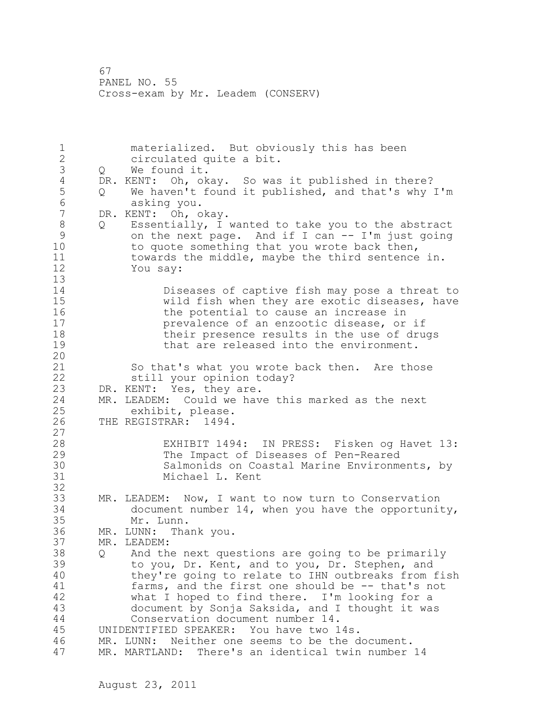1 materialized. But obviously this has been 2 circulated quite a bit. 3 Q We found it.<br>4 DR. KENT: Oh, ok 4 DR. KENT: Oh, okay. So was it published in there?<br>5 Q We haven't found it published, and that's why 5 Q We haven't found it published, and that's why I'm<br>6 asking you. 6 asking you.<br>7 DR. KENT: Oh, o DR. KENT: Oh, okay. 8 Q Essentially, I wanted to take you to the abstract<br>9 on the next page. And if I can -- I'm just going 9 on the next page. And if I can -- I'm just going<br>10 to quote something that you wrote back then, to quote something that you wrote back then, 11 towards the middle, maybe the third sentence in. 12 You say: 13 14 Diseases of captive fish may pose a threat to<br>15 The Wild fish when they are exotic diseases, have wild fish when they are exotic diseases, have 16 16 the potential to cause an increase in 17 prevalence of an enzootic disease, or if 18 their presence results in the use of drugs 19 **that are released into the environment.** 20 21 So that's what you wrote back then. Are those 22 still your opinion today? 23 DR. KENT: Yes, they are. 24 MR. LEADEM: Could we have this marked as the next 25 exhibit, please. 26 THE REGISTRAR: 1494.  $\frac{27}{28}$ EXHIBIT 1494: IN PRESS: Fisken og Havet 13: 29 The Impact of Diseases of Pen-Reared 30 Salmonids on Coastal Marine Environments, by Michael L. Kent 32 33 MR. LEADEM: Now, I want to now turn to Conservation 34 document number 14, when you have the opportunity, 35 Mr. Lunn. 36 MR. LUNN: Thank you. 37 MR. LEADEM: 38 Q And the next questions are going to be primarily 39 to you, Dr. Kent, and to you, Dr. Stephen, and 40 they're going to relate to IHN outbreaks from fish 41 farms, and the first one should be -- that's not<br>42 what I hoped to find there. I'm looking for a what I hoped to find there. I'm looking for a 43 document by Sonja Saksida, and I thought it was 44 Conservation document number 14. 45 UNIDENTIFIED SPEAKER: You have two 14s. 46 MR. LUNN: Neither one seems to be the document. 47 MR. MARTLAND: There's an identical twin number 14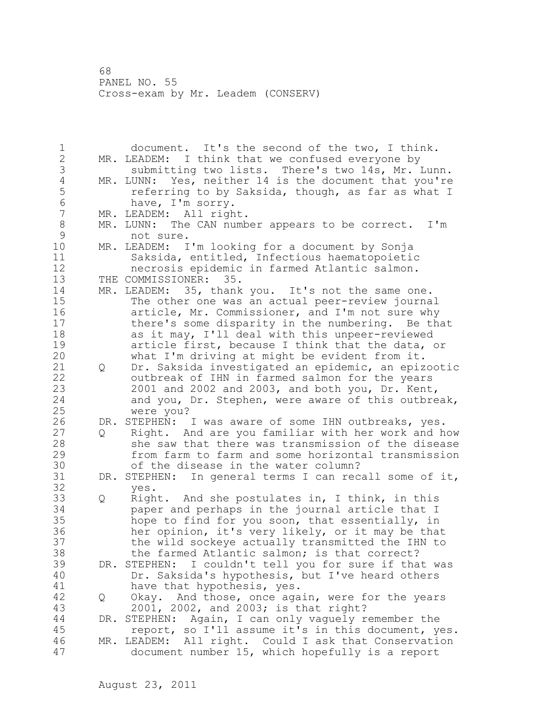1 document. It's the second of the two, I think. 2 MR. LEADEM: I think that we confused everyone by 3 submitting two lists. There's two 14s, Mr. Lunn.<br>4 MR. LUNN: Yes, neither 14 is the document that you're 4 MR. LUNN: Yes, neither 14 is the document that you're<br>5 feferring to by Saksida, though, as far as what I 5 **19** referring to by Saksida, though, as far as what I be thank to have. I'm sorry. 6 have, I'm sorry.<br>7 MR. LEADEM: All righ MR. LEADEM: All right. 8 MR. LUNN: The CAN number appears to be correct. I'm<br>9 mot sure. 9 not sure.<br>10 MR. LEADEM: I MR. LEADEM: I'm looking for a document by Sonja 11 Saksida, entitled, Infectious haematopoietic 12 necrosis epidemic in farmed Atlantic salmon. 13 THE COMMISSIONER: 35. 14 MR. LEADEM: 35, thank you. It's not the same one. 15 The other one was an actual peer-review journal 16 article, Mr. Commissioner, and I'm not sure why 17 there's some disparity in the numbering. Be that 18 as it may, I'll deal with this unpeer-reviewed 19 article first, because I think that the data, or<br>20 what I'm driving at might be evident from it. what I'm driving at might be evident from it. 21 Q Dr. Saksida investigated an epidemic, an epizootic 22 outbreak of IHN in farmed salmon for the years 23 2001 and 2002 and 2003, and both you, Dr. Kent, 24 and you, Dr. Stephen, were aware of this outbreak, 25 were you? 26 DR. STEPHEN: I was aware of some IHN outbreaks, yes.<br>27 0 Right. And are you familiar with her work and h 27 Q Right. And are you familiar with her work and how 28 she saw that there was transmission of the disease 29 from farm to farm and some horizontal transmission 30 of the disease in the water column?<br>31 DR. STEPHEN: In general terms I can rec DR. STEPHEN: In general terms I can recall some of it, 32 yes. 33 Q Right. And she postulates in, I think, in this 34 paper and perhaps in the journal article that I 35 hope to find for you soon, that essentially, in 36 her opinion, it's very likely, or it may be that 37 the wild sockeye actually transmitted the IHN to 38 the farmed Atlantic salmon; is that correct? 39 DR. STEPHEN: I couldn't tell you for sure if that was 40 Dr. Saksida's hypothesis, but I've heard others 41 have that hypothesis, yes.<br>42 0 Okay. And those, once aga Q Okay. And those, once again, were for the years 43 2001, 2002, and 2003; is that right? 44 DR. STEPHEN: Again, I can only vaguely remember the 45 report, so I'll assume it's in this document, yes. 46 MR. LEADEM: All right. Could I ask that Conservation 47 document number 15, which hopefully is a report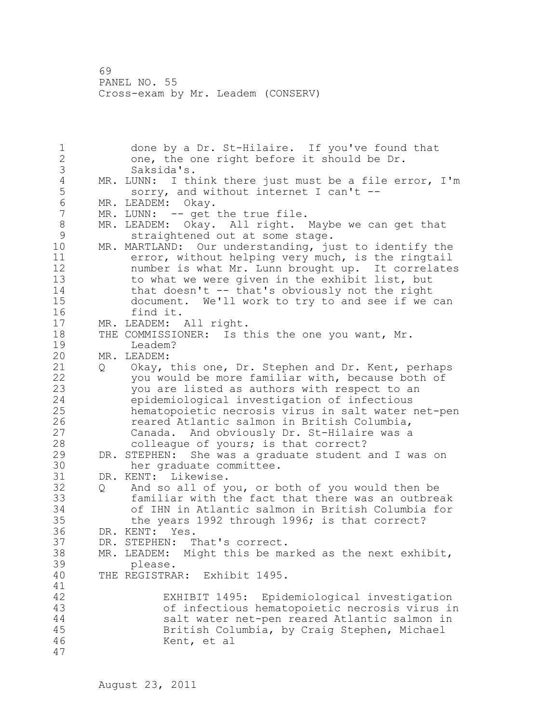1 done by a Dr. St-Hilaire. If you've found that 2 one, the one right before it should be Dr. 3 Saksida's.<br>4 MR. LUNN: I th 4 MR. LUNN: I think there just must be a file error, I'm<br>5 sorry, and without internet I can't --5 sorry, and without internet I can't --<br>6 MR. LEADEM: Okav. 6 MR. LEADEM: Okay. MR. LUNN: -- get the true file. 8 MR. LEADEM: Okay. All right. Maybe we can get that<br>9 straightened out at some stage. 9 straightened out at some stage.<br>10 MR. MARTLAND: Our understanding, ju MR. MARTLAND: Our understanding, just to identify the 11 error, without helping very much, is the ringtail 12 number is what Mr. Lunn brought up. It correlates 13 to what we were given in the exhibit list, but 14 that doesn't -- that's obviously not the right 15 document. We'll work to try to and see if we can 16 find it. 17 MR. LEADEM: All right. 18 THE COMMISSIONER: Is this the one you want, Mr. 19 Leadem?<br>20 MR. LEADEM: MR. LEADEM: 21 Q Okay, this one, Dr. Stephen and Dr. Kent, perhaps 22 you would be more familiar with, because both of 23 you are listed as authors with respect to an 24 epidemiological investigation of infectious 25 hematopoietic necrosis virus in salt water net-pen 26 **120 reared Atlantic salmon in British Columbia,**<br>27 **120 Canada.** And obviously Dr. St-Hilaire was a Canada. And obviously Dr. St-Hilaire was a 28 colleague of yours; is that correct? 29 DR. STEPHEN: She was a graduate student and I was on 30 her graduate committee.<br>31 DR. KENT: Likewise. DR. KENT: Likewise. 32 Q And so all of you, or both of you would then be 33 familiar with the fact that there was an outbreak 34 of IHN in Atlantic salmon in British Columbia for 35 the years 1992 through 1996; is that correct? 36 DR. KENT: Yes. 37 DR. STEPHEN: That's correct. 38 MR. LEADEM: Might this be marked as the next exhibit, 39 please. 40 THE REGISTRAR: Exhibit 1495. 41<br>42 EXHIBIT 1495: Epidemiological investigation 43 of infectious hematopoietic necrosis virus in 44 salt water net-pen reared Atlantic salmon in 45 British Columbia, by Craig Stephen, Michael 46 Kent, et al 47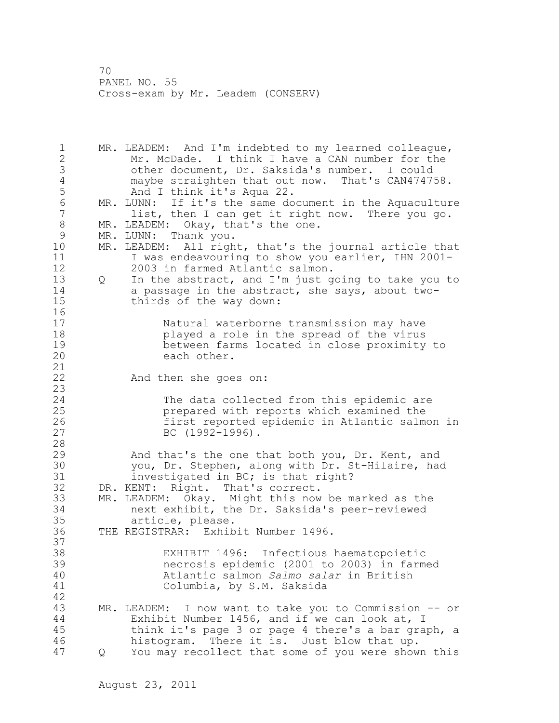1 MR. LEADEM: And I'm indebted to my learned colleague, 2 Mr. McDade. I think I have a CAN number for the 3 other document, Dr. Saksida's number. I could 4 maybe straighten that out now. That's CAN474758.<br>5 And I think it's Aqua 22. And I think it's Aqua 22. 6 MR. LUNN: If it's the same document in the Aquaculture<br>7 list, then I can get it right now. There you go. list, then I can get it right now. There you go. 8 MR. LEADEM: Okay, that's the one.<br>9 MR. LUNN: Thank you. 9 MR. LUNN: Thank you.<br>10 MR. LEADEM: All righ MR. LEADEM: All right, that's the journal article that 11 I was endeavouring to show you earlier, IHN 2001- 12 2003 in farmed Atlantic salmon. 13 Q In the abstract, and I'm just going to take you to 14 a passage in the abstract, she says, about two-15 thirds of the way down: 16 17 Natural waterborne transmission may have 18 played a role in the spread of the virus 19 between farms located in close proximity to<br>20 each other. each other. 21 22 And then she goes on: 23 24 The data collected from this epidemic are 25 prepared with reports which examined the 26 first reported epidemic in Atlantic salmon in<br>27 BC (1992-1996).  $BC (1992-1996)$ . 28 29 And that's the one that both you, Dr. Kent, and 30 you, Dr. Stephen, along with Dr. St-Hilaire, had<br>31 investigated in BC: is that right? investigated in BC; is that right? 32 DR. KENT: Right. That's correct. 33 MR. LEADEM: Okay. Might this now be marked as the 34 next exhibit, the Dr. Saksida's peer-reviewed 35 article, please. 36 THE REGISTRAR: Exhibit Number 1496. 37 38 EXHIBIT 1496: Infectious haematopoietic 39 necrosis epidemic (2001 to 2003) in farmed 40 Atlantic salmon *Salmo salar* in British 41 Columbia, by S.M. Saksida 42 43 MR. LEADEM: I now want to take you to Commission -- or 44 Exhibit Number 1456, and if we can look at, I 45 think it's page 3 or page 4 there's a bar graph, a 46 histogram. There it is. Just blow that up. 47 Q You may recollect that some of you were shown this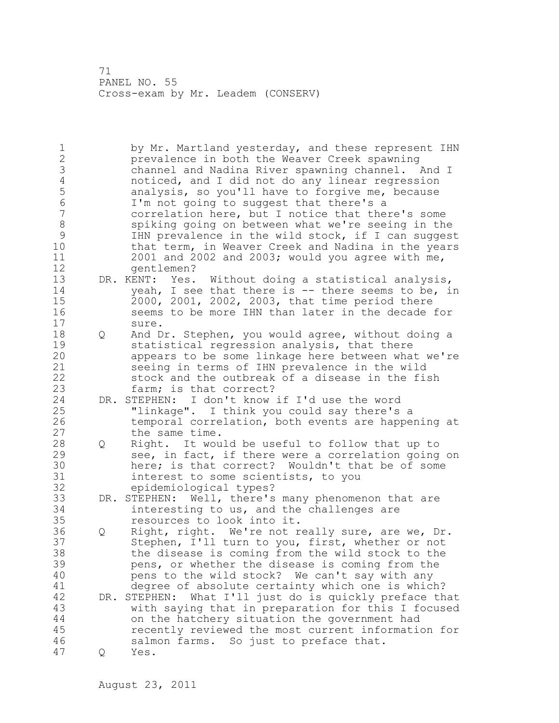1 by Mr. Martland yesterday, and these represent IHN 2 prevalence in both the Weaver Creek spawning 3 channel and Nadina River spawning channel. And I<br>4 moticed, and I did not do any linear regression 4 noticed, and I did not do any linear regression<br>5 analysis, so you'll have to forgive me, because 5 analysis, so you'll have to forgive me, because<br>6 I'm not going to suggest that there's a 6 I'm not going to suggest that there's a correlation here, but I notice that there's some 8 spiking going on between what we're seeing in the<br>9 THN prevalence in the wild stock, if I can sugges 9 IHN prevalence in the wild stock, if I can suggest<br>10 that term, in Weaver Creek and Nadina in the vears that term, in Weaver Creek and Nadina in the years 11 2001 and 2002 and 2003; would you agree with me, 12 gentlemen? 13 DR. KENT: Yes. Without doing a statistical analysis, 14 yeah, I see that there is -- there seems to be, in 15 2000, 2001, 2002, 2003, that time period there 16 seems to be more IHN than later in the decade for 17 sure. 18 Q And Dr. Stephen, you would agree, without doing a 19 statistical regression analysis, that there<br>20 appears to be some linkage here between wha appears to be some linkage here between what we're 21 seeing in terms of IHN prevalence in the wild 22 stock and the outbreak of a disease in the fish 23 farm; is that correct? 24 DR. STEPHEN: I don't know if I'd use the word 25 "linkage". I think you could say there's a 26 temporal correlation, both events are happening at<br>27 the same time. the same time. 28 Q Right. It would be useful to follow that up to 29 see, in fact, if there were a correlation going on 30 here; is that correct? Wouldn't that be of some 31 interest to some scientists, to you 32 epidemiological types? 33 DR. STEPHEN: Well, there's many phenomenon that are 34 interesting to us, and the challenges are 35 resources to look into it. 36 Q Right, right. We're not really sure, are we, Dr. 37 Stephen, I'll turn to you, first, whether or not 38 the disease is coming from the wild stock to the 39 pens, or whether the disease is coming from the 40 pens to the wild stock? We can't say with any 41 degree of absolute certainty which one is which?<br>42 DR. STEPHEN: What I'll just do is quickly preface th DR. STEPHEN: What I'll just do is quickly preface that 43 with saying that in preparation for this I focused 44 on the hatchery situation the government had 45 recently reviewed the most current information for 46 salmon farms. So just to preface that. 47 Q Yes.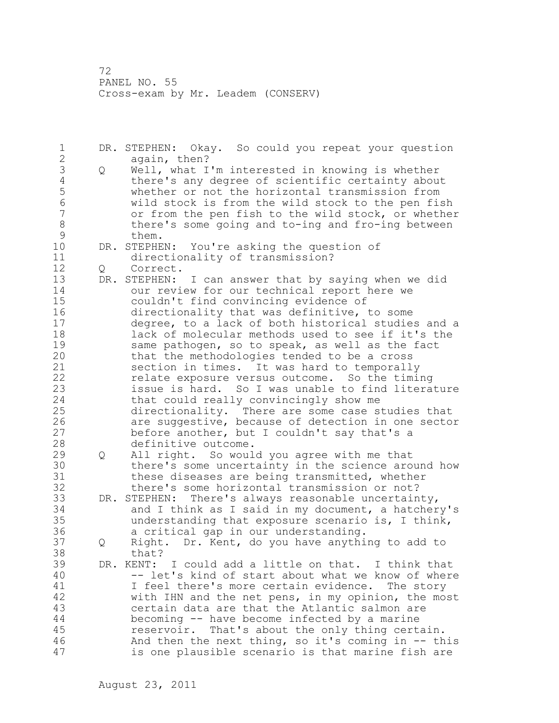1 DR. STEPHEN: Okay. So could you repeat your question 2 again, then? 3 Q Well, what I'm interested in knowing is whether 4 there's any degree of scientific certainty about<br>5 whether or not the horizontal transmission from 5 whether or not the horizontal transmission from<br>6 wild stock is from the wild stock to the pen fire 6 wild stock is from the wild stock to the pen fish or from the pen fish to the wild stock, or whether 8 there's some going and to-ing and fro-ing between 9 them.<br>10 DR. STEPHE DR. STEPHEN: You're asking the question of 11 directionality of transmission? 12 Q Correct. 13 DR. STEPHEN: I can answer that by saying when we did 14 our review for our technical report here we 15 couldn't find convincing evidence of 16 directionality that was definitive, to some 17 degree, to a lack of both historical studies and a 18 lack of molecular methods used to see if it's the 19 same pathogen, so to speak, as well as the fact<br>20 that the methodologies tended to be a cross that the methodologies tended to be a cross 21 section in times. It was hard to temporally 22 relate exposure versus outcome. So the timing 23 issue is hard. So I was unable to find literature 24 that could really convincingly show me 25 directionality. There are some case studies that 26 are suggestive, because of detection in one sector<br>27 before another, but I couldn't say that's a before another, but I couldn't say that's a 28 definitive outcome. 29 Q All right. So would you agree with me that 30 there's some uncertainty in the science around how<br>31 these diseases are being transmitted, whether 31 these diseases are being transmitted, whether<br>32 there's some horizontal transmission or not? there's some horizontal transmission or not? 33 DR. STEPHEN: There's always reasonable uncertainty, 34 and I think as I said in my document, a hatchery's 35 understanding that exposure scenario is, I think, 36 a critical gap in our understanding. 37 Q Right. Dr. Kent, do you have anything to add to 38 that? 39 DR. KENT: I could add a little on that. I think that 40 -- let's kind of start about what we know of where 41 I feel there's more certain evidence. The story<br>42 with IHN and the net pens, in my opinion, the mo. with IHN and the net pens, in my opinion, the most 43 certain data are that the Atlantic salmon are 44 becoming -- have become infected by a marine 45 reservoir. That's about the only thing certain. 46 And then the next thing, so it's coming in -- this 47 is one plausible scenario is that marine fish are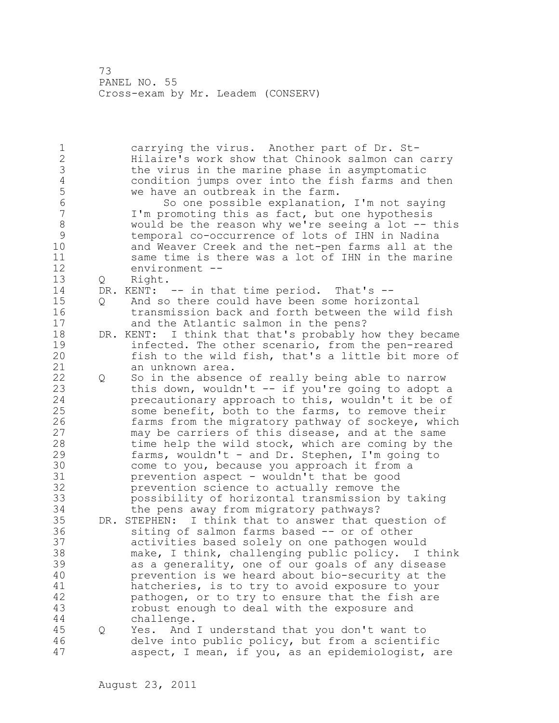1 carrying the virus. Another part of Dr. St-2 Hilaire's work show that Chinook salmon can carry 3 the virus in the marine phase in asymptomatic<br>4 condition jumps over into the fish farms and 4 condition jumps over into the fish farms and then<br>5 we have an outbreak in the farm. 5 we have an outbreak in the farm.<br>6 So one possible explanation 6 So one possible explanation, I'm not saying I'm promoting this as fact, but one hypothesis 8 would be the reason why we're seeing a lot -- this<br>9 temporal co-occurrence of lots of IHN in Nadina 9 temporal co-occurrence of lots of IHN in Nadina<br>10 and Weaver Creek and the net-pen farms all at tl and Weaver Creek and the net-pen farms all at the 11 same time is there was a lot of IHN in the marine 12 environment -- 13 Q Right. 14 DR. KENT: -- in that time period. That's -- 15 Q And so there could have been some horizontal 16 transmission back and forth between the wild fish 17 and the Atlantic salmon in the pens? 18 DR. KENT: I think that that's probably how they became 19 infected. The other scenario, from the pen-reared<br>20 fish to the wild fish, that's a little bit more o: fish to the wild fish, that's a little bit more of 21 an unknown area. 22 Q So in the absence of really being able to narrow 23 this down, wouldn't -- if you're going to adopt a 24 precautionary approach to this, wouldn't it be of 25 some benefit, both to the farms, to remove their 26 farms from the migratory pathway of sockeye, which<br>27 may be carriers of this disease, and at the same may be carriers of this disease, and at the same 28 time help the wild stock, which are coming by the 29 farms, wouldn't - and Dr. Stephen, I'm going to 30 come to you, because you approach it from a<br>31 **be prevention aspect - wouldn't that be good** 31 **betweention aspect - wouldn't that be good**<br>32 **betweention science to actually remove the** prevention science to actually remove the 33 possibility of horizontal transmission by taking 34 the pens away from migratory pathways? 35 DR. STEPHEN: I think that to answer that question of 36 siting of salmon farms based -- or of other 37 activities based solely on one pathogen would 38 make, I think, challenging public policy. I think 39 as a generality, one of our goals of any disease 40 prevention is we heard about bio-security at the 41 hatcheries, is to try to avoid exposure to your<br>42 hathogen, or to try to ensure that the fish are pathogen, or to try to ensure that the fish are 43 robust enough to deal with the exposure and 44 challenge. 45 Q Yes. And I understand that you don't want to 46 delve into public policy, but from a scientific 47 aspect, I mean, if you, as an epidemiologist, are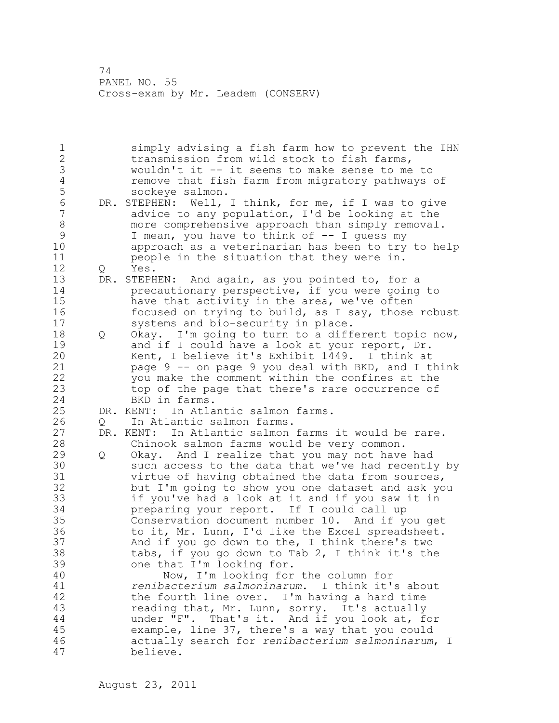1 simply advising a fish farm how to prevent the IHN 2 transmission from wild stock to fish farms, 3 wouldn't it -- it seems to make sense to me to 4 remove that fish farm from migratory pathways of<br>5 sockeye salmon. 5 sockeye salmon.<br>6 DR. STEPHEN: Well, 6 DR. STEPHEN: Well, I think, for me, if I was to give<br>7 advice to any population, I'd be looking at the advice to any population, I'd be looking at the 8 more comprehensive approach than simply removal. 9 I mean, you have to think of -- I guess my<br>10 approach as a veterinarian has been to try approach as a veterinarian has been to try to help 11 people in the situation that they were in. 12 Q Yes. 13 DR. STEPHEN: And again, as you pointed to, for a 14 precautionary perspective, if you were going to 15 have that activity in the area, we've often 16 focused on trying to build, as I say, those robust 17 systems and bio-security in place. 18 Q Okay. I'm going to turn to a different topic now, 19 and if I could have a look at your report, Dr.<br>20 Kent, I believe it's Exhibit 1449. I think at Kent, I believe it's Exhibit 1449. I think at 21 page 9 -- on page 9 you deal with BKD, and I think 22 you make the comment within the confines at the 23 top of the page that there's rare occurrence of 24 BKD in farms. 25 DR. KENT: In Atlantic salmon farms. 26 Q In Atlantic salmon farms.<br>27 DR. KENT: In Atlantic salmon DR. KENT: In Atlantic salmon farms it would be rare. 28 Chinook salmon farms would be very common. 29 Q Okay. And I realize that you may not have had 30 such access to the data that we've had recently by<br>31 virtue of having obtained the data from sources. virtue of having obtained the data from sources, 32 but I'm going to show you one dataset and ask you 33 if you've had a look at it and if you saw it in 34 preparing your report. If I could call up 35 Conservation document number 10. And if you get 36 to it, Mr. Lunn, I'd like the Excel spreadsheet. 37 And if you go down to the, I think there's two 38 tabs, if you go down to Tab 2, I think it's the 39 one that I'm looking for. 40 Now, I'm looking for the column for 41 *renibacterium salmoninarum*. I think it's about the fourth line over. I'm having a hard time 43 reading that, Mr. Lunn, sorry. It's actually 44 under "F". That's it. And if you look at, for 45 example, line 37, there's a way that you could 46 actually search for *renibacterium salmoninarum*, I 47 believe.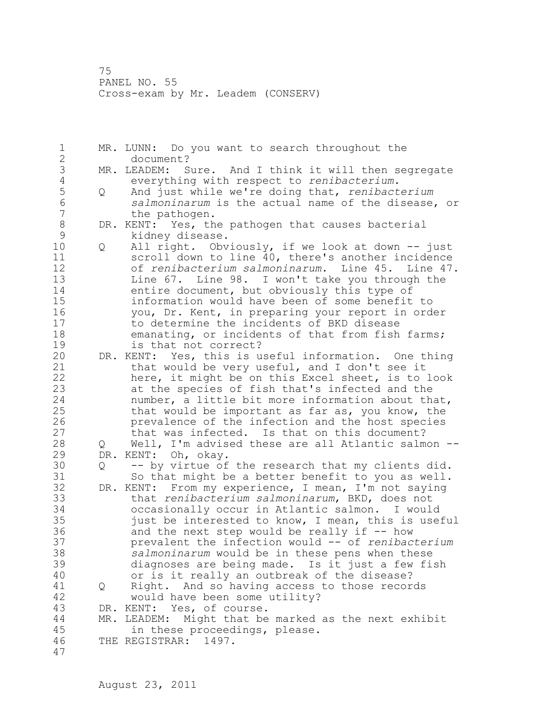1 MR. LUNN: Do you want to search throughout the 2 document? 3 MR. LEADEM: Sure. And I think it will then segregate<br>4 everything with respect to renibacterium. 4 everything with respect to *renibacterium*. 5 Q And just while we're doing that, *renibacterium*  6 *salmoninarum* is the actual name of the disease, or the pathogen. 8 DR. KENT: Yes, the pathogen that causes bacterial<br>9 kidnev disease. 9 kidney disease. 10 Q All right. Obviously, if we look at down -- just 11 scroll down to line 40, there's another incidence 12 of *renibacterium salmoninarum*. Line 45. Line 47. 13 Line 67. Line 98. I won't take you through the 14 entire document, but obviously this type of 15 information would have been of some benefit to 16 you, Dr. Kent, in preparing your report in order 17 to determine the incidents of BKD disease 18 emanating, or incidents of that from fish farms; 19 is that not correct?<br>20 DR. KENT: Yes, this is u DR. KENT: Yes, this is useful information. One thing 21 that would be very useful, and I don't see it 22 here, it might be on this Excel sheet, is to look 23 at the species of fish that's infected and the 24 number, a little bit more information about that, 25 that would be important as far as, you know, the 26 prevalence of the infection and the host species<br>27 that was infected. Is that on this document? that was infected. Is that on this document? 28 Q Well, I'm advised these are all Atlantic salmon -- 29 DR. KENT: Oh, okay. 30 Q -- by virtue of the research that my clients did. So that might be a better benefit to you as well. 32 DR. KENT: From my experience, I mean, I'm not saying 33 that *renibacterium salmoninarum*, BKD, does not 34 occasionally occur in Atlantic salmon. I would 35 just be interested to know, I mean, this is useful 36 and the next step would be really if -- how 37 prevalent the infection would -- of *renibacterium*  38 *salmoninarum* would be in these pens when these 39 diagnoses are being made. Is it just a few fish 40 or is it really an outbreak of the disease? 41 Q Right. And so having access to those records<br>42 would have been some utility? would have been some utility? 43 DR. KENT: Yes, of course. 44 MR. LEADEM: Might that be marked as the next exhibit 45 in these proceedings, please. 46 THE REGISTRAR: 1497. 47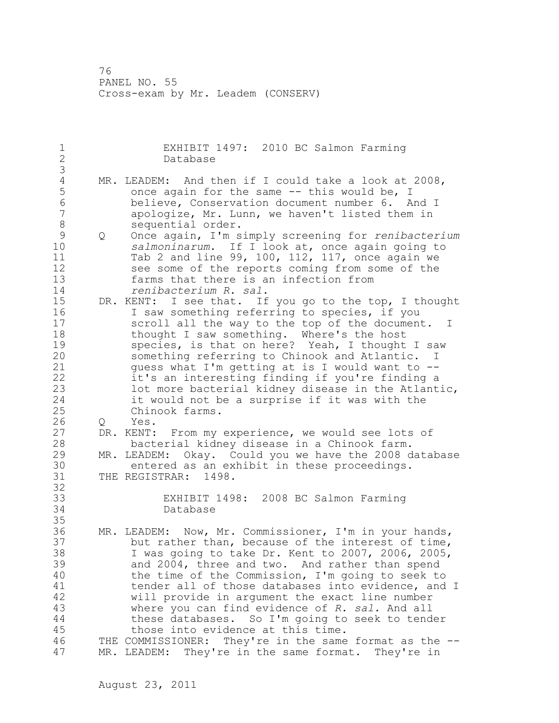1 EXHIBIT 1497: 2010 BC Salmon Farming 2 Database 3 4 MR. LEADEM: And then if I could take a look at 2008,<br>5 once again for the same -- this would be, I 5 once again for the same -- this would be, I<br>6 believe, Conservation document number 6. A 6 believe, Conservation document number 6. And I apologize, Mr. Lunn, we haven't listed them in 8 sequential order.<br>9 0 Once again, I'm s 9 Q Once again, I'm simply screening for *renibacterium*  salmoninarum. If I look at, once again going to 11 Tab 2 and line 99, 100, 112, 117, once again we 12 see some of the reports coming from some of the 13 farms that there is an infection from 14 *renibacterium R. sal*. 15 DR. KENT: I see that. If you go to the top, I thought 16 I saw something referring to species, if you 17 scroll all the way to the top of the document. I 18 thought I saw something. Where's the host 19 species, is that on here? Yeah, I thought I saw<br>20 something referring to Chinook and Atlantic. I something referring to Chinook and Atlantic. I 21 guess what I'm getting at is I would want to -- 22 it's an interesting finding if you're finding a 23 lot more bacterial kidney disease in the Atlantic, 24 it would not be a surprise if it was with the 25 Chinook farms. 26 Q Yes.<br>27 DR. KENT: DR. KENT: From my experience, we would see lots of 28 bacterial kidney disease in a Chinook farm. 29 MR. LEADEM: Okay. Could you we have the 2008 database 30 entered as an exhibit in these proceedings.<br>31 THE REGISTRAR: 1498. THE REGISTRAR: 1498. 32 33 EXHIBIT 1498: 2008 BC Salmon Farming 34 Database 35 36 MR. LEADEM: Now, Mr. Commissioner, I'm in your hands, 37 but rather than, because of the interest of time, 38 I was going to take Dr. Kent to 2007, 2006, 2005, 39 and 2004, three and two. And rather than spend 40 the time of the Commission, I'm going to seek to 41 tender all of those databases into evidence, and I<br>42 will provide in argument the exact line number will provide in argument the exact line number 43 where you can find evidence of *R. sal*. And all 44 these databases. So I'm going to seek to tender 45 those into evidence at this time. 46 THE COMMISSIONER: They're in the same format as the -- 47 MR. LEADEM: They're in the same format. They're in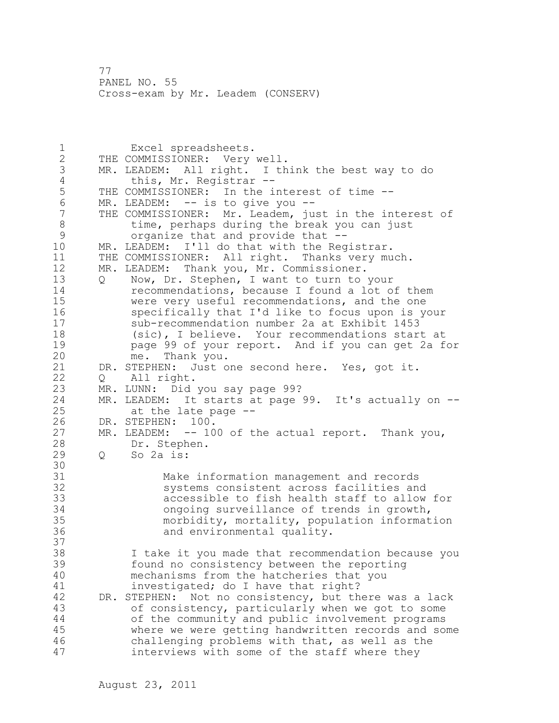1 Excel spreadsheets. 2 THE COMMISSIONER: Very well. 3 MR. LEADEM: All right. I think the best way to do 4 this, Mr. Registrar --<br>5 THE COMMISSIONER: In the i 5 THE COMMISSIONER: In the interest of time --<br>6 MR. LEADEM: -- is to give you --6 MR. LEADEM: -- is to give you --<br>7 THE COMMISSIONER: Mr. Leadem, ju THE COMMISSIONER: Mr. Leadem, just in the interest of 8 time, perhaps during the break you can just<br>9 organize that and provide that --9 organize that and provide that --<br>10 MR. LEADEM: I'll do that with the Req MR. LEADEM: I'll do that with the Registrar. 11 THE COMMISSIONER: All right. Thanks very much. 12 MR. LEADEM: Thank you, Mr. Commissioner. 13 Q Now, Dr. Stephen, I want to turn to your 14 recommendations, because I found a lot of them 15 were very useful recommendations, and the one 16 specifically that I'd like to focus upon is your 17 sub-recommendation number 2a at Exhibit 1453 18 (sic), I believe. Your recommendations start at 19 page 99 of your report. And if you can get 2a for<br>20 me. Thank you. me. Thank you. 21 DR. STEPHEN: Just one second here. Yes, got it. 22 0 All right. 23 MR. LUNN: Did you say page 99? 24 MR. LEADEM: It starts at page 99. It's actually on -- 25 at the late page -- 26 DR. STEPHEN: 100.<br>27 MR. LEADEM: -- 10 MR. LEADEM:  $-$ - 100 of the actual report. Thank you, 28 Dr. Stephen. 29 Q So 2a is: 30<br>31 31 Make information management and records systems consistent across facilities and 33 accessible to fish health staff to allow for 34 ongoing surveillance of trends in growth, 35 morbidity, mortality, population information 36 and environmental quality. 37 38 I take it you made that recommendation because you 39 found no consistency between the reporting 40 mechanisms from the hatcheries that you 41 investigated; do I have that right?<br>42 DR. STEPHEN: Not no consistency, but th DR. STEPHEN: Not no consistency, but there was a lack 43 of consistency, particularly when we got to some 44 of the community and public involvement programs 45 where we were getting handwritten records and some 46 challenging problems with that, as well as the 47 interviews with some of the staff where they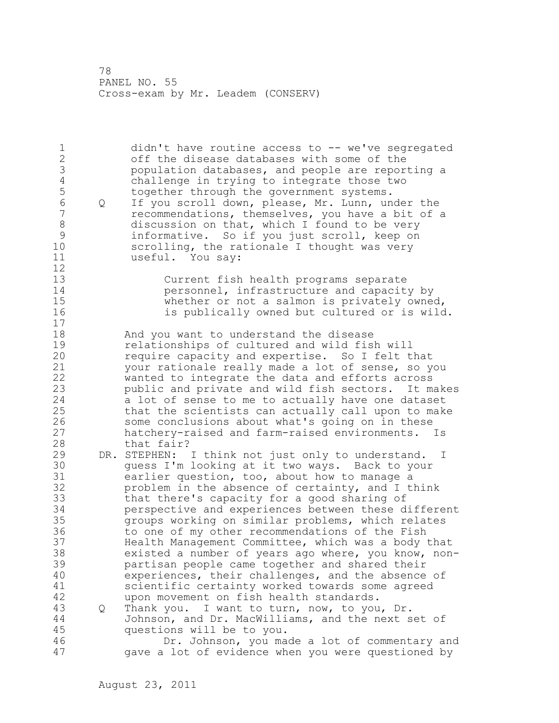1 didn't have routine access to -- we've segregated 2 off the disease databases with some of the 3 population databases, and people are reporting a 4 challenge in trying to integrate those two<br>5 together through the government systems. 5 together through the government systems.<br>6 0 If you scroll down, please, Mr. Lunn, un 6 Q If you scroll down, please, Mr. Lunn, under the 7 recommendations, themselves, you have a bit of a 8 discussion on that, which I found to be very 9 informative. So if you just scroll, keep on<br>10 scrolling, the rationale I thought was very scrolling, the rationale I thought was very 11 useful. You say: 12 13 Current fish health programs separate 14 personnel, infrastructure and capacity by 15 whether or not a salmon is privately owned, 16 is publically owned but cultured or is wild. 17 18 And you want to understand the disease 19 10 relationships of cultured and wild fish will<br>20 19 require capacity and expertise. So I felt t require capacity and expertise. So I felt that 21 your rationale really made a lot of sense, so you 22 wanted to integrate the data and efforts across 23 public and private and wild fish sectors. It makes 24 a lot of sense to me to actually have one dataset 25 that the scientists can actually call upon to make 26 some conclusions about what's going on in these<br>27 hatchery-raised and farm-raised environments. hatchery-raised and farm-raised environments. Is 28 that fair? 29 DR. STEPHEN: I think not just only to understand. I 30 guess I'm looking at it two ways. Back to your<br>31 earlier question, too, about how to manage a earlier question, too, about how to manage a 32 problem in the absence of certainty, and I think 33 that there's capacity for a good sharing of 34 perspective and experiences between these different 35 groups working on similar problems, which relates 36 to one of my other recommendations of the Fish 37 Health Management Committee, which was a body that 38 existed a number of years ago where, you know, non-39 partisan people came together and shared their 40 experiences, their challenges, and the absence of 41 scientific certainty worked towards some agreed upon movement on fish health standards. 43 Q Thank you. I want to turn, now, to you, Dr. 44 Johnson, and Dr. MacWilliams, and the next set of 45 questions will be to you. 46 Dr. Johnson, you made a lot of commentary and 47 gave a lot of evidence when you were questioned by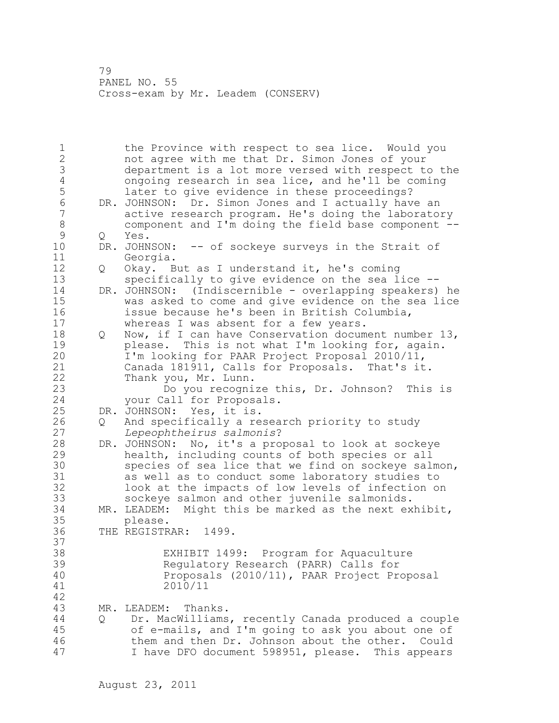1 the Province with respect to sea lice. Would you 2 not agree with me that Dr. Simon Jones of your 3 department is a lot more versed with respect to the 4 ongoing research in sea lice, and he'll be coming<br>5 later to give evidence in these proceedings? 5 later to give evidence in these proceedings?<br>6 DR. JOHNSON: Dr. Simon Jones and I actually hav 6 DR. JOHNSON: Dr. Simon Jones and I actually have an active research program. He's doing the laboratory 8 component and I'm doing the field base component -- 9 Q Yes.<br>10 DR.JOHN DR. JOHNSON: -- of sockeye surveys in the Strait of 11 Georgia. 12 Q Okay. But as I understand it, he's coming 13 specifically to give evidence on the sea lice -- 14 DR. JOHNSON: (Indiscernible - overlapping speakers) he 15 was asked to come and give evidence on the sea lice 16 issue because he's been in British Columbia, 17 whereas I was absent for a few years. 18 Q Now, if I can have Conservation document number 13, 19 please. This is not what I'm looking for, again.<br>20 1'm looking for PAAR Project Proposal 2010/11, I'm looking for PAAR Project Proposal 2010/11, 21 Canada 181911, Calls for Proposals. That's it. 22 Thank you, Mr. Lunn. 23 Do you recognize this, Dr. Johnson? This is 24 your Call for Proposals. 25 DR. JOHNSON: Yes, it is. 26 Q And specifically a research priority to study<br>27 Lepeophtheirus salmonis? 27 *Lepeophtheirus salmonis*? 28 DR. JOHNSON: No, it's a proposal to look at sockeye 29 health, including counts of both species or all 30 species of sea lice that we find on sockeye salmon,<br>31 as well as to conduct some laboratory studies to as well as to conduct some laboratory studies to 32 look at the impacts of low levels of infection on 33 sockeye salmon and other juvenile salmonids. 34 MR. LEADEM: Might this be marked as the next exhibit, 35 please. 36 THE REGISTRAR: 1499. 37 38 EXHIBIT 1499: Program for Aquaculture 39 Regulatory Research (PARR) Calls for 40 Proposals (2010/11), PAAR Project Proposal 41 2010/11 42 43 MR. LEADEM: Thanks. 44 Q Dr. MacWilliams, recently Canada produced a couple 45 of e-mails, and I'm going to ask you about one of 46 them and then Dr. Johnson about the other. Could 47 I have DFO document 598951, please. This appears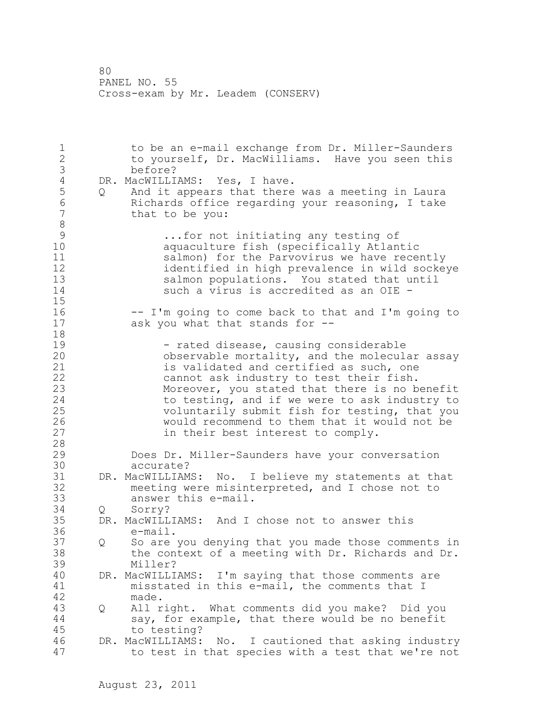1 to be an e-mail exchange from Dr. Miller-Saunders 2 to yourself, Dr. MacWilliams. Have you seen this 3 before?<br>4 DR. MacWILLI 4 DR. MacWILLIAMS: Yes, I have.<br>5 Q And it appears that there 5 Q And it appears that there was a meeting in Laura 6 Richards office regarding your reasoning, I take that to be you: 8<br>9 9 ...for not initiating any testing of<br>10 ...aquaculture fish (specifically Atlan aquaculture fish (specifically Atlantic 11 salmon) for the Parvovirus we have recently 12 identified in high prevalence in wild sockeye<br>13 salmon populations. You stated that until salmon populations. You stated that until 14 such a virus is accredited as an OIE - 15 16 -- I'm going to come back to that and I'm going to 17 ask you what that stands for -- 18 19 - rated disease, causing considerable<br>20 0bservable mortality, and the molecula observable mortality, and the molecular assay 21 is validated and certified as such, one 22 cannot ask industry to test their fish. 23 Moreover, you stated that there is no benefit 24 to testing, and if we were to ask industry to 25 voluntarily submit fish for testing, that you 26 would recommend to them that it would not be<br>27 in their best interest to comply. in their best interest to comply. 28 29 Does Dr. Miller-Saunders have your conversation 30 accurate?<br>31 DR. MacWILLIAM DR. MacWILLIAMS: No. I believe my statements at that 32 meeting were misinterpreted, and I chose not to 33 answer this e-mail. 34 Q Sorry? 35 DR. MacWILLIAMS: And I chose not to answer this 36 e-mail. 37 Q So are you denying that you made those comments in 38 the context of a meeting with Dr. Richards and Dr. 39 Miller? 40 DR. MacWILLIAMS: I'm saying that those comments are 41 misstated in this e-mail, the comments that I<br>42 made. made. 43 Q All right. What comments did you make? Did you 44 say, for example, that there would be no benefit 45 to testing? 46 DR. MacWILLIAMS: No. I cautioned that asking industry 47 to test in that species with a test that we're not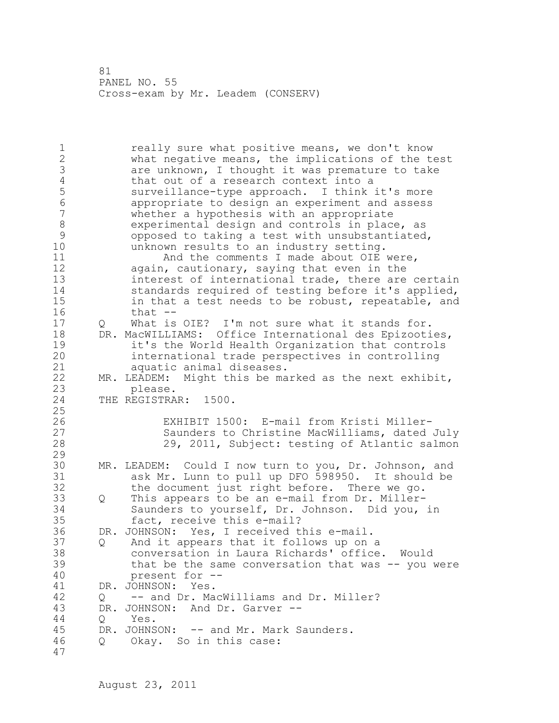1 **1** really sure what positive means, we don't know 2 what negative means, the implications of the test 3 are unknown, I thought it was premature to take<br>4 that out of a research context into a 4 that out of a research context into a<br>5 surveillance-type approach. I think 5 surveillance-type approach. I think it's more 6 appropriate to design an experiment and assess whether a hypothesis with an appropriate 8 experimental design and controls in place, as<br>9 opposed to taking a test with unsubstantiated 9 opposed to taking a test with unsubstantiated,<br>10 minknown results to an industry setting. unknown results to an industry setting. 11 And the comments I made about OIE were, 12 again, cautionary, saying that even in the 13 interest of international trade, there are certain 14 standards required of testing before it's applied, 15 in that a test needs to be robust, repeatable, and 16 that -- 17 Q What is OIE? I'm not sure what it stands for. 18 DR. MacWILLIAMS: Office International des Epizooties, 19 19 it's the World Health Organization that controls<br>20 1nternational trade perspectives in controlling international trade perspectives in controlling 21 aquatic animal diseases. 22 MR. LEADEM: Might this be marked as the next exhibit, 23 please.<br>24 THE REGISTRA THE REGISTRAR: 1500. 25 26 EXHIBIT 1500: E-mail from Kristi Miller-Saunders to Christine MacWilliams, dated July 28 29, 2011, Subject: testing of Atlantic salmon 29 30 MR. LEADEM: Could I now turn to you, Dr. Johnson, and<br>31 ask Mr. Lunn to pull up DFO 598950. It should be ask Mr. Lunn to pull up DFO 598950. It should be 32 the document just right before. There we go. 33 Q This appears to be an e-mail from Dr. Miller-34 Saunders to yourself, Dr. Johnson. Did you, in 35 fact, receive this e-mail? 36 DR. JOHNSON: Yes, I received this e-mail. 37 Q And it appears that it follows up on a 38 conversation in Laura Richards' office. Would 39 that be the same conversation that was -- you were 40 present for -- 41 DR. JOHNSON: Yes.<br>42 0 -- and Dr. Ma 42 Q -- and Dr. MacWilliams and Dr. Miller? 43 DR. JOHNSON: And Dr. Garver -- 44 Q Yes. 45 DR. JOHNSON: -- and Mr. Mark Saunders. 46 Q Okay. So in this case: 47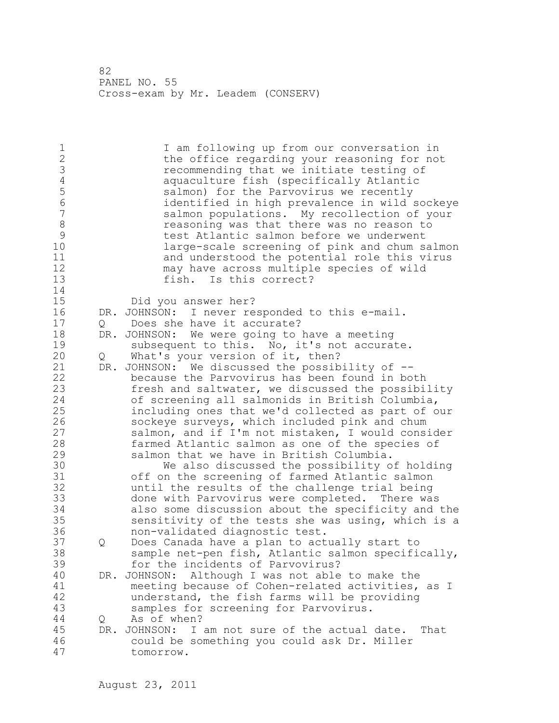1 I am following up from our conversation in 2 the office regarding your reasoning for not<br>3 3 Tecommending that we initiate testing of 3 **1988** recommending that we initiate testing of<br>4 **1989** aquaculture fish (specifically Atlantic 4 aquaculture fish (specifically Atlantic 5 salmon) for the Parvovirus we recently 6 identified in high prevalence in wild sockeye salmon populations. My recollection of your 8 reasoning was that there was no reason to<br>9 **reasoning was that there we underwent** 9 test Atlantic salmon before we underwent large-scale screening of pink and chum salmon 11 and understood the potential role this virus 12 may have across multiple species of wild<br>13 fish. Is this correct? fish. Is this correct? 14 15 Did you answer her? 16 DR. JOHNSON: I never responded to this e-mail. 17 Q Does she have it accurate? 18 DR. JOHNSON: We were going to have a meeting 19 subsequent to this. No, it's not accurate.<br>20 0 What's your version of it, then? What's your version of it, then? 21 DR. JOHNSON: We discussed the possibility of -- 22 because the Parvovirus has been found in both 23 fresh and saltwater, we discussed the possibility 24 of screening all salmonids in British Columbia, 25 including ones that we'd collected as part of our 26 sockeye surveys, which included pink and chum<br>27 salmon, and if I'm not mistaken, I would cons: 27 salmon, and if I'm not mistaken, I would consider<br>28 farmed Atlantic salmon as one of the species of farmed Atlantic salmon as one of the species of 29 salmon that we have in British Columbia. 30 We also discussed the possibility of holding<br>31 off on the screening of farmed Atlantic salmon off on the screening of farmed Atlantic salmon 32 until the results of the challenge trial being 33 done with Parvovirus were completed. There was 34 also some discussion about the specificity and the 35 sensitivity of the tests she was using, which is a 36 non-validated diagnostic test. 37 Q Does Canada have a plan to actually start to 38 sample net-pen fish, Atlantic salmon specifically, 39 for the incidents of Parvovirus? 40 DR. JOHNSON: Although I was not able to make the 41 meeting because of Cohen-related activities, as I<br>42 mderstand, the fish farms will be providing understand, the fish farms will be providing 43 samples for screening for Parvovirus. 44 Q As of when? 45 DR. JOHNSON: I am not sure of the actual date. That 46 could be something you could ask Dr. Miller 47 tomorrow.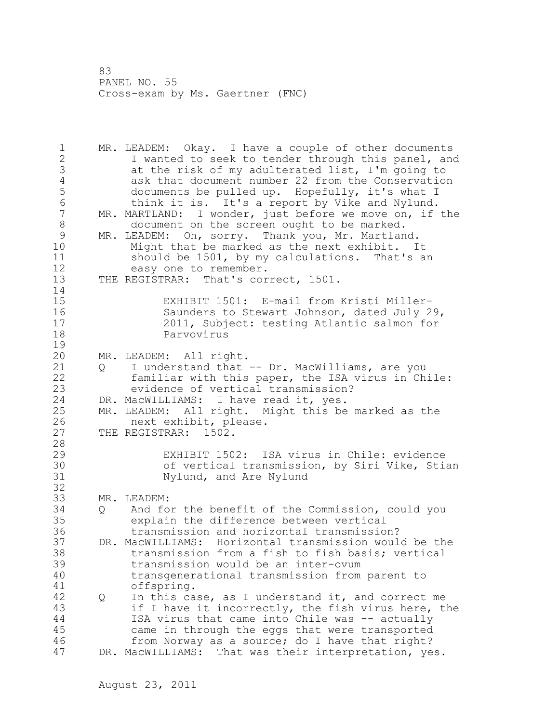1 MR. LEADEM: Okay. I have a couple of other documents 2 I wanted to seek to tender through this panel, and 3 at the risk of my adulterated list, I'm going to 4 ask that document number 22 from the Conservation<br>5 documents be pulled up. Hopefully, it's what I 5 documents be pulled up. Hopefully, it's what I<br>6 think it is. It's a report by Vike and Nylund. 6 think it is. It's a report by Vike and Nylund.<br>7 MR. MARTLAND: I wonder, just before we move on, if MR. MARTLAND: I wonder, just before we move on, if the 8 document on the screen ought to be marked.<br>9 MR. LEADEM: Oh, sorry. Thank you, Mr. Martlan 9 MR. LEADEM: Oh, sorry. Thank you, Mr. Martland.<br>10 Might that be marked as the next exhibit. I Might that be marked as the next exhibit. It 11 should be 1501, by my calculations. That's an 12 easy one to remember. 13 THE REGISTRAR: That's correct, 1501.  $\frac{14}{15}$ EXHIBIT 1501: E-mail from Kristi Miller-16 Saunders to Stewart Johnson, dated July 29, 17 2011, Subject: testing Atlantic salmon for 18 Parvovirus  $\frac{19}{20}$ MR. LEADEM: All right. 21 Q I understand that -- Dr. MacWilliams, are you 22 familiar with this paper, the ISA virus in Chile: 23 evidence of vertical transmission? 24 DR. MacWILLIAMS: I have read it, yes. 25 MR. LEADEM: All right. Might this be marked as the 26 next exhibit, please.<br>27 THE REGISTRAR: 1502. THE REGISTRAR: 1502. 28 29 EXHIBIT 1502: ISA virus in Chile: evidence 30 of vertical transmission, by Siri Vike, Stian Nylund, and Are Nylund 32 33 MR. LEADEM: 34 Q And for the benefit of the Commission, could you 35 explain the difference between vertical 36 transmission and horizontal transmission? 37 DR. MacWILLIAMS: Horizontal transmission would be the 38 transmission from a fish to fish basis; vertical 39 transmission would be an inter-ovum 40 transgenerational transmission from parent to 41 offspring.<br>42 0 In this ca 42 Q In this case, as I understand it, and correct me 43 if I have it incorrectly, the fish virus here, the 44 ISA virus that came into Chile was -- actually 45 came in through the eggs that were transported 46 from Norway as a source; do I have that right? 47 DR. MacWILLIAMS: That was their interpretation, yes.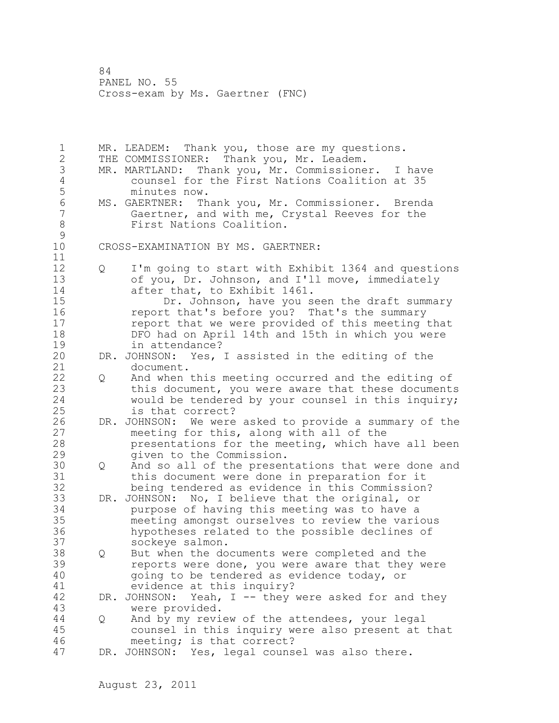1 MR. LEADEM: Thank you, those are my questions. 2 THE COMMISSIONER: Thank you, Mr. Leadem. 3 MR. MARTLAND: Thank you, Mr. Commissioner. I have 4 counsel for the First Nations Coalition at 35 5 minutes now.<br>6 MS. GAERTNER: Th 6 MS. GAERTNER: Thank you, Mr. Commissioner. Brenda<br>7 Gaertner, and with me, Crystal Reeves for the Gaertner, and with me, Crystal Reeves for the 8 First Nations Coalition.  $\begin{array}{c} 9 \\ 10 \end{array}$ CROSS-EXAMINATION BY MS. GAERTNER: 11 12 Q I'm going to start with Exhibit 1364 and questions 13 of you, Dr. Johnson, and I'll move, immediately 14 after that, to Exhibit 1461. 15 Dr. Johnson, have you seen the draft summary 16 report that's before you? That's the summary 17 report that we were provided of this meeting that 18 DFO had on April 14th and 15th in which you were 19 in attendance?<br>20 DR. JOHNSON: Yes, DR. JOHNSON: Yes, I assisted in the editing of the 21 document. 22 Q And when this meeting occurred and the editing of 23 this document, you were aware that these documents 24 would be tendered by your counsel in this inquiry; 25 is that correct? 26 DR. JOHNSON: We were asked to provide a summary of the<br>27 meeting for this, along with all of the meeting for this, along with all of the 28 presentations for the meeting, which have all been 29 given to the Commission. 30 Q And so all of the presentations that were done and<br>31 this document were done in preparation for it 31 this document were done in preparation for it being tendered as evidence in this Commission? 33 DR. JOHNSON: No, I believe that the original, or 34 purpose of having this meeting was to have a 35 meeting amongst ourselves to review the various 36 hypotheses related to the possible declines of 37 sockeye salmon. 38 Q But when the documents were completed and the 39 reports were done, you were aware that they were 40 going to be tendered as evidence today, or 41 evidence at this inquiry?<br>42 DR. JOHNSON: Yeah, I -- they DR. JOHNSON: Yeah, I -- they were asked for and they 43 were provided. 44 Q And by my review of the attendees, your legal 45 counsel in this inquiry were also present at that 46 meeting; is that correct? 47 DR. JOHNSON: Yes, legal counsel was also there.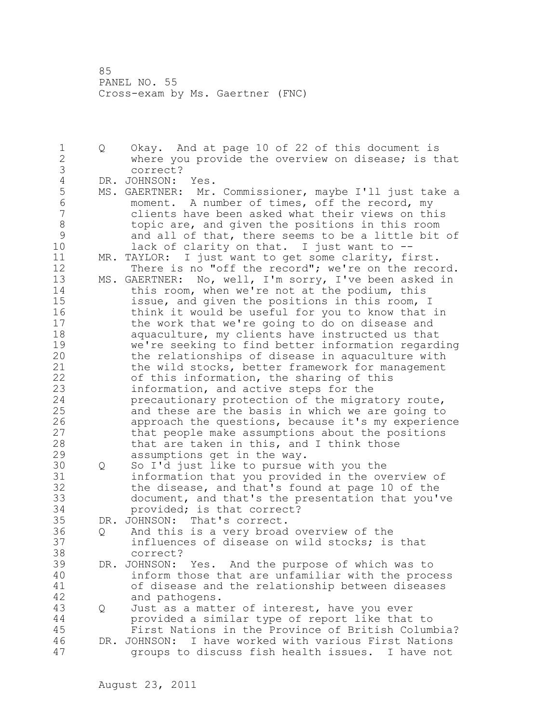1 Q Okay. And at page 10 of 22 of this document is 2 where you provide the overview on disease; is that 3 correct?<br>4 DR. JOHNSON: 4 DR. JOHNSON: Yes.<br>5 MS. GAERTNER: Mr. 5 MS. GAERTNER: Mr. Commissioner, maybe I'll just take a<br>6 moment. A number of times, off the record, mv 6 moment. A number of times, off the record, my clients have been asked what their views on this 8 topic are, and given the positions in this room 9 and all of that, there seems to be a little bit of<br>10 lack of clarity on that. I just want to -lack of clarity on that. I just want to  $-$ -11 MR. TAYLOR: I just want to get some clarity, first. 12 There is no "off the record"; we're on the record. 13 MS. GAERTNER: No, well, I'm sorry, I've been asked in 14 this room, when we're not at the podium, this 15 issue, and given the positions in this room, I 16 think it would be useful for you to know that in 17 the work that we're going to do on disease and 18 aquaculture, my clients have instructed us that 19 we're seeking to find better information regarding<br>20 the relationships of disease in aquaculture with the relationships of disease in aquaculture with 21 the wild stocks, better framework for management 22 of this information, the sharing of this 23 information, and active steps for the 24 precautionary protection of the migratory route, 25 and these are the basis in which we are going to 26 approach the questions, because it's my experience<br>27 that people make assumptions about the positions that people make assumptions about the positions 28 that are taken in this, and I think those 29 assumptions get in the way. 30 Q So I'd just like to pursue with you the 31 information that you provided in the overview of<br>32 the disease, and that's found at page 10 of the the disease, and that's found at page 10 of the 33 document, and that's the presentation that you've 34 provided; is that correct? 35 DR. JOHNSON: That's correct. 36 Q And this is a very broad overview of the 37 influences of disease on wild stocks; is that 38 correct? 39 DR. JOHNSON: Yes. And the purpose of which was to 40 inform those that are unfamiliar with the process 41 of disease and the relationship between diseases and pathogens. 43 Q Just as a matter of interest, have you ever 44 provided a similar type of report like that to 45 First Nations in the Province of British Columbia? 46 DR. JOHNSON: I have worked with various First Nations 47 groups to discuss fish health issues. I have not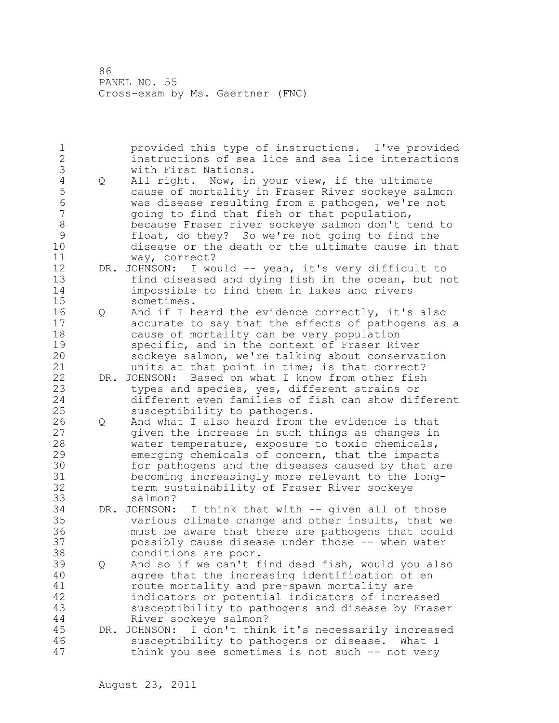1 provided this type of instructions. I've provided 2 instructions of sea lice and sea lice interactions 3 with First Nations.<br>4 Q All right. Now, in 4 Q All right. Now, in your view, if the ultimate<br>5 cause of mortality in Fraser River sockeye salı 5 cause of mortality in Fraser River sockeye salmon 6 was disease resulting from a pathogen, we're not going to find that fish or that population, 8 because Fraser river sockeye salmon don't tend to 9 float, do they? So we're not going to find the disease or the death or the ultimate cause in that 11 way, correct? 12 DR. JOHNSON: I would -- yeah, it's very difficult to 13 find diseased and dying fish in the ocean, but not 14 impossible to find them in lakes and rivers 15 sometimes. 16 Q And if I heard the evidence correctly, it's also 17 accurate to say that the effects of pathogens as a 18 cause of mortality can be very population 19 specific, and in the context of Fraser River<br>20 sockeye salmon, we're talking about conserva sockeye salmon, we're talking about conservation 21 units at that point in time; is that correct? 22 DR. JOHNSON: Based on what I know from other fish 23 types and species, yes, different strains or 24 different even families of fish can show different 25 susceptibility to pathogens. 26 Q And what I also heard from the evidence is that<br>27 given the increase in such things as changes in given the increase in such things as changes in 28 water temperature, exposure to toxic chemicals, 29 emerging chemicals of concern, that the impacts 30 for pathogens and the diseases caused by that are<br>31 becoming increasingly more relevant to the long-31 becoming increasingly more relevant to the longterm sustainability of Fraser River sockeye 33 salmon? 34 DR. JOHNSON: I think that with -- given all of those 35 various climate change and other insults, that we 36 must be aware that there are pathogens that could 37 possibly cause disease under those -- when water 38 conditions are poor. 39 Q And so if we can't find dead fish, would you also 40 agree that the increasing identification of en 41 route mortality and pre-spawn mortality are<br>42 indicators or potential indicators of incre indicators or potential indicators of increased 43 susceptibility to pathogens and disease by Fraser 44 River sockeye salmon? 45 DR. JOHNSON: I don't think it's necessarily increased 46 susceptibility to pathogens or disease. What I 47 think you see sometimes is not such -- not very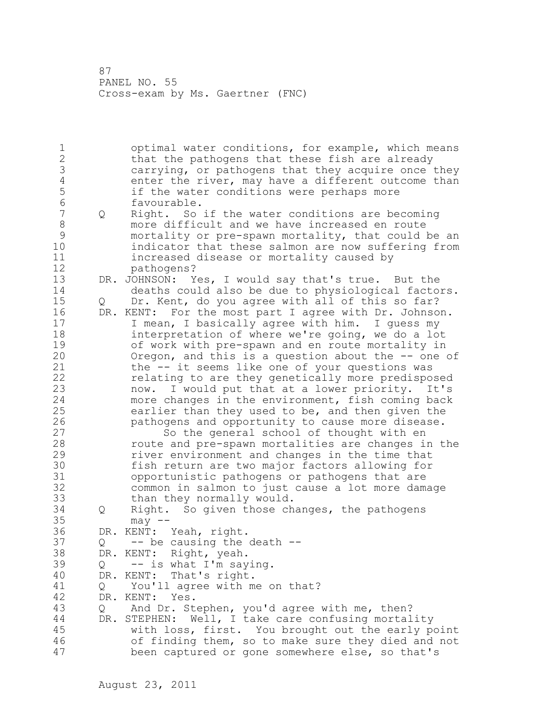1 optimal water conditions, for example, which means 2 that the pathogens that these fish are already 3 carrying, or pathogens that they acquire once they<br>4 enter the river, may have a different outcome than 4 enter the river, may have a different outcome than<br>5 if the water conditions were perhaps more 5 if the water conditions were perhaps more 6 favourable.<br>7 0 Right. So 7 Q Right. So if the water conditions are becoming 8 more difficult and we have increased en route 9 mortality or pre-spawn mortality, that could be an indicator that these salmon are now suffering from 11 increased disease or mortality caused by 12 pathogens? 13 DR. JOHNSON: Yes, I would say that's true. But the 14 deaths could also be due to physiological factors. 15 Q Dr. Kent, do you agree with all of this so far? 16 DR. KENT: For the most part I agree with Dr. Johnson. 17 I mean, I basically agree with him. I guess my 18 interpretation of where we're going, we do a lot 19 of work with pre-spawn and en route mortality in<br>20 0regon, and this is a question about the -- one Oregon, and this is a question about the -- one of 21 the -- it seems like one of your questions was 22 relating to are they genetically more predisposed 23 now. I would put that at a lower priority. It's 24 more changes in the environment, fish coming back 25 earlier than they used to be, and then given the 26 pathogens and opportunity to cause more disease.<br>27 So the general school of thought with en So the general school of thought with en 28 route and pre-spawn mortalities are changes in the 29 river environment and changes in the time that 30 fish return are two major factors allowing for opportunistic pathogens or pathogens that are 32 common in salmon to just cause a lot more damage 33 than they normally would. 34 Q Right. So given those changes, the pathogens 35 may -- 36 DR. KENT: Yeah, right.  $37$  Q -- be causing the death --38 DR. KENT: Right, yeah. 39 Q -- is what I'm saying. 40 DR. KENT: That's right. 41 Q You'll agree with me on that?<br>42 DR. KENT: Yes. DR. KENT: Yes. 43 Q And Dr. Stephen, you'd agree with me, then? 44 DR. STEPHEN: Well, I take care confusing mortality 45 with loss, first. You brought out the early point 46 of finding them, so to make sure they died and not 47 been captured or gone somewhere else, so that's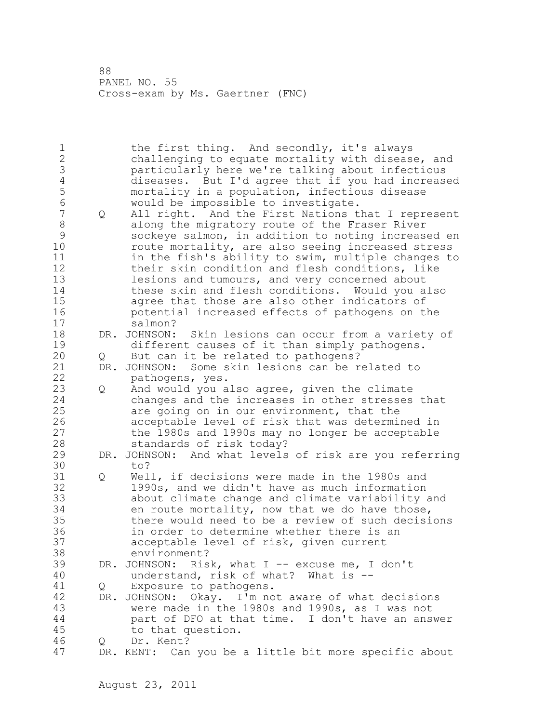| $\mathbf 1$<br>$\frac{2}{3}$<br>$\overline{4}$<br>5<br>$6\phantom{a}$<br>$\overline{7}$<br>$\,8\,$<br>$\mathcal{G}$<br>10<br>11<br>12 | Q   | the first thing. And secondly, it's always<br>challenging to equate mortality with disease, and<br>particularly here we're talking about infectious<br>diseases. But I'd agree that if you had increased<br>mortality in a population, infectious disease<br>would be impossible to investigate.<br>All right. And the First Nations that I represent<br>along the migratory route of the Fraser River<br>sockeye salmon, in addition to noting increased en<br>route mortality, are also seeing increased stress<br>in the fish's ability to swim, multiple changes to<br>their skin condition and flesh conditions, like |
|---------------------------------------------------------------------------------------------------------------------------------------|-----|----------------------------------------------------------------------------------------------------------------------------------------------------------------------------------------------------------------------------------------------------------------------------------------------------------------------------------------------------------------------------------------------------------------------------------------------------------------------------------------------------------------------------------------------------------------------------------------------------------------------------|
| 13<br>14<br>15<br>16<br>17                                                                                                            |     | lesions and tumours, and very concerned about<br>these skin and flesh conditions. Would you also<br>agree that those are also other indicators of<br>potential increased effects of pathogens on the<br>salmon?                                                                                                                                                                                                                                                                                                                                                                                                            |
| 18<br>19                                                                                                                              |     | DR. JOHNSON:<br>Skin lesions can occur from a variety of<br>different causes of it than simply pathogens.                                                                                                                                                                                                                                                                                                                                                                                                                                                                                                                  |
| 20                                                                                                                                    | Q   | But can it be related to pathogens?                                                                                                                                                                                                                                                                                                                                                                                                                                                                                                                                                                                        |
| 21                                                                                                                                    | DR. | JOHNSON: Some skin lesions can be related to                                                                                                                                                                                                                                                                                                                                                                                                                                                                                                                                                                               |
| 22                                                                                                                                    |     | pathogens, yes.                                                                                                                                                                                                                                                                                                                                                                                                                                                                                                                                                                                                            |
| 23<br>24                                                                                                                              | Q   | And would you also agree, given the climate<br>changes and the increases in other stresses that                                                                                                                                                                                                                                                                                                                                                                                                                                                                                                                            |
| 25<br>26<br>27<br>28                                                                                                                  |     | are going on in our environment, that the<br>acceptable level of risk that was determined in<br>the 1980s and 1990s may no longer be acceptable<br>standards of risk today?                                                                                                                                                                                                                                                                                                                                                                                                                                                |
| 29<br>30                                                                                                                              |     | DR. JOHNSON: And what levels of risk are you referring<br>to?                                                                                                                                                                                                                                                                                                                                                                                                                                                                                                                                                              |
| 31<br>32<br>33<br>34<br>35<br>36<br>37<br>38                                                                                          | Q   | Well, if decisions were made in the 1980s and<br>1990s, and we didn't have as much information<br>about climate change and climate variability and<br>en route mortality, now that we do have those,<br>there would need to be a review of such decisions<br>in order to determine whether there is an<br>acceptable level of risk, given current<br>environment?                                                                                                                                                                                                                                                          |
| 39<br>40                                                                                                                              |     | DR. JOHNSON:<br>Risk, what I -- excuse me, I don't<br>understand, risk of what? What is --                                                                                                                                                                                                                                                                                                                                                                                                                                                                                                                                 |
| 41                                                                                                                                    | Q   | Exposure to pathogens.                                                                                                                                                                                                                                                                                                                                                                                                                                                                                                                                                                                                     |
| 42<br>43<br>44<br>45                                                                                                                  |     | Okay. I'm not aware of what decisions<br>DR. JOHNSON:<br>were made in the 1980s and 1990s, as I was not<br>part of DFO at that time. I don't have an answer<br>to that question.                                                                                                                                                                                                                                                                                                                                                                                                                                           |
| 46                                                                                                                                    | Q   | Dr. Kent?                                                                                                                                                                                                                                                                                                                                                                                                                                                                                                                                                                                                                  |
| 47                                                                                                                                    |     | DR. KENT: Can you be a little bit more specific about                                                                                                                                                                                                                                                                                                                                                                                                                                                                                                                                                                      |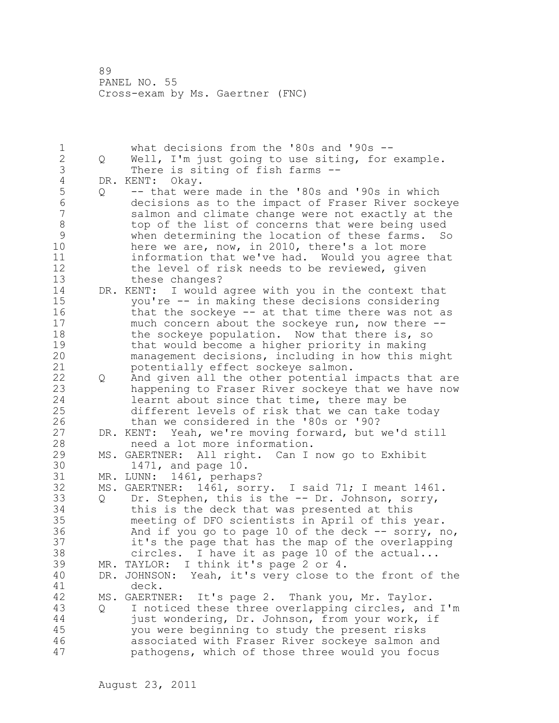1 what decisions from the '80s and '90s --<br>2 0 Well, I'm just going to use siting, for 2 Q Well, I'm just going to use siting, for example. 3 There is siting of fish farms --<br>4 DR. KENT: Okay. 4 DR. KENT: Okay.<br>5 0 -- that wer 5 Q -- that were made in the '80s and '90s in which 6 decisions as to the impact of Fraser River sockeye salmon and climate change were not exactly at the 8 top of the list of concerns that were being used 9 when determining the location of these farms. So<br>10 here we are, now, in 2010, there's a lot more here we are, now, in 2010, there's a lot more 11 information that we've had. Would you agree that 12 the level of risk needs to be reviewed, given 13 these changes? 14 DR. KENT: I would agree with you in the context that 15 you're -- in making these decisions considering 16 that the sockeye -- at that time there was not as 17 much concern about the sockeye run, now there -- 18 the sockeye population. Now that there is, so 19 that would become a higher priority in making<br>20 management decisions, including in how this m management decisions, including in how this might 21 potentially effect sockeye salmon. 22 Q And given all the other potential impacts that are 23 happening to Fraser River sockeye that we have now 24 learnt about since that time, there may be 25 different levels of risk that we can take today 26 than we considered in the '80s or '90?<br>27 DR. KENT: Yeah, we're moving forward, but DR. KENT: Yeah, we're moving forward, but we'd still 28 need a lot more information. 29 MS. GAERTNER: All right. Can I now go to Exhibit 30 1471, and page 10.<br>31 MR. LUNN: 1461, perhap MR. LUNN: 1461, perhaps? 32 MS. GAERTNER: 1461, sorry. I said 71; I meant 1461. 33 Q Dr. Stephen, this is the -- Dr. Johnson, sorry, 34 this is the deck that was presented at this 35 meeting of DFO scientists in April of this year. 36 And if you go to page 10 of the deck -- sorry, no, 37 it's the page that has the map of the overlapping 38 circles. I have it as page 10 of the actual... 39 MR. TAYLOR: I think it's page 2 or 4. 40 DR. JOHNSON: Yeah, it's very close to the front of the 41 deck.<br>42 MS. GAERTN MS. GAERTNER: It's page 2. Thank you, Mr. Taylor. 43 Q I noticed these three overlapping circles, and I'm 44 just wondering, Dr. Johnson, from your work, if 45 you were beginning to study the present risks 46 associated with Fraser River sockeye salmon and 47 pathogens, which of those three would you focus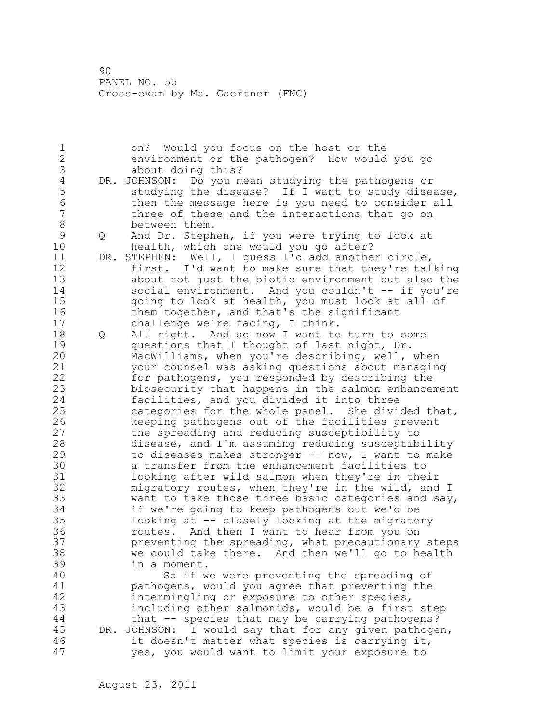1 on? Would you focus on the host or the 2 environment or the pathogen? How would you go 3 about doing this?<br>4 DR. JOHNSON: Do you m 4 DR. JOHNSON: Do you mean studying the pathogens or<br>5 studying the disease? If I want to study disea 5 studying the disease? If I want to study disease,<br>6 then the message here is you need to consider all 6 then the message here is you need to consider all<br>7 three of these and the interactions that go on three of these and the interactions that go on 8 between them. 9 Q And Dr. Stephen, if you were trying to look at<br>10 bealth, which one would you go after? health, which one would you go after? 11 DR. STEPHEN: Well, I guess I'd add another circle, 12 first. I'd want to make sure that they're talking 13 about not just the biotic environment but also the 14 social environment. And you couldn't -- if you're 15 going to look at health, you must look at all of 16 them together, and that's the significant 17 challenge we're facing, I think. 18 Q All right. And so now I want to turn to some 19 questions that I thought of last night, Dr.<br>20 MacWilliams, when you're describing, well, MacWilliams, when you're describing, well, when 21 your counsel was asking questions about managing 22 for pathogens, you responded by describing the 23 biosecurity that happens in the salmon enhancement 24 facilities, and you divided it into three 25 categories for the whole panel. She divided that, 26 keeping pathogens out of the facilities prevent<br>27 the spreading and reducing susceptibility to the spreading and reducing susceptibility to 28 disease, and I'm assuming reducing susceptibility 29 to diseases makes stronger -- now, I want to make 30 a transfer from the enhancement facilities to<br>31 a looking after wild salmon when they're in the looking after wild salmon when they're in their 32 migratory routes, when they're in the wild, and I 33 want to take those three basic categories and say, 34 if we're going to keep pathogens out we'd be 35 looking at -- closely looking at the migratory 36 routes. And then I want to hear from you on 37 preventing the spreading, what precautionary steps 38 we could take there. And then we'll go to health 39 in a moment. 40 So if we were preventing the spreading of 41 pathogens, would you agree that preventing the<br>42 intermingling or exposure to other species, intermingling or exposure to other species, 43 including other salmonids, would be a first step 44 that -- species that may be carrying pathogens? 45 DR. JOHNSON: I would say that for any given pathogen, 46 it doesn't matter what species is carrying it, 47 yes, you would want to limit your exposure to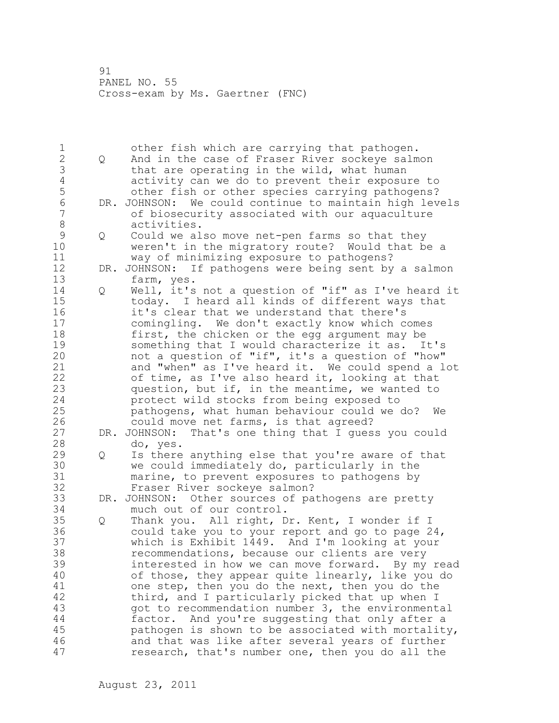| 1              |     | other fish which are carrying that pathogen.         |
|----------------|-----|------------------------------------------------------|
| $\overline{c}$ | Q   | And in the case of Fraser River sockeye salmon       |
| 3              |     | that are operating in the wild, what human           |
|                |     |                                                      |
| $\sqrt{4}$     |     | activity can we do to prevent their exposure to      |
| 5              |     | other fish or other species carrying pathogens?      |
| $\sqrt{6}$     | DR. | JOHNSON: We could continue to maintain high levels   |
| $\overline{7}$ |     | of biosecurity associated with our aquaculture       |
| $\,8\,$        |     | activities.                                          |
| $\mathsf 9$    |     | Could we also move net-pen farms so that they        |
|                | Q   |                                                      |
| 10             |     | weren't in the migratory route? Would that be a      |
| 11             |     | way of minimizing exposure to pathogens?             |
| 12             | DR. | JOHNSON: If pathogens were being sent by a salmon    |
| 13             |     | farm, yes.                                           |
| 14             | Q   | Well, it's not a question of "if" as I've heard it   |
| 15             |     | today. I heard all kinds of different ways that      |
| 16             |     | it's clear that we understand that there's           |
|                |     |                                                      |
| 17             |     | comingling. We don't exactly know which comes        |
| 18             |     | first, the chicken or the egg argument may be        |
| 19             |     | something that I would characterize it as.<br>It's   |
| 20             |     | not a question of "if", it's a question of "how"     |
| 21             |     | and "when" as I've heard it. We could spend a lot    |
| 22             |     | of time, as I've also heard it, looking at that      |
| 23             |     | question, but if, in the meantime, we wanted to      |
|                |     |                                                      |
| 24             |     | protect wild stocks from being exposed to            |
| 25             |     | pathogens, what human behaviour could we do?<br>We   |
| 26             |     | could move net farms, is that agreed?                |
| 27             |     | DR. JOHNSON: That's one thing that I guess you could |
| 28             |     | do, yes.                                             |
| 29             | Q   | Is there anything else that you're aware of that     |
| 30             |     | we could immediately do, particularly in the         |
|                |     |                                                      |
| 31             |     | marine, to prevent exposures to pathogens by         |
| 32             |     | Fraser River sockeye salmon?                         |
| 33             |     | DR. JOHNSON: Other sources of pathogens are pretty   |
| 34             |     | much out of our control.                             |
| 35             | Q   | Thank you. All right, Dr. Kent, I wonder if I        |
| 36             |     | could take you to your report and go to page 24,     |
| 37             |     | which is Exhibit 1449. And I'm looking at your       |
|                |     |                                                      |
| 38             |     | recommendations, because our clients are very        |
| 39             |     | interested in how we can move forward. By my read    |
| 40             |     | of those, they appear quite linearly, like you do    |
| 41             |     | one step, then you do the next, then you do the      |
| 42             |     | third, and I particularly picked that up when I      |
| 43             |     | got to recommendation number 3, the environmental    |
| 44             |     | And you're suggesting that only after a<br>factor.   |
| 45             |     |                                                      |
|                |     | pathogen is shown to be associated with mortality,   |
| 46             |     | and that was like after several years of further     |
| 47             |     | research, that's number one, then you do all the     |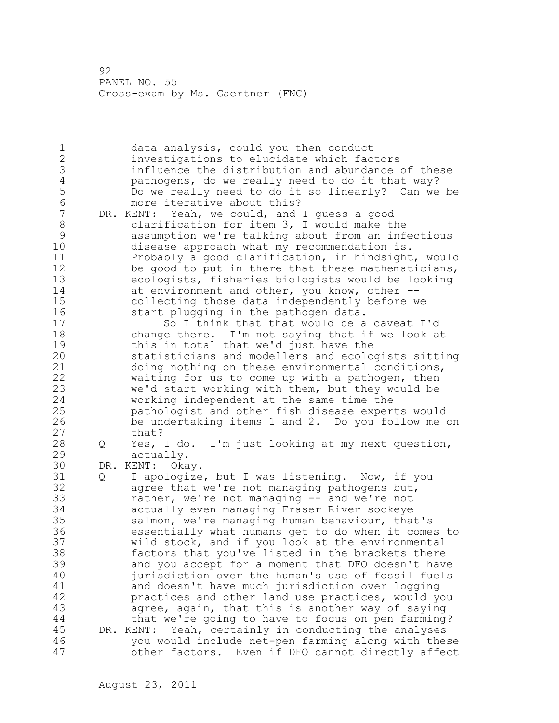1 data analysis, could you then conduct 2 investigations to elucidate which factors 3 influence the distribution and abundance of these<br>4 bathogens, do we really need to do it that way? 4 pathogens, do we really need to do it that way?<br>5 Do we really need to do it so linearly? Can we 5 Do we really need to do it so linearly? Can we be 6 more iterative about this?<br>7 DR. KENT: Yeah, we could, and DR. KENT: Yeah, we could, and I quess a good 8 clarification for item 3, I would make the<br>9 assumption we're talking about from an inf 9 assumption we're talking about from an infectious disease approach what my recommendation is. 11 Probably a good clarification, in hindsight, would 12 be good to put in there that these mathematicians, 13 ecologists, fisheries biologists would be looking 14 at environment and other, you know, other -- 15 collecting those data independently before we 16 start plugging in the pathogen data. 17 So I think that that would be a caveat I'd 18 change there. I'm not saying that if we look at 19 this in total that we'd just have the<br>20 statisticians and modellers and ecolo statisticians and modellers and ecologists sitting 21 doing nothing on these environmental conditions, 22 waiting for us to come up with a pathogen, then 23 we'd start working with them, but they would be 24 working independent at the same time the 25 pathologist and other fish disease experts would 26 be undertaking items 1 and 2. Do you follow me on that? 28 Q Yes, I do. I'm just looking at my next question, 29 actually. 30 DR. KENT: Okay.<br>31 0 I apologize 31 Q I apologize, but I was listening. Now, if you<br>32 agree that we're not managing pathogens but. agree that we're not managing pathogens but, 33 rather, we're not managing -- and we're not 34 actually even managing Fraser River sockeye 35 salmon, we're managing human behaviour, that's 36 essentially what humans get to do when it comes to 37 wild stock, and if you look at the environmental 38 factors that you've listed in the brackets there 39 and you accept for a moment that DFO doesn't have 40 jurisdiction over the human's use of fossil fuels 41 and doesn't have much jurisdiction over logging<br>42 bractices and other land use practices, would ve practices and other land use practices, would you 43 agree, again, that this is another way of saying 44 that we're going to have to focus on pen farming? 45 DR. KENT: Yeah, certainly in conducting the analyses 46 you would include net-pen farming along with these 47 other factors. Even if DFO cannot directly affect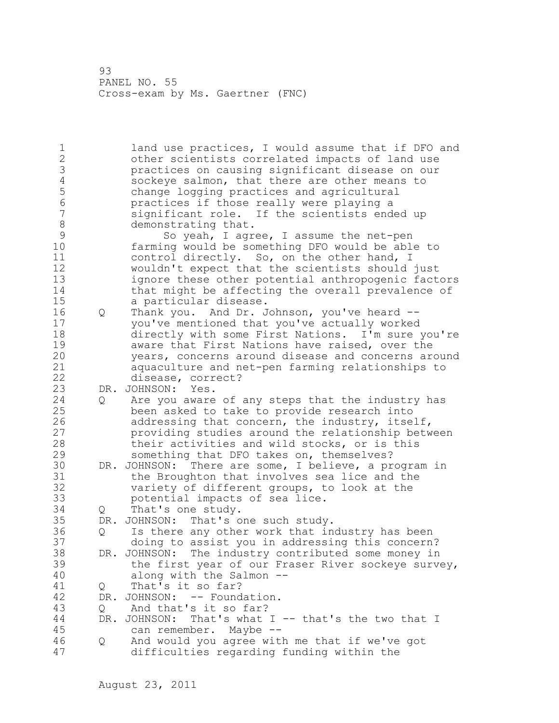1 land use practices, I would assume that if DFO and 2 other scientists correlated impacts of land use 3 practices on causing significant disease on our 4 sockeye salmon, that there are other means to<br>5 change logging practices and agricultural 5 change logging practices and agricultural 6 practices if those really were playing a significant role. If the scientists ended up 8 demonstrating that.<br>9 So yeah, I aqr 9 So yeah, I agree, I assume the net-pen<br>10 farming would be something DFO would be abl farming would be something DFO would be able to 11 control directly. So, on the other hand, I 12 wouldn't expect that the scientists should just 13 ignore these other potential anthropogenic factors 14 that might be affecting the overall prevalence of 15 a particular disease. 16 Q Thank you. And Dr. Johnson, you've heard -- 17 you've mentioned that you've actually worked 18 directly with some First Nations. I'm sure you're 19 19 aware that First Nations have raised, over the<br>20 10 years, concerns around disease and concerns are years, concerns around disease and concerns around 21 aquaculture and net-pen farming relationships to 22 disease, correct? 23 DR. JOHNSON: Yes. 24 Q Are you aware of any steps that the industry has 25 been asked to take to provide research into 26 addressing that concern, the industry, itself,<br>27 broviding studies around the relationship betw providing studies around the relationship between 28 their activities and wild stocks, or is this 29 something that DFO takes on, themselves? 30 DR. JOHNSON: There are some, I believe, a program in<br>31 the Broughton that involves sea lice and the 31 the Broughton that involves sea lice and the<br>32 variety of different groups, to look at the variety of different groups, to look at the 33 potential impacts of sea lice. 34 Q That's one study. 35 DR. JOHNSON: That's one such study. 36 Q Is there any other work that industry has been 37 doing to assist you in addressing this concern? 38 DR. JOHNSON: The industry contributed some money in 39 the first year of our Fraser River sockeye survey, 40 along with the Salmon -- 41 Q That's it so far?<br>42 DR. JOHNSON: -- Found DR. JOHNSON: -- Foundation. 43 Q And that's it so far? 44 DR. JOHNSON: That's what I -- that's the two that I 45 can remember. Maybe -- 46 Q And would you agree with me that if we've got 47 difficulties regarding funding within the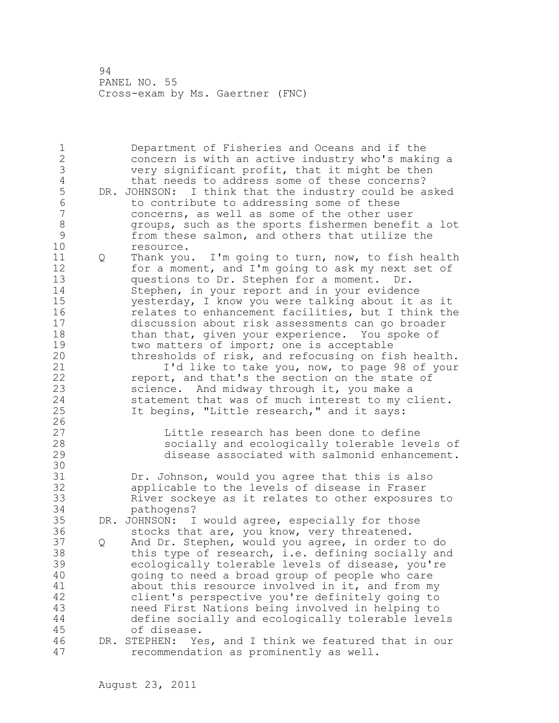1 Department of Fisheries and Oceans and if the 2 concern is with an active industry who's making a 3 very significant profit, that it might be then<br>4 that needs to address some of these concerns? 4 that needs to address some of these concerns?<br>5 DR. JOHNSON: I think that the industry could be a 5 DR. JOHNSON: I think that the industry could be asked<br>6 to contribute to addressing some of these 6 to contribute to addressing some of these<br>7 (concerns, as well as some of the other use concerns, as well as some of the other user 8 groups, such as the sports fishermen benefit a lot<br>9 from these salmon, and others that utilize the 9 from these salmon, and others that utilize the<br>10 fesource. resource. 11 Q Thank you. I'm going to turn, now, to fish health 12 for a moment, and I'm going to ask my next set of 13 questions to Dr. Stephen for a moment. Dr. 14 Stephen, in your report and in your evidence 15 yesterday, I know you were talking about it as it 16 relates to enhancement facilities, but I think the 17 discussion about risk assessments can go broader 18 than that, given your experience. You spoke of 19 two matters of import; one is acceptable<br>20 thresholds of risk, and refocusing on fi thresholds of risk, and refocusing on fish health. 21 **I'd like to take you, now, to page 98 of your** 22 report, and that's the section on the state of 23 science. And midway through it, you make a 24 statement that was of much interest to my client. 25 It begins, "Little research," and it says:  $\frac{26}{27}$ 27 Little research has been done to define<br>28 Socially and ecologically tolerable leve socially and ecologically tolerable levels of 29 disease associated with salmonid enhancement. 30<br>31 31 Dr. Johnson, would you agree that this is also<br>32 applicable to the levels of disease in Fraser applicable to the levels of disease in Fraser 33 River sockeye as it relates to other exposures to 34 pathogens? 35 DR. JOHNSON: I would agree, especially for those 36 stocks that are, you know, very threatened. 37 Q And Dr. Stephen, would you agree, in order to do 38 this type of research, i.e. defining socially and 39 ecologically tolerable levels of disease, you're 40 going to need a broad group of people who care 41 about this resource involved in it, and from my<br>42 client's perspective you're definitely going to client's perspective you're definitely going to 43 need First Nations being involved in helping to 44 define socially and ecologically tolerable levels 45 of disease. 46 DR. STEPHEN: Yes, and I think we featured that in our 47 recommendation as prominently as well.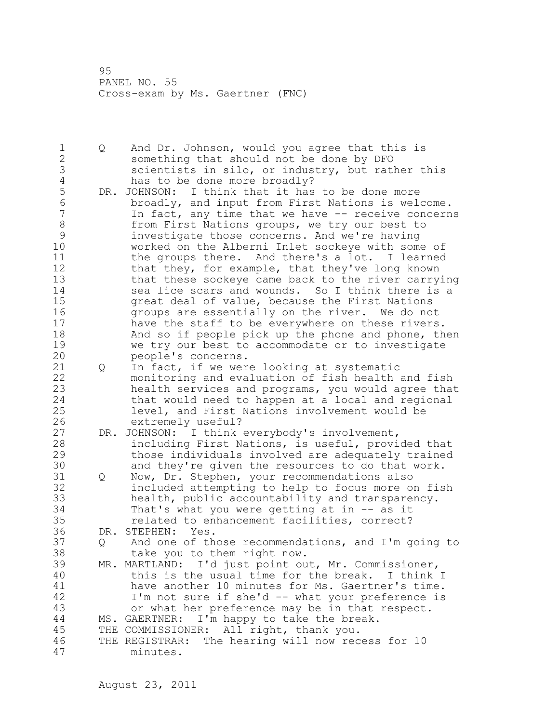1 Q And Dr. Johnson, would you agree that this is 2 something that should not be done by DFO 3 scientists in silo, or industry, but rather this<br>4 has to be done more broadly? 4 has to be done more broadly?<br>5 DR. JOHNSON: I think that it has 5 DR. JOHNSON: I think that it has to be done more<br>6 broadly, and input from First Nations is weld 6 broadly, and input from First Nations is welcome. In fact, any time that we have -- receive concerns 8 from First Nations groups, we try our best to<br>9 investigate those concerns. And we're having 9 investigate those concerns. And we're having worked on the Alberni Inlet sockeye with some of 11 the groups there. And there's a lot. I learned 12 that they, for example, that they've long known 13 that these sockeye came back to the river carrying 14 sea lice scars and wounds. So I think there is a 15 great deal of value, because the First Nations 16 groups are essentially on the river. We do not 17 have the staff to be everywhere on these rivers. 18 And so if people pick up the phone and phone, then 19 we try our best to accommodate or to investigate<br>20 people's concerns. people's concerns. 21 Q In fact, if we were looking at systematic 22 monitoring and evaluation of fish health and fish 23 health services and programs, you would agree that 24 that would need to happen at a local and regional 25 level, and First Nations involvement would be 26 extremely useful?<br>27 DR. JOHNSON: I think DR. JOHNSON: I think everybody's involvement, 28 including First Nations, is useful, provided that 29 those individuals involved are adequately trained 30 and they're given the resources to do that work.<br>31 0 Now, Dr. Stephen, your recommendations also Q Now, Dr. Stephen, your recommendations also 32 included attempting to help to focus more on fish 33 health, public accountability and transparency. 34 That's what you were getting at in -- as it 35 related to enhancement facilities, correct? 36 DR. STEPHEN: Yes. 37 Q And one of those recommendations, and I'm going to 38 take you to them right now. 39 MR. MARTLAND: I'd just point out, Mr. Commissioner, 40 this is the usual time for the break. I think I 41 have another 10 minutes for Ms. Gaertner's time.<br>42 I'm not sure if she'd -- what your preference is I'm not sure if she'd -- what your preference is 43 or what her preference may be in that respect. 44 MS. GAERTNER: I'm happy to take the break. 45 THE COMMISSIONER: All right, thank you. 46 THE REGISTRAR: The hearing will now recess for 10 47 minutes.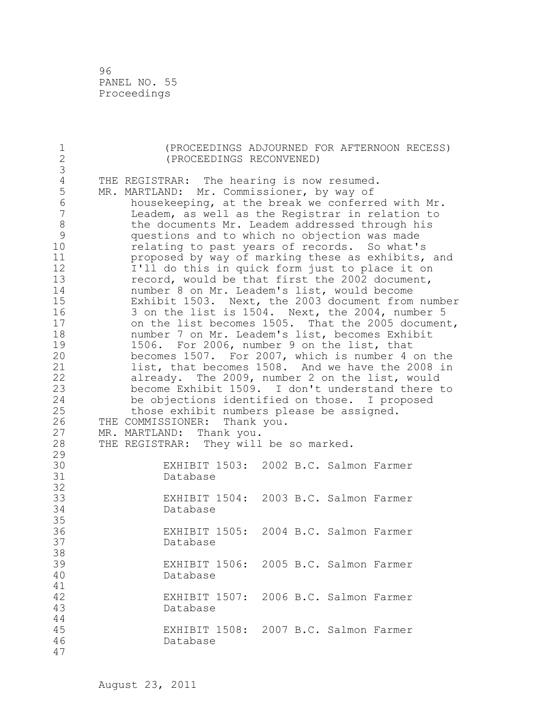96 PANEL NO. 55 Proceedings

| $\mathbf 1$<br>$\overline{c}$                                                                                                                                                             |                                                                                                                                                                                                                                                                                                                                                                                                                                                                                                                                                                                                                                                                                                                                                                                                                                                                                                                                                                                                                                                                                                                                                                                                                                         | (PROCEEDINGS RECONVENED)                          |  |  |  |  | (PROCEEDINGS ADJOURNED FOR AFTERNOON RECESS) |  |
|-------------------------------------------------------------------------------------------------------------------------------------------------------------------------------------------|-----------------------------------------------------------------------------------------------------------------------------------------------------------------------------------------------------------------------------------------------------------------------------------------------------------------------------------------------------------------------------------------------------------------------------------------------------------------------------------------------------------------------------------------------------------------------------------------------------------------------------------------------------------------------------------------------------------------------------------------------------------------------------------------------------------------------------------------------------------------------------------------------------------------------------------------------------------------------------------------------------------------------------------------------------------------------------------------------------------------------------------------------------------------------------------------------------------------------------------------|---------------------------------------------------|--|--|--|--|----------------------------------------------|--|
| $\mathfrak{Z}$                                                                                                                                                                            |                                                                                                                                                                                                                                                                                                                                                                                                                                                                                                                                                                                                                                                                                                                                                                                                                                                                                                                                                                                                                                                                                                                                                                                                                                         |                                                   |  |  |  |  |                                              |  |
| $\sqrt{4}$<br>5<br>$\sqrt{6}$<br>$\boldsymbol{7}$<br>$\,8\,$<br>$\mathcal{G}$<br>10<br>11<br>12<br>13<br>14<br>15<br>16<br>17<br>18<br>19<br>20<br>21<br>22<br>23<br>24<br>25<br>26<br>27 | THE REGISTRAR: The hearing is now resumed.<br>MR. MARTLAND: Mr. Commissioner, by way of<br>housekeeping, at the break we conferred with Mr.<br>Leadem, as well as the Registrar in relation to<br>the documents Mr. Leadem addressed through his<br>questions and to which no objection was made<br>relating to past years of records. So what's<br>proposed by way of marking these as exhibits, and<br>I'll do this in quick form just to place it on<br>record, would be that first the 2002 document,<br>number 8 on Mr. Leadem's list, would become<br>Exhibit 1503. Next, the 2003 document from number<br>3 on the list is 1504. Next, the 2004, number 5<br>on the list becomes 1505. That the 2005 document,<br>number 7 on Mr. Leadem's list, becomes Exhibit<br>1506. For 2006, number 9 on the list, that<br>becomes 1507. For 2007, which is number 4 on the<br>list, that becomes 1508. And we have the 2008 in<br>already. The 2009, number 2 on the list, would<br>become Exhibit 1509. I don't understand there to<br>be objections identified on those. I proposed<br>those exhibit numbers please be assigned.<br>THE COMMISSIONER: Thank you.<br>MR. MARTLAND: Thank you.<br>THE REGISTRAR: They will be so marked. |                                                   |  |  |  |  |                                              |  |
| 28<br>29                                                                                                                                                                                  |                                                                                                                                                                                                                                                                                                                                                                                                                                                                                                                                                                                                                                                                                                                                                                                                                                                                                                                                                                                                                                                                                                                                                                                                                                         |                                                   |  |  |  |  |                                              |  |
| 30<br>31                                                                                                                                                                                  |                                                                                                                                                                                                                                                                                                                                                                                                                                                                                                                                                                                                                                                                                                                                                                                                                                                                                                                                                                                                                                                                                                                                                                                                                                         | EXHIBIT 1503: 2002 B.C. Salmon Farmer<br>Database |  |  |  |  |                                              |  |
| 32<br>33<br>34                                                                                                                                                                            |                                                                                                                                                                                                                                                                                                                                                                                                                                                                                                                                                                                                                                                                                                                                                                                                                                                                                                                                                                                                                                                                                                                                                                                                                                         | EXHIBIT 1504: 2003 B.C. Salmon Farmer<br>Database |  |  |  |  |                                              |  |
| 35<br>36<br>37<br>38                                                                                                                                                                      |                                                                                                                                                                                                                                                                                                                                                                                                                                                                                                                                                                                                                                                                                                                                                                                                                                                                                                                                                                                                                                                                                                                                                                                                                                         | EXHIBIT 1505: 2004 B.C. Salmon Farmer<br>Database |  |  |  |  |                                              |  |
| 39<br>40<br>41                                                                                                                                                                            |                                                                                                                                                                                                                                                                                                                                                                                                                                                                                                                                                                                                                                                                                                                                                                                                                                                                                                                                                                                                                                                                                                                                                                                                                                         | EXHIBIT 1506: 2005 B.C. Salmon Farmer<br>Database |  |  |  |  |                                              |  |
| 42<br>43<br>44                                                                                                                                                                            |                                                                                                                                                                                                                                                                                                                                                                                                                                                                                                                                                                                                                                                                                                                                                                                                                                                                                                                                                                                                                                                                                                                                                                                                                                         | EXHIBIT 1507: 2006 B.C. Salmon Farmer<br>Database |  |  |  |  |                                              |  |
| 45<br>46<br>47                                                                                                                                                                            |                                                                                                                                                                                                                                                                                                                                                                                                                                                                                                                                                                                                                                                                                                                                                                                                                                                                                                                                                                                                                                                                                                                                                                                                                                         | EXHIBIT 1508: 2007 B.C. Salmon Farmer<br>Database |  |  |  |  |                                              |  |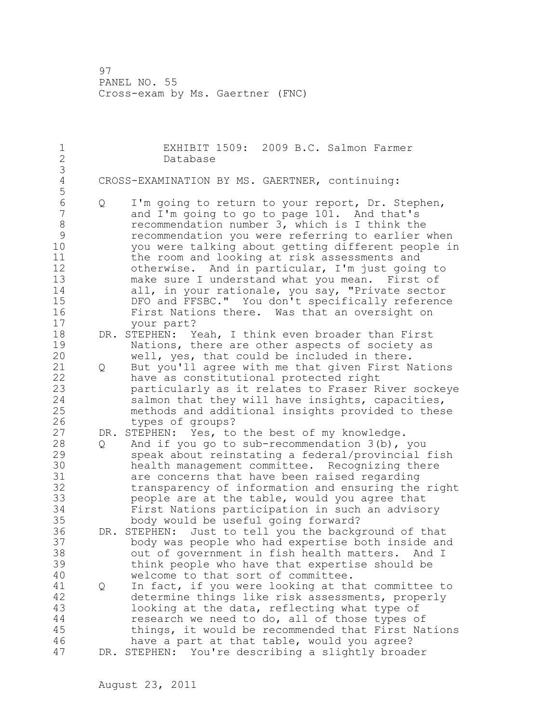| 1<br>$\mathbf{2}$<br>3                                                        |                                                | EXHIBIT 1509: 2009 B.C. Salmon Farmer<br>Database                                                                                                                                                                                                                                                                                                                                                                                                                                                                                                                                       |  |  |  |  |  |
|-------------------------------------------------------------------------------|------------------------------------------------|-----------------------------------------------------------------------------------------------------------------------------------------------------------------------------------------------------------------------------------------------------------------------------------------------------------------------------------------------------------------------------------------------------------------------------------------------------------------------------------------------------------------------------------------------------------------------------------------|--|--|--|--|--|
| $\sqrt{4}$<br>5                                                               | CROSS-EXAMINATION BY MS. GAERTNER, continuing: |                                                                                                                                                                                                                                                                                                                                                                                                                                                                                                                                                                                         |  |  |  |  |  |
| 6<br>$\overline{7}$<br>8<br>9<br>10<br>11<br>12<br>13<br>14<br>15<br>16<br>17 | Q                                              | I'm going to return to your report, Dr. Stephen,<br>and I'm going to go to page 101. And that's<br>recommendation number 3, which is I think the<br>recommendation you were referring to earlier when<br>you were talking about getting different people in<br>the room and looking at risk assessments and<br>otherwise. And in particular, I'm just going to<br>make sure I understand what you mean. First of<br>all, in your rationale, you say, "Private sector<br>DFO and FFSBC." You don't specifically reference<br>First Nations there. Was that an oversight on<br>your part? |  |  |  |  |  |
| 18                                                                            |                                                | DR. STEPHEN: Yeah, I think even broader than First                                                                                                                                                                                                                                                                                                                                                                                                                                                                                                                                      |  |  |  |  |  |
| 19<br>20                                                                      |                                                | Nations, there are other aspects of society as<br>well, yes, that could be included in there.                                                                                                                                                                                                                                                                                                                                                                                                                                                                                           |  |  |  |  |  |
| 21                                                                            | Q                                              | But you'll agree with me that given First Nations                                                                                                                                                                                                                                                                                                                                                                                                                                                                                                                                       |  |  |  |  |  |
| 22<br>23<br>24                                                                |                                                | have as constitutional protected right<br>particularly as it relates to Fraser River sockeye<br>salmon that they will have insights, capacities,                                                                                                                                                                                                                                                                                                                                                                                                                                        |  |  |  |  |  |
| 25                                                                            |                                                | methods and additional insights provided to these                                                                                                                                                                                                                                                                                                                                                                                                                                                                                                                                       |  |  |  |  |  |
| 26                                                                            |                                                | types of groups?                                                                                                                                                                                                                                                                                                                                                                                                                                                                                                                                                                        |  |  |  |  |  |
| 27                                                                            |                                                | DR. STEPHEN: Yes, to the best of my knowledge.                                                                                                                                                                                                                                                                                                                                                                                                                                                                                                                                          |  |  |  |  |  |
| 28<br>29<br>30<br>31<br>32<br>33<br>34<br>35                                  | $Q \qquad \qquad$                              | And if you go to sub-recommendation $3(b)$ , you<br>speak about reinstating a federal/provincial fish<br>health management committee. Recognizing there<br>are concerns that have been raised regarding<br>transparency of information and ensuring the right<br>people are at the table, would you agree that<br>First Nations participation in such an advisory<br>body would be useful going forward?                                                                                                                                                                                |  |  |  |  |  |
| 36<br>37<br>38<br>39<br>40                                                    |                                                | DR. STEPHEN: Just to tell you the background of that<br>body was people who had expertise both inside and<br>out of government in fish health matters.<br>And I<br>think people who have that expertise should be<br>welcome to that sort of committee.                                                                                                                                                                                                                                                                                                                                 |  |  |  |  |  |
| 41                                                                            | Q                                              | In fact, if you were looking at that committee to                                                                                                                                                                                                                                                                                                                                                                                                                                                                                                                                       |  |  |  |  |  |
| 42                                                                            |                                                | determine things like risk assessments, properly                                                                                                                                                                                                                                                                                                                                                                                                                                                                                                                                        |  |  |  |  |  |
| 43                                                                            |                                                | looking at the data, reflecting what type of                                                                                                                                                                                                                                                                                                                                                                                                                                                                                                                                            |  |  |  |  |  |
| $4\,4$                                                                        |                                                | research we need to do, all of those types of                                                                                                                                                                                                                                                                                                                                                                                                                                                                                                                                           |  |  |  |  |  |
| 45                                                                            |                                                | things, it would be recommended that First Nations                                                                                                                                                                                                                                                                                                                                                                                                                                                                                                                                      |  |  |  |  |  |
| 46<br>47                                                                      |                                                | have a part at that table, would you agree?                                                                                                                                                                                                                                                                                                                                                                                                                                                                                                                                             |  |  |  |  |  |
|                                                                               |                                                | DR. STEPHEN: You're describing a slightly broader                                                                                                                                                                                                                                                                                                                                                                                                                                                                                                                                       |  |  |  |  |  |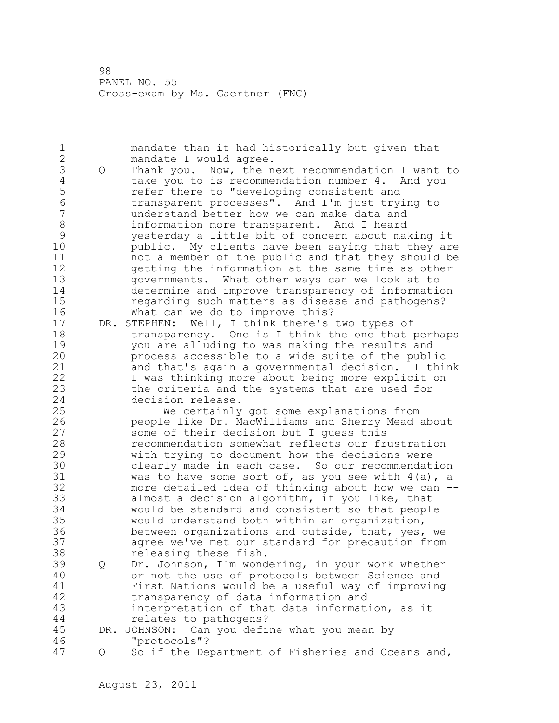1 mandate than it had historically but given that 2 mandate I would agree. 3 Q Thank you. Now, the next recommendation I want to<br>4 take you to is recommendation number 4. And you 4 take you to is recommendation number 4. And you<br>5 efter there to "developing consistent and 5 15 11 refer there to "developing consistent and<br>6 1 transparent processes". And I'm just try. 6 transparent processes". And I'm just trying to understand better how we can make data and 8 information more transparent. And I heard 9 yesterday a little bit of concern about making it public. My clients have been saying that they are 11 not a member of the public and that they should be 12 getting the information at the same time as other 13 governments. What other ways can we look at to 14 determine and improve transparency of information 15 regarding such matters as disease and pathogens? 16 What can we do to improve this? 17 DR. STEPHEN: Well, I think there's two types of 18 transparency. One is I think the one that perhaps 19 you are alluding to was making the results and<br>20 process accessible to a wide suite of the publ: process accessible to a wide suite of the public 21 and that's again a governmental decision. I think 22 I was thinking more about being more explicit on 23 the criteria and the systems that are used for 24 decision release. 25 We certainly got some explanations from 26 people like Dr. MacWilliams and Sherry Mead about<br>27 some of their decision but I quess this some of their decision but I guess this 28 recommendation somewhat reflects our frustration 29 with trying to document how the decisions were 30 clearly made in each case. So our recommendation<br>31 was to have some sort of, as you see with 4(a), a 31 was to have some sort of, as you see with 4(a), a<br>32 more detailed idea of thinking about how we can more detailed idea of thinking about how we can  $-$ -33 almost a decision algorithm, if you like, that 34 would be standard and consistent so that people 35 would understand both within an organization, 36 between organizations and outside, that, yes, we 37 agree we've met our standard for precaution from 38 releasing these fish. 39 Q Dr. Johnson, I'm wondering, in your work whether 40 or not the use of protocols between Science and 41 First Nations would be a useful way of improving<br>42 transparency of data information and transparency of data information and 43 interpretation of that data information, as it 44 relates to pathogens? 45 DR. JOHNSON: Can you define what you mean by 46 "protocols"? 47 Q So if the Department of Fisheries and Oceans and,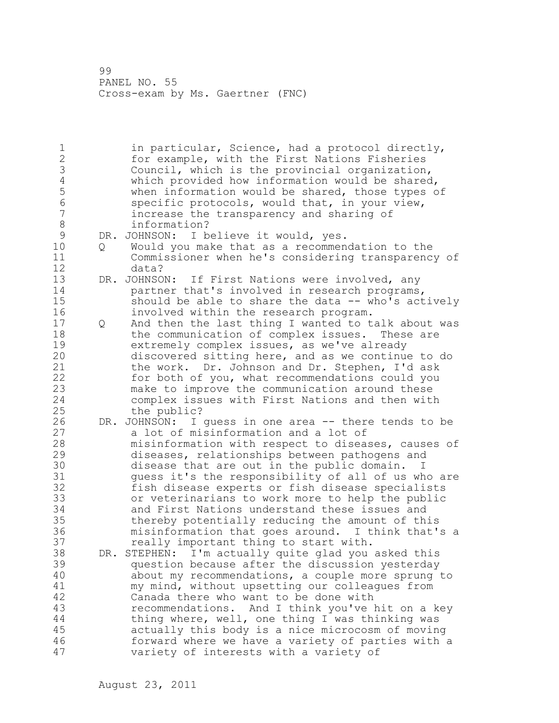1 in particular, Science, had a protocol directly, 2 for example, with the First Nations Fisheries 3 Council, which is the provincial organization,<br>4 which provided how information would be shared 4 which provided how information would be shared,<br>5 when information would be shared, those types o 5 when information would be shared, those types of 6 specific protocols, would that, in your view,<br>7 increase the transparency and sharing of increase the transparency and sharing of 8 information?<br>9 DR. JOHNSON: I b 9 DR. JOHNSON: I believe it would, yes.<br>10 0 Would you make that as a recommen 10 Q Would you make that as a recommendation to the 11 Commissioner when he's considering transparency of 12 data? 13 DR. JOHNSON: If First Nations were involved, any 14 **partner that's involved in research programs,** 15 should be able to share the data -- who's actively 16 involved within the research program. 17 Q And then the last thing I wanted to talk about was 18 the communication of complex issues. These are 19 extremely complex issues, as we've already<br>20 discovered sitting here, and as we continue discovered sitting here, and as we continue to do 21 the work. Dr. Johnson and Dr. Stephen, I'd ask 22 for both of you, what recommendations could you 23 make to improve the communication around these 24 complex issues with First Nations and then with 25 the public? 26 DR. JOHNSON: I guess in one area -- there tends to be<br>27 a lot of misinformation and a lot of a lot of misinformation and a lot of 28 misinformation with respect to diseases, causes of 29 diseases, relationships between pathogens and 30 disease that are out in the public domain. I<br>31 ouess it's the responsibility of all of us wh guess it's the responsibility of all of us who are 32 fish disease experts or fish disease specialists 33 or veterinarians to work more to help the public 34 and First Nations understand these issues and 35 thereby potentially reducing the amount of this 36 misinformation that goes around. I think that's a 37 really important thing to start with. 38 DR. STEPHEN: I'm actually quite glad you asked this 39 question because after the discussion yesterday 40 about my recommendations, a couple more sprung to 41 my mind, without upsetting our colleagues from<br>42 Canada there who want to be done with Canada there who want to be done with 43 recommendations. And I think you've hit on a key 44 thing where, well, one thing I was thinking was 45 actually this body is a nice microcosm of moving 46 forward where we have a variety of parties with a 47 variety of interests with a variety of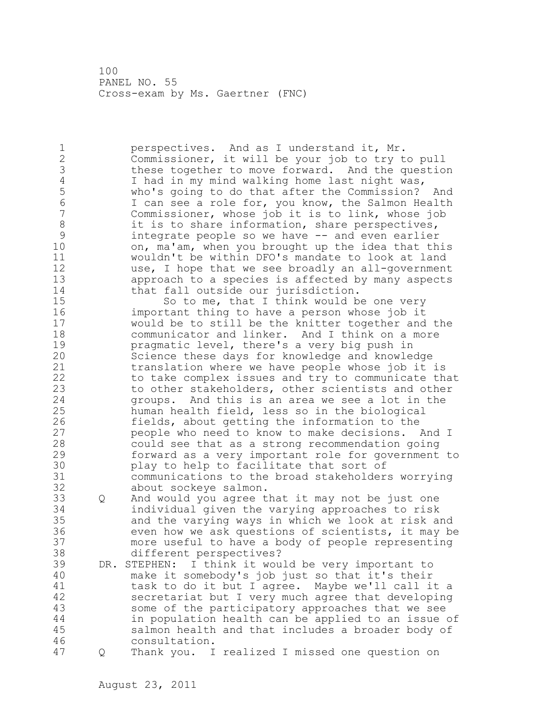1 perspectives. And as I understand it, Mr. 2 Commissioner, it will be your job to try to pull 3 these together to move forward. And the question<br>4 1 had in my mind walking home last night was, 4 I had in my mind walking home last night was,<br>5 Who's going to do that after the Commission? 5 who's going to do that after the Commission? And<br>6 1 can see a role for, you know, the Salmon Health 6 I can see a role for, you know, the Salmon Health Commissioner, whose job it is to link, whose job 8 it is to share information, share perspectives, 9 integrate people so we have -- and even earlier<br>10 on, ma'am, when you brought up the idea that th on, ma'am, when you brought up the idea that this 11 wouldn't be within DFO's mandate to look at land 12 use, I hope that we see broadly an all-government 13 approach to a species is affected by many aspects 14 that fall outside our jurisdiction. 15 So to me, that I think would be one very 16 important thing to have a person whose job it 17 would be to still be the knitter together and the 18 communicator and linker. And I think on a more 19 **pragmatic level, there's a very big push in**<br>20 Science these days for knowledge and knowle Science these days for knowledge and knowledge 21 translation where we have people whose job it is 22 to take complex issues and try to communicate that 23 to other stakeholders, other scientists and other 24 groups. And this is an area we see a lot in the 25 human health field, less so in the biological 26 fields, about getting the information to the<br>27 seeple who need to know to make decisions. people who need to know to make decisions. And I 28 could see that as a strong recommendation going 29 forward as a very important role for government to 30 play to help to facilitate that sort of<br>31 communications to the broad stakeholder communications to the broad stakeholders worrying 32 about sockeye salmon. 33 Q And would you agree that it may not be just one 34 individual given the varying approaches to risk 35 and the varying ways in which we look at risk and 36 even how we ask questions of scientists, it may be 37 more useful to have a body of people representing 38 different perspectives? 39 DR. STEPHEN: I think it would be very important to 40 make it somebody's job just so that it's their 41 task to do it but I agree. Maybe we'll call it a<br>42 secretariat but I very much agree that developing secretariat but I very much agree that developing 43 some of the participatory approaches that we see 44 in population health can be applied to an issue of 45 salmon health and that includes a broader body of 46 consultation. 47 Q Thank you. I realized I missed one question on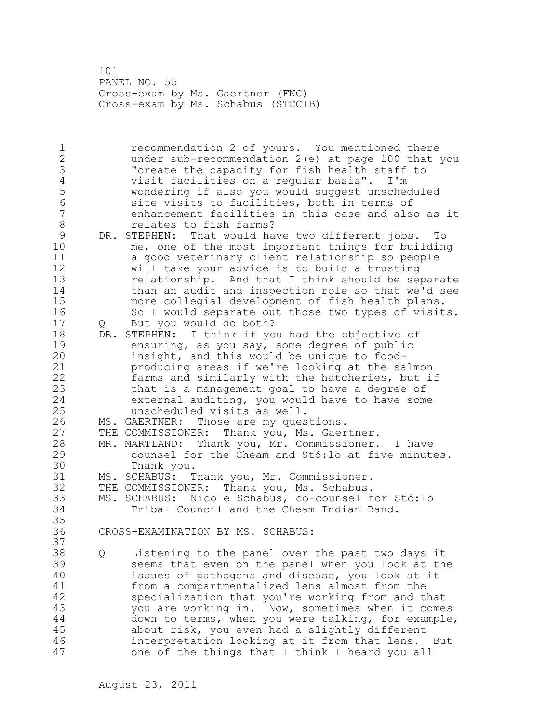101 PANEL NO. 55 Cross-exam by Ms. Gaertner (FNC) Cross-exam by Ms. Schabus (STCCIB)

1 recommendation 2 of yours. You mentioned there 2 under sub-recommendation 2(e) at page 100 that you 3 The Capacity for fish health staff to<br>4 visit facilities on a reqular basis". I'm 4 visit facilities on a regular basis". I'm 5 wondering if also you would suggest unscheduled 6 site visits to facilities, both in terms of enhancement facilities in this case and also as it 8 relates to fish farms? 9 DR. STEPHEN: That would have two different jobs. To<br>10 me, one of the most important things for building me, one of the most important things for building 11 a good veterinary client relationship so people 12 will take your advice is to build a trusting 13 relationship. And that I think should be separate 14 than an audit and inspection role so that we'd see 15 more collegial development of fish health plans. 16 So I would separate out those two types of visits. 17 Q But you would do both? 18 DR. STEPHEN: I think if you had the objective of 19 ensuring, as you say, some degree of public<br>20 insight, and this would be unique to foodinsight, and this would be unique to food-21 producing areas if we're looking at the salmon 22 farms and similarly with the hatcheries, but if 23 that is a management goal to have a degree of 24 external auditing, you would have to have some 25 unscheduled visits as well. 26 MS. GAERTNER: Those are my questions.<br>27 THE COMMISSIONER: Thank you, Ms. Gaer THE COMMISSIONER: Thank you, Ms. Gaertner. 28 MR. MARTLAND: Thank you, Mr. Commissioner. I have 29 counsel for the Cheam and Stó:lō at five minutes. 30 Thank you.<br>31 MS. SCHABUS: T MS. SCHABUS: Thank you, Mr. Commissioner. 32 THE COMMISSIONER: Thank you, Ms. Schabus. 33 MS. SCHABUS: Nicole Schabus, co-counsel for Stó:lō 34 Tribal Council and the Cheam Indian Band. 35 36 CROSS-EXAMINATION BY MS. SCHABUS: 37 38 Q Listening to the panel over the past two days it 39 seems that even on the panel when you look at the 40 issues of pathogens and disease, you look at it 41 from a compartmentalized lens almost from the<br>42 specialization that you're working from and the specialization that you're working from and that 43 you are working in. Now, sometimes when it comes 44 down to terms, when you were talking, for example, 45 about risk, you even had a slightly different 46 interpretation looking at it from that lens. But 47 one of the things that I think I heard you all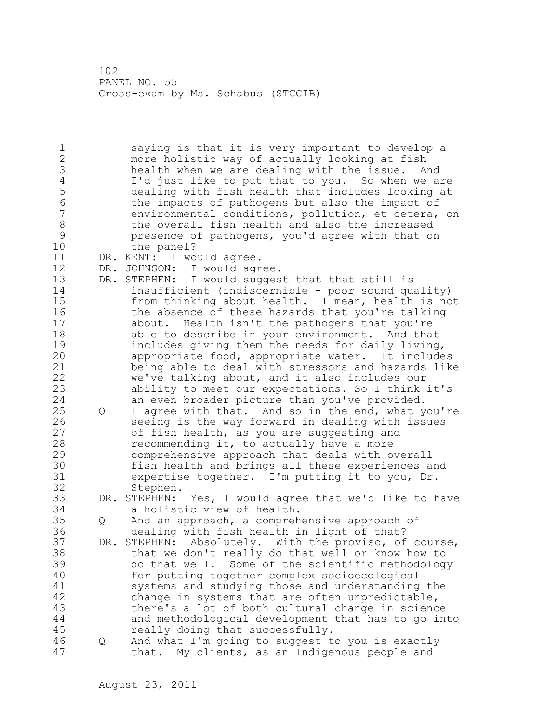102 PANEL NO. 55 Cross-exam by Ms. Schabus (STCCIB)

1 saying is that it is very important to develop a 2 more holistic way of actually looking at fish 3 health when we are dealing with the issue. And<br>4 1'd just like to put that to you. So when we are 4 I'd just like to put that to you. So when we are<br>5 dealing with fish health that includes looking at 5 dealing with fish health that includes looking at 6 the impacts of pathogens but also the impact of<br>7 environmental conditions, pollution, et cetera, environmental conditions, pollution, et cetera, on 8 the overall fish health and also the increased<br>9 serves presence of pathogens, you'd agree with that or 9 presence of pathogens, you'd agree with that on<br>10 the panel? the panel? 11 DR. KENT: I would agree. 12 DR. JOHNSON: I would agree. 13 DR. STEPHEN: I would suggest that that still is 14 insufficient (indiscernible - poor sound quality) 15 from thinking about health. I mean, health is not 16 the absence of these hazards that you're talking 17 about. Health isn't the pathogens that you're 18 able to describe in your environment. And that 19 includes giving them the needs for daily living,<br>20 appropriate food, appropriate water. It include appropriate food, appropriate water. It includes 21 being able to deal with stressors and hazards like 22 we've talking about, and it also includes our 23 ability to meet our expectations. So I think it's 24 an even broader picture than you've provided. 25 Q I agree with that. And so in the end, what you're 26 seeing is the way forward in dealing with issues<br>27 of fish health, as you are suggesting and of fish health, as you are suggesting and 28 recommending it, to actually have a more 29 comprehensive approach that deals with overall 30 fish health and brings all these experiences and<br>31 expertise together. I'm putting it to you, Dr. 31 expertise together. I'm putting it to you, Dr. Stephen. 33 DR. STEPHEN: Yes, I would agree that we'd like to have 34 a holistic view of health. 35 Q And an approach, a comprehensive approach of 36 dealing with fish health in light of that? 37 DR. STEPHEN: Absolutely. With the proviso, of course, 38 that we don't really do that well or know how to 39 do that well. Some of the scientific methodology 40 for putting together complex socioecological 41 systems and studying those and understanding the<br>42 change in systems that are often unpredictable, change in systems that are often unpredictable, 43 there's a lot of both cultural change in science 44 and methodological development that has to go into 45 really doing that successfully. 46 Q And what I'm going to suggest to you is exactly 47 that. My clients, as an Indigenous people and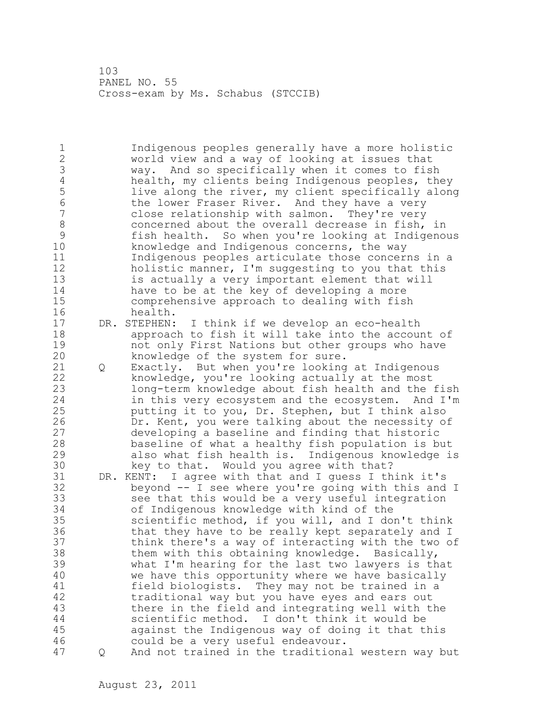103 PANEL NO. 55 Cross-exam by Ms. Schabus (STCCIB)

1 Indigenous peoples generally have a more holistic 2 world view and a way of looking at issues that 3 way. And so specifically when it comes to fish<br>4 health, my clients being Indigenous peoples, the 4 health, my clients being Indigenous peoples, they<br>5 1ive along the river, my client specifically alone 5 live along the river, my client specifically along<br>6 the lower Fraser River. And they have a very 6 the lower Fraser River. And they have a very<br>7 close relationship with salmon. They're very close relationship with salmon. They're very 8 concerned about the overall decrease in fish, in<br>9 fish health. So when you're looking at Indigeno 9 fish health. So when you're looking at Indigenous<br>10 howledge and Indigenous concerns, the way knowledge and Indigenous concerns, the way 11 Indigenous peoples articulate those concerns in a 12 holistic manner, I'm suggesting to you that this 13 is actually a very important element that will 14 have to be at the key of developing a more 15 comprehensive approach to dealing with fish 16 health. 17 DR. STEPHEN: I think if we develop an eco-health 18 approach to fish it will take into the account of 19 mot only First Nations but other groups who have<br>20 have an availed of the system for sure. knowledge of the system for sure. 21 Q Exactly. But when you're looking at Indigenous 22 knowledge, you're looking actually at the most 23 long-term knowledge about fish health and the fish 24 in this very ecosystem and the ecosystem. And I'm 25 putting it to you, Dr. Stephen, but I think also 26 Dr. Kent, you were talking about the necessity of<br>27 developing a baseline and finding that historic developing a baseline and finding that historic 28 baseline of what a healthy fish population is but 29 also what fish health is. Indigenous knowledge is 30 key to that. Would you agree with that?<br>31 DR. KENT: I agree with that and I guess I th DR. KENT: I agree with that and I guess I think it's 32 beyond -- I see where you're going with this and I 33 see that this would be a very useful integration 34 of Indigenous knowledge with kind of the 35 scientific method, if you will, and I don't think 36 that they have to be really kept separately and I 37 think there's a way of interacting with the two of 38 them with this obtaining knowledge. Basically, 39 what I'm hearing for the last two lawyers is that 40 we have this opportunity where we have basically 41 field biologists. They may not be trained in a<br>42 traditional way but you have eyes and ears out traditional way but you have eyes and ears out 43 there in the field and integrating well with the 44 scientific method. I don't think it would be 45 against the Indigenous way of doing it that this 46 could be a very useful endeavour. 47 Q And not trained in the traditional western way but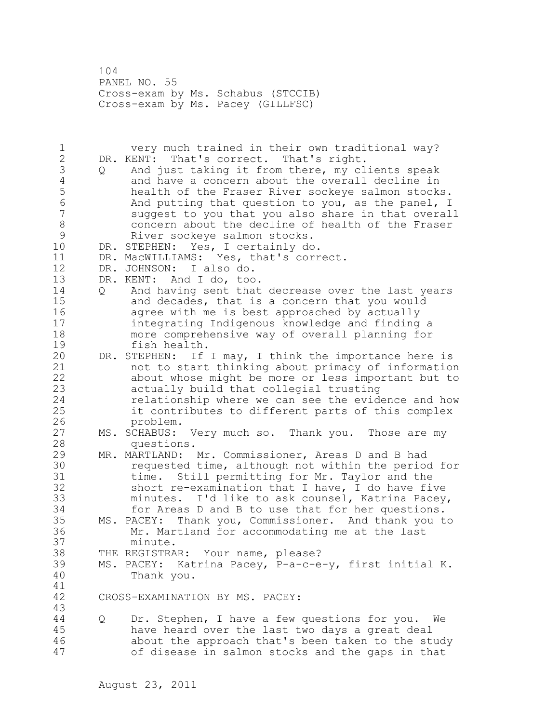104 PANEL NO. 55 Cross-exam by Ms. Schabus (STCCIB) Cross-exam by Ms. Pacey (GILLFSC)

1 very much trained in their own traditional way? 2 DR. KENT: That's correct. That's right. 3 Q And just taking it from there, my clients speak<br>4 and have a concern about the overall decline in 4 and have a concern about the overall decline in<br>5 bealth of the Fraser River sockeye salmon stock: 5 health of the Fraser River sockeye salmon stocks.<br>6 6 And putting that question to you, as the panel, I 6 And putting that question to you, as the panel, I<br>7 suggest to you that you also share in that overal suggest to you that you also share in that overall 8 concern about the decline of health of the Fraser 9 River sockeye salmon stocks.<br>10 DR. STEPHEN: Yes, I certainly do DR. STEPHEN: Yes, I certainly do. 11 DR. MacWILLIAMS: Yes, that's correct. 12 DR. JOHNSON: I also do. 13 DR. KENT: And I do, too. 14 Q And having sent that decrease over the last years 15 and decades, that is a concern that you would 16 agree with me is best approached by actually 17 integrating Indigenous knowledge and finding a 18 more comprehensive way of overall planning for 19 fish health.<br>20 DR. STEPHEN: If DR. STEPHEN: If I may, I think the importance here is 21 not to start thinking about primacy of information 22 about whose might be more or less important but to 23 actually build that collegial trusting 24 relationship where we can see the evidence and how 25 it contributes to different parts of this complex 26 problem.<br>27 MS. SCHABUS: MS. SCHABUS: Very much so. Thank you. Those are my 28 questions. 29 MR. MARTLAND: Mr. Commissioner, Areas D and B had 30 requested time, although not within the period for<br>31 time. Still permitting for Mr. Taylor and the time. Still permitting for Mr. Taylor and the 32 short re-examination that I have, I do have five 33 minutes. I'd like to ask counsel, Katrina Pacey, 34 for Areas D and B to use that for her questions. 35 MS. PACEY: Thank you, Commissioner. And thank you to 36 Mr. Martland for accommodating me at the last 37 minute. 38 THE REGISTRAR: Your name, please? 39 MS. PACEY: Katrina Pacey, P-a-c-e-y, first initial K. 40 Thank you. 41<br>42 CROSS-EXAMINATION BY MS. PACEY: 43 44 Q Dr. Stephen, I have a few questions for you. We 45 have heard over the last two days a great deal 46 about the approach that's been taken to the study 47 of disease in salmon stocks and the gaps in that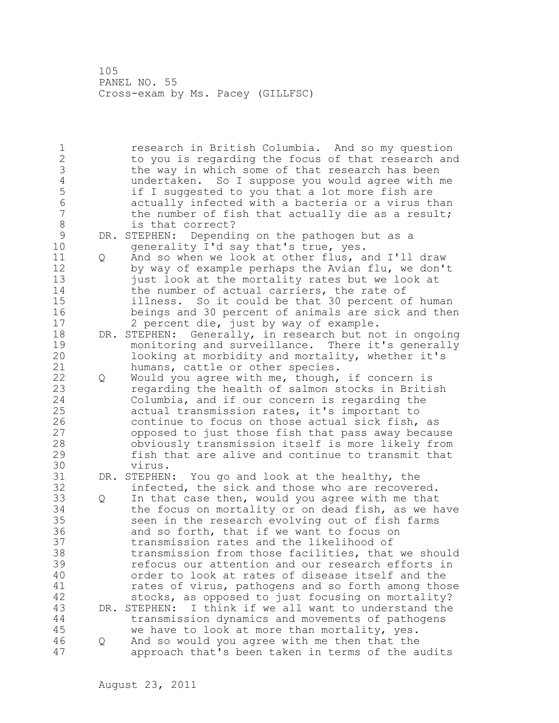105 PANEL NO. 55 Cross-exam by Ms. Pacey (GILLFSC)

1 research in British Columbia. And so my question 2 to you is regarding the focus of that research and 3 the way in which some of that research has been<br>4 andertaken. So I suppose you would agree with r 4 undertaken. So I suppose you would agree with me 5 if I suggested to you that a lot more fish are<br>6 actually infected with a bacteria or a virus tl 6 6 actually infected with a bacteria or a virus than<br>7 the number of fish that actually die as a result: the number of fish that actually die as a result; 8 is that correct?<br>9 DR. STEPHEN: Dependi 9 DR. STEPHEN: Depending on the pathogen but as a<br>10 oenerality I'd say that's true, yes. generality I'd say that's true, yes. 11 Q And so when we look at other flus, and I'll draw 12 by way of example perhaps the Avian flu, we don't 13 just look at the mortality rates but we look at 14 the number of actual carriers, the rate of 15 illness. So it could be that 30 percent of human 16 beings and 30 percent of animals are sick and then 17 2 percent die, just by way of example. 18 DR. STEPHEN: Generally, in research but not in ongoing 19 monitoring and surveillance. There it's generally<br>20 100king at morbidity and mortality, whether it's looking at morbidity and mortality, whether it's 21 humans, cattle or other species. 22 Q Would you agree with me, though, if concern is 23 regarding the health of salmon stocks in British 24 Columbia, and if our concern is regarding the 25 actual transmission rates, it's important to 26 continue to focus on those actual sick fish, as<br>27 copposed to just those fish that pass away becau 27 opposed to just those fish that pass away because<br>28 obviously transmission itself is more likelv from obviously transmission itself is more likely from 29 fish that are alive and continue to transmit that 30 virus.<br>31 DR. STEPHEN DR. STEPHEN: You go and look at the healthy, the 32 infected, the sick and those who are recovered. 33 Q In that case then, would you agree with me that 34 the focus on mortality or on dead fish, as we have 35 seen in the research evolving out of fish farms 36 and so forth, that if we want to focus on 37 transmission rates and the likelihood of 38 transmission from those facilities, that we should 39 refocus our attention and our research efforts in 40 order to look at rates of disease itself and the 41 rates of virus, pathogens and so forth among those<br>42 stocks, as opposed to just focusing on mortality? stocks, as opposed to just focusing on mortality? 43 DR. STEPHEN: I think if we all want to understand the 44 transmission dynamics and movements of pathogens 45 we have to look at more than mortality, yes. 46 Q And so would you agree with me then that the 47 approach that's been taken in terms of the audits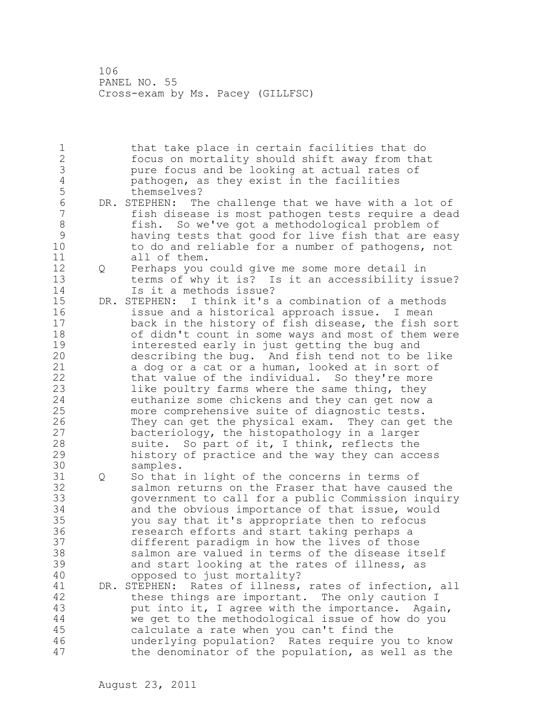106 PANEL NO. 55 Cross-exam by Ms. Pacey (GILLFSC)

1 that take place in certain facilities that do 2 focus on mortality should shift away from that 3 pure focus and be looking at actual rates of<br>4 bathogen, as they exist in the facilities 4 pathogen, as they exist in the facilities 5 themselves?<br>6 DR. STEPHEN: Th 6 DR. STEPHEN: The challenge that we have with a lot of<br>7 fish disease is most pathogen tests require a dea fish disease is most pathogen tests require a dead 8 fish. So we've got a methodological problem of 9 having tests that good for live fish that are easy to do and reliable for a number of pathogens, not 11 all of them. 12 Q Perhaps you could give me some more detail in 13 terms of why it is? Is it an accessibility issue?<br>14 15 it a methods issue? Is it a methods issue? 15 DR. STEPHEN: I think it's a combination of a methods 16 issue and a historical approach issue. I mean 17 back in the history of fish disease, the fish sort 18 of didn't count in some ways and most of them were 19 interested early in just getting the bug and<br>20 describing the bug. And fish tend not to be describing the bug. And fish tend not to be like 21 a dog or a cat or a human, looked at in sort of 22 that value of the individual. So they're more 23 like poultry farms where the same thing, they 24 euthanize some chickens and they can get now a 25 more comprehensive suite of diagnostic tests. 26 They can get the physical exam. They can get the<br>27 bacteriology, the histopathology in a larger bacteriology, the histopathology in a larger 28 suite. So part of it, I think, reflects the 29 history of practice and the way they can access 30 samples. 31 Q So that in light of the concerns in terms of 32 salmon returns on the Fraser that have caused the 33 government to call for a public Commission inquiry 34 and the obvious importance of that issue, would 35 you say that it's appropriate then to refocus 36 research efforts and start taking perhaps a 37 different paradigm in how the lives of those 38 salmon are valued in terms of the disease itself 39 and start looking at the rates of illness, as 40 opposed to just mortality? 41 DR. STEPHEN: Rates of illness, rates of infection, all<br>42 these things are important. The only caution I these things are important. The only caution I 43 put into it, I agree with the importance. Again, 44 we get to the methodological issue of how do you 45 calculate a rate when you can't find the 46 underlying population? Rates require you to know 47 the denominator of the population, as well as the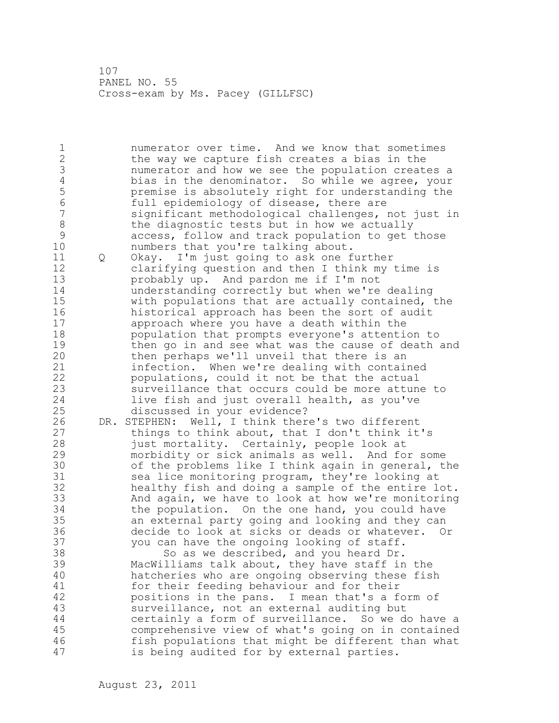107 PANEL NO. 55 Cross-exam by Ms. Pacey (GILLFSC)

1 numerator over time. And we know that sometimes 2 the way we capture fish creates a bias in the 3 numerator and how we see the population creates a<br>4 bias in the denominator. So while we agree, your 4 bias in the denominator. So while we agree, your<br>5 bend premise is absolutely right for understanding the 5 premise is absolutely right for understanding the 6 full epidemiology of disease, there are significant methodological challenges, not just in 8 the diagnostic tests but in how we actually<br>9 access, follow and track population to get 9 access, follow and track population to get those<br>10 mumbers that you're talking about. numbers that you're talking about. 11 Q Okay. I'm just going to ask one further 12 clarifying question and then I think my time is 13 probably up. And pardon me if I'm not 14 understanding correctly but when we're dealing 15 with populations that are actually contained, the 16 historical approach has been the sort of audit 17 approach where you have a death within the 18 population that prompts everyone's attention to 19 then go in and see what was the cause of death and<br>20 then perhaps we'll unveil that there is an then perhaps we'll unveil that there is an 21 infection. When we're dealing with contained 22 populations, could it not be that the actual 23 surveillance that occurs could be more attune to 24 live fish and just overall health, as you've 25 discussed in your evidence? 26 DR. STEPHEN: Well, I think there's two different<br>27 things to think about, that I don't think it things to think about, that I don't think it's 28 just mortality. Certainly, people look at 29 morbidity or sick animals as well. And for some 30 of the problems like I think again in general, the<br>31 sea lice monitoring program, they're looking at sea lice monitoring program, they're looking at 32 healthy fish and doing a sample of the entire lot. 33 And again, we have to look at how we're monitoring 34 the population. On the one hand, you could have 35 an external party going and looking and they can 36 decide to look at sicks or deads or whatever. Or 37 you can have the ongoing looking of staff. 38 So as we described, and you heard Dr. 39 MacWilliams talk about, they have staff in the 40 hatcheries who are ongoing observing these fish 41 for their feeding behaviour and for their<br>42 bositions in the pans. I mean that's a f positions in the pans. I mean that's a form of 43 surveillance, not an external auditing but 44 certainly a form of surveillance. So we do have a 45 comprehensive view of what's going on in contained 46 fish populations that might be different than what 47 is being audited for by external parties.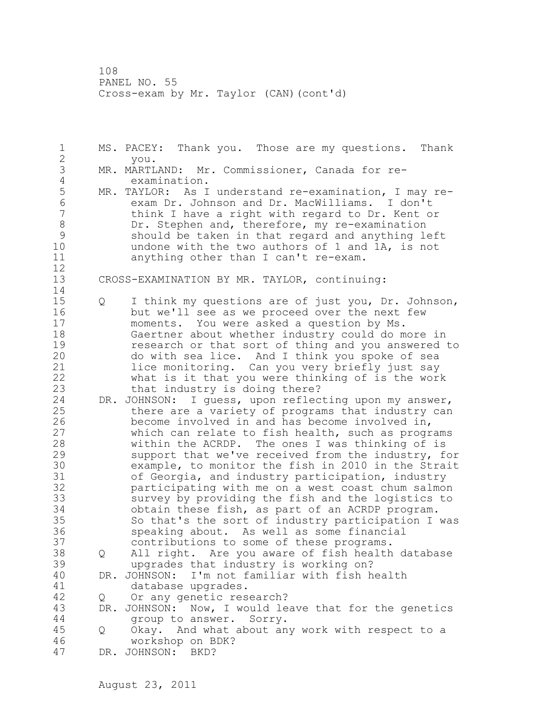108 PANEL NO. 55 Cross-exam by Mr. Taylor (CAN)(cont'd)

1 MS. PACEY: Thank you. Those are my questions. Thank 2 you. 3 MR. MARTLAND: Mr. Commissioner, Canada for re-4 examination.<br>5 MR. TAYLOR: As I 5 MR. TAYLOR: As I understand re-examination, I may re-<br>6 exam Dr. Johnson and Dr. MacWilliams. I don't 6 exam Dr. Johnson and Dr. MacWilliams. I don't think I have a right with regard to Dr. Kent or 8 Dr. Stephen and, therefore, my re-examination<br>9 should be taken in that regard and anything leg 9 should be taken in that regard and anything left<br>10 mdone with the two authors of 1 and 1A, is not undone with the two authors of 1 and 1A, is not 11 anything other than I can't re-exam.  $\begin{array}{c} 12 \\ 13 \end{array}$ CROSS-EXAMINATION BY MR. TAYLOR, continuing: 14 15 Q I think my questions are of just you, Dr. Johnson, 16 but we'll see as we proceed over the next few 17 moments. You were asked a question by Ms. 18 Gaertner about whether industry could do more in 19 research or that sort of thing and you answered to<br>20 do with sea lice. And I think you spoke of sea do with sea lice. And I think you spoke of sea 21 lice monitoring. Can you very briefly just say 22 what is it that you were thinking of is the work 23 that industry is doing there? 24 DR. JOHNSON: I guess, upon reflecting upon my answer, 25 there are a variety of programs that industry can 26 become involved in and has become involved in,<br>27 which can relate to fish health, such as progr which can relate to fish health, such as programs 28 within the ACRDP. The ones I was thinking of is 29 support that we've received from the industry, for 30 example, to monitor the fish in 2010 in the Strait<br>31 of Georgia, and industry participation, industry 31 of Georgia, and industry participation, industry<br>32 participating with me on a west coast chum salmom participating with me on a west coast chum salmon 33 survey by providing the fish and the logistics to 34 obtain these fish, as part of an ACRDP program. 35 So that's the sort of industry participation I was 36 speaking about. As well as some financial 37 contributions to some of these programs. 38 Q All right. Are you aware of fish health database 39 upgrades that industry is working on? 40 DR. JOHNSON: I'm not familiar with fish health 41 database upgrades.<br>42 0 Or any genetic res 42 Q Or any genetic research? 43 DR. JOHNSON: Now, I would leave that for the genetics 44 group to answer. Sorry. 45 Q Okay. And what about any work with respect to a 46 workshop on BDK? 47 DR. JOHNSON: BKD?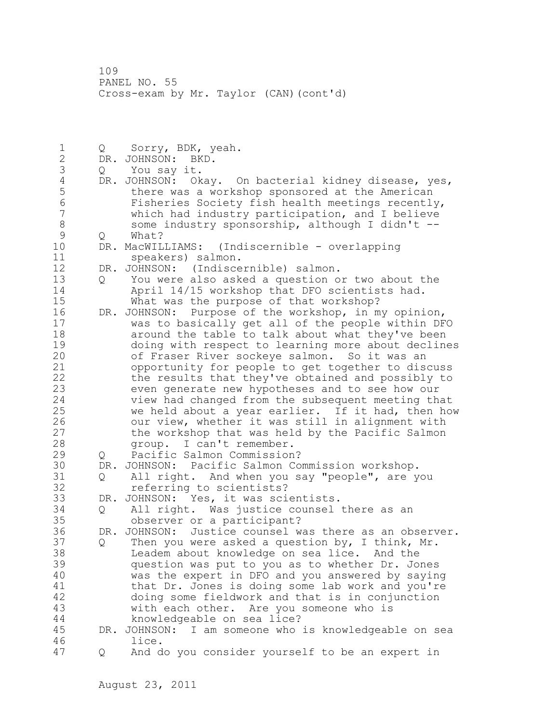109 PANEL NO. 55 Cross-exam by Mr. Taylor (CAN)(cont'd)

1 Q Sorry, BDK, yeah.<br>2 DR. JOHNSON: BKD. DR. JOHNSON: BKD. 3 Q You say it. 4 DR. JOHNSON: Okay. On bacterial kidney disease, yes,<br>5 there was a workshop sponsored at the American 5 there was a workshop sponsored at the American 6 Fisheries Society fish health meetings recently, which had industry participation, and I believe 8 some industry sponsorship, although I didn't --<br>9 0 What? 9 Q What?<br>10 DR. MacWIL DR. MacWILLIAMS: (Indiscernible - overlapping 11 speakers) salmon. 12 DR. JOHNSON: (Indiscernible) salmon. 13 Q You were also asked a question or two about the 14 April 14/15 workshop that DFO scientists had. 15 What was the purpose of that workshop? 16 DR. JOHNSON: Purpose of the workshop, in my opinion, 17 was to basically get all of the people within DFO 18 around the table to talk about what they've been 19 doing with respect to learning more about declines<br>20 of Fraser River sockeye salmon. So it was an of Fraser River sockeye salmon. So it was an 21 opportunity for people to get together to discuss 22 the results that they've obtained and possibly to 23 even generate new hypotheses and to see how our 24 view had changed from the subsequent meeting that 25 we held about a year earlier. If it had, then how 26 our view, whether it was still in alignment with<br>27 the workshop that was held by the Pacific Salmon the workshop that was held by the Pacific Salmon 28 group. I can't remember. 29 Q Pacific Salmon Commission? 30 DR. JOHNSON: Pacific Salmon Commission workshop. 31 Q All right. And when you say "people", are you<br>32 Teferring to scientists? referring to scientists? 33 DR. JOHNSON: Yes, it was scientists. 34 Q All right. Was justice counsel there as an 35 observer or a participant? 36 DR. JOHNSON: Justice counsel was there as an observer. 37 Q Then you were asked a question by, I think, Mr. 38 Leadem about knowledge on sea lice. And the 39 question was put to you as to whether Dr. Jones 40 was the expert in DFO and you answered by saying 41 that Dr. Jones is doing some lab work and you're<br>42 doing some fieldwork and that is in conjunction doing some fieldwork and that is in conjunction 43 with each other. Are you someone who is 44 knowledgeable on sea lice? 45 DR. JOHNSON: I am someone who is knowledgeable on sea 46 lice. 47 Q And do you consider yourself to be an expert in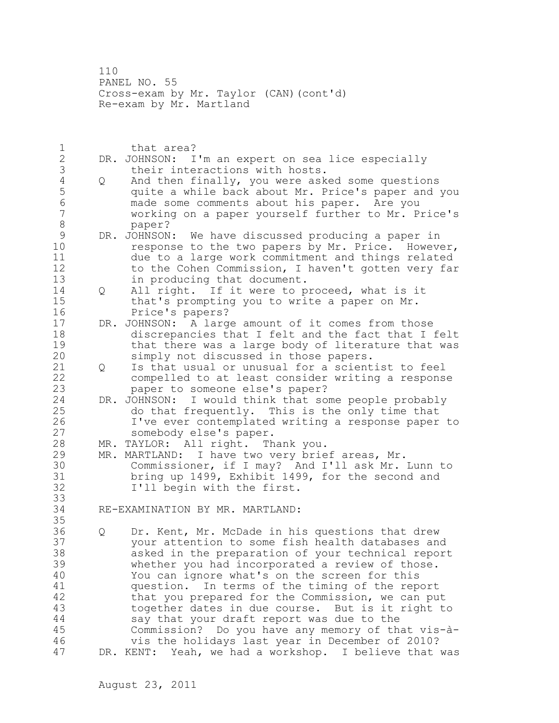110 PANEL NO. 55 Cross-exam by Mr. Taylor (CAN)(cont'd) Re-exam by Mr. Martland

1 that area? 2 DR. JOHNSON: I'm an expert on sea lice especially 3 their interactions with hosts.<br>4 Q And then finally, you were ask 4 Q And then finally, you were asked some questions<br>5 quite a while back about Mr. Price's paper and 5 5 quite a while back about Mr. Price's paper and you<br>6 made some comments about his paper. Are you 6 made some comments about his paper. Are you working on a paper yourself further to Mr. Price's 8 paper? 9 DR. JOHNSON: We have discussed producing a paper in<br>10 10 Sesponse to the two papers by Mr. Price. Howeve response to the two papers by Mr. Price. However, 11 due to a large work commitment and things related 12 to the Cohen Commission, I haven't gotten very far 13 in producing that document. 14 Q All right. If it were to proceed, what is it 15 that's prompting you to write a paper on Mr. 16 Price's papers? 17 DR. JOHNSON: A large amount of it comes from those 18 discrepancies that I felt and the fact that I felt 19 that there was a large body of literature that was<br>20 simply not discussed in those papers. simply not discussed in those papers. 21 Q Is that usual or unusual for a scientist to feel 22 compelled to at least consider writing a response 23 paper to someone else's paper? 24 DR. JOHNSON: I would think that some people probably 25 do that frequently. This is the only time that 26 I've ever contemplated writing a response paper to<br>27 somebody else's paper. somebody else's paper. 28 MR. TAYLOR: All right. Thank you. 29 MR. MARTLAND: I have two very brief areas, Mr. 30 Commissioner, if I may? And I'll ask Mr. Lunn to bring up 1499, Exhibit 1499, for the second and 32 I'll begin with the first. 33 34 RE-EXAMINATION BY MR. MARTLAND: 35 36 Q Dr. Kent, Mr. McDade in his questions that drew 37 your attention to some fish health databases and 38 asked in the preparation of your technical report 39 whether you had incorporated a review of those. 40 You can ignore what's on the screen for this 41 question. In terms of the timing of the report<br>42 that you prepared for the Commission, we can pu that you prepared for the Commission, we can put 43 together dates in due course. But is it right to 44 say that your draft report was due to the 45 Commission? Do you have any memory of that vis-à-46 vis the holidays last year in December of 2010? 47 DR. KENT: Yeah, we had a workshop. I believe that was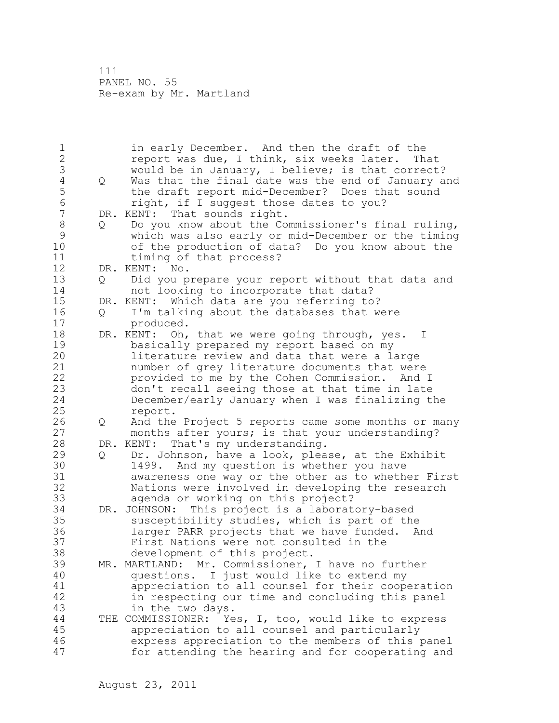111 PANEL NO. 55 Re-exam by Mr. Martland

1 in early December. And then the draft of the 2 report was due, I think, six weeks later. That 3 would be in January, I believe; is that correct?<br>4 0 Was that the final date was the end of January a 4 Q Was that the final date was the end of January and<br>5 the draft report mid-December? Does that sound 5 the draft report mid-December? Does that sound 6 right, if I suggest those dates to you?<br>7 DR. KENT: That sounds right. DR. KENT: That sounds right. 8 Q Do you know about the Commissioner's final ruling,<br>9 which was also early or mid-December or the timing 9 which was also early or mid-December or the timing of the production of data? Do you know about the 11 timing of that process? 12 DR. KENT: No. 13 Q Did you prepare your report without that data and 14 not looking to incorporate that data? 15 DR. KENT: Which data are you referring to? 16 Q I'm talking about the databases that were 17 produced. 18 DR. KENT: Oh, that we were going through, yes. I 19 basically prepared my report based on my<br>20 literature review and data that were a la literature review and data that were a large 21 number of grey literature documents that were 22 provided to me by the Cohen Commission. And I 23 don't recall seeing those at that time in late 24 December/early January when I was finalizing the 25 report. 26 Q And the Project 5 reports came some months or many<br>27 months after yours; is that your understanding? months after yours; is that your understanding? 28 DR. KENT: That's my understanding. 29 Q Dr. Johnson, have a look, please, at the Exhibit 30 1499. And my question is whether you have 31 awareness one way or the other as to whether First Nations were involved in developing the research 33 agenda or working on this project? 34 DR. JOHNSON: This project is a laboratory-based 35 susceptibility studies, which is part of the 36 larger PARR projects that we have funded. And 37 First Nations were not consulted in the 38 development of this project. 39 MR. MARTLAND: Mr. Commissioner, I have no further 40 questions. I just would like to extend my 41 appreciation to all counsel for their cooperation<br>42 in respecting our time and concluding this panel in respecting our time and concluding this panel 43 in the two days. 44 THE COMMISSIONER: Yes, I, too, would like to express 45 appreciation to all counsel and particularly 46 express appreciation to the members of this panel 47 for attending the hearing and for cooperating and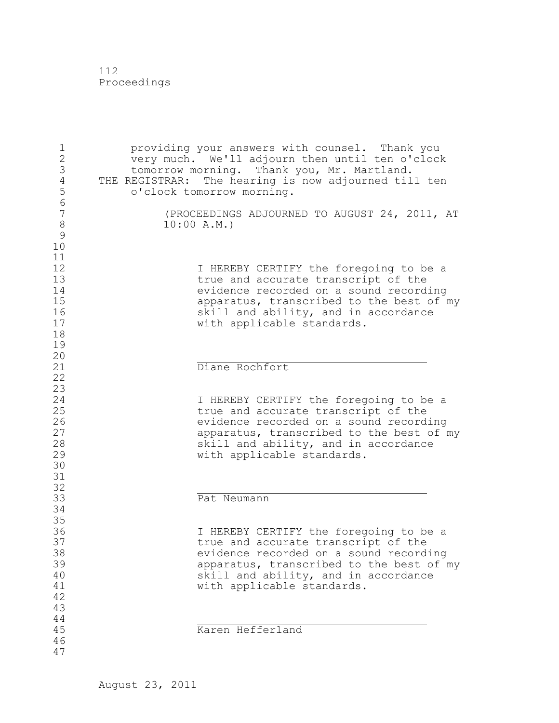112 Proceedings

| $\frac{1}{2}$<br>3<br>$\overline{4}$<br>5<br>$\sqrt{6}$ |            | providing your answers with counsel. Thank you<br>very much. We'll adjourn then until ten o'clock<br>tomorrow morning. Thank you, Mr. Martland.<br>THE REGISTRAR: The hearing is now adjourned till ten<br>o'clock tomorrow morning.      |
|---------------------------------------------------------|------------|-------------------------------------------------------------------------------------------------------------------------------------------------------------------------------------------------------------------------------------------|
| $\overline{7}$<br>8<br>$\mathcal{G}$<br>10              | 10:00 A.M. | (PROCEEDINGS ADJOURNED TO AUGUST 24, 2011, AT                                                                                                                                                                                             |
| 11<br>12<br>13<br>14<br>15<br>16<br>17<br>18<br>19      |            | I HEREBY CERTIFY the foregoing to be a<br>true and accurate transcript of the<br>evidence recorded on a sound recording<br>apparatus, transcribed to the best of my<br>skill and ability, and in accordance<br>with applicable standards. |
| 20<br>21<br>22                                          |            | Diane Rochfort                                                                                                                                                                                                                            |
| 23<br>24<br>25<br>26<br>27<br>28<br>29<br>30            |            | I HEREBY CERTIFY the foregoing to be a<br>true and accurate transcript of the<br>evidence recorded on a sound recording<br>apparatus, transcribed to the best of my<br>skill and ability, and in accordance<br>with applicable standards. |
| 31<br>32                                                |            | Pat Neumann                                                                                                                                                                                                                               |
| 33<br>34<br>35                                          |            |                                                                                                                                                                                                                                           |
| 36<br>37<br>38<br>39<br>40<br>41<br>42<br>43<br>44      |            | I HEREBY CERTIFY the foregoing to be a<br>true and accurate transcript of the<br>evidence recorded on a sound recording<br>apparatus, transcribed to the best of my<br>skill and ability, and in accordance<br>with applicable standards. |
| 45<br>46<br>47                                          |            | Karen Hefferland                                                                                                                                                                                                                          |